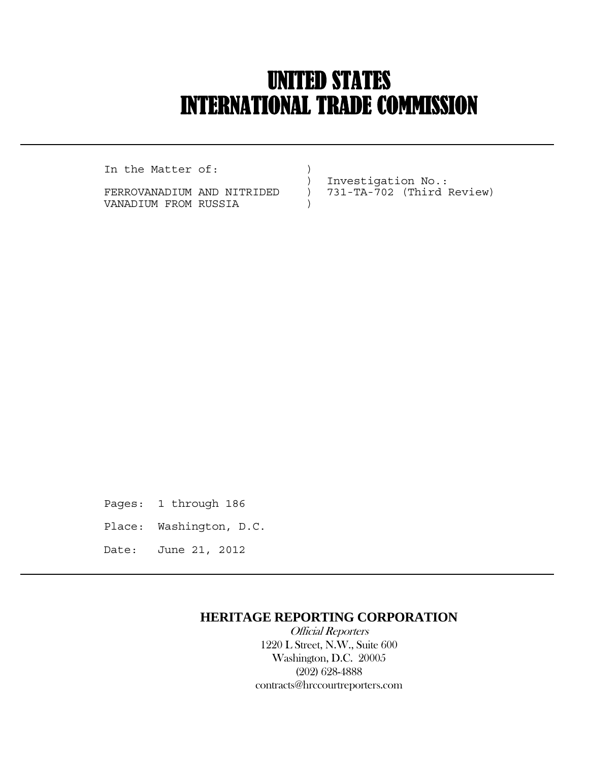## UNITED STATES INTERNATIONAL TRADE COMMISSION

In the Matter of:  $)$ 

 $\overline{a}$ 

FERROVANADIUM AND NITRIDED ) 731-TA-702 (Third Review) VANADIUM FROM RUSSIA )

) Investigation No.:

Pages: 1 through 186 Place: Washington, D.C. Date: June 21, 2012

## **HERITAGE REPORTING CORPORATION**

 Official Reporters 1220 L Street, N.W., Suite 600 Washington, D.C. 20005 (202) 628-4888 contracts@hrccourtreporters.com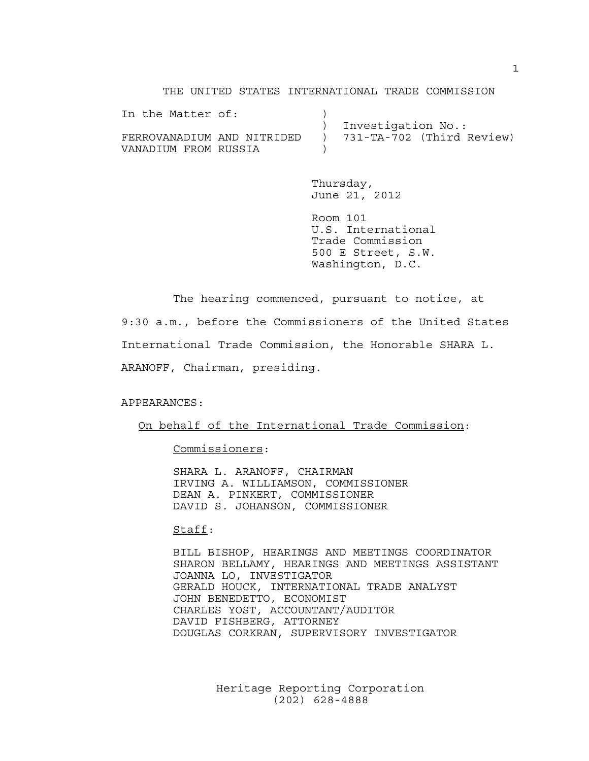THE UNITED STATES INTERNATIONAL TRADE COMMISSION

| In the Matter of:          |                           |
|----------------------------|---------------------------|
|                            | ) Investigation No.:      |
| FERROVANADIUM AND NITRIDED | 731-TA-702 (Third Review) |
| VANADIUM FROM RUSSIA       |                           |

 Thursday, June 21, 2012

 Room 101 U.S. International Trade Commission 500 E Street, S.W. Washington, D.C.

 The hearing commenced, pursuant to notice, at 9:30 a.m., before the Commissioners of the United States International Trade Commission, the Honorable SHARA L. ARANOFF, Chairman, presiding.

APPEARANCES:

On behalf of the International Trade Commission:

Commissioners:

 SHARA L. ARANOFF, CHAIRMAN IRVING A. WILLIAMSON, COMMISSIONER DEAN A. PINKERT, COMMISSIONER DAVID S. JOHANSON, COMMISSIONER

Staff:

 BILL BISHOP, HEARINGS AND MEETINGS COORDINATOR SHARON BELLAMY, HEARINGS AND MEETINGS ASSISTANT JOANNA LO, INVESTIGATOR GERALD HOUCK, INTERNATIONAL TRADE ANALYST JOHN BENEDETTO, ECONOMIST CHARLES YOST, ACCOUNTANT/AUDITOR DAVID FISHBERG, ATTORNEY DOUGLAS CORKRAN, SUPERVISORY INVESTIGATOR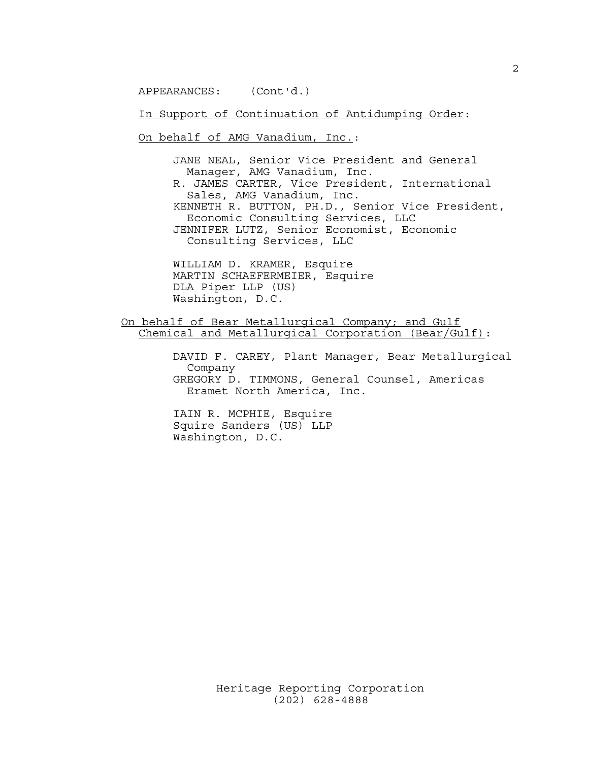APPEARANCES: (Cont'd.)

In Support of Continuation of Antidumping Order:

On behalf of AMG Vanadium, Inc.:

 JANE NEAL, Senior Vice President and General Manager, AMG Vanadium, Inc. R. JAMES CARTER, Vice President, International Sales, AMG Vanadium, Inc. KENNETH R. BUTTON, PH.D., Senior Vice President, Economic Consulting Services, LLC JENNIFER LUTZ, Senior Economist, Economic Consulting Services, LLC

 WILLIAM D. KRAMER, Esquire MARTIN SCHAEFERMEIER, Esquire DLA Piper LLP (US) Washington, D.C.

On behalf of Bear Metallurgical Company; and Gulf Chemical and Metallurgical Corporation (Bear/Gulf):

> DAVID F. CAREY, Plant Manager, Bear Metallurgical Company GREGORY D. TIMMONS, General Counsel, Americas Eramet North America, Inc.

 IAIN R. MCPHIE, Esquire Squire Sanders (US) LLP Washington, D.C.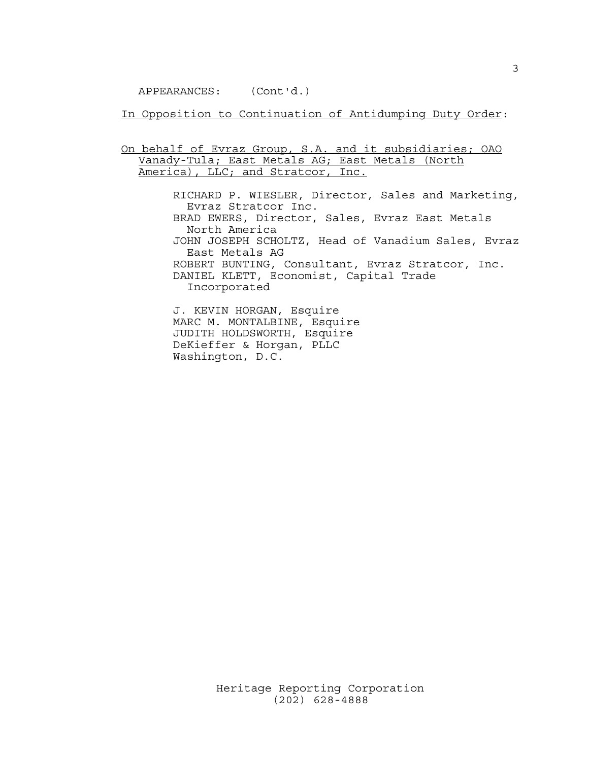APPEARANCES: (Cont'd.)

In Opposition to Continuation of Antidumping Duty Order:

On behalf of Evraz Group, S.A. and it subsidiaries; OAO Vanady-Tula; East Metals AG; East Metals (North America), LLC; and Stratcor, Inc.

> RICHARD P. WIESLER, Director, Sales and Marketing, Evraz Stratcor Inc. BRAD EWERS, Director, Sales, Evraz East Metals North America JOHN JOSEPH SCHOLTZ, Head of Vanadium Sales, Evraz East Metals AG ROBERT BUNTING, Consultant, Evraz Stratcor, Inc. DANIEL KLETT, Economist, Capital Trade Incorporated J. KEVIN HORGAN, Esquire

 MARC M. MONTALBINE, Esquire JUDITH HOLDSWORTH, Esquire DeKieffer & Horgan, PLLC Washington, D.C.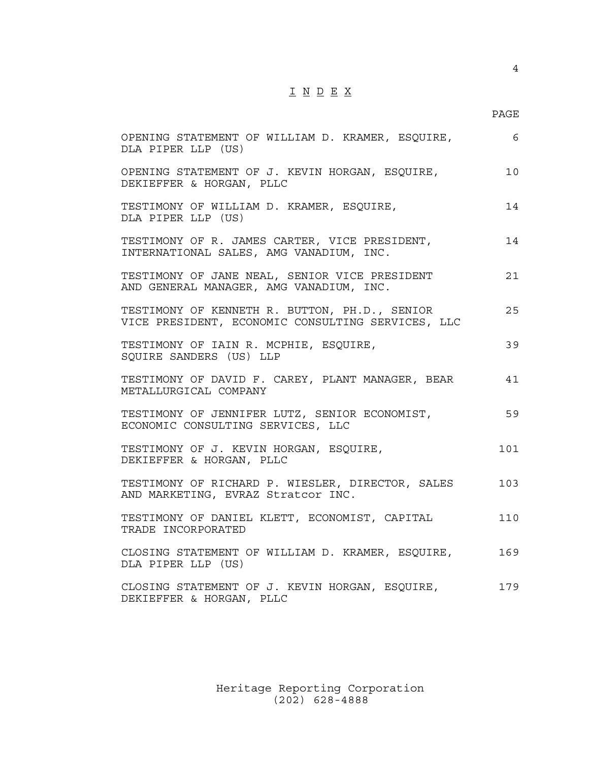## I N D E X

## en de la provincia de la provincia de la provincia de la provincia de la provincia de la provincia de la provi

| OPENING STATEMENT OF WILLIAM D. KRAMER, ESQUIRE,<br>DLA PIPER LLP (US)                             | - 6 |
|----------------------------------------------------------------------------------------------------|-----|
| OPENING STATEMENT OF J. KEVIN HORGAN, ESQUIRE,<br>DEKIEFFER & HORGAN, PLLC                         | 10  |
| TESTIMONY OF WILLIAM D. KRAMER, ESQUIRE,<br>DLA PIPER LLP (US)                                     | 14  |
| TESTIMONY OF R. JAMES CARTER, VICE PRESIDENT,<br>INTERNATIONAL SALES, AMG VANADIUM, INC.           | 14  |
| TESTIMONY OF JANE NEAL, SENIOR VICE PRESIDENT<br>AND GENERAL MANAGER, AMG VANADIUM, INC.           | 21  |
| TESTIMONY OF KENNETH R. BUTTON, PH.D., SENIOR<br>VICE PRESIDENT, ECONOMIC CONSULTING SERVICES, LLC | 25  |
| TESTIMONY OF IAIN R. MCPHIE, ESQUIRE,<br>SQUIRE SANDERS (US) LLP                                   | 39  |
| TESTIMONY OF DAVID F. CAREY, PLANT MANAGER, BEAR<br>METALLURGICAL COMPANY                          | 41  |
| TESTIMONY OF JENNIFER LUTZ, SENIOR ECONOMIST,<br>ECONOMIC CONSULTING SERVICES, LLC                 | 59  |
| TESTIMONY OF J. KEVIN HORGAN, ESQUIRE,<br>DEKIEFFER & HORGAN, PLLC                                 | 101 |
| TESTIMONY OF RICHARD P. WIESLER, DIRECTOR, SALES<br>AND MARKETING, EVRAZ Stratcor INC.             | 103 |
| TESTIMONY OF DANIEL KLETT, ECONOMIST, CAPITAL<br>TRADE INCORPORATED                                | 110 |
| CLOSING STATEMENT OF WILLIAM D. KRAMER, ESQUIRE,<br>DLA PIPER LLP (US)                             | 169 |
| CLOSING STATEMENT OF J. KEVIN HORGAN, ESQUIRE,<br>DEKIEFFER & HORGAN, PLLC                         | 179 |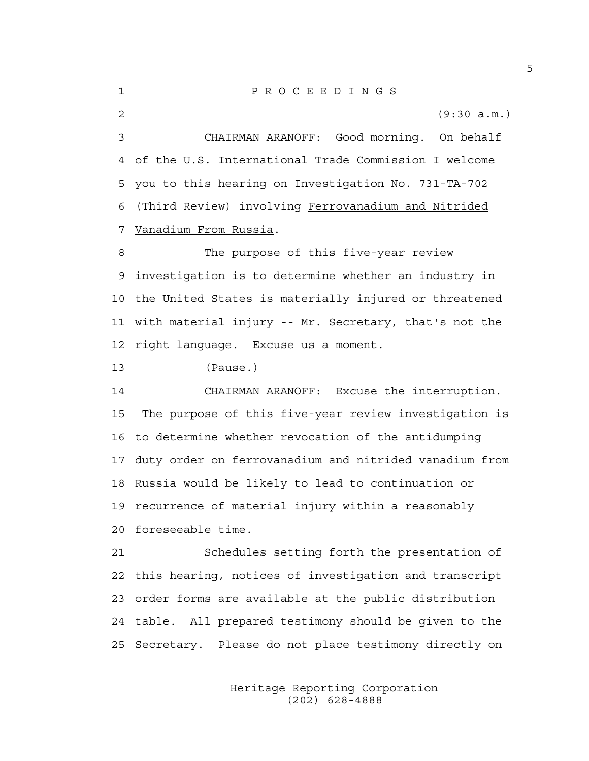1 P R O C E E D I N G S 2 (9:30 a.m.) 3 CHAIRMAN ARANOFF: Good morning. On behalf 4 of the U.S. International Trade Commission I welcome 5 you to this hearing on Investigation No. 731-TA-702 6 (Third Review) involving Ferrovanadium and Nitrided 7 Vanadium From Russia. 8 The purpose of this five-year review 9 investigation is to determine whether an industry in 10 the United States is materially injured or threatened 11 with material injury -- Mr. Secretary, that's not the 12 right language. Excuse us a moment. 13 (Pause.) 14 CHAIRMAN ARANOFF: Excuse the interruption. 15 The purpose of this five-year review investigation is 16 to determine whether revocation of the antidumping 17 duty order on ferrovanadium and nitrided vanadium from 18 Russia would be likely to lead to continuation or 19 recurrence of material injury within a reasonably 20 foreseeable time. 21 Schedules setting forth the presentation of 22 this hearing, notices of investigation and transcript 23 order forms are available at the public distribution 24 table. All prepared testimony should be given to the 25 Secretary. Please do not place testimony directly on

> Heritage Reporting Corporation (202) 628-4888

5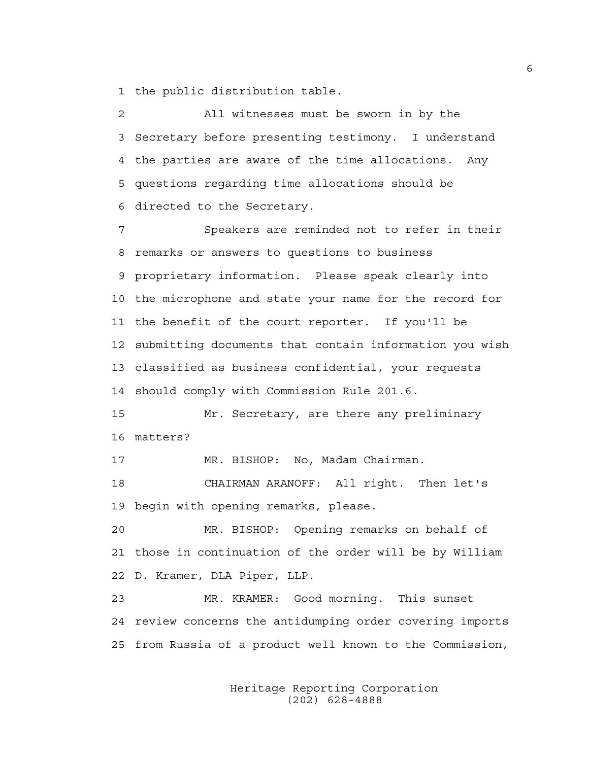1 the public distribution table.

2 All witnesses must be sworn in by the 3 Secretary before presenting testimony. I understand 4 the parties are aware of the time allocations. Any 5 questions regarding time allocations should be 6 directed to the Secretary.

7 Speakers are reminded not to refer in their 8 remarks or answers to questions to business 9 proprietary information. Please speak clearly into 10 the microphone and state your name for the record for 11 the benefit of the court reporter. If you'll be 12 submitting documents that contain information you wish 13 classified as business confidential, your requests 14 should comply with Commission Rule 201.6.

15 Mr. Secretary, are there any preliminary 16 matters?

17 MR. BISHOP: No, Madam Chairman.

18 CHAIRMAN ARANOFF: All right. Then let's 19 begin with opening remarks, please.

20 MR. BISHOP: Opening remarks on behalf of 21 those in continuation of the order will be by William 22 D. Kramer, DLA Piper, LLP.

23 MR. KRAMER: Good morning. This sunset 24 review concerns the antidumping order covering imports 25 from Russia of a product well known to the Commission,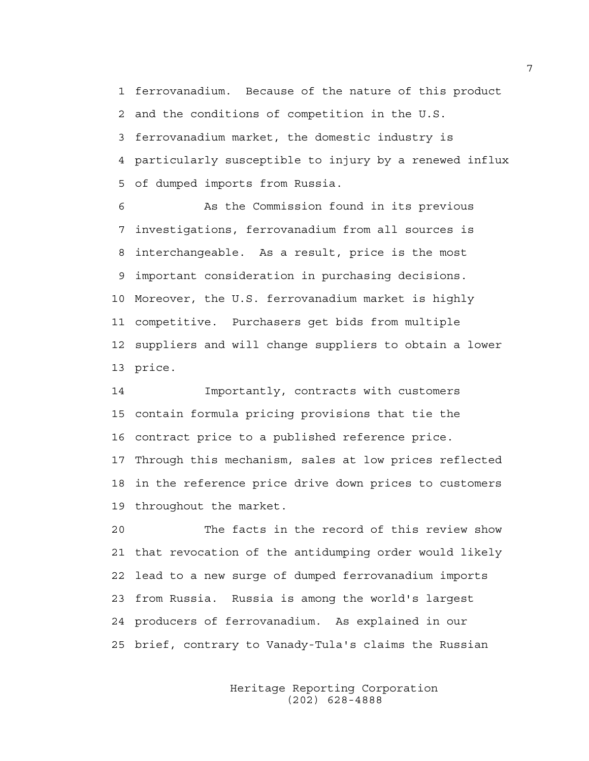1 ferrovanadium. Because of the nature of this product 2 and the conditions of competition in the U.S. 3 ferrovanadium market, the domestic industry is 4 particularly susceptible to injury by a renewed influx 5 of dumped imports from Russia.

6 As the Commission found in its previous 7 investigations, ferrovanadium from all sources is 8 interchangeable. As a result, price is the most 9 important consideration in purchasing decisions. 10 Moreover, the U.S. ferrovanadium market is highly 11 competitive. Purchasers get bids from multiple 12 suppliers and will change suppliers to obtain a lower 13 price.

14 Importantly, contracts with customers 15 contain formula pricing provisions that tie the 16 contract price to a published reference price. 17 Through this mechanism, sales at low prices reflected 18 in the reference price drive down prices to customers 19 throughout the market.

20 The facts in the record of this review show 21 that revocation of the antidumping order would likely 22 lead to a new surge of dumped ferrovanadium imports 23 from Russia. Russia is among the world's largest 24 producers of ferrovanadium. As explained in our 25 brief, contrary to Vanady-Tula's claims the Russian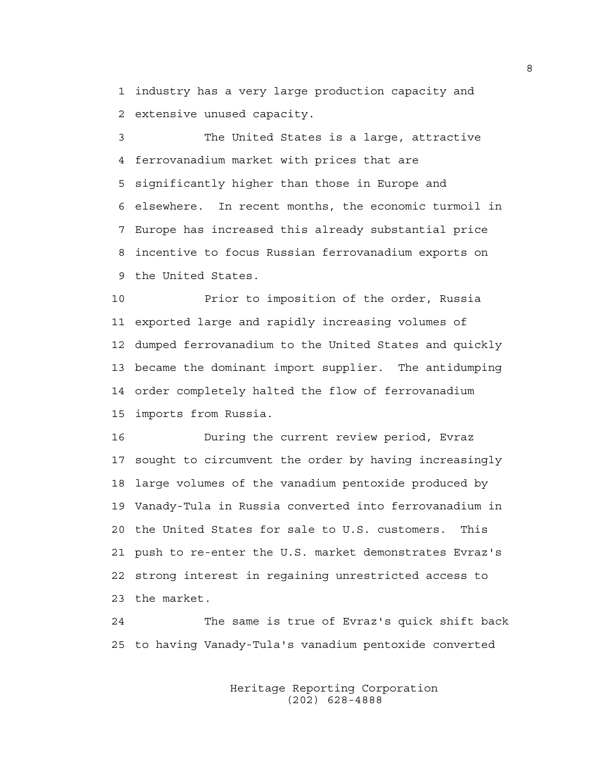1 industry has a very large production capacity and 2 extensive unused capacity.

3 The United States is a large, attractive 4 ferrovanadium market with prices that are 5 significantly higher than those in Europe and 6 elsewhere. In recent months, the economic turmoil in 7 Europe has increased this already substantial price 8 incentive to focus Russian ferrovanadium exports on 9 the United States.

10 Prior to imposition of the order, Russia 11 exported large and rapidly increasing volumes of 12 dumped ferrovanadium to the United States and quickly 13 became the dominant import supplier. The antidumping 14 order completely halted the flow of ferrovanadium 15 imports from Russia.

16 During the current review period, Evraz 17 sought to circumvent the order by having increasingly 18 large volumes of the vanadium pentoxide produced by 19 Vanady-Tula in Russia converted into ferrovanadium in 20 the United States for sale to U.S. customers. This 21 push to re-enter the U.S. market demonstrates Evraz's 22 strong interest in regaining unrestricted access to 23 the market.

24 The same is true of Evraz's quick shift back 25 to having Vanady-Tula's vanadium pentoxide converted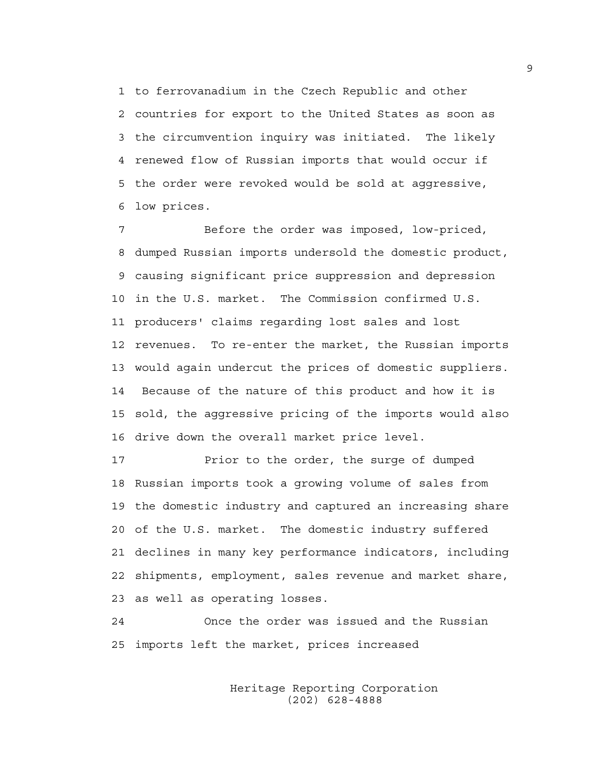1 to ferrovanadium in the Czech Republic and other 2 countries for export to the United States as soon as 3 the circumvention inquiry was initiated. The likely 4 renewed flow of Russian imports that would occur if 5 the order were revoked would be sold at aggressive, 6 low prices.

7 Before the order was imposed, low-priced, 8 dumped Russian imports undersold the domestic product, 9 causing significant price suppression and depression 10 in the U.S. market. The Commission confirmed U.S. 11 producers' claims regarding lost sales and lost 12 revenues. To re-enter the market, the Russian imports 13 would again undercut the prices of domestic suppliers. 14 Because of the nature of this product and how it is 15 sold, the aggressive pricing of the imports would also 16 drive down the overall market price level.

17 Prior to the order, the surge of dumped 18 Russian imports took a growing volume of sales from 19 the domestic industry and captured an increasing share 20 of the U.S. market. The domestic industry suffered 21 declines in many key performance indicators, including 22 shipments, employment, sales revenue and market share, 23 as well as operating losses.

24 Once the order was issued and the Russian 25 imports left the market, prices increased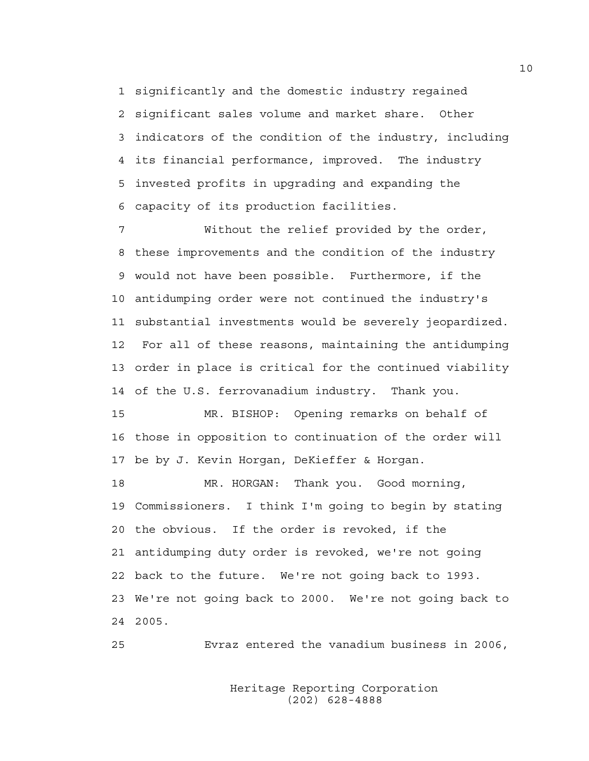1 significantly and the domestic industry regained 2 significant sales volume and market share. Other 3 indicators of the condition of the industry, including 4 its financial performance, improved. The industry 5 invested profits in upgrading and expanding the 6 capacity of its production facilities.

7 Without the relief provided by the order, 8 these improvements and the condition of the industry 9 would not have been possible. Furthermore, if the 10 antidumping order were not continued the industry's 11 substantial investments would be severely jeopardized. 12 For all of these reasons, maintaining the antidumping 13 order in place is critical for the continued viability 14 of the U.S. ferrovanadium industry. Thank you.

15 MR. BISHOP: Opening remarks on behalf of 16 those in opposition to continuation of the order will 17 be by J. Kevin Horgan, DeKieffer & Horgan.

18 MR. HORGAN: Thank you. Good morning, 19 Commissioners. I think I'm going to begin by stating 20 the obvious. If the order is revoked, if the 21 antidumping duty order is revoked, we're not going 22 back to the future. We're not going back to 1993. 23 We're not going back to 2000. We're not going back to 24 2005.

25 Evraz entered the vanadium business in 2006,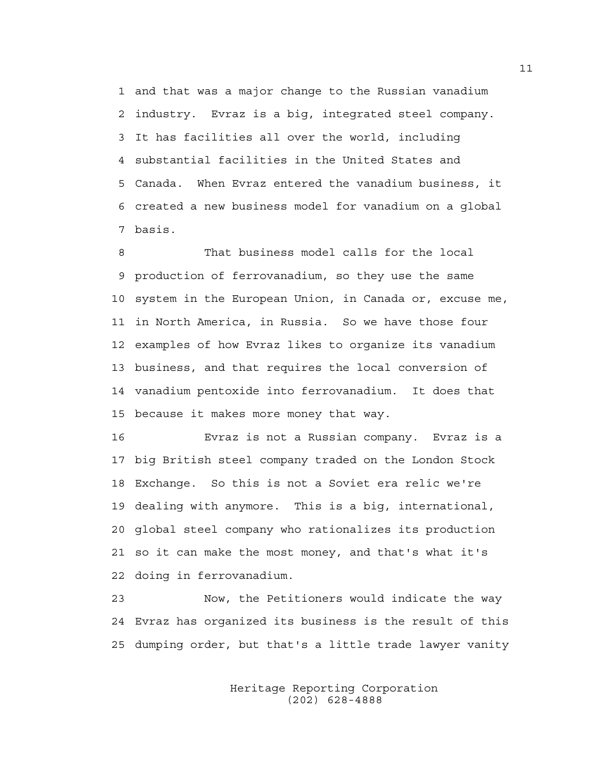1 and that was a major change to the Russian vanadium 2 industry. Evraz is a big, integrated steel company. 3 It has facilities all over the world, including 4 substantial facilities in the United States and 5 Canada. When Evraz entered the vanadium business, it 6 created a new business model for vanadium on a global 7 basis.

8 That business model calls for the local 9 production of ferrovanadium, so they use the same 10 system in the European Union, in Canada or, excuse me, 11 in North America, in Russia. So we have those four 12 examples of how Evraz likes to organize its vanadium 13 business, and that requires the local conversion of 14 vanadium pentoxide into ferrovanadium. It does that 15 because it makes more money that way.

16 Evraz is not a Russian company. Evraz is a 17 big British steel company traded on the London Stock 18 Exchange. So this is not a Soviet era relic we're 19 dealing with anymore. This is a big, international, 20 global steel company who rationalizes its production 21 so it can make the most money, and that's what it's 22 doing in ferrovanadium.

23 Now, the Petitioners would indicate the way 24 Evraz has organized its business is the result of this 25 dumping order, but that's a little trade lawyer vanity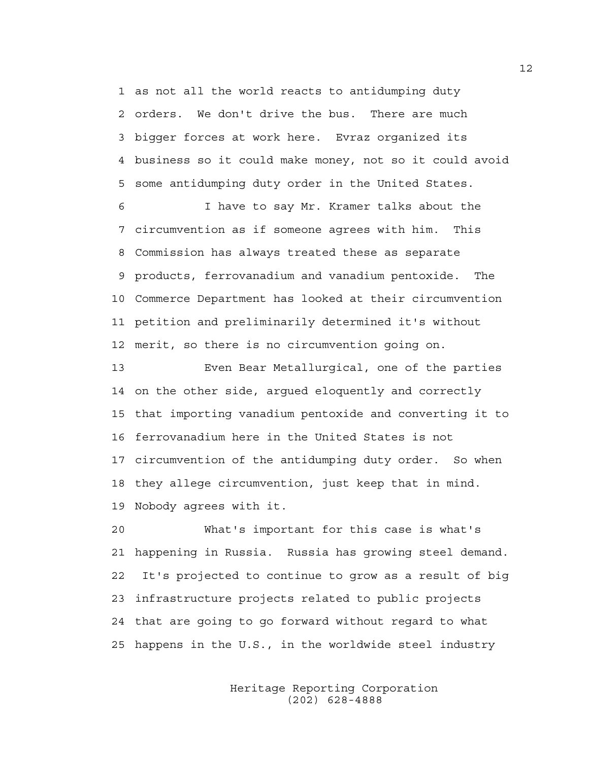1 as not all the world reacts to antidumping duty 2 orders. We don't drive the bus. There are much 3 bigger forces at work here. Evraz organized its 4 business so it could make money, not so it could avoid 5 some antidumping duty order in the United States.

6 I have to say Mr. Kramer talks about the 7 circumvention as if someone agrees with him. This 8 Commission has always treated these as separate 9 products, ferrovanadium and vanadium pentoxide. The 10 Commerce Department has looked at their circumvention 11 petition and preliminarily determined it's without 12 merit, so there is no circumvention going on.

13 Even Bear Metallurgical, one of the parties 14 on the other side, argued eloquently and correctly 15 that importing vanadium pentoxide and converting it to 16 ferrovanadium here in the United States is not 17 circumvention of the antidumping duty order. So when 18 they allege circumvention, just keep that in mind. 19 Nobody agrees with it.

20 What's important for this case is what's 21 happening in Russia. Russia has growing steel demand. 22 It's projected to continue to grow as a result of big 23 infrastructure projects related to public projects 24 that are going to go forward without regard to what 25 happens in the U.S., in the worldwide steel industry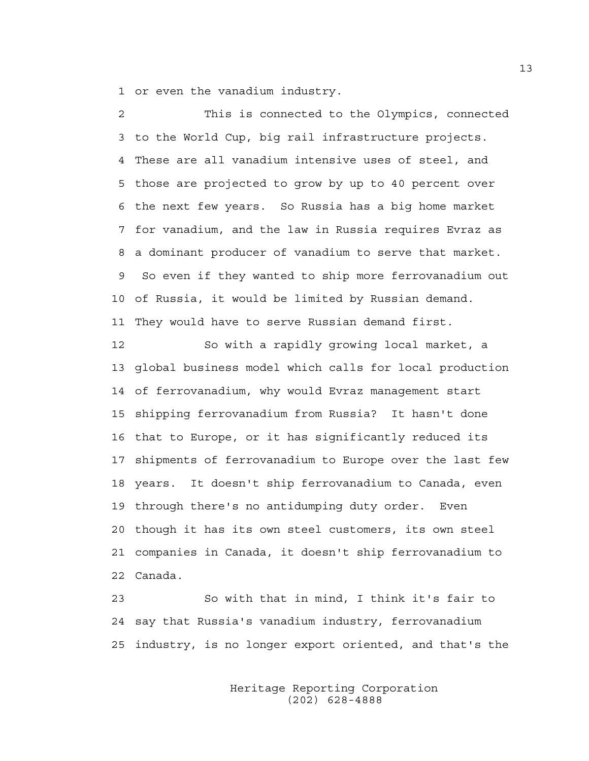1 or even the vanadium industry.

2 This is connected to the Olympics, connected 3 to the World Cup, big rail infrastructure projects. 4 These are all vanadium intensive uses of steel, and 5 those are projected to grow by up to 40 percent over 6 the next few years. So Russia has a big home market 7 for vanadium, and the law in Russia requires Evraz as 8 a dominant producer of vanadium to serve that market. 9 So even if they wanted to ship more ferrovanadium out 10 of Russia, it would be limited by Russian demand. 11 They would have to serve Russian demand first.

12 So with a rapidly growing local market, a 13 global business model which calls for local production 14 of ferrovanadium, why would Evraz management start 15 shipping ferrovanadium from Russia? It hasn't done 16 that to Europe, or it has significantly reduced its 17 shipments of ferrovanadium to Europe over the last few 18 years. It doesn't ship ferrovanadium to Canada, even 19 through there's no antidumping duty order. Even 20 though it has its own steel customers, its own steel 21 companies in Canada, it doesn't ship ferrovanadium to 22 Canada.

23 So with that in mind, I think it's fair to 24 say that Russia's vanadium industry, ferrovanadium 25 industry, is no longer export oriented, and that's the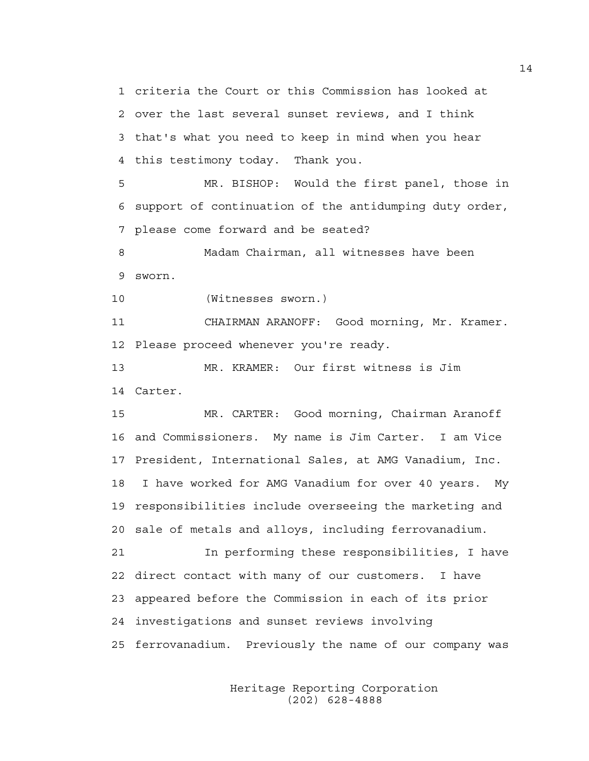1 criteria the Court or this Commission has looked at 2 over the last several sunset reviews, and I think 3 that's what you need to keep in mind when you hear 4 this testimony today. Thank you.

5 MR. BISHOP: Would the first panel, those in 6 support of continuation of the antidumping duty order, 7 please come forward and be seated?

8 Madam Chairman, all witnesses have been 9 sworn.

10 (Witnesses sworn.)

11 CHAIRMAN ARANOFF: Good morning, Mr. Kramer. 12 Please proceed whenever you're ready.

13 MR. KRAMER: Our first witness is Jim 14 Carter.

15 MR. CARTER: Good morning, Chairman Aranoff 16 and Commissioners. My name is Jim Carter. I am Vice 17 President, International Sales, at AMG Vanadium, Inc. 18 I have worked for AMG Vanadium for over 40 years. My 19 responsibilities include overseeing the marketing and 20 sale of metals and alloys, including ferrovanadium.

21 In performing these responsibilities, I have 22 direct contact with many of our customers. I have 23 appeared before the Commission in each of its prior 24 investigations and sunset reviews involving 25 ferrovanadium. Previously the name of our company was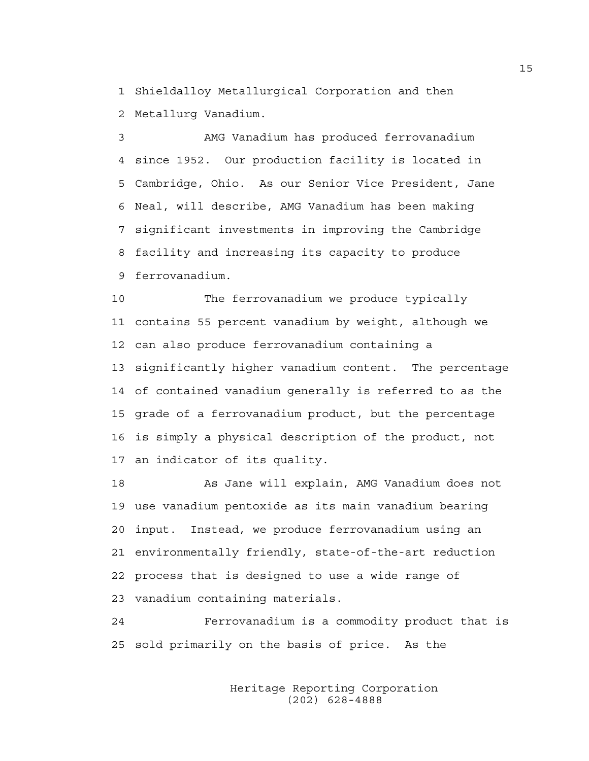1 Shieldalloy Metallurgical Corporation and then 2 Metallurg Vanadium.

3 AMG Vanadium has produced ferrovanadium 4 since 1952. Our production facility is located in 5 Cambridge, Ohio. As our Senior Vice President, Jane 6 Neal, will describe, AMG Vanadium has been making 7 significant investments in improving the Cambridge 8 facility and increasing its capacity to produce 9 ferrovanadium.

10 The ferrovanadium we produce typically 11 contains 55 percent vanadium by weight, although we 12 can also produce ferrovanadium containing a 13 significantly higher vanadium content. The percentage 14 of contained vanadium generally is referred to as the 15 grade of a ferrovanadium product, but the percentage 16 is simply a physical description of the product, not 17 an indicator of its quality.

18 As Jane will explain, AMG Vanadium does not 19 use vanadium pentoxide as its main vanadium bearing 20 input. Instead, we produce ferrovanadium using an 21 environmentally friendly, state-of-the-art reduction 22 process that is designed to use a wide range of 23 vanadium containing materials.

24 Ferrovanadium is a commodity product that is 25 sold primarily on the basis of price. As the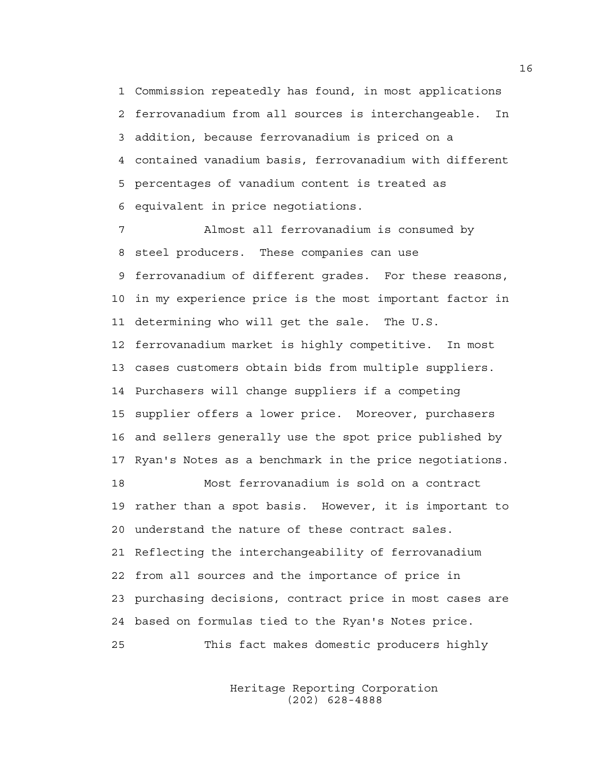1 Commission repeatedly has found, in most applications 2 ferrovanadium from all sources is interchangeable. In 3 addition, because ferrovanadium is priced on a 4 contained vanadium basis, ferrovanadium with different 5 percentages of vanadium content is treated as 6 equivalent in price negotiations.

7 Almost all ferrovanadium is consumed by 8 steel producers. These companies can use 9 ferrovanadium of different grades. For these reasons, 10 in my experience price is the most important factor in 11 determining who will get the sale. The U.S. 12 ferrovanadium market is highly competitive. In most 13 cases customers obtain bids from multiple suppliers. 14 Purchasers will change suppliers if a competing 15 supplier offers a lower price. Moreover, purchasers 16 and sellers generally use the spot price published by 17 Ryan's Notes as a benchmark in the price negotiations. 18 Most ferrovanadium is sold on a contract 19 rather than a spot basis. However, it is important to 20 understand the nature of these contract sales. 21 Reflecting the interchangeability of ferrovanadium 22 from all sources and the importance of price in 23 purchasing decisions, contract price in most cases are 24 based on formulas tied to the Ryan's Notes price. 25 This fact makes domestic producers highly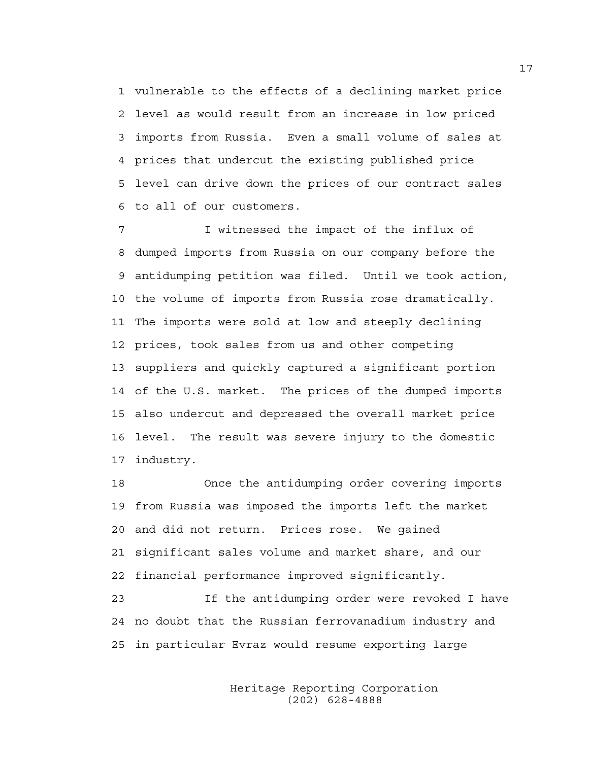1 vulnerable to the effects of a declining market price 2 level as would result from an increase in low priced 3 imports from Russia. Even a small volume of sales at 4 prices that undercut the existing published price 5 level can drive down the prices of our contract sales 6 to all of our customers.

7 I witnessed the impact of the influx of 8 dumped imports from Russia on our company before the 9 antidumping petition was filed. Until we took action, 10 the volume of imports from Russia rose dramatically. 11 The imports were sold at low and steeply declining 12 prices, took sales from us and other competing 13 suppliers and quickly captured a significant portion 14 of the U.S. market. The prices of the dumped imports 15 also undercut and depressed the overall market price 16 level. The result was severe injury to the domestic 17 industry.

18 Once the antidumping order covering imports 19 from Russia was imposed the imports left the market 20 and did not return. Prices rose. We gained 21 significant sales volume and market share, and our 22 financial performance improved significantly.

23 If the antidumping order were revoked I have 24 no doubt that the Russian ferrovanadium industry and 25 in particular Evraz would resume exporting large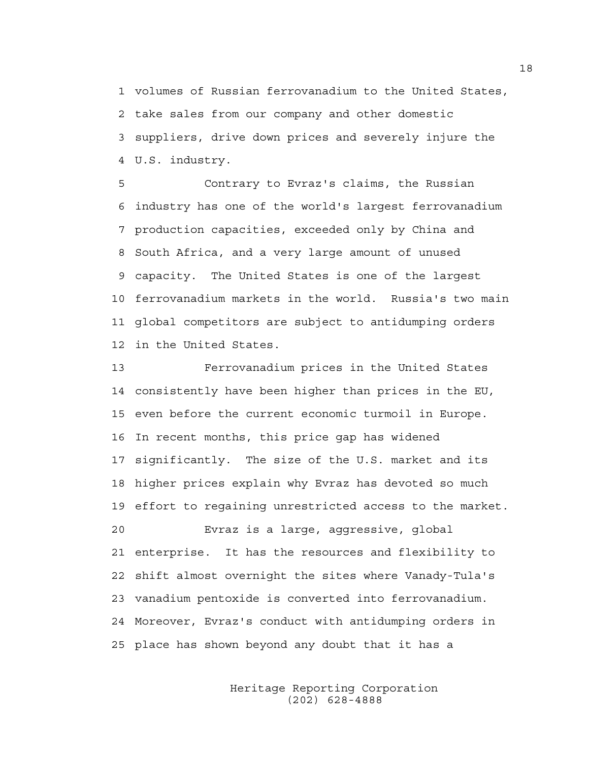1 volumes of Russian ferrovanadium to the United States, 2 take sales from our company and other domestic 3 suppliers, drive down prices and severely injure the 4 U.S. industry.

5 Contrary to Evraz's claims, the Russian 6 industry has one of the world's largest ferrovanadium 7 production capacities, exceeded only by China and 8 South Africa, and a very large amount of unused 9 capacity. The United States is one of the largest 10 ferrovanadium markets in the world. Russia's two main 11 global competitors are subject to antidumping orders 12 in the United States.

13 Ferrovanadium prices in the United States 14 consistently have been higher than prices in the EU, 15 even before the current economic turmoil in Europe. 16 In recent months, this price gap has widened 17 significantly. The size of the U.S. market and its 18 higher prices explain why Evraz has devoted so much 19 effort to regaining unrestricted access to the market. 20 Evraz is a large, aggressive, global 21 enterprise. It has the resources and flexibility to 22 shift almost overnight the sites where Vanady-Tula's 23 vanadium pentoxide is converted into ferrovanadium. 24 Moreover, Evraz's conduct with antidumping orders in 25 place has shown beyond any doubt that it has a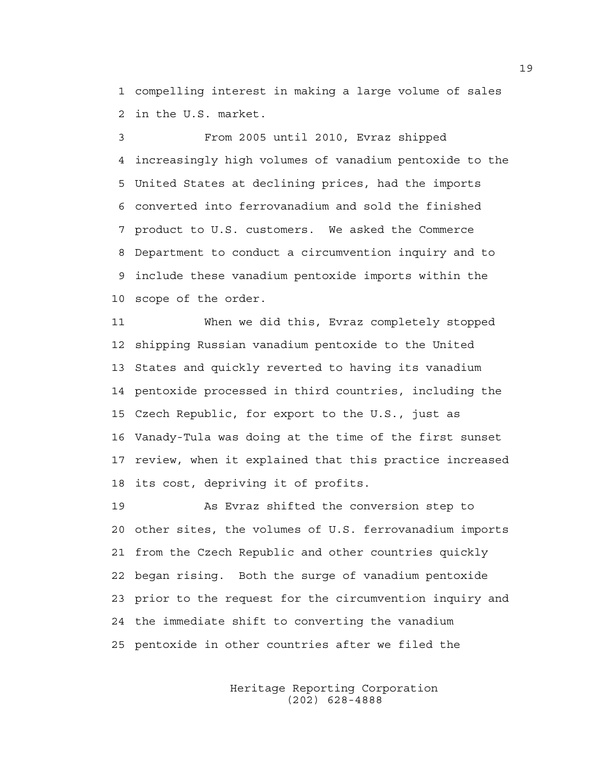1 compelling interest in making a large volume of sales 2 in the U.S. market.

3 From 2005 until 2010, Evraz shipped 4 increasingly high volumes of vanadium pentoxide to the 5 United States at declining prices, had the imports 6 converted into ferrovanadium and sold the finished 7 product to U.S. customers. We asked the Commerce 8 Department to conduct a circumvention inquiry and to 9 include these vanadium pentoxide imports within the 10 scope of the order.

11 When we did this, Evraz completely stopped 12 shipping Russian vanadium pentoxide to the United 13 States and quickly reverted to having its vanadium 14 pentoxide processed in third countries, including the 15 Czech Republic, for export to the U.S., just as 16 Vanady-Tula was doing at the time of the first sunset 17 review, when it explained that this practice increased 18 its cost, depriving it of profits.

19 As Evraz shifted the conversion step to 20 other sites, the volumes of U.S. ferrovanadium imports 21 from the Czech Republic and other countries quickly 22 began rising. Both the surge of vanadium pentoxide 23 prior to the request for the circumvention inquiry and 24 the immediate shift to converting the vanadium 25 pentoxide in other countries after we filed the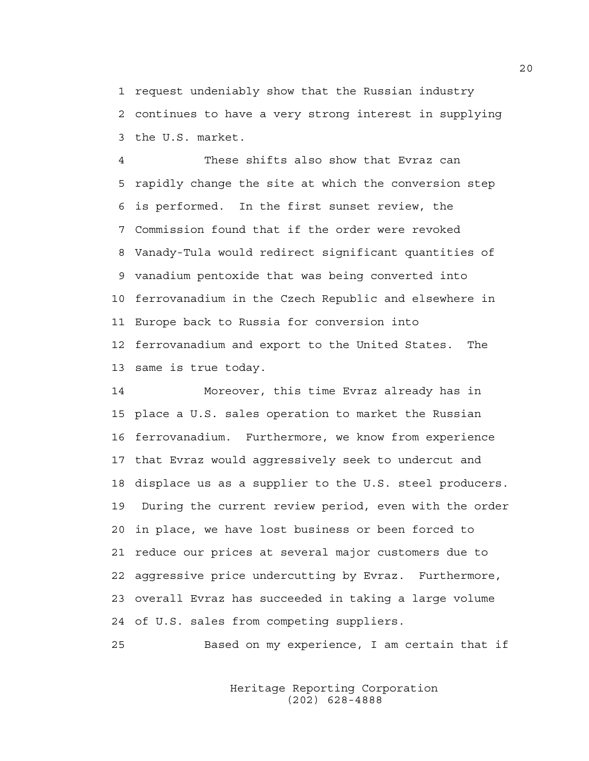1 request undeniably show that the Russian industry 2 continues to have a very strong interest in supplying 3 the U.S. market.

4 These shifts also show that Evraz can 5 rapidly change the site at which the conversion step 6 is performed. In the first sunset review, the 7 Commission found that if the order were revoked 8 Vanady-Tula would redirect significant quantities of 9 vanadium pentoxide that was being converted into 10 ferrovanadium in the Czech Republic and elsewhere in 11 Europe back to Russia for conversion into 12 ferrovanadium and export to the United States. The 13 same is true today.

14 Moreover, this time Evraz already has in 15 place a U.S. sales operation to market the Russian 16 ferrovanadium. Furthermore, we know from experience 17 that Evraz would aggressively seek to undercut and 18 displace us as a supplier to the U.S. steel producers. 19 During the current review period, even with the order 20 in place, we have lost business or been forced to 21 reduce our prices at several major customers due to 22 aggressive price undercutting by Evraz. Furthermore, 23 overall Evraz has succeeded in taking a large volume 24 of U.S. sales from competing suppliers.

25 Based on my experience, I am certain that if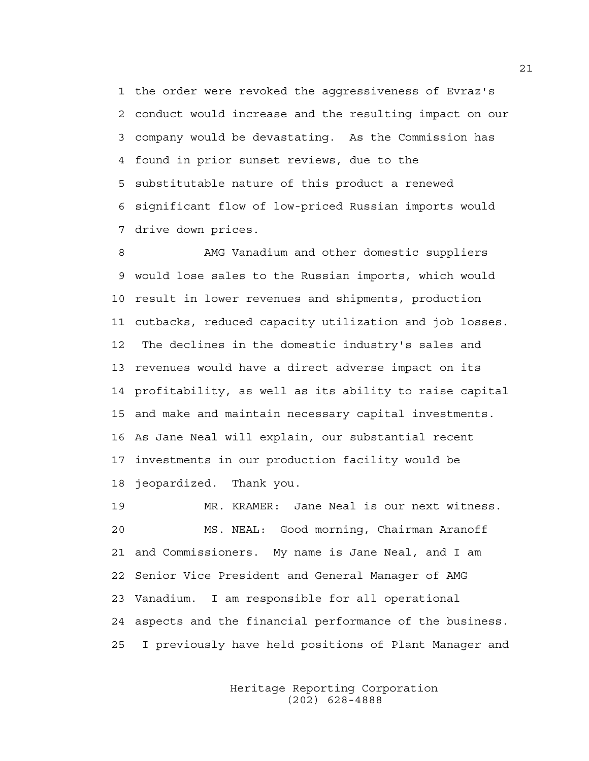1 the order were revoked the aggressiveness of Evraz's 2 conduct would increase and the resulting impact on our 3 company would be devastating. As the Commission has 4 found in prior sunset reviews, due to the 5 substitutable nature of this product a renewed 6 significant flow of low-priced Russian imports would 7 drive down prices.

8 AMG Vanadium and other domestic suppliers 9 would lose sales to the Russian imports, which would 10 result in lower revenues and shipments, production 11 cutbacks, reduced capacity utilization and job losses. 12 The declines in the domestic industry's sales and 13 revenues would have a direct adverse impact on its 14 profitability, as well as its ability to raise capital 15 and make and maintain necessary capital investments. 16 As Jane Neal will explain, our substantial recent 17 investments in our production facility would be 18 jeopardized. Thank you.

19 MR. KRAMER: Jane Neal is our next witness. 20 MS. NEAL: Good morning, Chairman Aranoff 21 and Commissioners. My name is Jane Neal, and I am 22 Senior Vice President and General Manager of AMG 23 Vanadium. I am responsible for all operational 24 aspects and the financial performance of the business. 25 I previously have held positions of Plant Manager and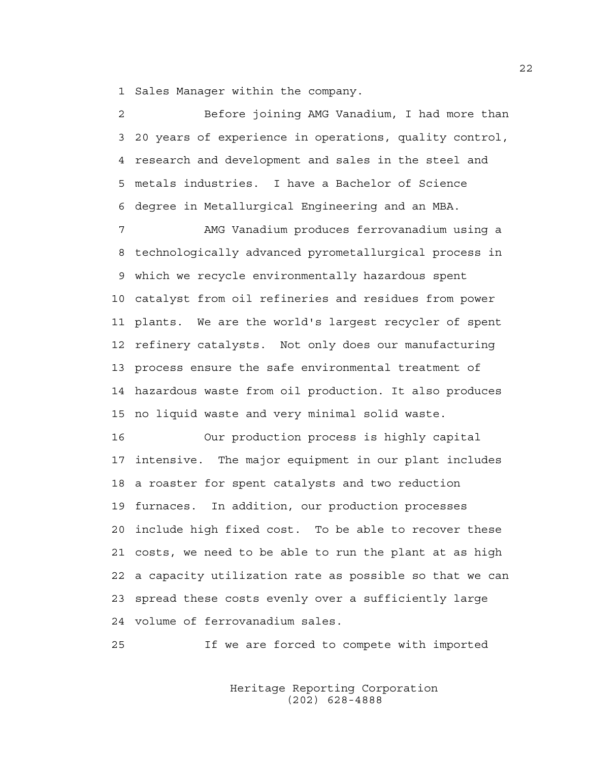1 Sales Manager within the company.

2 Before joining AMG Vanadium, I had more than 3 20 years of experience in operations, quality control, 4 research and development and sales in the steel and 5 metals industries. I have a Bachelor of Science 6 degree in Metallurgical Engineering and an MBA.

7 AMG Vanadium produces ferrovanadium using a 8 technologically advanced pyrometallurgical process in 9 which we recycle environmentally hazardous spent 10 catalyst from oil refineries and residues from power 11 plants. We are the world's largest recycler of spent 12 refinery catalysts. Not only does our manufacturing 13 process ensure the safe environmental treatment of 14 hazardous waste from oil production. It also produces 15 no liquid waste and very minimal solid waste.

16 Our production process is highly capital 17 intensive. The major equipment in our plant includes 18 a roaster for spent catalysts and two reduction 19 furnaces. In addition, our production processes 20 include high fixed cost. To be able to recover these 21 costs, we need to be able to run the plant at as high 22 a capacity utilization rate as possible so that we can 23 spread these costs evenly over a sufficiently large 24 volume of ferrovanadium sales.

25 If we are forced to compete with imported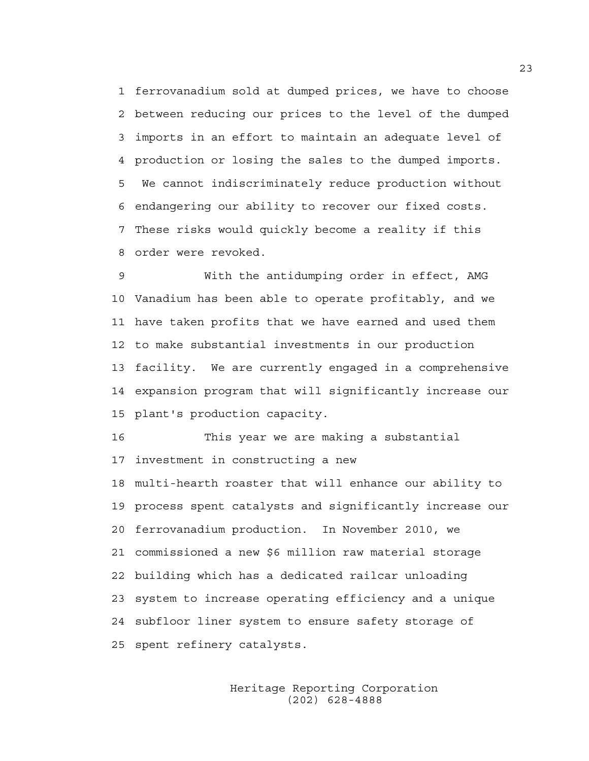1 ferrovanadium sold at dumped prices, we have to choose 2 between reducing our prices to the level of the dumped 3 imports in an effort to maintain an adequate level of 4 production or losing the sales to the dumped imports. 5 We cannot indiscriminately reduce production without 6 endangering our ability to recover our fixed costs. 7 These risks would quickly become a reality if this 8 order were revoked.

9 With the antidumping order in effect, AMG 10 Vanadium has been able to operate profitably, and we 11 have taken profits that we have earned and used them 12 to make substantial investments in our production 13 facility. We are currently engaged in a comprehensive 14 expansion program that will significantly increase our 15 plant's production capacity.

16 This year we are making a substantial 17 investment in constructing a new 18 multi-hearth roaster that will enhance our ability to 19 process spent catalysts and significantly increase our 20 ferrovanadium production. In November 2010, we 21 commissioned a new \$6 million raw material storage 22 building which has a dedicated railcar unloading 23 system to increase operating efficiency and a unique 24 subfloor liner system to ensure safety storage of 25 spent refinery catalysts.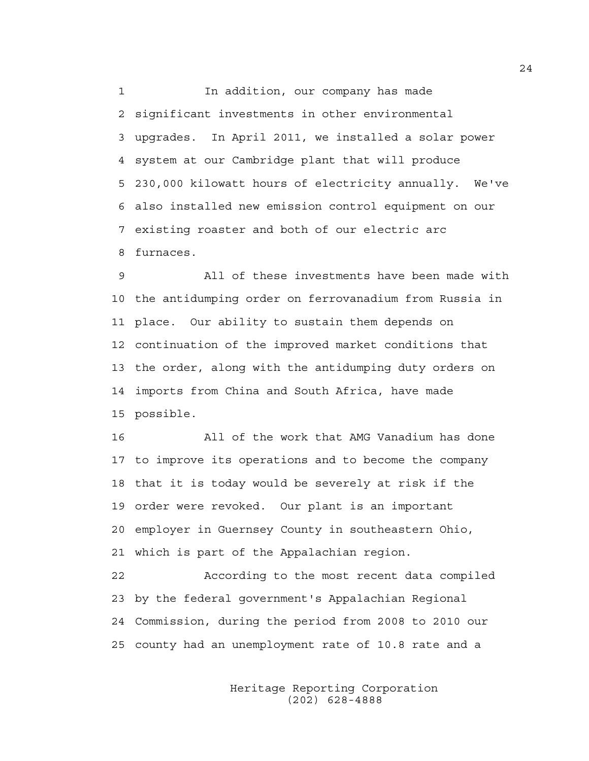1 1 In addition, our company has made 2 significant investments in other environmental 3 upgrades. In April 2011, we installed a solar power 4 system at our Cambridge plant that will produce 5 230,000 kilowatt hours of electricity annually. We've 6 also installed new emission control equipment on our 7 existing roaster and both of our electric arc 8 furnaces.

9 All of these investments have been made with 10 the antidumping order on ferrovanadium from Russia in 11 place. Our ability to sustain them depends on 12 continuation of the improved market conditions that 13 the order, along with the antidumping duty orders on 14 imports from China and South Africa, have made 15 possible.

16 All of the work that AMG Vanadium has done 17 to improve its operations and to become the company 18 that it is today would be severely at risk if the 19 order were revoked. Our plant is an important 20 employer in Guernsey County in southeastern Ohio, 21 which is part of the Appalachian region.

22 According to the most recent data compiled 23 by the federal government's Appalachian Regional 24 Commission, during the period from 2008 to 2010 our 25 county had an unemployment rate of 10.8 rate and a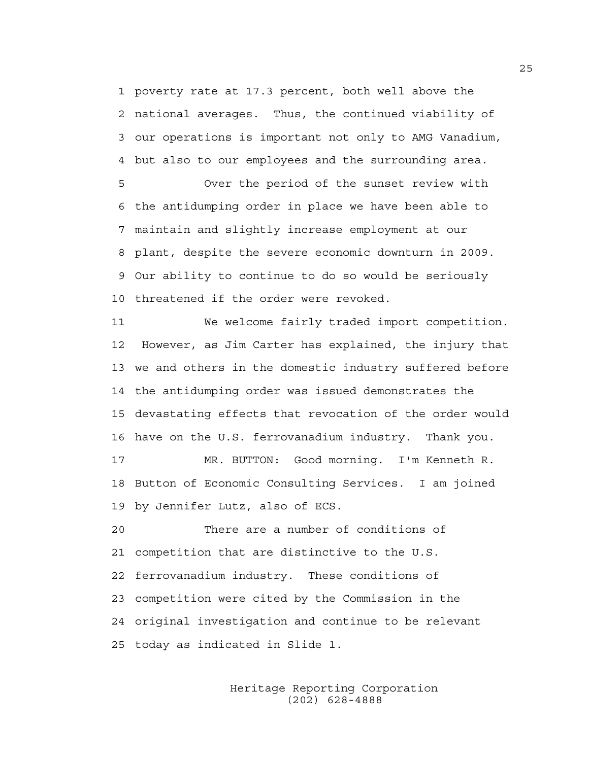1 poverty rate at 17.3 percent, both well above the 2 national averages. Thus, the continued viability of 3 our operations is important not only to AMG Vanadium, 4 but also to our employees and the surrounding area.

5 Over the period of the sunset review with 6 the antidumping order in place we have been able to 7 maintain and slightly increase employment at our 8 plant, despite the severe economic downturn in 2009. 9 Our ability to continue to do so would be seriously 10 threatened if the order were revoked.

11 We welcome fairly traded import competition. 12 However, as Jim Carter has explained, the injury that 13 we and others in the domestic industry suffered before 14 the antidumping order was issued demonstrates the 15 devastating effects that revocation of the order would 16 have on the U.S. ferrovanadium industry. Thank you.

17 MR. BUTTON: Good morning. I'm Kenneth R. 18 Button of Economic Consulting Services. I am joined 19 by Jennifer Lutz, also of ECS.

20 There are a number of conditions of 21 competition that are distinctive to the U.S. 22 ferrovanadium industry. These conditions of 23 competition were cited by the Commission in the 24 original investigation and continue to be relevant 25 today as indicated in Slide 1.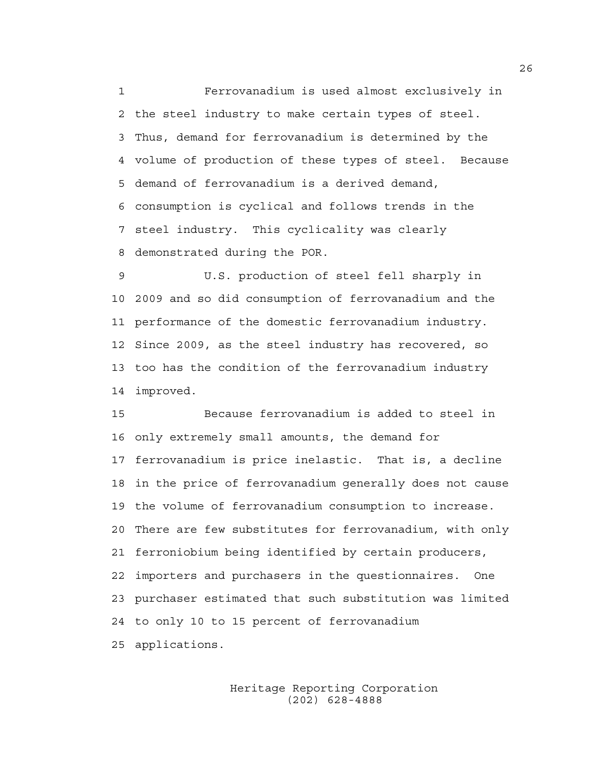1 Ferrovanadium is used almost exclusively in 2 the steel industry to make certain types of steel. 3 Thus, demand for ferrovanadium is determined by the 4 volume of production of these types of steel. Because 5 demand of ferrovanadium is a derived demand, 6 consumption is cyclical and follows trends in the 7 steel industry. This cyclicality was clearly 8 demonstrated during the POR.

9 U.S. production of steel fell sharply in 10 2009 and so did consumption of ferrovanadium and the 11 performance of the domestic ferrovanadium industry. 12 Since 2009, as the steel industry has recovered, so 13 too has the condition of the ferrovanadium industry 14 improved.

15 Because ferrovanadium is added to steel in 16 only extremely small amounts, the demand for 17 ferrovanadium is price inelastic. That is, a decline 18 in the price of ferrovanadium generally does not cause 19 the volume of ferrovanadium consumption to increase. 20 There are few substitutes for ferrovanadium, with only 21 ferroniobium being identified by certain producers, 22 importers and purchasers in the questionnaires. One 23 purchaser estimated that such substitution was limited 24 to only 10 to 15 percent of ferrovanadium 25 applications.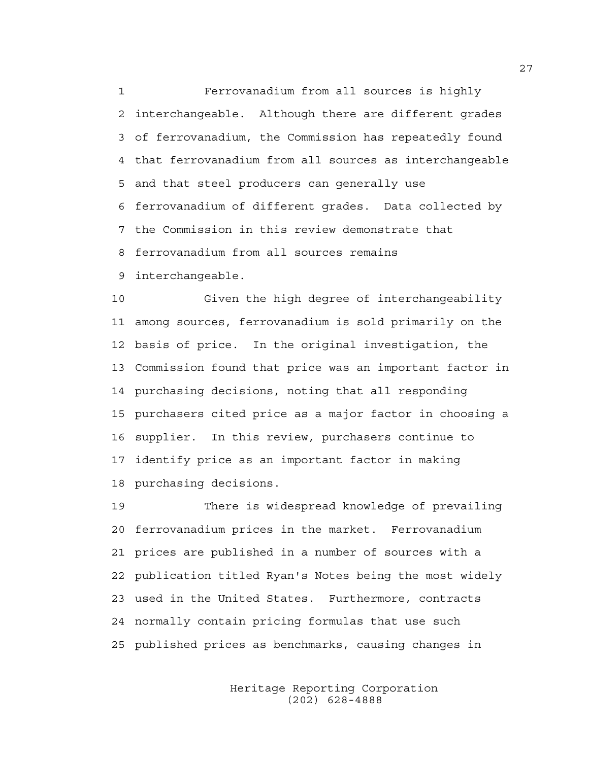1 Ferrovanadium from all sources is highly 2 interchangeable. Although there are different grades 3 of ferrovanadium, the Commission has repeatedly found 4 that ferrovanadium from all sources as interchangeable 5 and that steel producers can generally use 6 ferrovanadium of different grades. Data collected by 7 the Commission in this review demonstrate that 8 ferrovanadium from all sources remains 9 interchangeable.

10 Given the high degree of interchangeability 11 among sources, ferrovanadium is sold primarily on the 12 basis of price. In the original investigation, the 13 Commission found that price was an important factor in 14 purchasing decisions, noting that all responding 15 purchasers cited price as a major factor in choosing a 16 supplier. In this review, purchasers continue to 17 identify price as an important factor in making 18 purchasing decisions.

19 There is widespread knowledge of prevailing 20 ferrovanadium prices in the market. Ferrovanadium 21 prices are published in a number of sources with a 22 publication titled Ryan's Notes being the most widely 23 used in the United States. Furthermore, contracts 24 normally contain pricing formulas that use such 25 published prices as benchmarks, causing changes in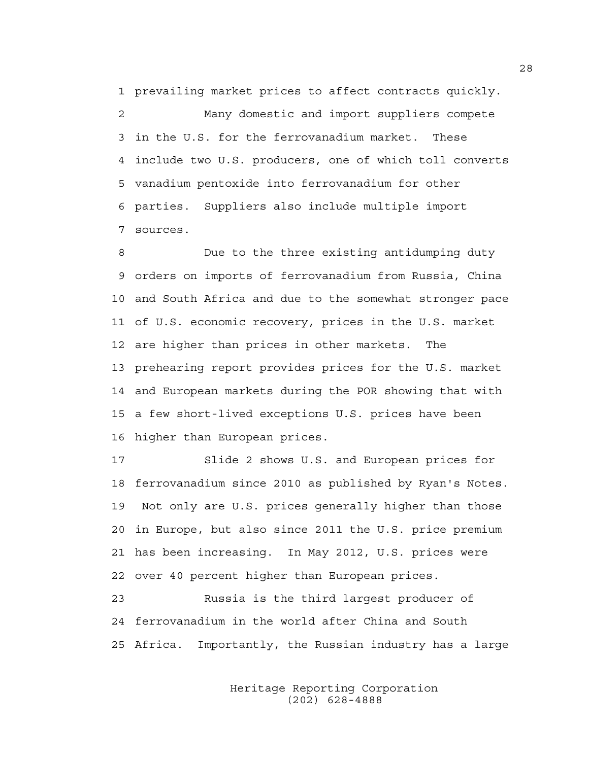1 prevailing market prices to affect contracts quickly.

2 Many domestic and import suppliers compete 3 in the U.S. for the ferrovanadium market. These 4 include two U.S. producers, one of which toll converts 5 vanadium pentoxide into ferrovanadium for other 6 parties. Suppliers also include multiple import 7 sources.

8 Due to the three existing antidumping duty 9 orders on imports of ferrovanadium from Russia, China 10 and South Africa and due to the somewhat stronger pace 11 of U.S. economic recovery, prices in the U.S. market 12 are higher than prices in other markets. The 13 prehearing report provides prices for the U.S. market 14 and European markets during the POR showing that with 15 a few short-lived exceptions U.S. prices have been 16 higher than European prices.

17 Slide 2 shows U.S. and European prices for 18 ferrovanadium since 2010 as published by Ryan's Notes. 19 Not only are U.S. prices generally higher than those 20 in Europe, but also since 2011 the U.S. price premium 21 has been increasing. In May 2012, U.S. prices were 22 over 40 percent higher than European prices.

23 Russia is the third largest producer of 24 ferrovanadium in the world after China and South 25 Africa. Importantly, the Russian industry has a large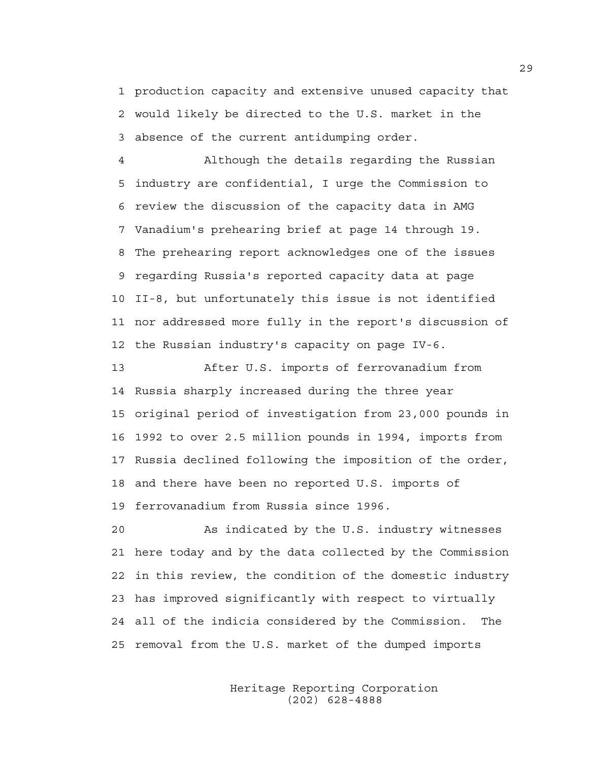1 production capacity and extensive unused capacity that 2 would likely be directed to the U.S. market in the 3 absence of the current antidumping order.

4 Although the details regarding the Russian 5 industry are confidential, I urge the Commission to 6 review the discussion of the capacity data in AMG 7 Vanadium's prehearing brief at page 14 through 19. 8 The prehearing report acknowledges one of the issues 9 regarding Russia's reported capacity data at page 10 II-8, but unfortunately this issue is not identified 11 nor addressed more fully in the report's discussion of 12 the Russian industry's capacity on page IV-6.

13 After U.S. imports of ferrovanadium from 14 Russia sharply increased during the three year 15 original period of investigation from 23,000 pounds in 16 1992 to over 2.5 million pounds in 1994, imports from 17 Russia declined following the imposition of the order, 18 and there have been no reported U.S. imports of 19 ferrovanadium from Russia since 1996.

20 As indicated by the U.S. industry witnesses 21 here today and by the data collected by the Commission 22 in this review, the condition of the domestic industry 23 has improved significantly with respect to virtually 24 all of the indicia considered by the Commission. The 25 removal from the U.S. market of the dumped imports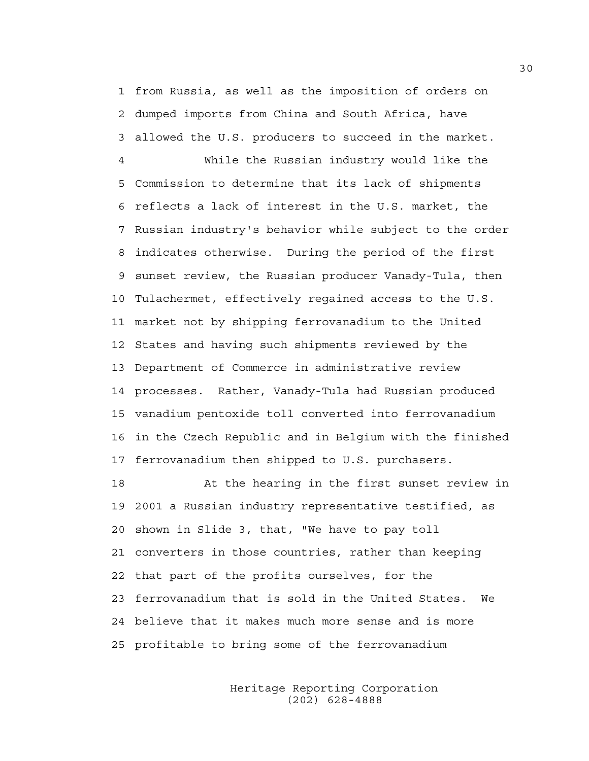1 from Russia, as well as the imposition of orders on 2 dumped imports from China and South Africa, have 3 allowed the U.S. producers to succeed in the market.

4 While the Russian industry would like the 5 Commission to determine that its lack of shipments 6 reflects a lack of interest in the U.S. market, the 7 Russian industry's behavior while subject to the order 8 indicates otherwise. During the period of the first 9 sunset review, the Russian producer Vanady-Tula, then 10 Tulachermet, effectively regained access to the U.S. 11 market not by shipping ferrovanadium to the United 12 States and having such shipments reviewed by the 13 Department of Commerce in administrative review 14 processes. Rather, Vanady-Tula had Russian produced 15 vanadium pentoxide toll converted into ferrovanadium 16 in the Czech Republic and in Belgium with the finished 17 ferrovanadium then shipped to U.S. purchasers.

18 At the hearing in the first sunset review in 19 2001 a Russian industry representative testified, as 20 shown in Slide 3, that, "We have to pay toll 21 converters in those countries, rather than keeping 22 that part of the profits ourselves, for the 23 ferrovanadium that is sold in the United States. We 24 believe that it makes much more sense and is more 25 profitable to bring some of the ferrovanadium

> Heritage Reporting Corporation (202) 628-4888

30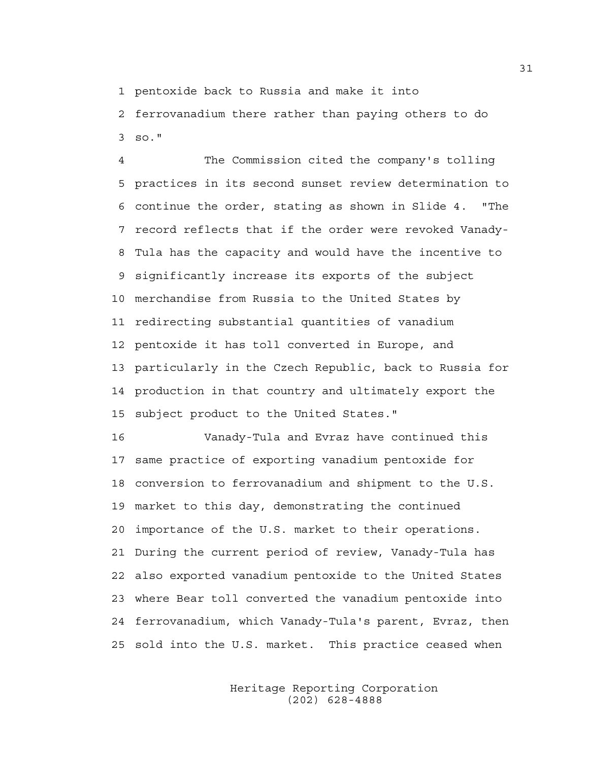1 pentoxide back to Russia and make it into

2 ferrovanadium there rather than paying others to do 3 so."

4 The Commission cited the company's tolling 5 practices in its second sunset review determination to 6 continue the order, stating as shown in Slide 4. "The 7 record reflects that if the order were revoked Vanady-8 Tula has the capacity and would have the incentive to 9 significantly increase its exports of the subject 10 merchandise from Russia to the United States by 11 redirecting substantial quantities of vanadium 12 pentoxide it has toll converted in Europe, and 13 particularly in the Czech Republic, back to Russia for 14 production in that country and ultimately export the 15 subject product to the United States."

16 Vanady-Tula and Evraz have continued this 17 same practice of exporting vanadium pentoxide for 18 conversion to ferrovanadium and shipment to the U.S. 19 market to this day, demonstrating the continued 20 importance of the U.S. market to their operations. 21 During the current period of review, Vanady-Tula has 22 also exported vanadium pentoxide to the United States 23 where Bear toll converted the vanadium pentoxide into 24 ferrovanadium, which Vanady-Tula's parent, Evraz, then 25 sold into the U.S. market. This practice ceased when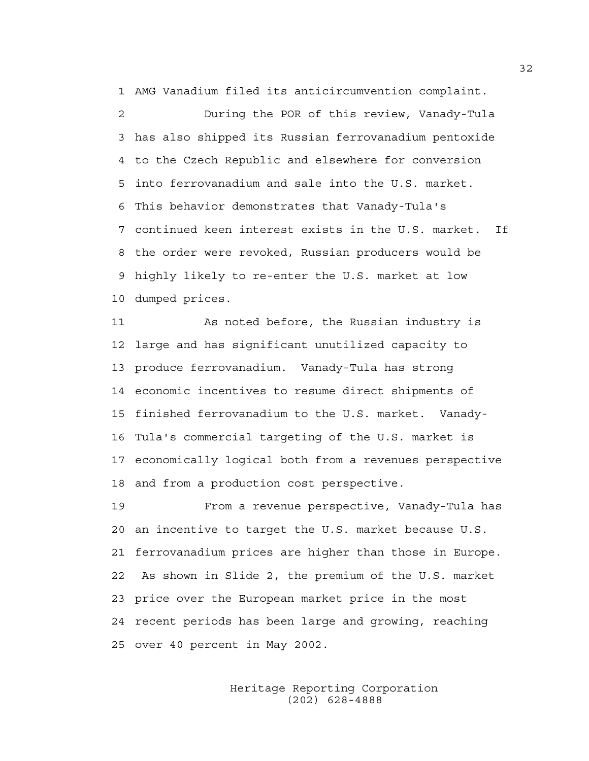1 AMG Vanadium filed its anticircumvention complaint.

2 During the POR of this review, Vanady-Tula 3 has also shipped its Russian ferrovanadium pentoxide 4 to the Czech Republic and elsewhere for conversion 5 into ferrovanadium and sale into the U.S. market. 6 This behavior demonstrates that Vanady-Tula's 7 continued keen interest exists in the U.S. market. If 8 the order were revoked, Russian producers would be 9 highly likely to re-enter the U.S. market at low 10 dumped prices.

11 As noted before, the Russian industry is 12 large and has significant unutilized capacity to 13 produce ferrovanadium. Vanady-Tula has strong 14 economic incentives to resume direct shipments of 15 finished ferrovanadium to the U.S. market. Vanady-16 Tula's commercial targeting of the U.S. market is 17 economically logical both from a revenues perspective 18 and from a production cost perspective.

19 From a revenue perspective, Vanady-Tula has 20 an incentive to target the U.S. market because U.S. 21 ferrovanadium prices are higher than those in Europe. 22 As shown in Slide 2, the premium of the U.S. market 23 price over the European market price in the most 24 recent periods has been large and growing, reaching 25 over 40 percent in May 2002.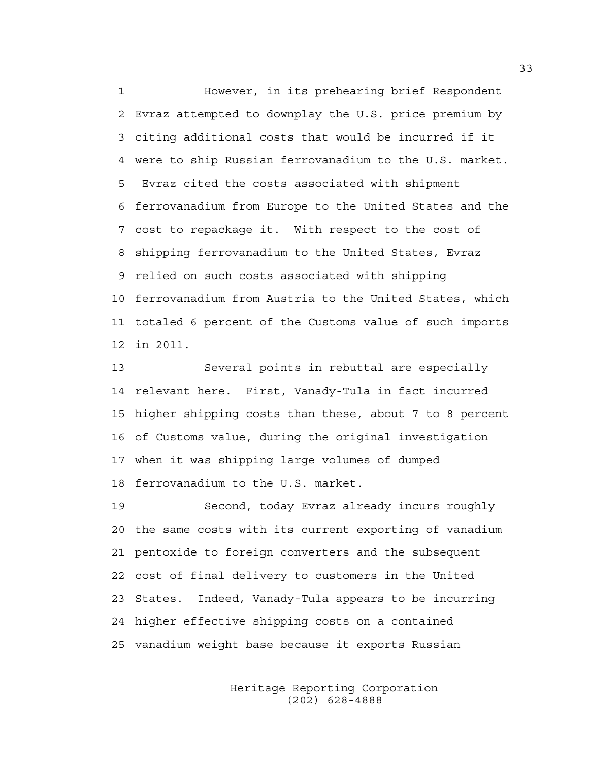1 However, in its prehearing brief Respondent 2 Evraz attempted to downplay the U.S. price premium by 3 citing additional costs that would be incurred if it 4 were to ship Russian ferrovanadium to the U.S. market. 5 Evraz cited the costs associated with shipment 6 ferrovanadium from Europe to the United States and the 7 cost to repackage it. With respect to the cost of 8 shipping ferrovanadium to the United States, Evraz 9 relied on such costs associated with shipping 10 ferrovanadium from Austria to the United States, which 11 totaled 6 percent of the Customs value of such imports 12 in 2011.

13 Several points in rebuttal are especially 14 relevant here. First, Vanady-Tula in fact incurred 15 higher shipping costs than these, about 7 to 8 percent 16 of Customs value, during the original investigation 17 when it was shipping large volumes of dumped 18 ferrovanadium to the U.S. market.

19 Second, today Evraz already incurs roughly 20 the same costs with its current exporting of vanadium 21 pentoxide to foreign converters and the subsequent 22 cost of final delivery to customers in the United 23 States. Indeed, Vanady-Tula appears to be incurring 24 higher effective shipping costs on a contained 25 vanadium weight base because it exports Russian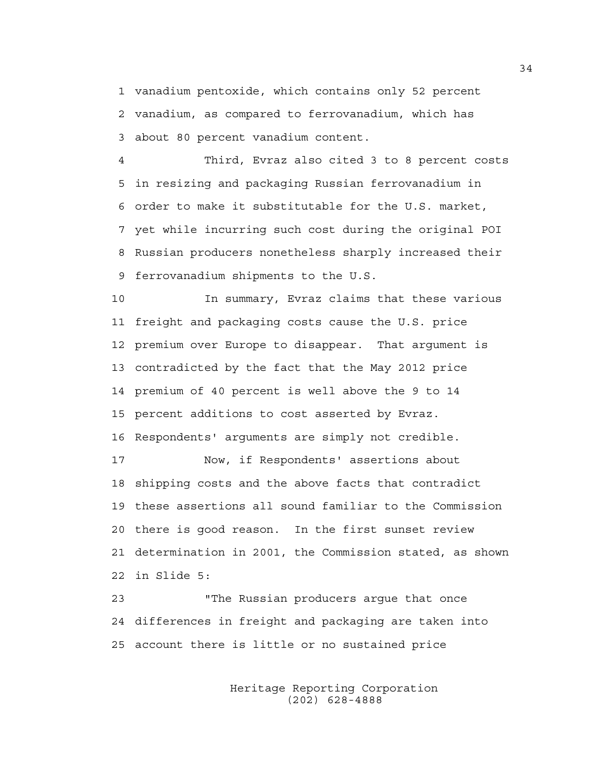1 vanadium pentoxide, which contains only 52 percent 2 vanadium, as compared to ferrovanadium, which has 3 about 80 percent vanadium content.

4 Third, Evraz also cited 3 to 8 percent costs 5 in resizing and packaging Russian ferrovanadium in 6 order to make it substitutable for the U.S. market, 7 yet while incurring such cost during the original POI 8 Russian producers nonetheless sharply increased their 9 ferrovanadium shipments to the U.S.

10 In summary, Evraz claims that these various 11 freight and packaging costs cause the U.S. price 12 premium over Europe to disappear. That argument is 13 contradicted by the fact that the May 2012 price 14 premium of 40 percent is well above the 9 to 14 15 percent additions to cost asserted by Evraz. 16 Respondents' arguments are simply not credible.

17 Now, if Respondents' assertions about 18 shipping costs and the above facts that contradict 19 these assertions all sound familiar to the Commission 20 there is good reason. In the first sunset review 21 determination in 2001, the Commission stated, as shown 22 in Slide 5:

23 "The Russian producers argue that once 24 differences in freight and packaging are taken into 25 account there is little or no sustained price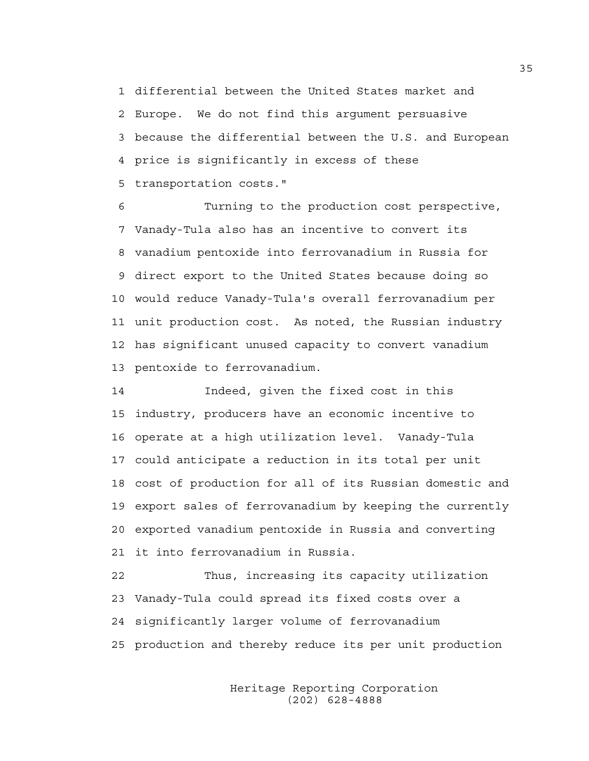1 differential between the United States market and 2 Europe. We do not find this argument persuasive 3 because the differential between the U.S. and European 4 price is significantly in excess of these 5 transportation costs."

6 Turning to the production cost perspective, 7 Vanady-Tula also has an incentive to convert its 8 vanadium pentoxide into ferrovanadium in Russia for 9 direct export to the United States because doing so 10 would reduce Vanady-Tula's overall ferrovanadium per 11 unit production cost. As noted, the Russian industry 12 has significant unused capacity to convert vanadium 13 pentoxide to ferrovanadium.

14 Indeed, given the fixed cost in this 15 industry, producers have an economic incentive to 16 operate at a high utilization level. Vanady-Tula 17 could anticipate a reduction in its total per unit 18 cost of production for all of its Russian domestic and 19 export sales of ferrovanadium by keeping the currently 20 exported vanadium pentoxide in Russia and converting 21 it into ferrovanadium in Russia.

22 Thus, increasing its capacity utilization 23 Vanady-Tula could spread its fixed costs over a 24 significantly larger volume of ferrovanadium 25 production and thereby reduce its per unit production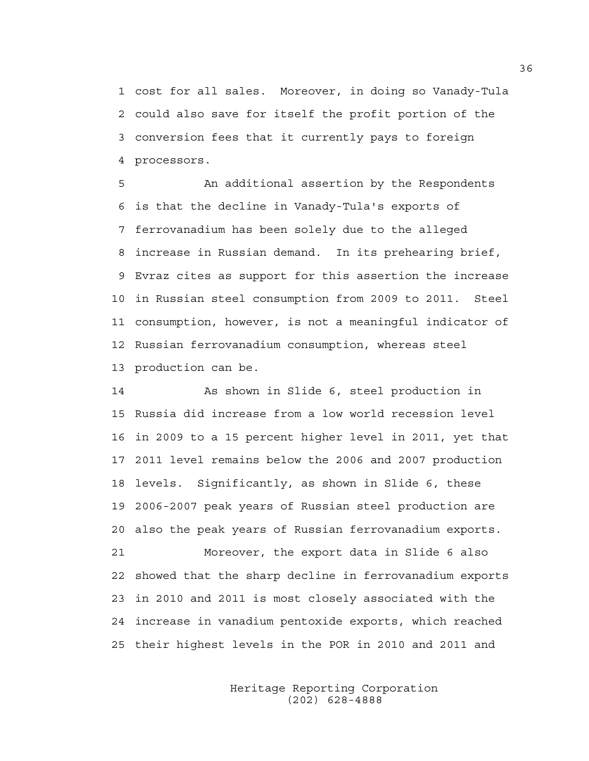1 cost for all sales. Moreover, in doing so Vanady-Tula 2 could also save for itself the profit portion of the 3 conversion fees that it currently pays to foreign 4 processors.

5 An additional assertion by the Respondents 6 is that the decline in Vanady-Tula's exports of 7 ferrovanadium has been solely due to the alleged 8 increase in Russian demand. In its prehearing brief, 9 Evraz cites as support for this assertion the increase 10 in Russian steel consumption from 2009 to 2011. Steel 11 consumption, however, is not a meaningful indicator of 12 Russian ferrovanadium consumption, whereas steel 13 production can be.

14 As shown in Slide 6, steel production in 15 Russia did increase from a low world recession level 16 in 2009 to a 15 percent higher level in 2011, yet that 17 2011 level remains below the 2006 and 2007 production 18 levels. Significantly, as shown in Slide 6, these 19 2006-2007 peak years of Russian steel production are 20 also the peak years of Russian ferrovanadium exports. 21 Moreover, the export data in Slide 6 also 22 showed that the sharp decline in ferrovanadium exports 23 in 2010 and 2011 is most closely associated with the 24 increase in vanadium pentoxide exports, which reached 25 their highest levels in the POR in 2010 and 2011 and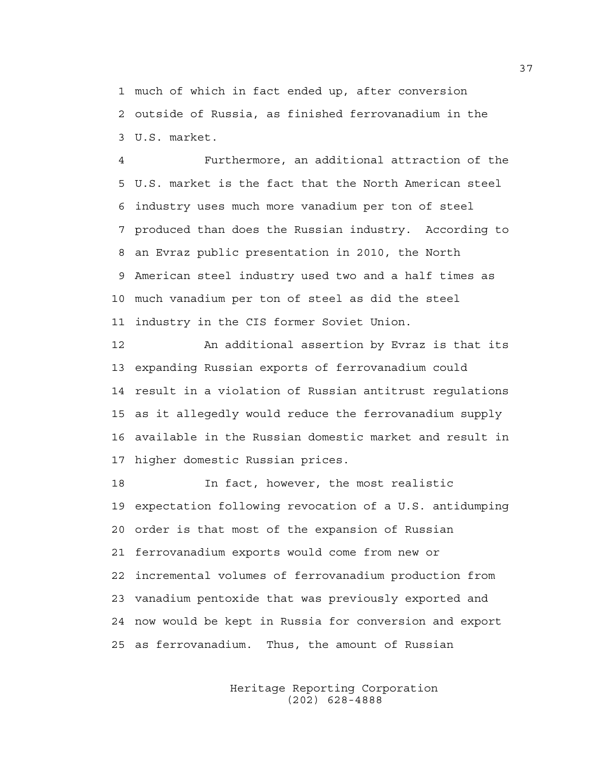1 much of which in fact ended up, after conversion 2 outside of Russia, as finished ferrovanadium in the 3 U.S. market.

4 Furthermore, an additional attraction of the 5 U.S. market is the fact that the North American steel 6 industry uses much more vanadium per ton of steel 7 produced than does the Russian industry. According to 8 an Evraz public presentation in 2010, the North 9 American steel industry used two and a half times as 10 much vanadium per ton of steel as did the steel 11 industry in the CIS former Soviet Union.

12 An additional assertion by Evraz is that its 13 expanding Russian exports of ferrovanadium could 14 result in a violation of Russian antitrust regulations 15 as it allegedly would reduce the ferrovanadium supply 16 available in the Russian domestic market and result in 17 higher domestic Russian prices.

18 In fact, however, the most realistic 19 expectation following revocation of a U.S. antidumping 20 order is that most of the expansion of Russian 21 ferrovanadium exports would come from new or 22 incremental volumes of ferrovanadium production from 23 vanadium pentoxide that was previously exported and 24 now would be kept in Russia for conversion and export 25 as ferrovanadium. Thus, the amount of Russian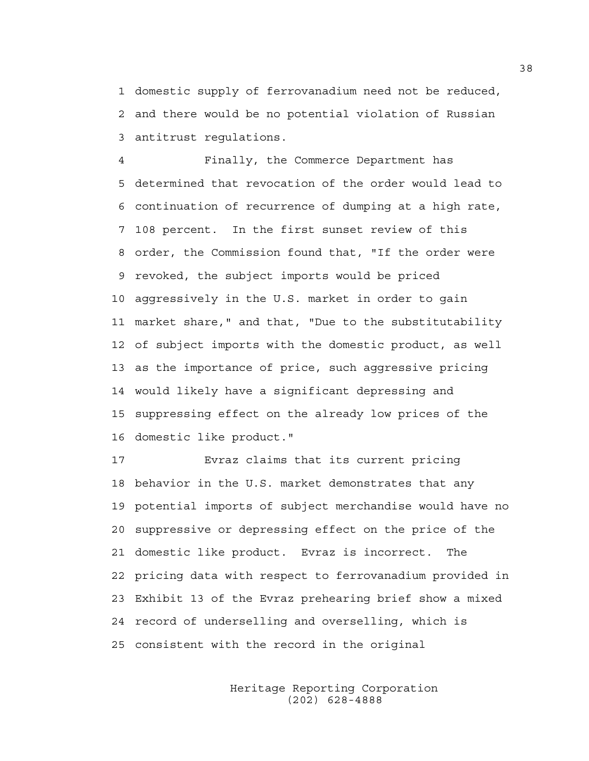1 domestic supply of ferrovanadium need not be reduced, 2 and there would be no potential violation of Russian 3 antitrust regulations.

4 Finally, the Commerce Department has 5 determined that revocation of the order would lead to 6 continuation of recurrence of dumping at a high rate, 7 108 percent. In the first sunset review of this 8 order, the Commission found that, "If the order were 9 revoked, the subject imports would be priced 10 aggressively in the U.S. market in order to gain 11 market share," and that, "Due to the substitutability 12 of subject imports with the domestic product, as well 13 as the importance of price, such aggressive pricing 14 would likely have a significant depressing and 15 suppressing effect on the already low prices of the 16 domestic like product."

17 Evraz claims that its current pricing 18 behavior in the U.S. market demonstrates that any 19 potential imports of subject merchandise would have no 20 suppressive or depressing effect on the price of the 21 domestic like product. Evraz is incorrect. The 22 pricing data with respect to ferrovanadium provided in 23 Exhibit 13 of the Evraz prehearing brief show a mixed 24 record of underselling and overselling, which is 25 consistent with the record in the original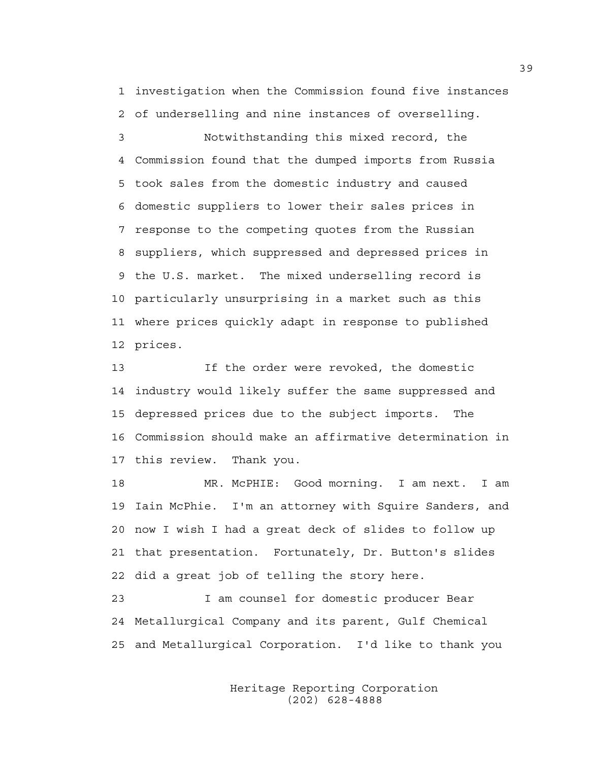1 investigation when the Commission found five instances 2 of underselling and nine instances of overselling.

3 Notwithstanding this mixed record, the 4 Commission found that the dumped imports from Russia 5 took sales from the domestic industry and caused 6 domestic suppliers to lower their sales prices in 7 response to the competing quotes from the Russian 8 suppliers, which suppressed and depressed prices in 9 the U.S. market. The mixed underselling record is 10 particularly unsurprising in a market such as this 11 where prices quickly adapt in response to published 12 prices.

13 If the order were revoked, the domestic 14 industry would likely suffer the same suppressed and 15 depressed prices due to the subject imports. The 16 Commission should make an affirmative determination in 17 this review. Thank you.

18 MR. McPHIE: Good morning. I am next. I am 19 Iain McPhie. I'm an attorney with Squire Sanders, and 20 now I wish I had a great deck of slides to follow up 21 that presentation. Fortunately, Dr. Button's slides 22 did a great job of telling the story here.

23 I am counsel for domestic producer Bear 24 Metallurgical Company and its parent, Gulf Chemical 25 and Metallurgical Corporation. I'd like to thank you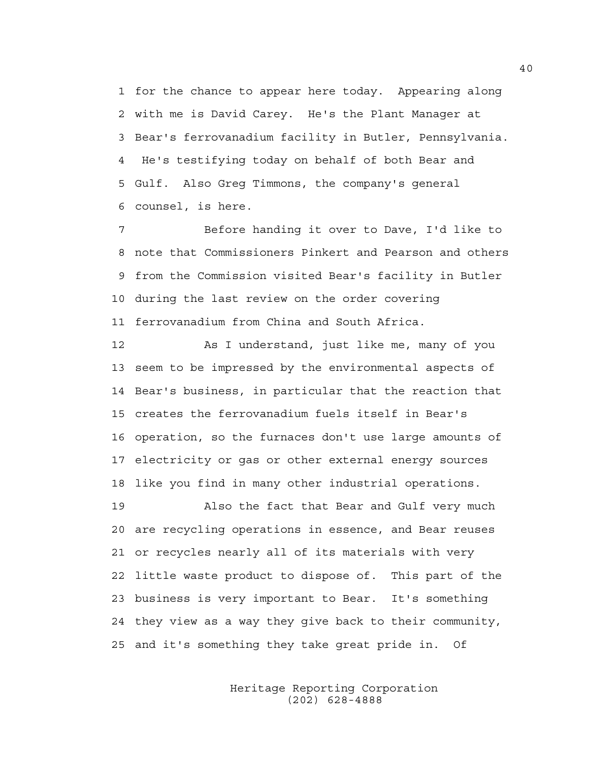1 for the chance to appear here today. Appearing along 2 with me is David Carey. He's the Plant Manager at 3 Bear's ferrovanadium facility in Butler, Pennsylvania. 4 He's testifying today on behalf of both Bear and 5 Gulf. Also Greg Timmons, the company's general 6 counsel, is here.

7 Before handing it over to Dave, I'd like to 8 note that Commissioners Pinkert and Pearson and others 9 from the Commission visited Bear's facility in Butler 10 during the last review on the order covering 11 ferrovanadium from China and South Africa.

12 As I understand, just like me, many of you 13 seem to be impressed by the environmental aspects of 14 Bear's business, in particular that the reaction that 15 creates the ferrovanadium fuels itself in Bear's 16 operation, so the furnaces don't use large amounts of 17 electricity or gas or other external energy sources 18 like you find in many other industrial operations.

19 Also the fact that Bear and Gulf very much 20 are recycling operations in essence, and Bear reuses 21 or recycles nearly all of its materials with very 22 little waste product to dispose of. This part of the 23 business is very important to Bear. It's something 24 they view as a way they give back to their community, 25 and it's something they take great pride in. Of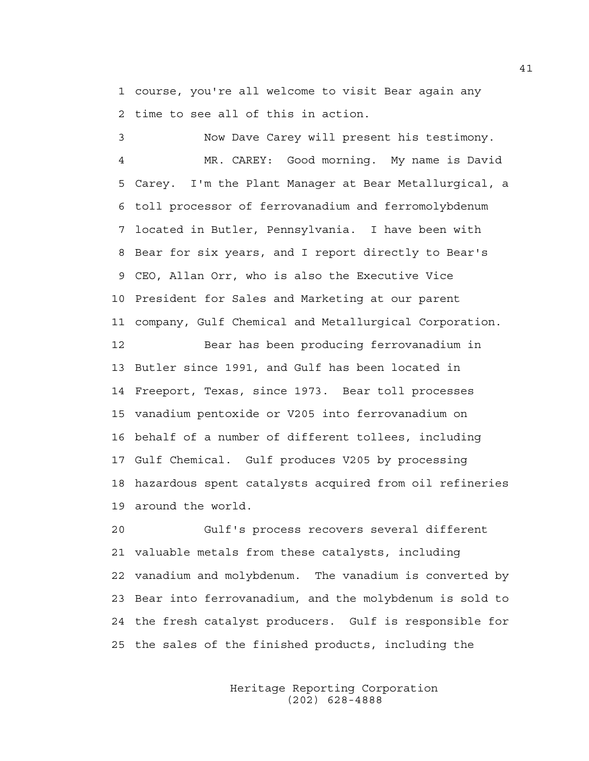1 course, you're all welcome to visit Bear again any 2 time to see all of this in action.

3 Now Dave Carey will present his testimony. 4 MR. CAREY: Good morning. My name is David 5 Carey. I'm the Plant Manager at Bear Metallurgical, a 6 toll processor of ferrovanadium and ferromolybdenum 7 located in Butler, Pennsylvania. I have been with 8 Bear for six years, and I report directly to Bear's 9 CEO, Allan Orr, who is also the Executive Vice 10 President for Sales and Marketing at our parent 11 company, Gulf Chemical and Metallurgical Corporation.

12 Bear has been producing ferrovanadium in 13 Butler since 1991, and Gulf has been located in 14 Freeport, Texas, since 1973. Bear toll processes 15 vanadium pentoxide or V205 into ferrovanadium on 16 behalf of a number of different tollees, including 17 Gulf Chemical. Gulf produces V205 by processing 18 hazardous spent catalysts acquired from oil refineries 19 around the world.

20 Gulf's process recovers several different 21 valuable metals from these catalysts, including 22 vanadium and molybdenum. The vanadium is converted by 23 Bear into ferrovanadium, and the molybdenum is sold to 24 the fresh catalyst producers. Gulf is responsible for 25 the sales of the finished products, including the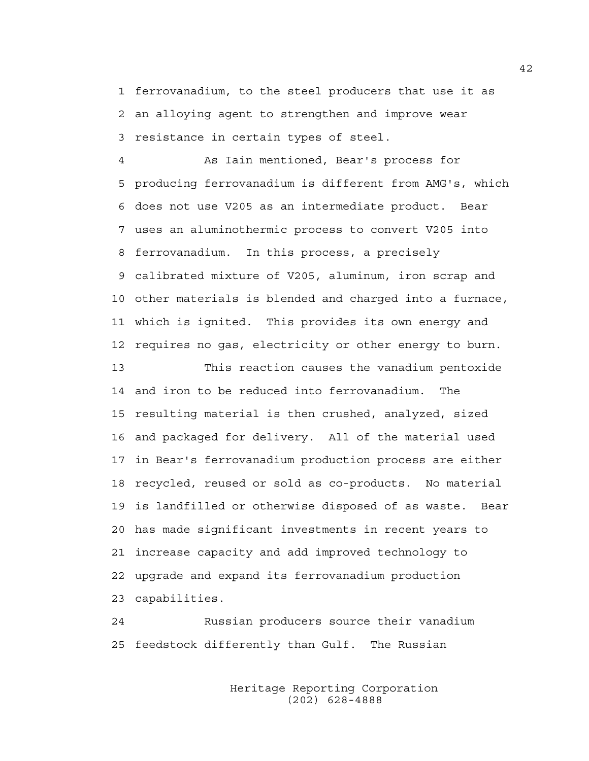1 ferrovanadium, to the steel producers that use it as 2 an alloying agent to strengthen and improve wear 3 resistance in certain types of steel.

4 As Iain mentioned, Bear's process for 5 producing ferrovanadium is different from AMG's, which 6 does not use V205 as an intermediate product. Bear 7 uses an aluminothermic process to convert V205 into 8 ferrovanadium. In this process, a precisely 9 calibrated mixture of V205, aluminum, iron scrap and 10 other materials is blended and charged into a furnace, 11 which is ignited. This provides its own energy and 12 requires no gas, electricity or other energy to burn.

13 This reaction causes the vanadium pentoxide 14 and iron to be reduced into ferrovanadium. The 15 resulting material is then crushed, analyzed, sized 16 and packaged for delivery. All of the material used 17 in Bear's ferrovanadium production process are either 18 recycled, reused or sold as co-products. No material 19 is landfilled or otherwise disposed of as waste. Bear 20 has made significant investments in recent years to 21 increase capacity and add improved technology to 22 upgrade and expand its ferrovanadium production 23 capabilities.

24 Russian producers source their vanadium 25 feedstock differently than Gulf. The Russian

> Heritage Reporting Corporation (202) 628-4888

42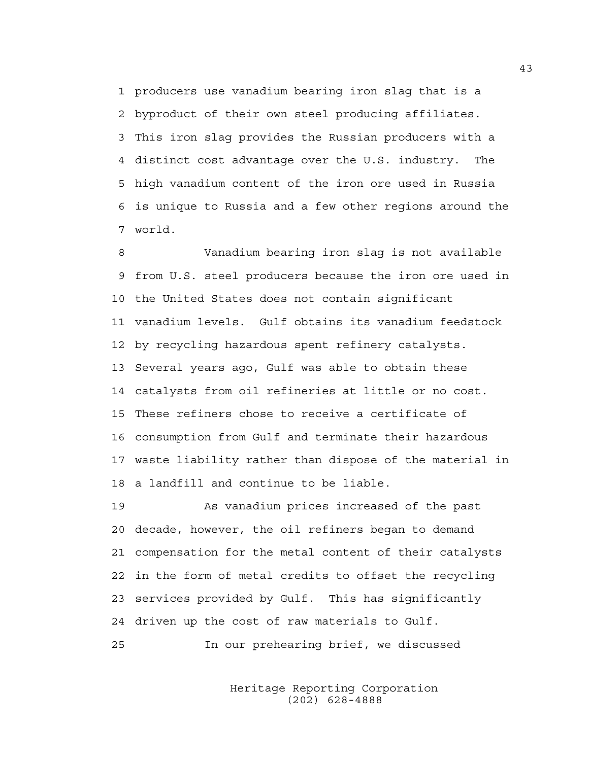1 producers use vanadium bearing iron slag that is a 2 byproduct of their own steel producing affiliates. 3 This iron slag provides the Russian producers with a 4 distinct cost advantage over the U.S. industry. The 5 high vanadium content of the iron ore used in Russia 6 is unique to Russia and a few other regions around the 7 world.

8 Vanadium bearing iron slag is not available 9 from U.S. steel producers because the iron ore used in 10 the United States does not contain significant 11 vanadium levels. Gulf obtains its vanadium feedstock 12 by recycling hazardous spent refinery catalysts. 13 Several years ago, Gulf was able to obtain these 14 catalysts from oil refineries at little or no cost. 15 These refiners chose to receive a certificate of 16 consumption from Gulf and terminate their hazardous 17 waste liability rather than dispose of the material in 18 a landfill and continue to be liable.

19 As vanadium prices increased of the past 20 decade, however, the oil refiners began to demand 21 compensation for the metal content of their catalysts 22 in the form of metal credits to offset the recycling 23 services provided by Gulf. This has significantly 24 driven up the cost of raw materials to Gulf.

25 In our prehearing brief, we discussed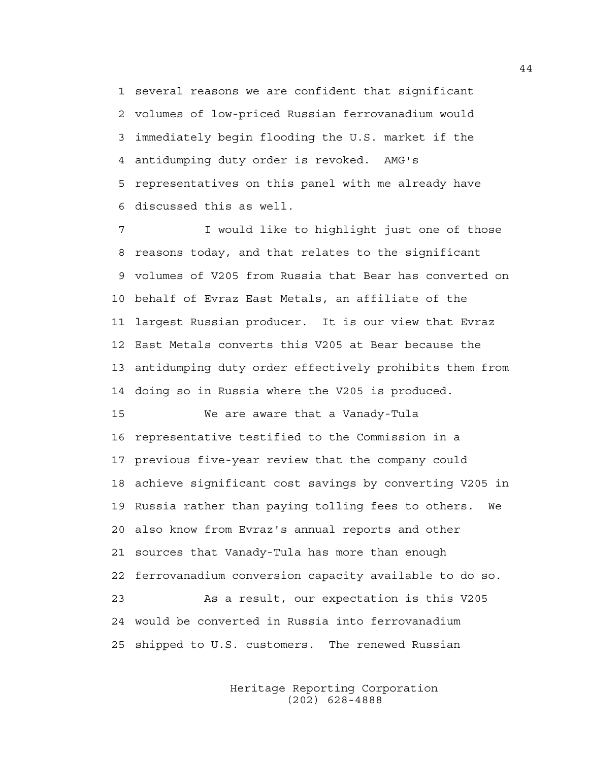1 several reasons we are confident that significant 2 volumes of low-priced Russian ferrovanadium would 3 immediately begin flooding the U.S. market if the 4 antidumping duty order is revoked. AMG's 5 representatives on this panel with me already have 6 discussed this as well.

7 I would like to highlight just one of those 8 reasons today, and that relates to the significant 9 volumes of V205 from Russia that Bear has converted on 10 behalf of Evraz East Metals, an affiliate of the 11 largest Russian producer. It is our view that Evraz 12 East Metals converts this V205 at Bear because the 13 antidumping duty order effectively prohibits them from 14 doing so in Russia where the V205 is produced.

15 We are aware that a Vanady-Tula 16 representative testified to the Commission in a 17 previous five-year review that the company could 18 achieve significant cost savings by converting V205 in 19 Russia rather than paying tolling fees to others. We 20 also know from Evraz's annual reports and other 21 sources that Vanady-Tula has more than enough 22 ferrovanadium conversion capacity available to do so. 23 As a result, our expectation is this V205 24 would be converted in Russia into ferrovanadium 25 shipped to U.S. customers. The renewed Russian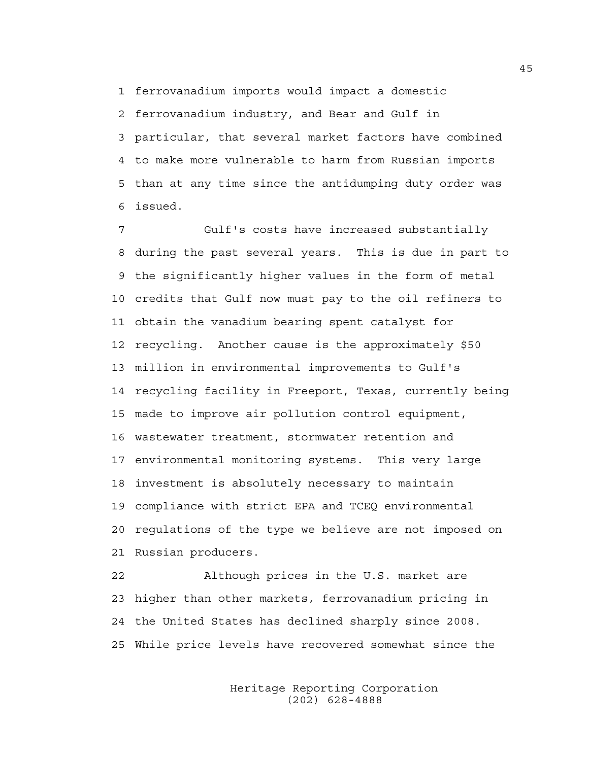1 ferrovanadium imports would impact a domestic

2 ferrovanadium industry, and Bear and Gulf in 3 particular, that several market factors have combined 4 to make more vulnerable to harm from Russian imports 5 than at any time since the antidumping duty order was 6 issued.

7 Gulf's costs have increased substantially 8 during the past several years. This is due in part to 9 the significantly higher values in the form of metal 10 credits that Gulf now must pay to the oil refiners to 11 obtain the vanadium bearing spent catalyst for 12 recycling. Another cause is the approximately \$50 13 million in environmental improvements to Gulf's 14 recycling facility in Freeport, Texas, currently being 15 made to improve air pollution control equipment, 16 wastewater treatment, stormwater retention and 17 environmental monitoring systems. This very large 18 investment is absolutely necessary to maintain 19 compliance with strict EPA and TCEQ environmental 20 regulations of the type we believe are not imposed on 21 Russian producers.

22 Although prices in the U.S. market are 23 higher than other markets, ferrovanadium pricing in 24 the United States has declined sharply since 2008. 25 While price levels have recovered somewhat since the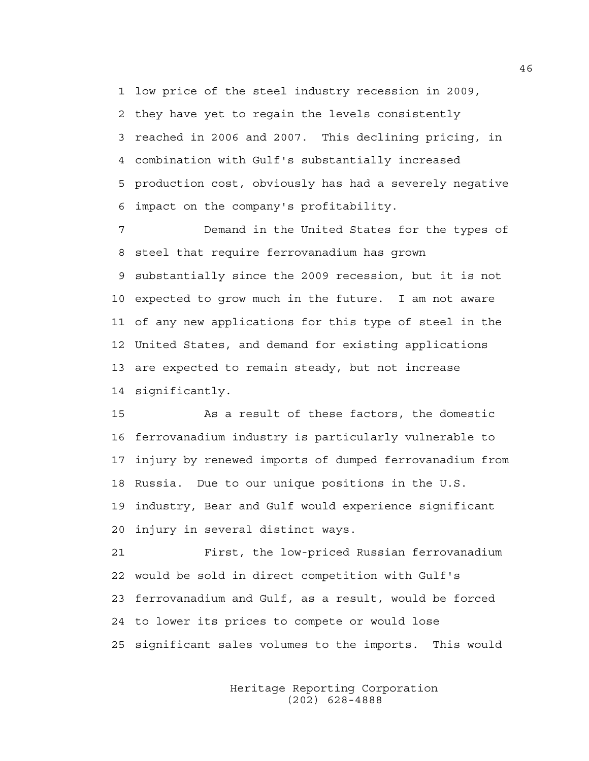1 low price of the steel industry recession in 2009, 2 they have yet to regain the levels consistently 3 reached in 2006 and 2007. This declining pricing, in 4 combination with Gulf's substantially increased 5 production cost, obviously has had a severely negative 6 impact on the company's profitability.

7 Demand in the United States for the types of 8 steel that require ferrovanadium has grown 9 substantially since the 2009 recession, but it is not 10 expected to grow much in the future. I am not aware 11 of any new applications for this type of steel in the 12 United States, and demand for existing applications 13 are expected to remain steady, but not increase 14 significantly.

15 As a result of these factors, the domestic 16 ferrovanadium industry is particularly vulnerable to 17 injury by renewed imports of dumped ferrovanadium from 18 Russia. Due to our unique positions in the U.S. 19 industry, Bear and Gulf would experience significant 20 injury in several distinct ways.

21 First, the low-priced Russian ferrovanadium 22 would be sold in direct competition with Gulf's 23 ferrovanadium and Gulf, as a result, would be forced 24 to lower its prices to compete or would lose 25 significant sales volumes to the imports. This would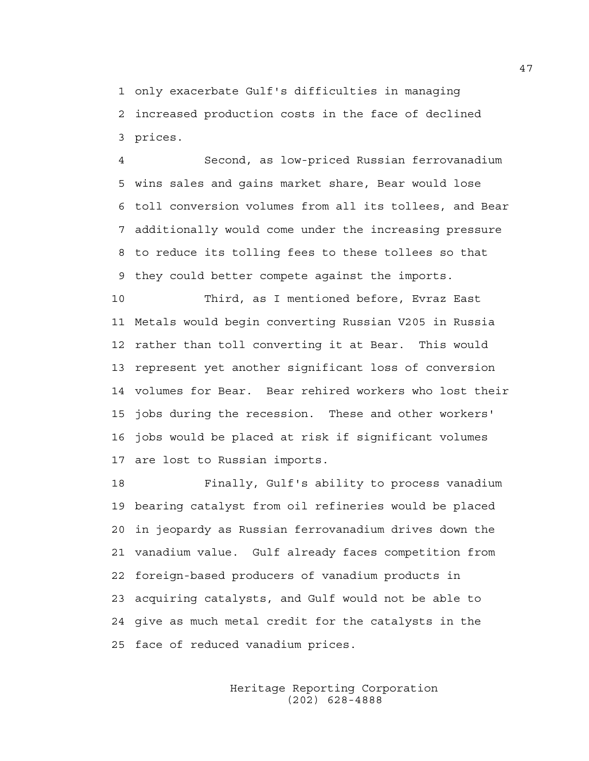1 only exacerbate Gulf's difficulties in managing 2 increased production costs in the face of declined 3 prices.

4 Second, as low-priced Russian ferrovanadium 5 wins sales and gains market share, Bear would lose 6 toll conversion volumes from all its tollees, and Bear 7 additionally would come under the increasing pressure 8 to reduce its tolling fees to these tollees so that 9 they could better compete against the imports.

10 Third, as I mentioned before, Evraz East 11 Metals would begin converting Russian V205 in Russia 12 rather than toll converting it at Bear. This would 13 represent yet another significant loss of conversion 14 volumes for Bear. Bear rehired workers who lost their 15 jobs during the recession. These and other workers' 16 jobs would be placed at risk if significant volumes 17 are lost to Russian imports.

18 Finally, Gulf's ability to process vanadium 19 bearing catalyst from oil refineries would be placed 20 in jeopardy as Russian ferrovanadium drives down the 21 vanadium value. Gulf already faces competition from 22 foreign-based producers of vanadium products in 23 acquiring catalysts, and Gulf would not be able to 24 give as much metal credit for the catalysts in the 25 face of reduced vanadium prices.

> Heritage Reporting Corporation (202) 628-4888

47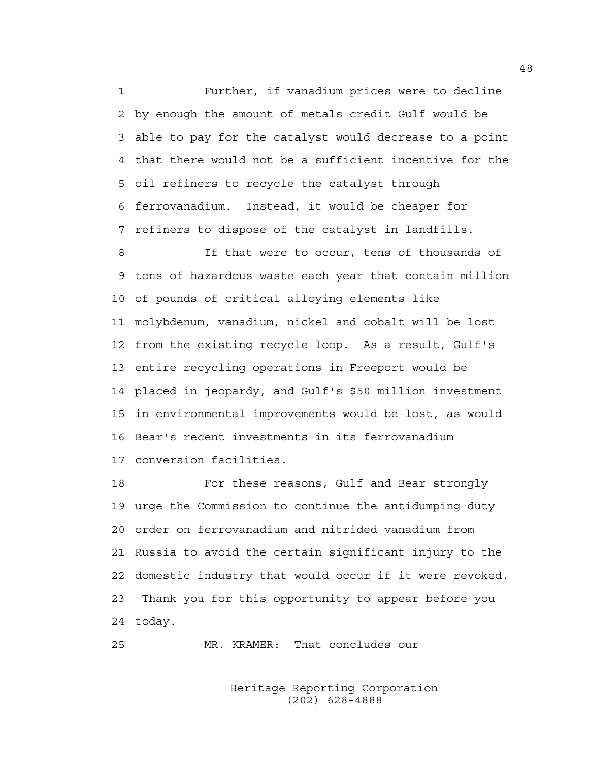1 Further, if vanadium prices were to decline 2 by enough the amount of metals credit Gulf would be 3 able to pay for the catalyst would decrease to a point 4 that there would not be a sufficient incentive for the 5 oil refiners to recycle the catalyst through 6 ferrovanadium. Instead, it would be cheaper for 7 refiners to dispose of the catalyst in landfills.

8 If that were to occur, tens of thousands of 9 tons of hazardous waste each year that contain million 10 of pounds of critical alloying elements like 11 molybdenum, vanadium, nickel and cobalt will be lost 12 from the existing recycle loop. As a result, Gulf's 13 entire recycling operations in Freeport would be 14 placed in jeopardy, and Gulf's \$50 million investment 15 in environmental improvements would be lost, as would 16 Bear's recent investments in its ferrovanadium 17 conversion facilities.

18 For these reasons, Gulf and Bear strongly 19 urge the Commission to continue the antidumping duty 20 order on ferrovanadium and nitrided vanadium from 21 Russia to avoid the certain significant injury to the 22 domestic industry that would occur if it were revoked. 23 Thank you for this opportunity to appear before you 24 today.

```
25 MR. KRAMER: That concludes our
```
 Heritage Reporting Corporation (202) 628-4888

48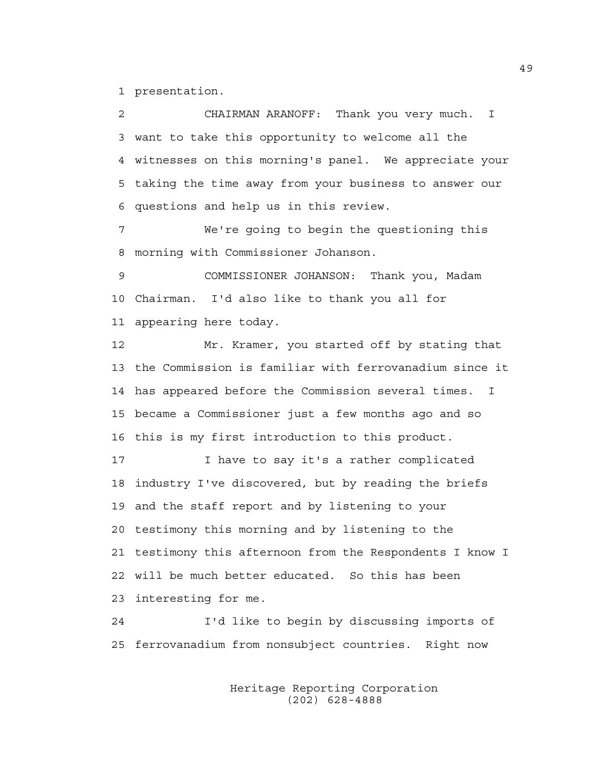1 presentation.

2 CHAIRMAN ARANOFF: Thank you very much. I 3 want to take this opportunity to welcome all the 4 witnesses on this morning's panel. We appreciate your 5 taking the time away from your business to answer our 6 questions and help us in this review. 7 We're going to begin the questioning this 8 morning with Commissioner Johanson. 9 COMMISSIONER JOHANSON: Thank you, Madam 10 Chairman. I'd also like to thank you all for 11 appearing here today. 12 Mr. Kramer, you started off by stating that 13 the Commission is familiar with ferrovanadium since it 14 has appeared before the Commission several times. I 15 became a Commissioner just a few months ago and so 16 this is my first introduction to this product. 17 I have to say it's a rather complicated 18 industry I've discovered, but by reading the briefs 19 and the staff report and by listening to your 20 testimony this morning and by listening to the 21 testimony this afternoon from the Respondents I know I

22 will be much better educated. So this has been 23 interesting for me.

24 I'd like to begin by discussing imports of 25 ferrovanadium from nonsubject countries. Right now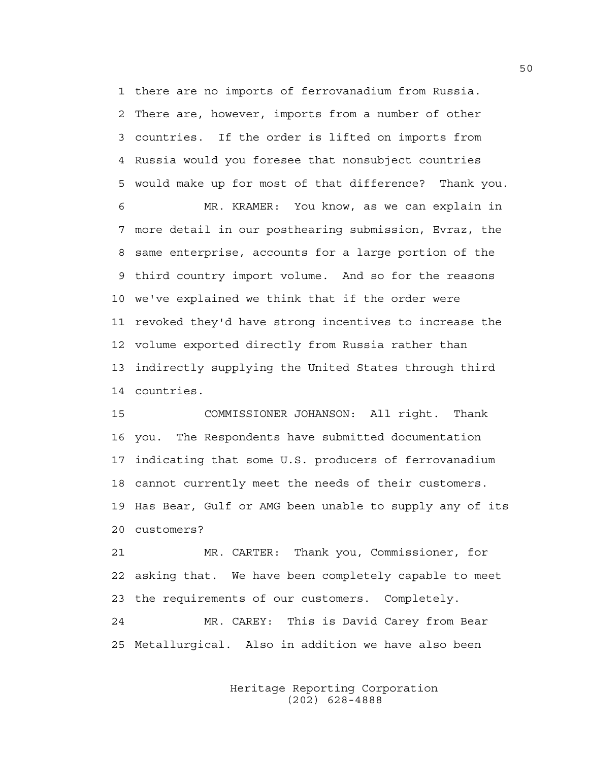1 there are no imports of ferrovanadium from Russia. 2 There are, however, imports from a number of other 3 countries. If the order is lifted on imports from 4 Russia would you foresee that nonsubject countries 5 would make up for most of that difference? Thank you.

6 MR. KRAMER: You know, as we can explain in 7 more detail in our posthearing submission, Evraz, the 8 same enterprise, accounts for a large portion of the 9 third country import volume. And so for the reasons 10 we've explained we think that if the order were 11 revoked they'd have strong incentives to increase the 12 volume exported directly from Russia rather than 13 indirectly supplying the United States through third 14 countries.

15 COMMISSIONER JOHANSON: All right. Thank 16 you. The Respondents have submitted documentation 17 indicating that some U.S. producers of ferrovanadium 18 cannot currently meet the needs of their customers. 19 Has Bear, Gulf or AMG been unable to supply any of its 20 customers?

21 MR. CARTER: Thank you, Commissioner, for 22 asking that. We have been completely capable to meet 23 the requirements of our customers. Completely. 24 MR. CAREY: This is David Carey from Bear 25 Metallurgical. Also in addition we have also been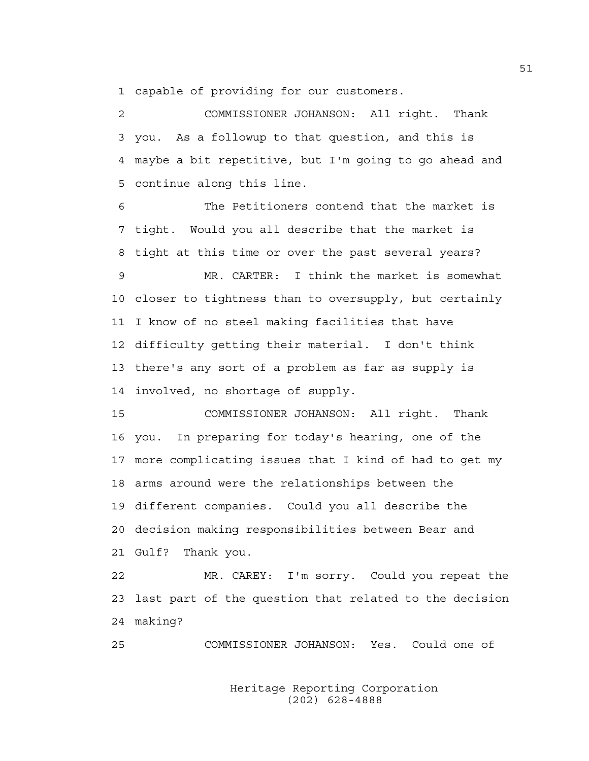1 capable of providing for our customers.

2 COMMISSIONER JOHANSON: All right. Thank 3 you. As a followup to that question, and this is 4 maybe a bit repetitive, but I'm going to go ahead and 5 continue along this line.

6 The Petitioners contend that the market is 7 tight. Would you all describe that the market is 8 tight at this time or over the past several years?

9 MR. CARTER: I think the market is somewhat 10 closer to tightness than to oversupply, but certainly 11 I know of no steel making facilities that have 12 difficulty getting their material. I don't think 13 there's any sort of a problem as far as supply is 14 involved, no shortage of supply.

15 COMMISSIONER JOHANSON: All right. Thank 16 you. In preparing for today's hearing, one of the 17 more complicating issues that I kind of had to get my 18 arms around were the relationships between the 19 different companies. Could you all describe the 20 decision making responsibilities between Bear and 21 Gulf? Thank you.

22 MR. CAREY: I'm sorry. Could you repeat the 23 last part of the question that related to the decision 24 making?

25 COMMISSIONER JOHANSON: Yes. Could one of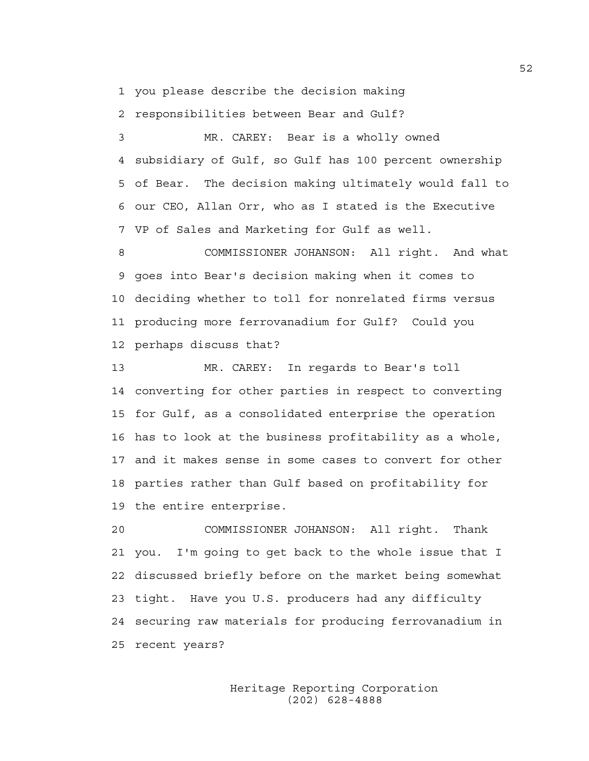1 you please describe the decision making

2 responsibilities between Bear and Gulf?

3 MR. CAREY: Bear is a wholly owned 4 subsidiary of Gulf, so Gulf has 100 percent ownership 5 of Bear. The decision making ultimately would fall to 6 our CEO, Allan Orr, who as I stated is the Executive 7 VP of Sales and Marketing for Gulf as well.

8 COMMISSIONER JOHANSON: All right. And what 9 goes into Bear's decision making when it comes to 10 deciding whether to toll for nonrelated firms versus 11 producing more ferrovanadium for Gulf? Could you 12 perhaps discuss that?

13 MR. CAREY: In regards to Bear's toll 14 converting for other parties in respect to converting 15 for Gulf, as a consolidated enterprise the operation 16 has to look at the business profitability as a whole, 17 and it makes sense in some cases to convert for other 18 parties rather than Gulf based on profitability for 19 the entire enterprise.

20 COMMISSIONER JOHANSON: All right. Thank 21 you. I'm going to get back to the whole issue that I 22 discussed briefly before on the market being somewhat 23 tight. Have you U.S. producers had any difficulty 24 securing raw materials for producing ferrovanadium in 25 recent years?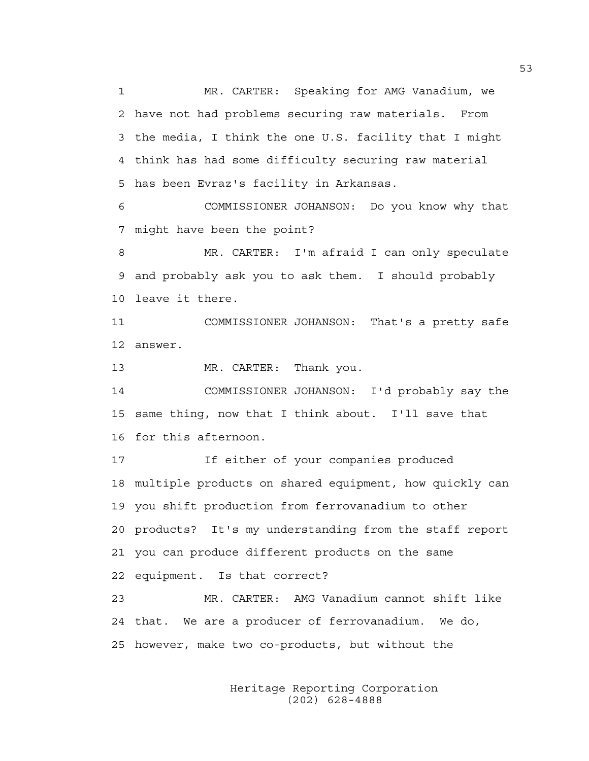1 MR. CARTER: Speaking for AMG Vanadium, we 2 have not had problems securing raw materials. From 3 the media, I think the one U.S. facility that I might 4 think has had some difficulty securing raw material 5 has been Evraz's facility in Arkansas.

6 COMMISSIONER JOHANSON: Do you know why that 7 might have been the point?

8 MR. CARTER: I'm afraid I can only speculate 9 and probably ask you to ask them. I should probably 10 leave it there.

11 COMMISSIONER JOHANSON: That's a pretty safe 12 answer.

13 MR. CARTER: Thank you.

14 COMMISSIONER JOHANSON: I'd probably say the 15 same thing, now that I think about. I'll save that 16 for this afternoon.

17 If either of your companies produced 18 multiple products on shared equipment, how quickly can 19 you shift production from ferrovanadium to other 20 products? It's my understanding from the staff report 21 you can produce different products on the same 22 equipment. Is that correct?

23 MR. CARTER: AMG Vanadium cannot shift like 24 that. We are a producer of ferrovanadium. We do, 25 however, make two co-products, but without the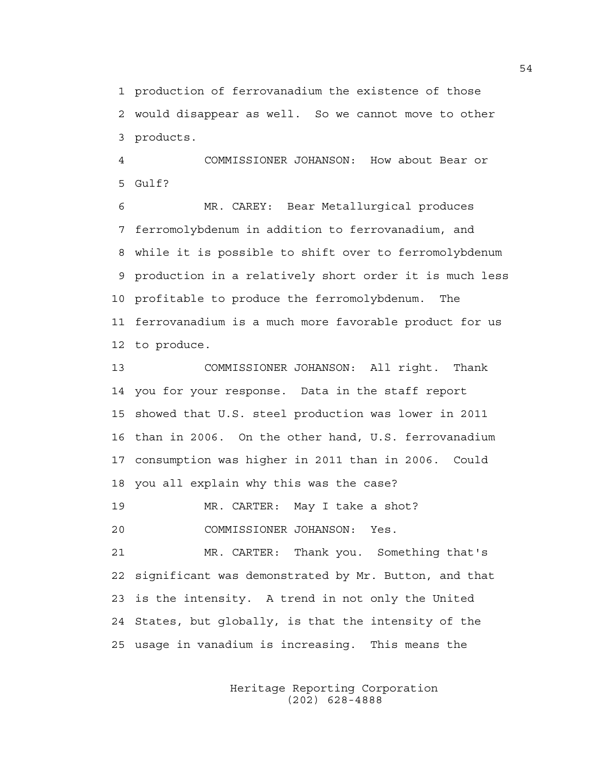1 production of ferrovanadium the existence of those 2 would disappear as well. So we cannot move to other 3 products.

4 COMMISSIONER JOHANSON: How about Bear or  $5$  Gulf?

6 MR. CAREY: Bear Metallurgical produces 7 ferromolybdenum in addition to ferrovanadium, and 8 while it is possible to shift over to ferromolybdenum 9 production in a relatively short order it is much less 10 profitable to produce the ferromolybdenum. The 11 ferrovanadium is a much more favorable product for us 12 to produce.

13 COMMISSIONER JOHANSON: All right. Thank 14 you for your response. Data in the staff report 15 showed that U.S. steel production was lower in 2011 16 than in 2006. On the other hand, U.S. ferrovanadium 17 consumption was higher in 2011 than in 2006. Could 18 you all explain why this was the case?

19 MR. CARTER: May I take a shot?

20 COMMISSIONER JOHANSON: Yes.

21 MR. CARTER: Thank you. Something that's 22 significant was demonstrated by Mr. Button, and that 23 is the intensity. A trend in not only the United 24 States, but globally, is that the intensity of the 25 usage in vanadium is increasing. This means the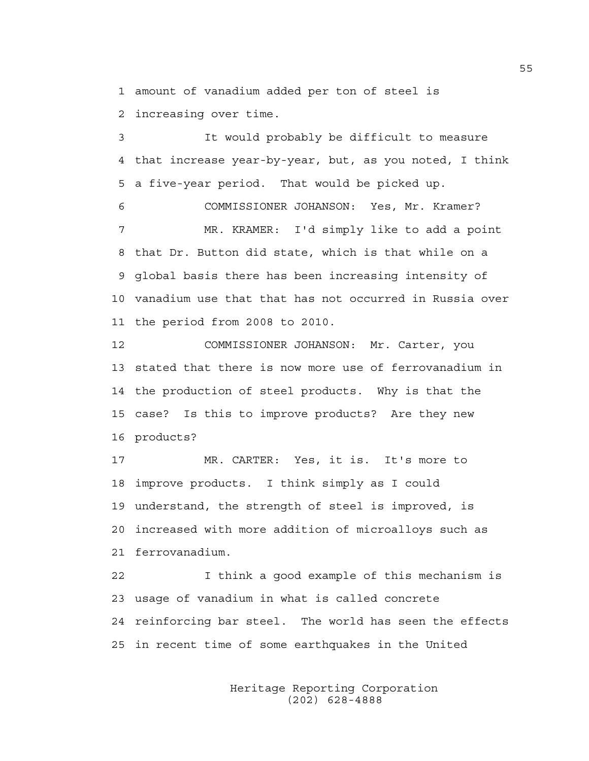1 amount of vanadium added per ton of steel is

2 increasing over time.

3 It would probably be difficult to measure 4 that increase year-by-year, but, as you noted, I think 5 a five-year period. That would be picked up.

6 COMMISSIONER JOHANSON: Yes, Mr. Kramer? 7 MR. KRAMER: I'd simply like to add a point 8 that Dr. Button did state, which is that while on a 9 global basis there has been increasing intensity of 10 vanadium use that that has not occurred in Russia over 11 the period from 2008 to 2010.

12 COMMISSIONER JOHANSON: Mr. Carter, you 13 stated that there is now more use of ferrovanadium in 14 the production of steel products. Why is that the 15 case? Is this to improve products? Are they new 16 products?

17 MR. CARTER: Yes, it is. It's more to 18 improve products. I think simply as I could 19 understand, the strength of steel is improved, is 20 increased with more addition of microalloys such as 21 ferrovanadium.

22 I think a good example of this mechanism is 23 usage of vanadium in what is called concrete 24 reinforcing bar steel. The world has seen the effects 25 in recent time of some earthquakes in the United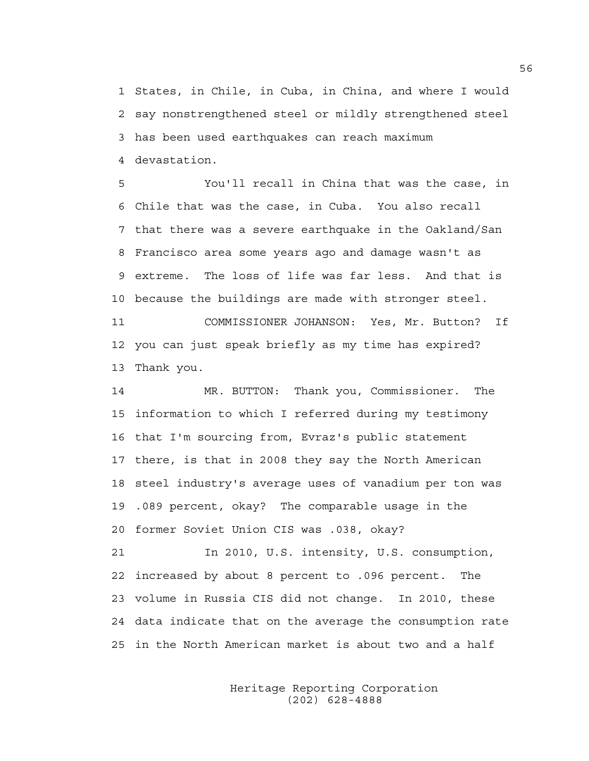1 States, in Chile, in Cuba, in China, and where I would 2 say nonstrengthened steel or mildly strengthened steel 3 has been used earthquakes can reach maximum 4 devastation.

5 You'll recall in China that was the case, in 6 Chile that was the case, in Cuba. You also recall 7 that there was a severe earthquake in the Oakland/San 8 Francisco area some years ago and damage wasn't as 9 extreme. The loss of life was far less. And that is 10 because the buildings are made with stronger steel.

11 COMMISSIONER JOHANSON: Yes, Mr. Button? If 12 you can just speak briefly as my time has expired? 13 Thank you.

14 MR. BUTTON: Thank you, Commissioner. The 15 information to which I referred during my testimony 16 that I'm sourcing from, Evraz's public statement 17 there, is that in 2008 they say the North American 18 steel industry's average uses of vanadium per ton was 19 .089 percent, okay? The comparable usage in the 20 former Soviet Union CIS was .038, okay?

21 In 2010, U.S. intensity, U.S. consumption, 22 increased by about 8 percent to .096 percent. The 23 volume in Russia CIS did not change. In 2010, these 24 data indicate that on the average the consumption rate 25 in the North American market is about two and a half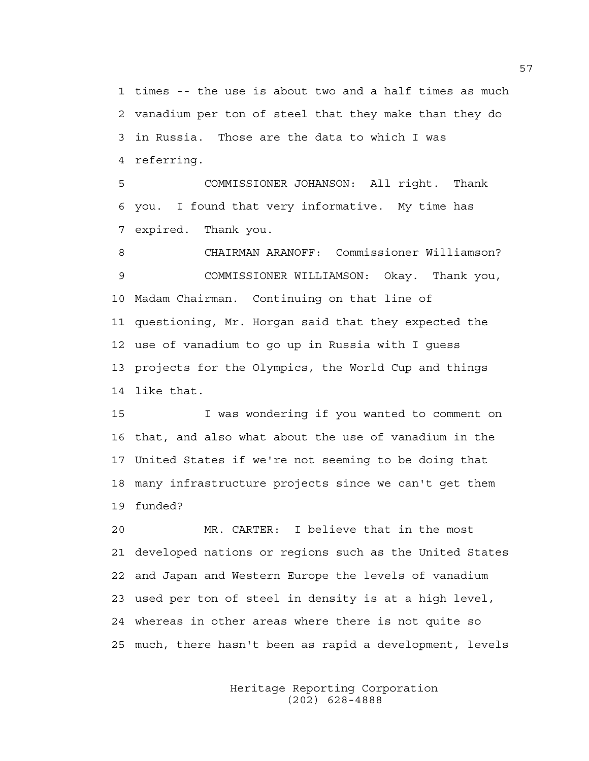1 times -- the use is about two and a half times as much 2 vanadium per ton of steel that they make than they do 3 in Russia. Those are the data to which I was 4 referring.

5 COMMISSIONER JOHANSON: All right. Thank 6 you. I found that very informative. My time has 7 expired. Thank you.

8 CHAIRMAN ARANOFF: Commissioner Williamson? 9 COMMISSIONER WILLIAMSON: Okay. Thank you, 10 Madam Chairman. Continuing on that line of 11 questioning, Mr. Horgan said that they expected the 12 use of vanadium to go up in Russia with I guess 13 projects for the Olympics, the World Cup and things 14 like that.

15 I was wondering if you wanted to comment on 16 that, and also what about the use of vanadium in the 17 United States if we're not seeming to be doing that 18 many infrastructure projects since we can't get them 19 funded?

20 MR. CARTER: I believe that in the most 21 developed nations or regions such as the United States 22 and Japan and Western Europe the levels of vanadium 23 used per ton of steel in density is at a high level, 24 whereas in other areas where there is not quite so 25 much, there hasn't been as rapid a development, levels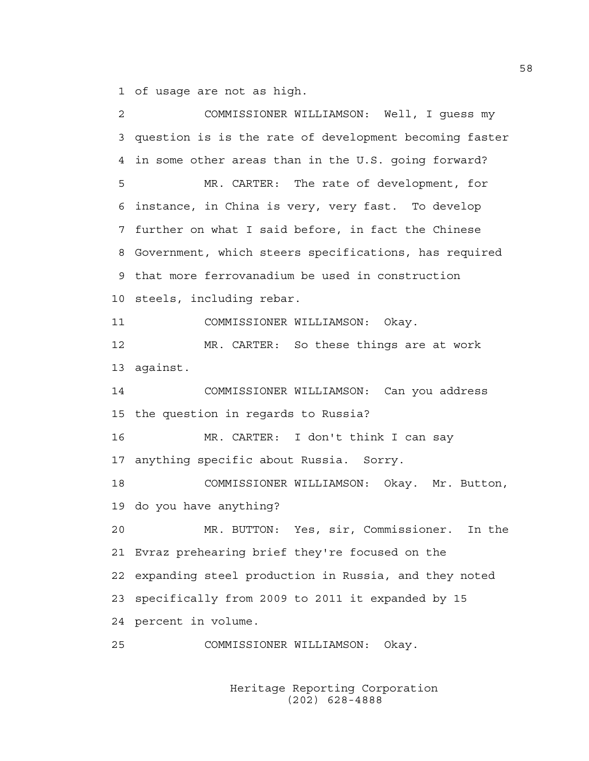1 of usage are not as high.

2 COMMISSIONER WILLIAMSON: Well, I guess my 3 question is is the rate of development becoming faster 4 in some other areas than in the U.S. going forward? 5 MR. CARTER: The rate of development, for 6 instance, in China is very, very fast. To develop 7 further on what I said before, in fact the Chinese 8 Government, which steers specifications, has required 9 that more ferrovanadium be used in construction 10 steels, including rebar. 11 COMMISSIONER WILLIAMSON: Okay. 12 MR. CARTER: So these things are at work 13 against. 14 COMMISSIONER WILLIAMSON: Can you address 15 the question in regards to Russia? 16 MR. CARTER: I don't think I can say 17 anything specific about Russia. Sorry. 18 COMMISSIONER WILLIAMSON: Okay. Mr. Button, 19 do you have anything? 20 MR. BUTTON: Yes, sir, Commissioner. In the 21 Evraz prehearing brief they're focused on the 22 expanding steel production in Russia, and they noted 23 specifically from 2009 to 2011 it expanded by 15 24 percent in volume. 25 COMMISSIONER WILLIAMSON: Okay.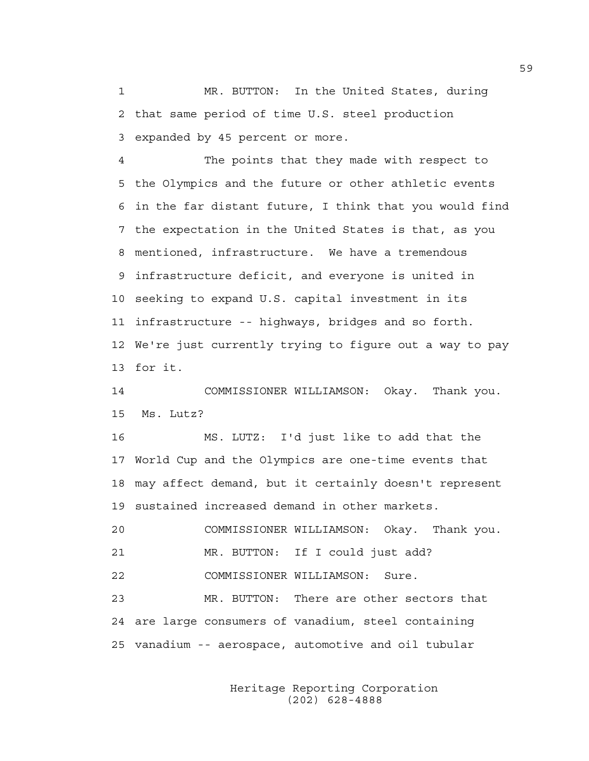1 MR. BUTTON: In the United States, during 2 that same period of time U.S. steel production 3 expanded by 45 percent or more.

4 The points that they made with respect to 5 the Olympics and the future or other athletic events 6 in the far distant future, I think that you would find 7 the expectation in the United States is that, as you 8 mentioned, infrastructure. We have a tremendous 9 infrastructure deficit, and everyone is united in 10 seeking to expand U.S. capital investment in its 11 infrastructure -- highways, bridges and so forth. 12 We're just currently trying to figure out a way to pay 13 for it.

14 COMMISSIONER WILLIAMSON: Okay. Thank you. 15 Ms. Lutz?

16 MS. LUTZ: I'd just like to add that the 17 World Cup and the Olympics are one-time events that 18 may affect demand, but it certainly doesn't represent 19 sustained increased demand in other markets.

20 COMMISSIONER WILLIAMSON: Okay. Thank you. 21 MR. BUTTON: If I could just add?

22 COMMISSIONER WILLIAMSON: Sure.

23 MR. BUTTON: There are other sectors that 24 are large consumers of vanadium, steel containing 25 vanadium -- aerospace, automotive and oil tubular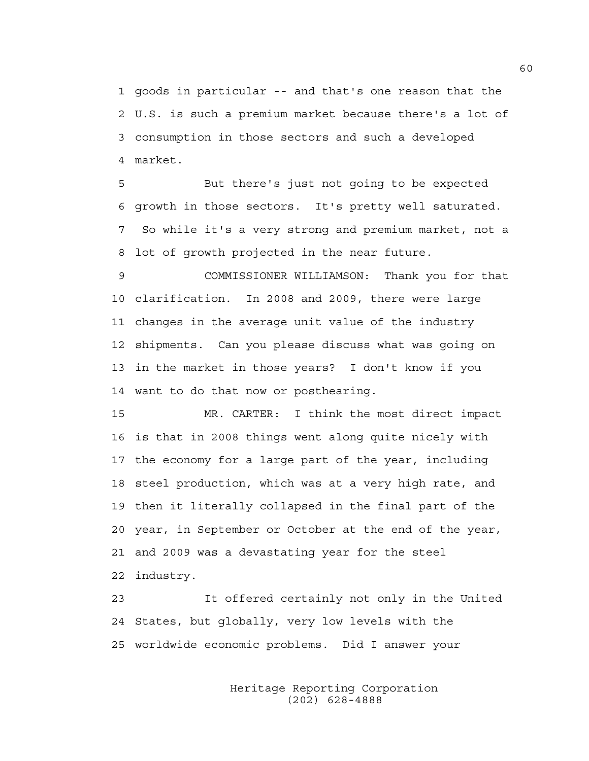1 goods in particular -- and that's one reason that the 2 U.S. is such a premium market because there's a lot of 3 consumption in those sectors and such a developed 4 market.

5 But there's just not going to be expected 6 growth in those sectors. It's pretty well saturated. 7 So while it's a very strong and premium market, not a 8 lot of growth projected in the near future.

9 COMMISSIONER WILLIAMSON: Thank you for that 10 clarification. In 2008 and 2009, there were large 11 changes in the average unit value of the industry 12 shipments. Can you please discuss what was going on 13 in the market in those years? I don't know if you 14 want to do that now or posthearing.

15 MR. CARTER: I think the most direct impact 16 is that in 2008 things went along quite nicely with 17 the economy for a large part of the year, including 18 steel production, which was at a very high rate, and 19 then it literally collapsed in the final part of the 20 year, in September or October at the end of the year, 21 and 2009 was a devastating year for the steel 22 industry.

23 It offered certainly not only in the United 24 States, but globally, very low levels with the 25 worldwide economic problems. Did I answer your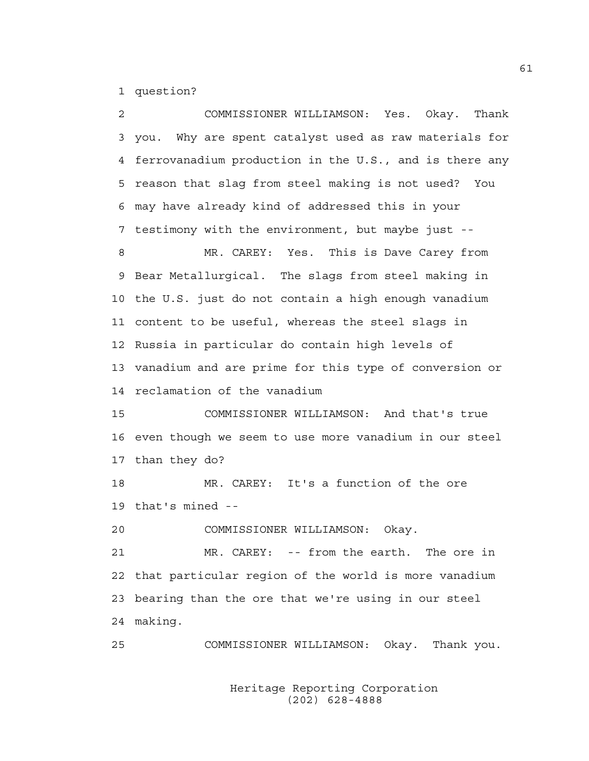1 question?

2 COMMISSIONER WILLIAMSON: Yes. Okay. Thank 3 you. Why are spent catalyst used as raw materials for 4 ferrovanadium production in the U.S., and is there any 5 reason that slag from steel making is not used? You 6 may have already kind of addressed this in your 7 testimony with the environment, but maybe just -- 8 MR. CAREY: Yes. This is Dave Carey from 9 Bear Metallurgical. The slags from steel making in 10 the U.S. just do not contain a high enough vanadium 11 content to be useful, whereas the steel slags in 12 Russia in particular do contain high levels of 13 vanadium and are prime for this type of conversion or 14 reclamation of the vanadium 15 COMMISSIONER WILLIAMSON: And that's true 16 even though we seem to use more vanadium in our steel 17 than they do? 18 MR. CAREY: It's a function of the ore 19 that's mined -- 20 COMMISSIONER WILLIAMSON: Okay. 21 MR. CAREY: -- from the earth. The ore in 22 that particular region of the world is more vanadium 23 bearing than the ore that we're using in our steel 24 making. 25 COMMISSIONER WILLIAMSON: Okay. Thank you.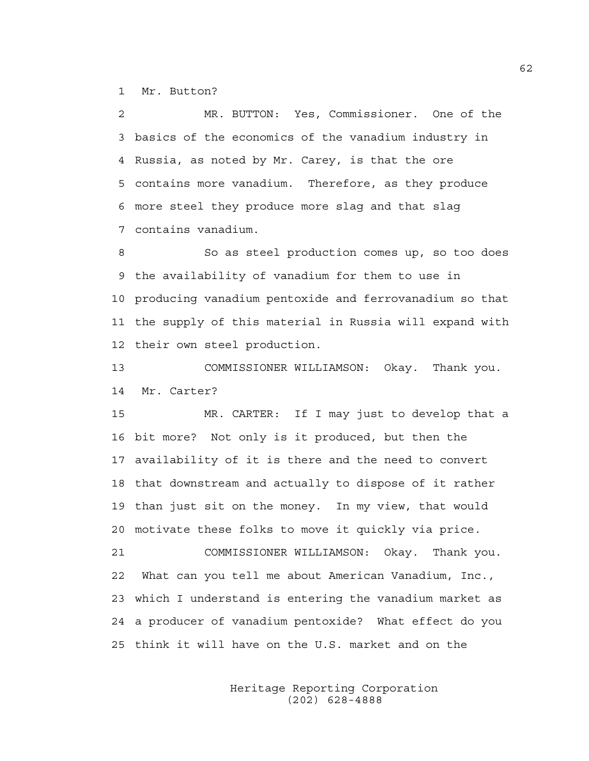1 Mr. Button?

2 MR. BUTTON: Yes, Commissioner. One of the 3 basics of the economics of the vanadium industry in 4 Russia, as noted by Mr. Carey, is that the ore 5 contains more vanadium. Therefore, as they produce 6 more steel they produce more slag and that slag 7 contains vanadium.

8 So as steel production comes up, so too does 9 the availability of vanadium for them to use in 10 producing vanadium pentoxide and ferrovanadium so that 11 the supply of this material in Russia will expand with 12 their own steel production.

13 COMMISSIONER WILLIAMSON: Okay. Thank you. 14 Mr. Carter?

15 MR. CARTER: If I may just to develop that a 16 bit more? Not only is it produced, but then the 17 availability of it is there and the need to convert 18 that downstream and actually to dispose of it rather 19 than just sit on the money. In my view, that would 20 motivate these folks to move it quickly via price.

21 COMMISSIONER WILLIAMSON: Okay. Thank you. 22 What can you tell me about American Vanadium, Inc., 23 which I understand is entering the vanadium market as 24 a producer of vanadium pentoxide? What effect do you 25 think it will have on the U.S. market and on the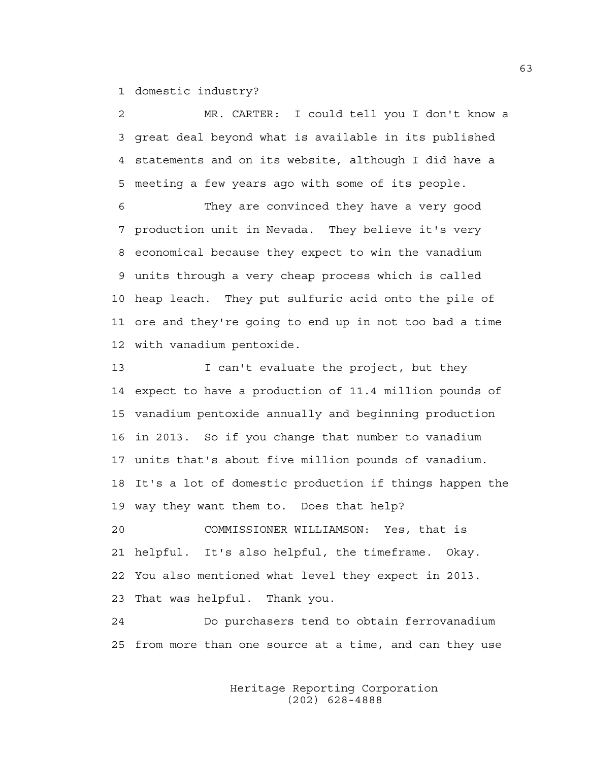1 domestic industry?

2 MR. CARTER: I could tell you I don't know a 3 great deal beyond what is available in its published 4 statements and on its website, although I did have a 5 meeting a few years ago with some of its people.

6 They are convinced they have a very good 7 production unit in Nevada. They believe it's very 8 economical because they expect to win the vanadium 9 units through a very cheap process which is called 10 heap leach. They put sulfuric acid onto the pile of 11 ore and they're going to end up in not too bad a time 12 with vanadium pentoxide.

13 I can't evaluate the project, but they 14 expect to have a production of 11.4 million pounds of 15 vanadium pentoxide annually and beginning production 16 in 2013. So if you change that number to vanadium 17 units that's about five million pounds of vanadium. 18 It's a lot of domestic production if things happen the 19 way they want them to. Does that help?

20 COMMISSIONER WILLIAMSON: Yes, that is 21 helpful. It's also helpful, the timeframe. Okay. 22 You also mentioned what level they expect in 2013. 23 That was helpful. Thank you.

24 Do purchasers tend to obtain ferrovanadium 25 from more than one source at a time, and can they use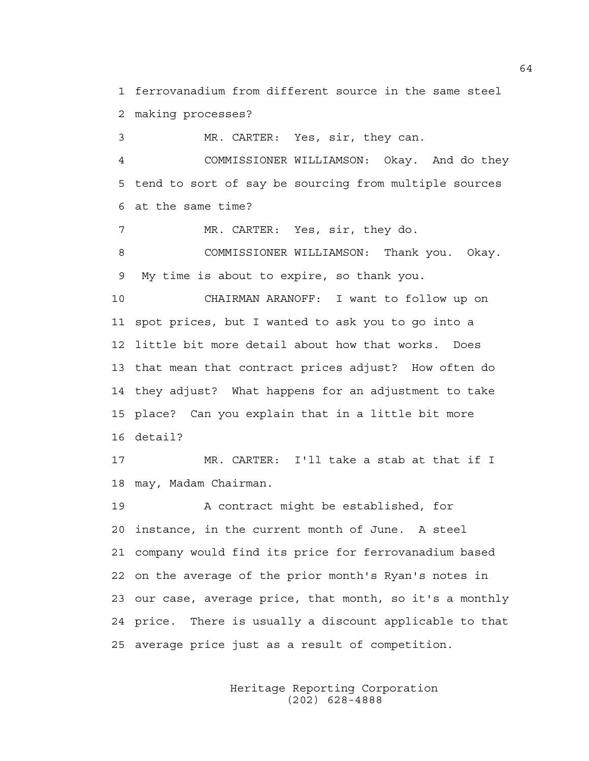1 ferrovanadium from different source in the same steel 2 making processes?

3 MR. CARTER: Yes, sir, they can.

4 COMMISSIONER WILLIAMSON: Okay. And do they 5 tend to sort of say be sourcing from multiple sources 6 at the same time?

7 MR. CARTER: Yes, sir, they do.

8 COMMISSIONER WILLIAMSON: Thank you. Okay. 9 My time is about to expire, so thank you.

10 CHAIRMAN ARANOFF: I want to follow up on 11 spot prices, but I wanted to ask you to go into a 12 little bit more detail about how that works. Does 13 that mean that contract prices adjust? How often do 14 they adjust? What happens for an adjustment to take 15 place? Can you explain that in a little bit more 16 detail?

17 MR. CARTER: I'll take a stab at that if I 18 may, Madam Chairman.

19 A contract might be established, for 20 instance, in the current month of June. A steel 21 company would find its price for ferrovanadium based 22 on the average of the prior month's Ryan's notes in 23 our case, average price, that month, so it's a monthly 24 price. There is usually a discount applicable to that 25 average price just as a result of competition.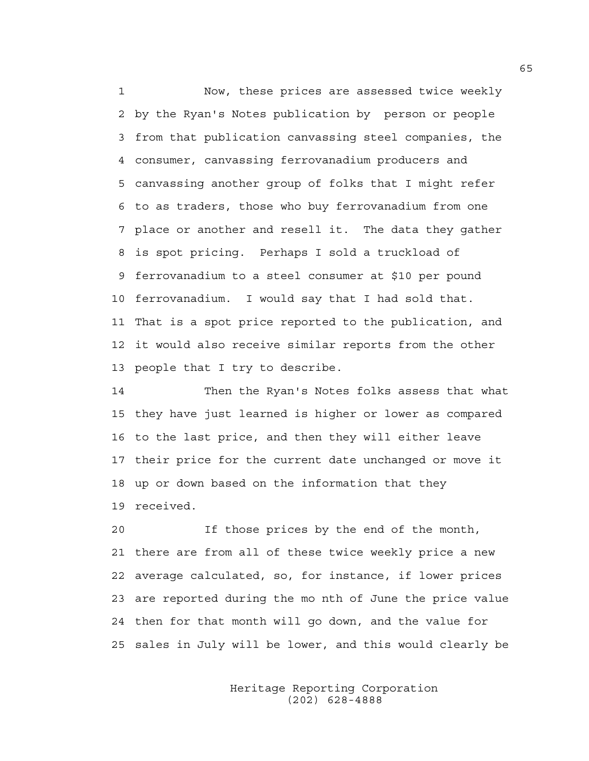1 Now, these prices are assessed twice weekly 2 by the Ryan's Notes publication by person or people 3 from that publication canvassing steel companies, the 4 consumer, canvassing ferrovanadium producers and 5 canvassing another group of folks that I might refer 6 to as traders, those who buy ferrovanadium from one 7 place or another and resell it. The data they gather 8 is spot pricing. Perhaps I sold a truckload of 9 ferrovanadium to a steel consumer at \$10 per pound 10 ferrovanadium. I would say that I had sold that. 11 That is a spot price reported to the publication, and 12 it would also receive similar reports from the other 13 people that I try to describe.

14 Then the Ryan's Notes folks assess that what 15 they have just learned is higher or lower as compared 16 to the last price, and then they will either leave 17 their price for the current date unchanged or move it 18 up or down based on the information that they 19 received.

20 If those prices by the end of the month, 21 there are from all of these twice weekly price a new 22 average calculated, so, for instance, if lower prices 23 are reported during the mo nth of June the price value 24 then for that month will go down, and the value for 25 sales in July will be lower, and this would clearly be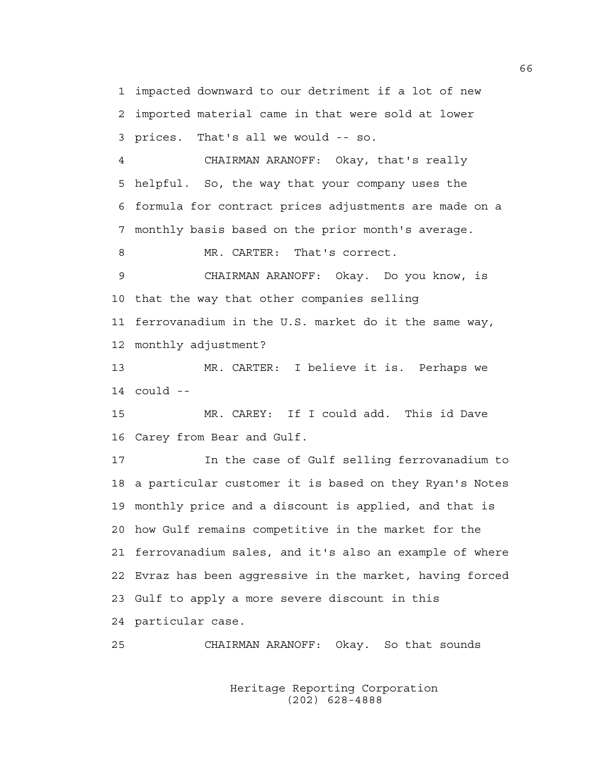1 impacted downward to our detriment if a lot of new 2 imported material came in that were sold at lower 3 prices. That's all we would -- so.

4 CHAIRMAN ARANOFF: Okay, that's really 5 helpful. So, the way that your company uses the 6 formula for contract prices adjustments are made on a 7 monthly basis based on the prior month's average.

8 MR. CARTER: That's correct.

9 CHAIRMAN ARANOFF: Okay. Do you know, is 10 that the way that other companies selling 11 ferrovanadium in the U.S. market do it the same way, 12 monthly adjustment?

13 MR. CARTER: I believe it is. Perhaps we 14 could --

15 MR. CAREY: If I could add. This id Dave 16 Carey from Bear and Gulf.

17 In the case of Gulf selling ferrovanadium to 18 a particular customer it is based on they Ryan's Notes 19 monthly price and a discount is applied, and that is 20 how Gulf remains competitive in the market for the 21 ferrovanadium sales, and it's also an example of where 22 Evraz has been aggressive in the market, having forced 23 Gulf to apply a more severe discount in this 24 particular case.

25 CHAIRMAN ARANOFF: Okay. So that sounds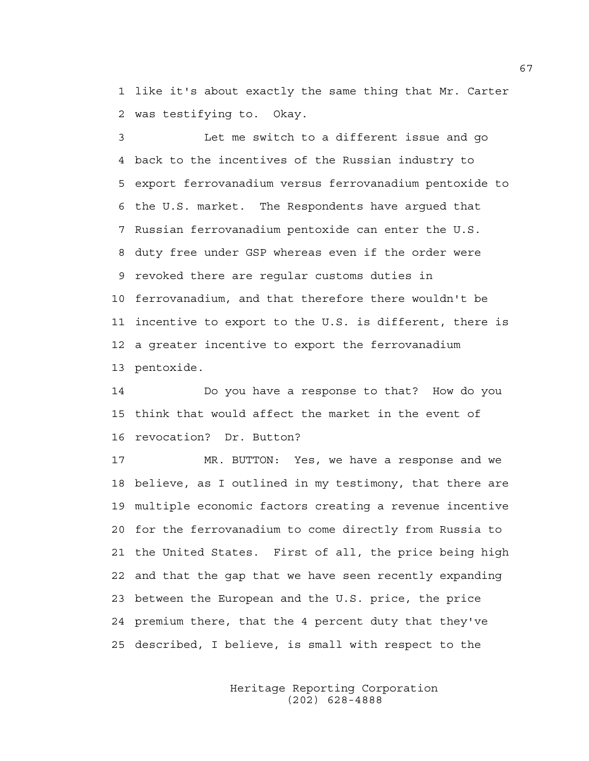1 like it's about exactly the same thing that Mr. Carter 2 was testifying to. Okay.

3 Let me switch to a different issue and go 4 back to the incentives of the Russian industry to 5 export ferrovanadium versus ferrovanadium pentoxide to 6 the U.S. market. The Respondents have argued that 7 Russian ferrovanadium pentoxide can enter the U.S. 8 duty free under GSP whereas even if the order were 9 revoked there are regular customs duties in 10 ferrovanadium, and that therefore there wouldn't be 11 incentive to export to the U.S. is different, there is 12 a greater incentive to export the ferrovanadium 13 pentoxide.

14 Do you have a response to that? How do you 15 think that would affect the market in the event of 16 revocation? Dr. Button?

17 MR. BUTTON: Yes, we have a response and we 18 believe, as I outlined in my testimony, that there are 19 multiple economic factors creating a revenue incentive 20 for the ferrovanadium to come directly from Russia to 21 the United States. First of all, the price being high 22 and that the gap that we have seen recently expanding 23 between the European and the U.S. price, the price 24 premium there, that the 4 percent duty that they've 25 described, I believe, is small with respect to the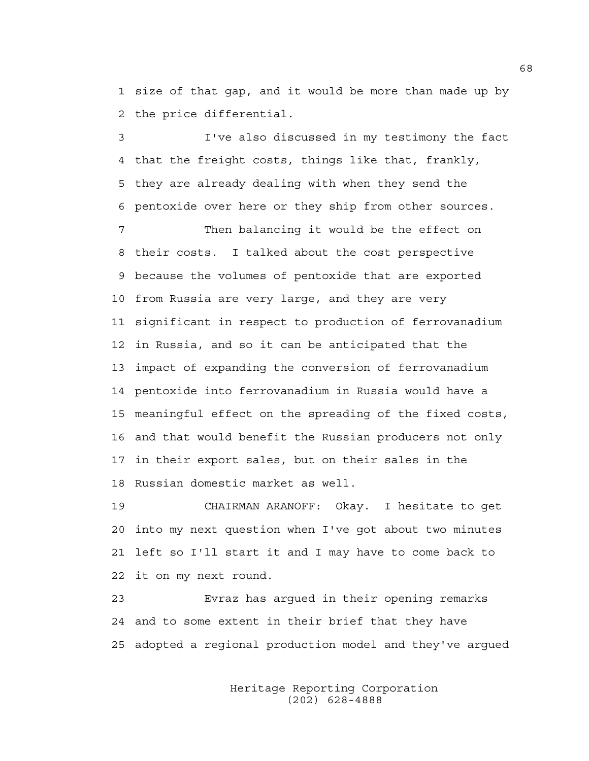1 size of that gap, and it would be more than made up by 2 the price differential.

3 I've also discussed in my testimony the fact 4 that the freight costs, things like that, frankly, 5 they are already dealing with when they send the 6 pentoxide over here or they ship from other sources.

7 Then balancing it would be the effect on 8 their costs. I talked about the cost perspective 9 because the volumes of pentoxide that are exported 10 from Russia are very large, and they are very 11 significant in respect to production of ferrovanadium 12 in Russia, and so it can be anticipated that the 13 impact of expanding the conversion of ferrovanadium 14 pentoxide into ferrovanadium in Russia would have a 15 meaningful effect on the spreading of the fixed costs, 16 and that would benefit the Russian producers not only 17 in their export sales, but on their sales in the 18 Russian domestic market as well.

19 CHAIRMAN ARANOFF: Okay. I hesitate to get 20 into my next question when I've got about two minutes 21 left so I'll start it and I may have to come back to 22 it on my next round.

23 Evraz has argued in their opening remarks 24 and to some extent in their brief that they have 25 adopted a regional production model and they've argued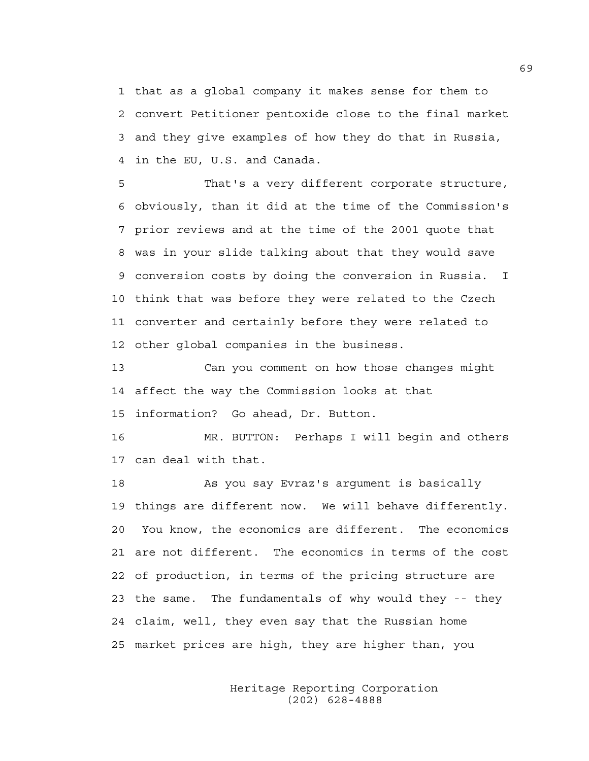1 that as a global company it makes sense for them to 2 convert Petitioner pentoxide close to the final market 3 and they give examples of how they do that in Russia, 4 in the EU, U.S. and Canada.

5 That's a very different corporate structure, 6 obviously, than it did at the time of the Commission's 7 prior reviews and at the time of the 2001 quote that 8 was in your slide talking about that they would save 9 conversion costs by doing the conversion in Russia. I 10 think that was before they were related to the Czech 11 converter and certainly before they were related to 12 other global companies in the business.

13 Can you comment on how those changes might 14 affect the way the Commission looks at that 15 information? Go ahead, Dr. Button.

16 MR. BUTTON: Perhaps I will begin and others 17 can deal with that.

18 As you say Evraz's argument is basically 19 things are different now. We will behave differently. 20 You know, the economics are different. The economics 21 are not different. The economics in terms of the cost 22 of production, in terms of the pricing structure are 23 the same. The fundamentals of why would they -- they 24 claim, well, they even say that the Russian home 25 market prices are high, they are higher than, you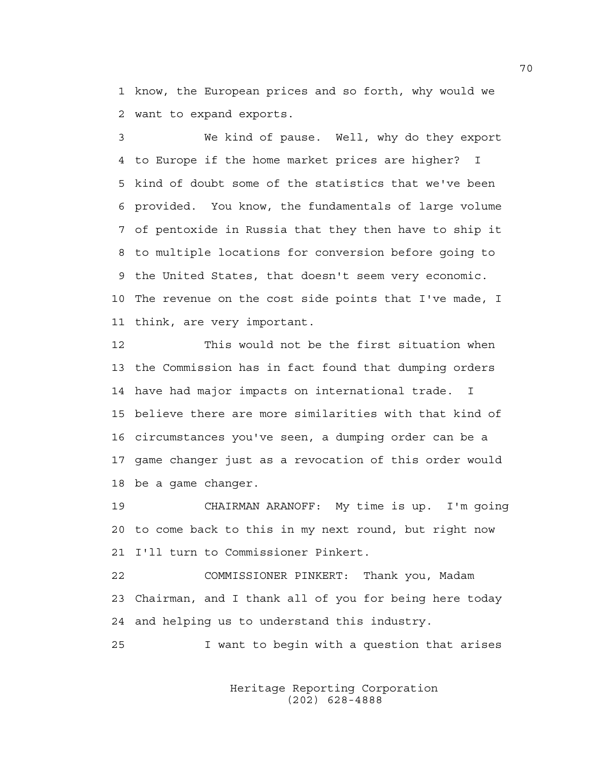1 know, the European prices and so forth, why would we 2 want to expand exports.

3 We kind of pause. Well, why do they export 4 to Europe if the home market prices are higher? I 5 kind of doubt some of the statistics that we've been 6 provided. You know, the fundamentals of large volume 7 of pentoxide in Russia that they then have to ship it 8 to multiple locations for conversion before going to 9 the United States, that doesn't seem very economic. 10 The revenue on the cost side points that I've made, I 11 think, are very important.

12 This would not be the first situation when 13 the Commission has in fact found that dumping orders 14 have had major impacts on international trade. I 15 believe there are more similarities with that kind of 16 circumstances you've seen, a dumping order can be a 17 game changer just as a revocation of this order would 18 be a game changer.

19 CHAIRMAN ARANOFF: My time is up. I'm going 20 to come back to this in my next round, but right now 21 I'll turn to Commissioner Pinkert.

22 COMMISSIONER PINKERT: Thank you, Madam 23 Chairman, and I thank all of you for being here today 24 and helping us to understand this industry.

25 I want to begin with a question that arises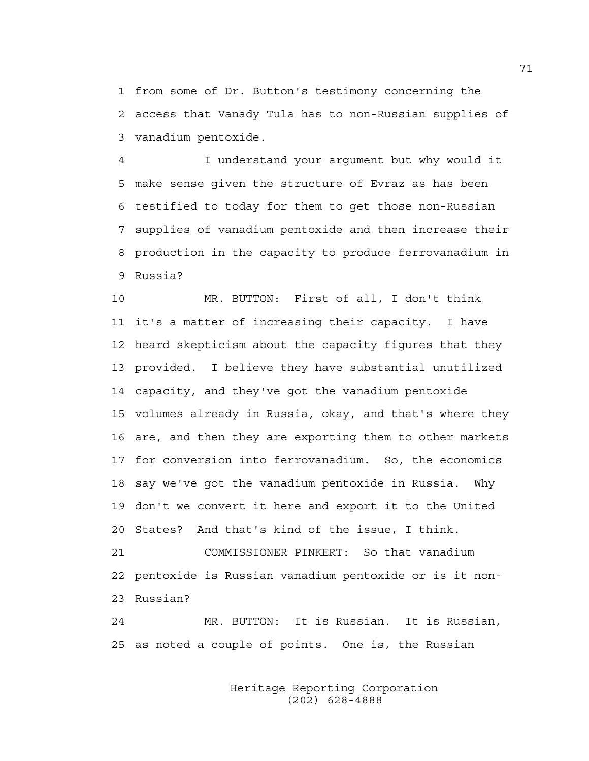1 from some of Dr. Button's testimony concerning the 2 access that Vanady Tula has to non-Russian supplies of 3 vanadium pentoxide.

4 I understand your argument but why would it 5 make sense given the structure of Evraz as has been 6 testified to today for them to get those non-Russian 7 supplies of vanadium pentoxide and then increase their 8 production in the capacity to produce ferrovanadium in 9 Russia?

10 MR. BUTTON: First of all, I don't think 11 it's a matter of increasing their capacity. I have 12 heard skepticism about the capacity figures that they 13 provided. I believe they have substantial unutilized 14 capacity, and they've got the vanadium pentoxide 15 volumes already in Russia, okay, and that's where they 16 are, and then they are exporting them to other markets 17 for conversion into ferrovanadium. So, the economics 18 say we've got the vanadium pentoxide in Russia. Why 19 don't we convert it here and export it to the United 20 States? And that's kind of the issue, I think.

21 COMMISSIONER PINKERT: So that vanadium 22 pentoxide is Russian vanadium pentoxide or is it non-23 Russian?

24 MR. BUTTON: It is Russian. It is Russian, 25 as noted a couple of points. One is, the Russian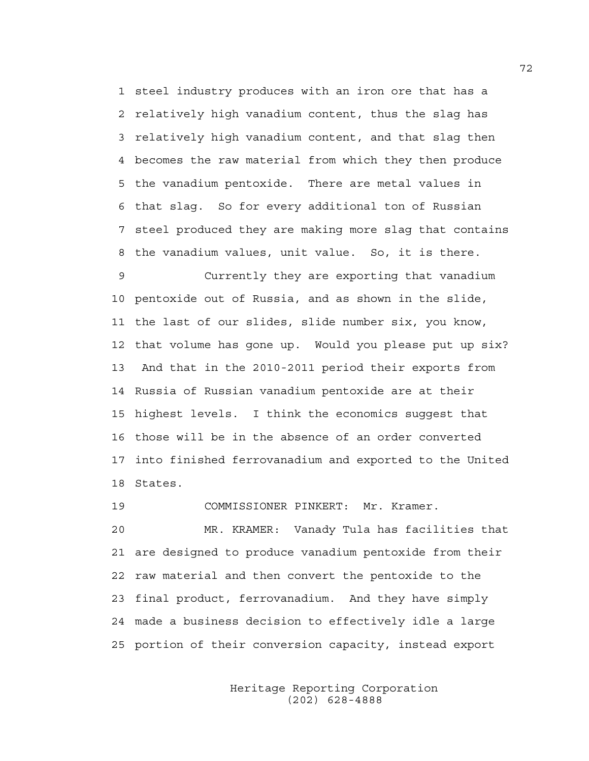1 steel industry produces with an iron ore that has a 2 relatively high vanadium content, thus the slag has 3 relatively high vanadium content, and that slag then 4 becomes the raw material from which they then produce 5 the vanadium pentoxide. There are metal values in 6 that slag. So for every additional ton of Russian 7 steel produced they are making more slag that contains 8 the vanadium values, unit value. So, it is there.

9 Currently they are exporting that vanadium 10 pentoxide out of Russia, and as shown in the slide, 11 the last of our slides, slide number six, you know, 12 that volume has gone up. Would you please put up six? 13 And that in the 2010-2011 period their exports from 14 Russia of Russian vanadium pentoxide are at their 15 highest levels. I think the economics suggest that 16 those will be in the absence of an order converted 17 into finished ferrovanadium and exported to the United 18 States.

19 COMMISSIONER PINKERT: Mr. Kramer.

20 MR. KRAMER: Vanady Tula has facilities that 21 are designed to produce vanadium pentoxide from their 22 raw material and then convert the pentoxide to the 23 final product, ferrovanadium. And they have simply 24 made a business decision to effectively idle a large 25 portion of their conversion capacity, instead export

> Heritage Reporting Corporation (202) 628-4888

72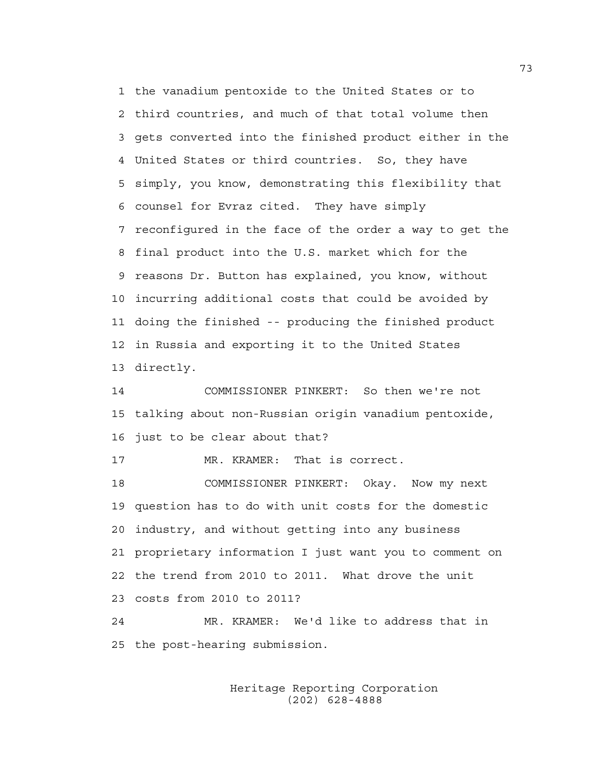1 the vanadium pentoxide to the United States or to 2 third countries, and much of that total volume then 3 gets converted into the finished product either in the 4 United States or third countries. So, they have 5 simply, you know, demonstrating this flexibility that 6 counsel for Evraz cited. They have simply 7 reconfigured in the face of the order a way to get the 8 final product into the U.S. market which for the 9 reasons Dr. Button has explained, you know, without 10 incurring additional costs that could be avoided by 11 doing the finished -- producing the finished product 12 in Russia and exporting it to the United States 13 directly.

14 COMMISSIONER PINKERT: So then we're not 15 talking about non-Russian origin vanadium pentoxide, 16 just to be clear about that?

17 MR. KRAMER: That is correct.

18 COMMISSIONER PINKERT: Okay. Now my next 19 question has to do with unit costs for the domestic 20 industry, and without getting into any business 21 proprietary information I just want you to comment on 22 the trend from 2010 to 2011. What drove the unit 23 costs from 2010 to 2011?

24 MR. KRAMER: We'd like to address that in 25 the post-hearing submission.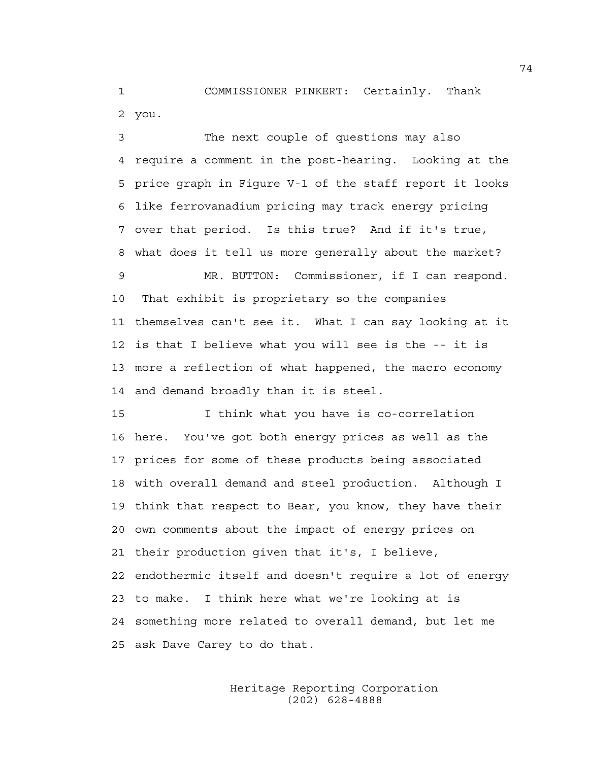1 COMMISSIONER PINKERT: Certainly. Thank 2 you.

3 The next couple of questions may also 4 require a comment in the post-hearing. Looking at the 5 price graph in Figure V-1 of the staff report it looks 6 like ferrovanadium pricing may track energy pricing 7 over that period. Is this true? And if it's true, 8 what does it tell us more generally about the market? 9 MR. BUTTON: Commissioner, if I can respond. 10 That exhibit is proprietary so the companies 11 themselves can't see it. What I can say looking at it 12 is that I believe what you will see is the -- it is 13 more a reflection of what happened, the macro economy 14 and demand broadly than it is steel.

15 I think what you have is co-correlation 16 here. You've got both energy prices as well as the 17 prices for some of these products being associated 18 with overall demand and steel production. Although I 19 think that respect to Bear, you know, they have their 20 own comments about the impact of energy prices on 21 their production given that it's, I believe, 22 endothermic itself and doesn't require a lot of energy 23 to make. I think here what we're looking at is 24 something more related to overall demand, but let me 25 ask Dave Carey to do that.

> Heritage Reporting Corporation (202) 628-4888

74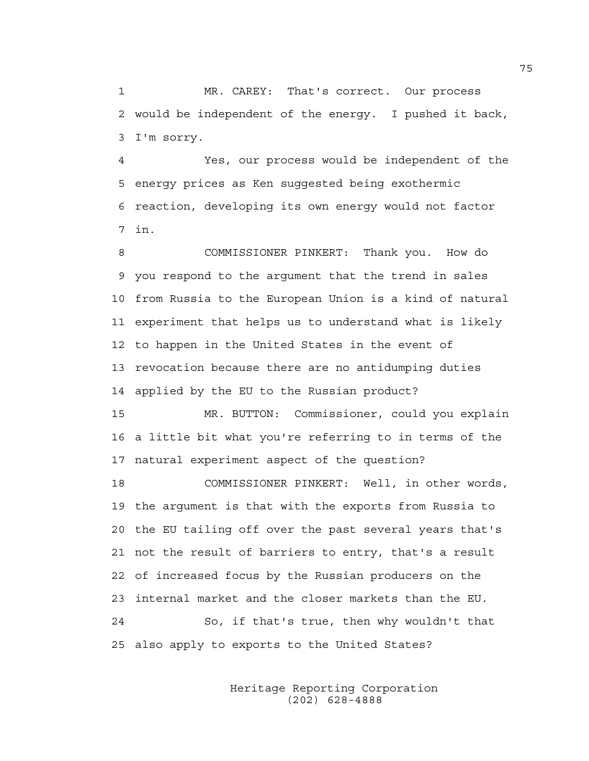1 MR. CAREY: That's correct. Our process 2 would be independent of the energy. I pushed it back, 3 I'm sorry.

4 Yes, our process would be independent of the 5 energy prices as Ken suggested being exothermic 6 reaction, developing its own energy would not factor 7 in.

8 COMMISSIONER PINKERT: Thank you. How do 9 you respond to the argument that the trend in sales 10 from Russia to the European Union is a kind of natural 11 experiment that helps us to understand what is likely 12 to happen in the United States in the event of 13 revocation because there are no antidumping duties 14 applied by the EU to the Russian product?

15 MR. BUTTON: Commissioner, could you explain 16 a little bit what you're referring to in terms of the 17 natural experiment aspect of the question?

18 COMMISSIONER PINKERT: Well, in other words, 19 the argument is that with the exports from Russia to 20 the EU tailing off over the past several years that's 21 not the result of barriers to entry, that's a result 22 of increased focus by the Russian producers on the 23 internal market and the closer markets than the EU. 24 So, if that's true, then why wouldn't that 25 also apply to exports to the United States?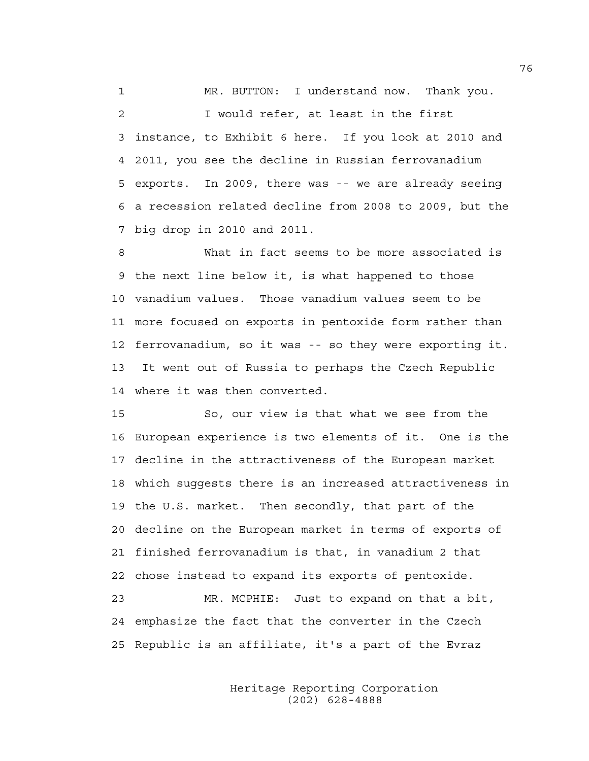1 MR. BUTTON: I understand now. Thank you. 2 I would refer, at least in the first 3 instance, to Exhibit 6 here. If you look at 2010 and 4 2011, you see the decline in Russian ferrovanadium 5 exports. In 2009, there was -- we are already seeing 6 a recession related decline from 2008 to 2009, but the 7 big drop in 2010 and 2011.

8 What in fact seems to be more associated is 9 the next line below it, is what happened to those 10 vanadium values. Those vanadium values seem to be 11 more focused on exports in pentoxide form rather than 12 ferrovanadium, so it was -- so they were exporting it. 13 It went out of Russia to perhaps the Czech Republic 14 where it was then converted.

15 So, our view is that what we see from the 16 European experience is two elements of it. One is the 17 decline in the attractiveness of the European market 18 which suggests there is an increased attractiveness in 19 the U.S. market. Then secondly, that part of the 20 decline on the European market in terms of exports of 21 finished ferrovanadium is that, in vanadium 2 that 22 chose instead to expand its exports of pentoxide. 23 MR. MCPHIE: Just to expand on that a bit,

24 emphasize the fact that the converter in the Czech 25 Republic is an affiliate, it's a part of the Evraz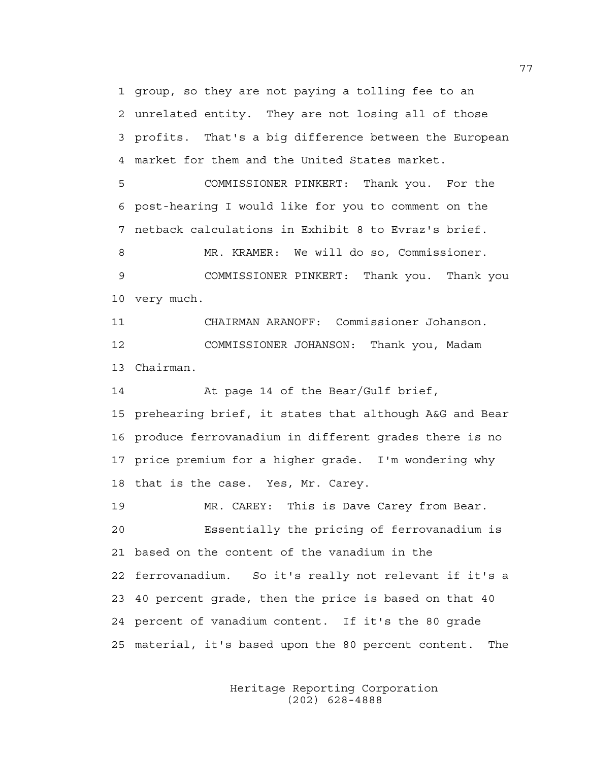1 group, so they are not paying a tolling fee to an 2 unrelated entity. They are not losing all of those 3 profits. That's a big difference between the European 4 market for them and the United States market.

5 COMMISSIONER PINKERT: Thank you. For the 6 post-hearing I would like for you to comment on the 7 netback calculations in Exhibit 8 to Evraz's brief.

8 MR. KRAMER: We will do so, Commissioner. 9 COMMISSIONER PINKERT: Thank you. Thank you 10 very much.

11 CHAIRMAN ARANOFF: Commissioner Johanson. 12 COMMISSIONER JOHANSON: Thank you, Madam 13 Chairman.

14 At page 14 of the Bear/Gulf brief, 15 prehearing brief, it states that although A&G and Bear 16 produce ferrovanadium in different grades there is no 17 price premium for a higher grade. I'm wondering why 18 that is the case. Yes, Mr. Carey.

19 MR. CAREY: This is Dave Carey from Bear. 20 Essentially the pricing of ferrovanadium is 21 based on the content of the vanadium in the 22 ferrovanadium. So it's really not relevant if it's a 23 40 percent grade, then the price is based on that 40 24 percent of vanadium content. If it's the 80 grade 25 material, it's based upon the 80 percent content. The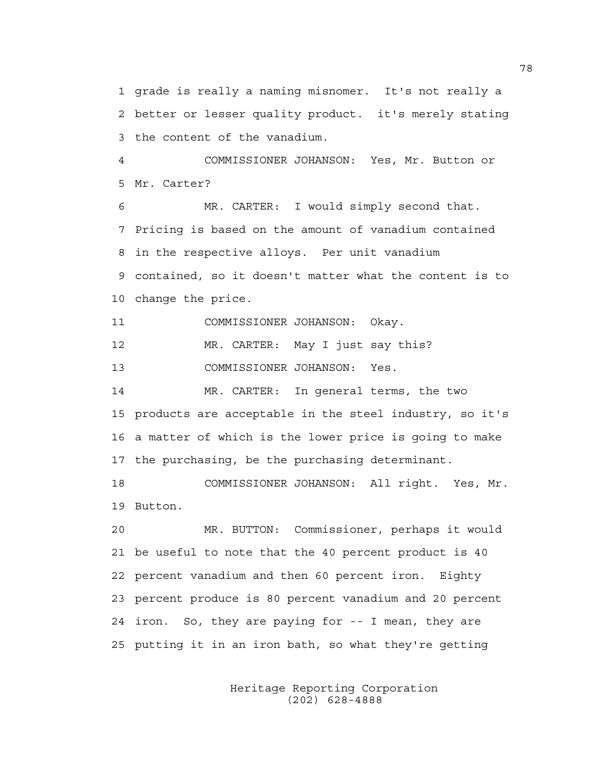1 grade is really a naming misnomer. It's not really a 2 better or lesser quality product. it's merely stating 3 the content of the vanadium.

4 COMMISSIONER JOHANSON: Yes, Mr. Button or 5 Mr. Carter?

6 MR. CARTER: I would simply second that. 7 Pricing is based on the amount of vanadium contained 8 in the respective alloys. Per unit vanadium 9 contained, so it doesn't matter what the content is to 10 change the price.

11 COMMISSIONER JOHANSON: Okay.

12 MR. CARTER: May I just say this?

13 COMMISSIONER JOHANSON: Yes.

14 MR. CARTER: In general terms, the two 15 products are acceptable in the steel industry, so it's 16 a matter of which is the lower price is going to make 17 the purchasing, be the purchasing determinant.

18 COMMISSIONER JOHANSON: All right. Yes, Mr. 19 Button.

20 MR. BUTTON: Commissioner, perhaps it would 21 be useful to note that the 40 percent product is 40 22 percent vanadium and then 60 percent iron. Eighty 23 percent produce is 80 percent vanadium and 20 percent 24 iron. So, they are paying for -- I mean, they are 25 putting it in an iron bath, so what they're getting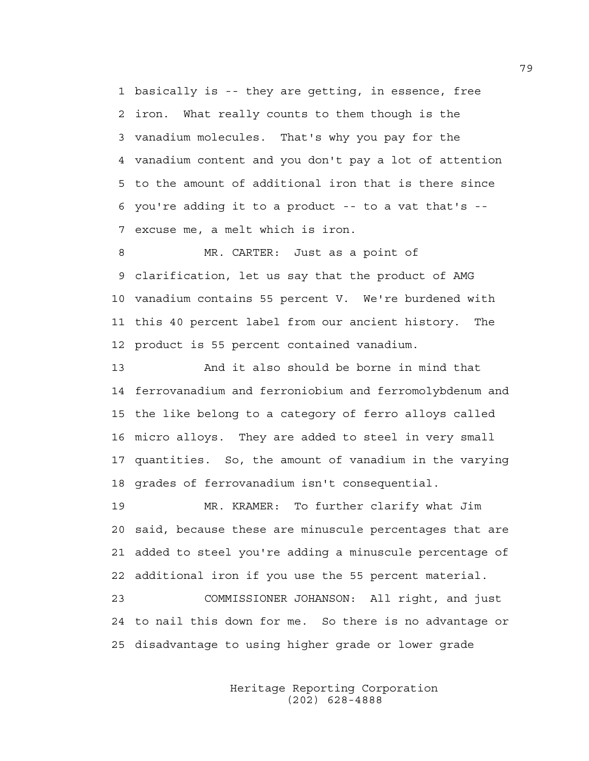1 basically is -- they are getting, in essence, free 2 iron. What really counts to them though is the 3 vanadium molecules. That's why you pay for the 4 vanadium content and you don't pay a lot of attention 5 to the amount of additional iron that is there since 6 you're adding it to a product -- to a vat that's -- 7 excuse me, a melt which is iron.

8 MR. CARTER: Just as a point of 9 clarification, let us say that the product of AMG 10 vanadium contains 55 percent V. We're burdened with 11 this 40 percent label from our ancient history. The 12 product is 55 percent contained vanadium.

13 And it also should be borne in mind that 14 ferrovanadium and ferroniobium and ferromolybdenum and 15 the like belong to a category of ferro alloys called 16 micro alloys. They are added to steel in very small 17 quantities. So, the amount of vanadium in the varying 18 grades of ferrovanadium isn't consequential.

19 MR. KRAMER: To further clarify what Jim 20 said, because these are minuscule percentages that are 21 added to steel you're adding a minuscule percentage of 22 additional iron if you use the 55 percent material.

23 COMMISSIONER JOHANSON: All right, and just 24 to nail this down for me. So there is no advantage or 25 disadvantage to using higher grade or lower grade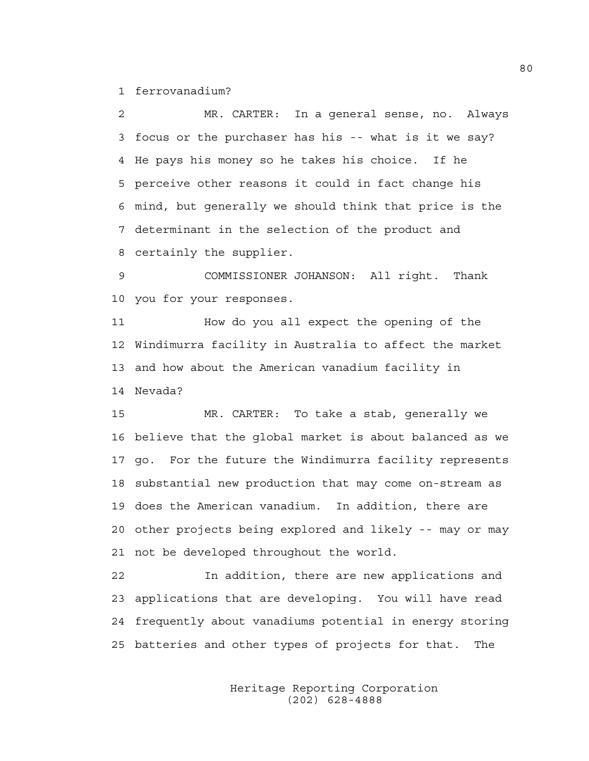1 ferrovanadium?

2 MR. CARTER: In a general sense, no. Always 3 focus or the purchaser has his -- what is it we say? 4 He pays his money so he takes his choice. If he 5 perceive other reasons it could in fact change his 6 mind, but generally we should think that price is the 7 determinant in the selection of the product and 8 certainly the supplier.

9 COMMISSIONER JOHANSON: All right. Thank 10 you for your responses.

11 How do you all expect the opening of the 12 Windimurra facility in Australia to affect the market 13 and how about the American vanadium facility in 14 Nevada?

15 MR. CARTER: To take a stab, generally we 16 believe that the global market is about balanced as we 17 go. For the future the Windimurra facility represents 18 substantial new production that may come on-stream as 19 does the American vanadium. In addition, there are 20 other projects being explored and likely -- may or may 21 not be developed throughout the world.

22 In addition, there are new applications and 23 applications that are developing. You will have read 24 frequently about vanadiums potential in energy storing 25 batteries and other types of projects for that. The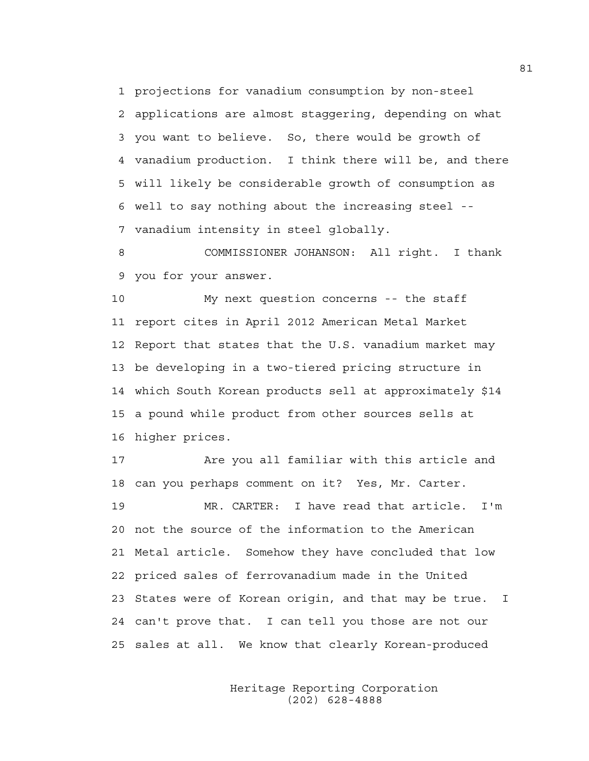1 projections for vanadium consumption by non-steel 2 applications are almost staggering, depending on what 3 you want to believe. So, there would be growth of 4 vanadium production. I think there will be, and there 5 will likely be considerable growth of consumption as 6 well to say nothing about the increasing steel -- 7 vanadium intensity in steel globally.

8 COMMISSIONER JOHANSON: All right. I thank 9 you for your answer.

10 My next question concerns -- the staff 11 report cites in April 2012 American Metal Market 12 Report that states that the U.S. vanadium market may 13 be developing in a two-tiered pricing structure in 14 which South Korean products sell at approximately \$14 15 a pound while product from other sources sells at 16 higher prices.

17 Are you all familiar with this article and 18 can you perhaps comment on it? Yes, Mr. Carter.

19 MR. CARTER: I have read that article. I'm 20 not the source of the information to the American 21 Metal article. Somehow they have concluded that low 22 priced sales of ferrovanadium made in the United 23 States were of Korean origin, and that may be true. I 24 can't prove that. I can tell you those are not our 25 sales at all. We know that clearly Korean-produced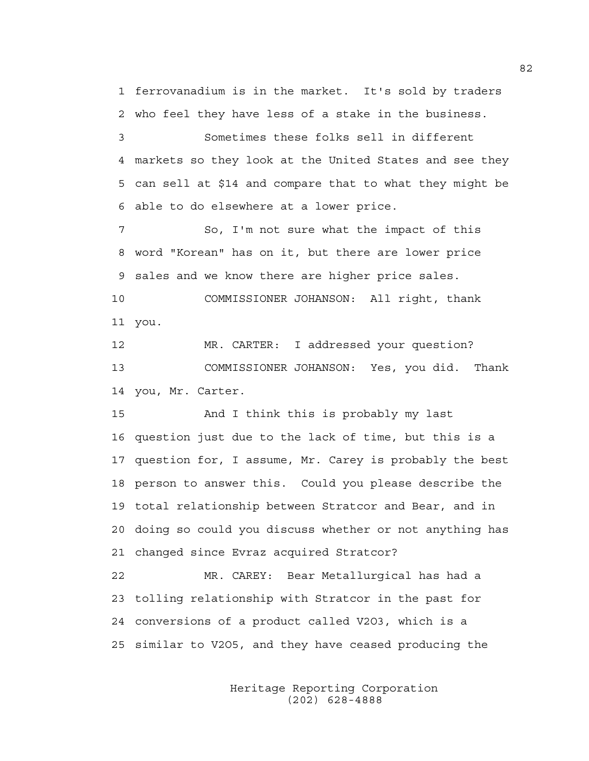1 ferrovanadium is in the market. It's sold by traders 2 who feel they have less of a stake in the business.

3 Sometimes these folks sell in different 4 markets so they look at the United States and see they 5 can sell at \$14 and compare that to what they might be 6 able to do elsewhere at a lower price.

7 So, I'm not sure what the impact of this 8 word "Korean" has on it, but there are lower price 9 sales and we know there are higher price sales.

10 COMMISSIONER JOHANSON: All right, thank 11 you.

12 MR. CARTER: I addressed your question? 13 COMMISSIONER JOHANSON: Yes, you did. Thank 14 you, Mr. Carter.

15 And I think this is probably my last 16 question just due to the lack of time, but this is a 17 question for, I assume, Mr. Carey is probably the best 18 person to answer this. Could you please describe the 19 total relationship between Stratcor and Bear, and in 20 doing so could you discuss whether or not anything has 21 changed since Evraz acquired Stratcor?

22 MR. CAREY: Bear Metallurgical has had a 23 tolling relationship with Stratcor in the past for 24 conversions of a product called V2O3, which is a 25 similar to V2O5, and they have ceased producing the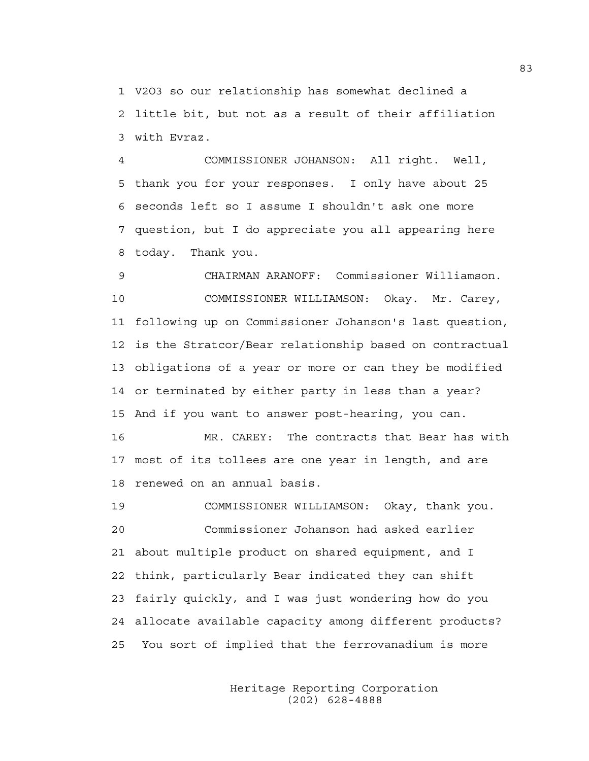1 V2O3 so our relationship has somewhat declined a 2 little bit, but not as a result of their affiliation 3 with Evraz.

4 COMMISSIONER JOHANSON: All right. Well, 5 thank you for your responses. I only have about 25 6 seconds left so I assume I shouldn't ask one more 7 question, but I do appreciate you all appearing here 8 today. Thank you.

9 CHAIRMAN ARANOFF: Commissioner Williamson. 10 COMMISSIONER WILLIAMSON: Okay. Mr. Carey, 11 following up on Commissioner Johanson's last question, 12 is the Stratcor/Bear relationship based on contractual 13 obligations of a year or more or can they be modified 14 or terminated by either party in less than a year? 15 And if you want to answer post-hearing, you can.

16 MR. CAREY: The contracts that Bear has with 17 most of its tollees are one year in length, and are 18 renewed on an annual basis.

19 COMMISSIONER WILLIAMSON: Okay, thank you. 20 Commissioner Johanson had asked earlier 21 about multiple product on shared equipment, and I 22 think, particularly Bear indicated they can shift 23 fairly quickly, and I was just wondering how do you 24 allocate available capacity among different products? 25 You sort of implied that the ferrovanadium is more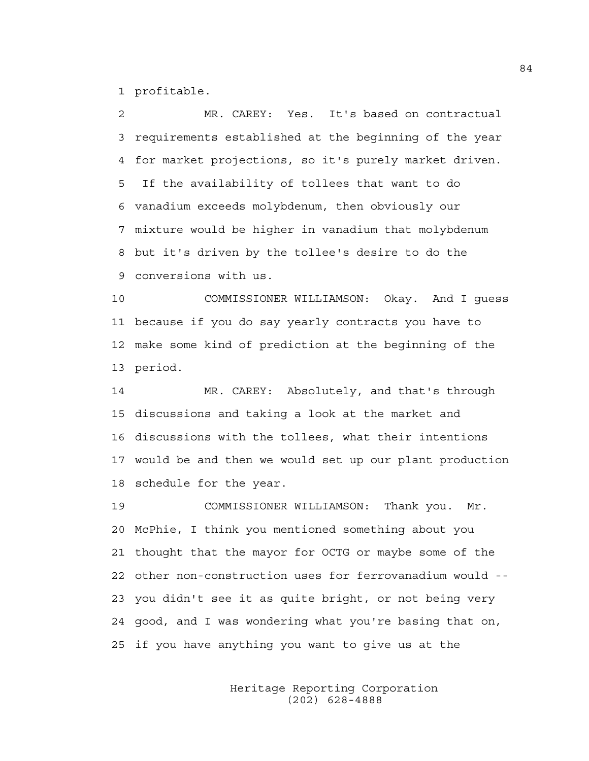1 profitable.

2 MR. CAREY: Yes. It's based on contractual 3 requirements established at the beginning of the year 4 for market projections, so it's purely market driven. 5 If the availability of tollees that want to do 6 vanadium exceeds molybdenum, then obviously our 7 mixture would be higher in vanadium that molybdenum 8 but it's driven by the tollee's desire to do the 9 conversions with us.

10 COMMISSIONER WILLIAMSON: Okay. And I guess 11 because if you do say yearly contracts you have to 12 make some kind of prediction at the beginning of the 13 period.

14 MR. CAREY: Absolutely, and that's through 15 discussions and taking a look at the market and 16 discussions with the tollees, what their intentions 17 would be and then we would set up our plant production 18 schedule for the year.

19 COMMISSIONER WILLIAMSON: Thank you. Mr. 20 McPhie, I think you mentioned something about you 21 thought that the mayor for OCTG or maybe some of the 22 other non-construction uses for ferrovanadium would -- 23 you didn't see it as quite bright, or not being very 24 good, and I was wondering what you're basing that on, 25 if you have anything you want to give us at the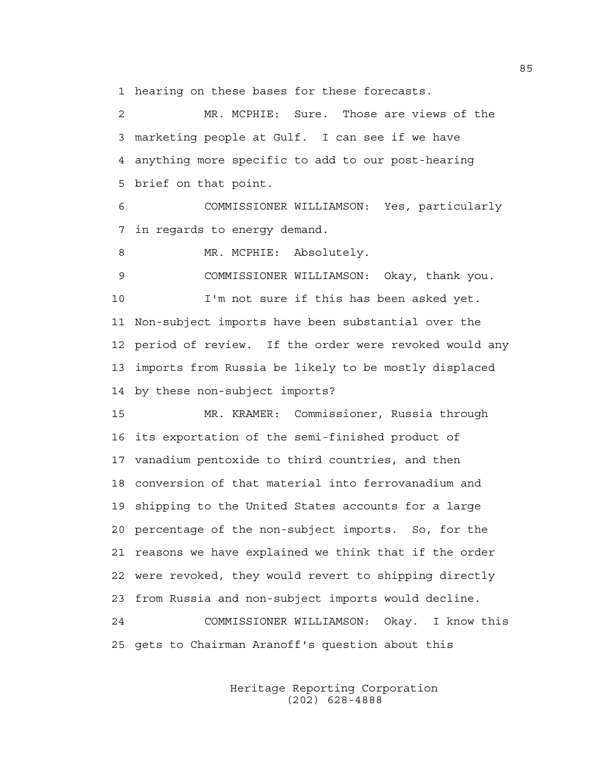1 hearing on these bases for these forecasts.

2 MR. MCPHIE: Sure. Those are views of the 3 marketing people at Gulf. I can see if we have 4 anything more specific to add to our post-hearing 5 brief on that point.

6 COMMISSIONER WILLIAMSON: Yes, particularly 7 in regards to energy demand.

8 MR. MCPHIE: Absolutely.

9 COMMISSIONER WILLIAMSON: Okay, thank you. 10 I'm not sure if this has been asked yet. 11 Non-subject imports have been substantial over the 12 period of review. If the order were revoked would any 13 imports from Russia be likely to be mostly displaced 14 by these non-subject imports?

15 MR. KRAMER: Commissioner, Russia through 16 its exportation of the semi-finished product of 17 vanadium pentoxide to third countries, and then 18 conversion of that material into ferrovanadium and 19 shipping to the United States accounts for a large 20 percentage of the non-subject imports. So, for the 21 reasons we have explained we think that if the order 22 were revoked, they would revert to shipping directly 23 from Russia and non-subject imports would decline. 24 COMMISSIONER WILLIAMSON: Okay. I know this 25 gets to Chairman Aranoff's question about this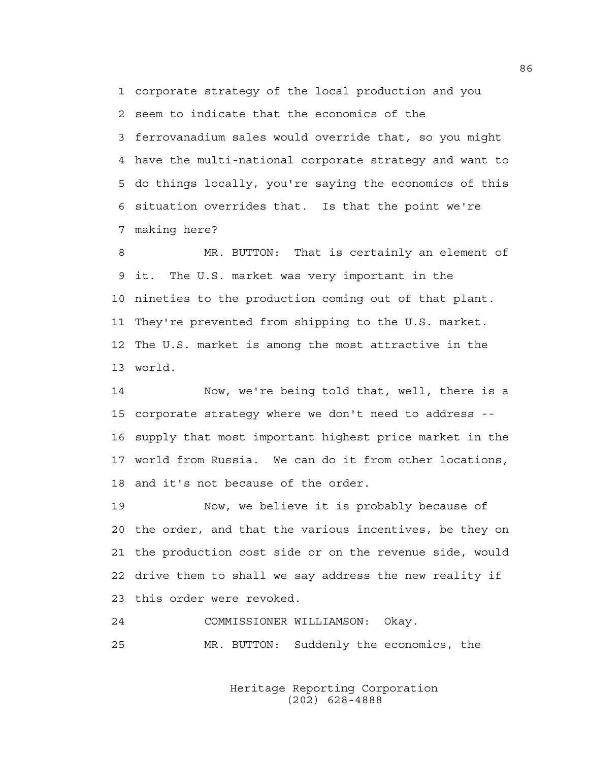1 corporate strategy of the local production and you 2 seem to indicate that the economics of the 3 ferrovanadium sales would override that, so you might 4 have the multi-national corporate strategy and want to 5 do things locally, you're saying the economics of this 6 situation overrides that. Is that the point we're 7 making here?

8 MR. BUTTON: That is certainly an element of 9 it. The U.S. market was very important in the 10 nineties to the production coming out of that plant. 11 They're prevented from shipping to the U.S. market. 12 The U.S. market is among the most attractive in the 13 world.

14 Now, we're being told that, well, there is a 15 corporate strategy where we don't need to address -- 16 supply that most important highest price market in the 17 world from Russia. We can do it from other locations, 18 and it's not because of the order.

19 Now, we believe it is probably because of 20 the order, and that the various incentives, be they on 21 the production cost side or on the revenue side, would 22 drive them to shall we say address the new reality if 23 this order were revoked.

## 24 COMMISSIONER WILLIAMSON: Okay.

25 MR. BUTTON: Suddenly the economics, the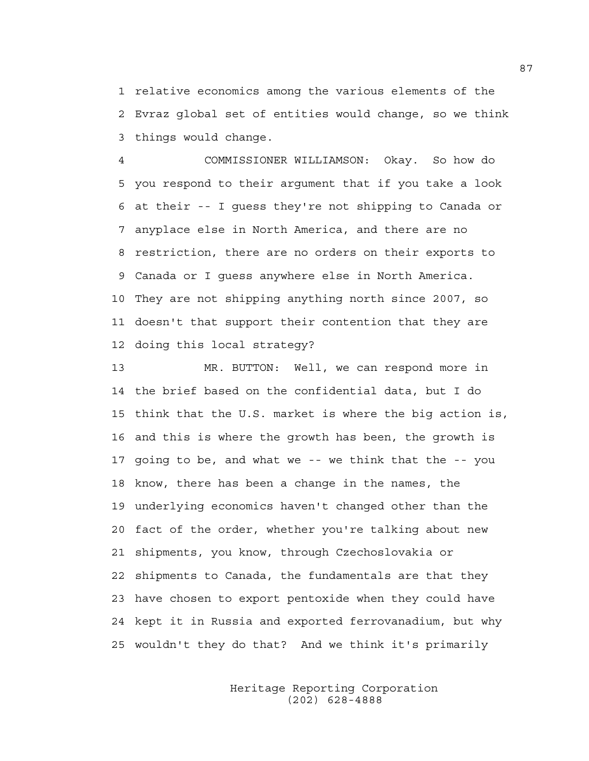1 relative economics among the various elements of the 2 Evraz global set of entities would change, so we think 3 things would change.

4 COMMISSIONER WILLIAMSON: Okay. So how do 5 you respond to their argument that if you take a look 6 at their -- I guess they're not shipping to Canada or 7 anyplace else in North America, and there are no 8 restriction, there are no orders on their exports to 9 Canada or I guess anywhere else in North America. 10 They are not shipping anything north since 2007, so 11 doesn't that support their contention that they are 12 doing this local strategy?

13 MR. BUTTON: Well, we can respond more in 14 the brief based on the confidential data, but I do 15 think that the U.S. market is where the big action is, 16 and this is where the growth has been, the growth is 17 going to be, and what we -- we think that the -- you 18 know, there has been a change in the names, the 19 underlying economics haven't changed other than the 20 fact of the order, whether you're talking about new 21 shipments, you know, through Czechoslovakia or 22 shipments to Canada, the fundamentals are that they 23 have chosen to export pentoxide when they could have 24 kept it in Russia and exported ferrovanadium, but why 25 wouldn't they do that? And we think it's primarily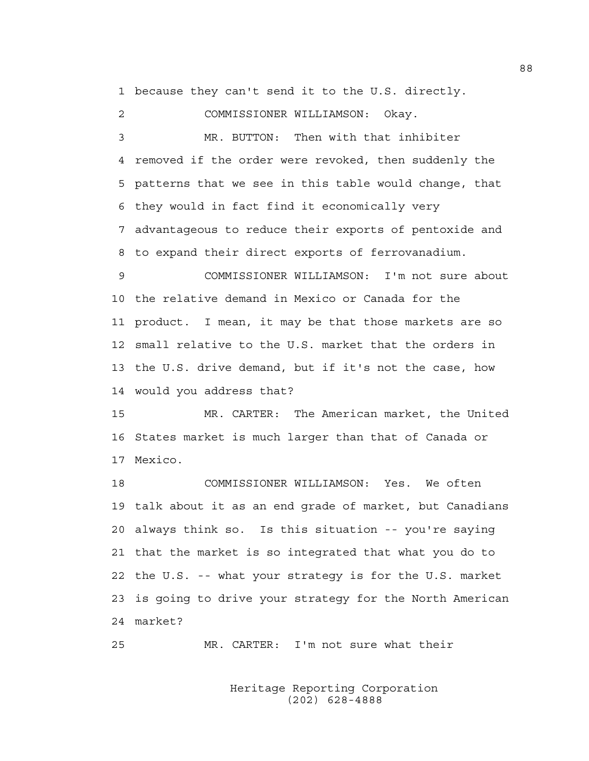1 because they can't send it to the U.S. directly.

2 COMMISSIONER WILLIAMSON: Okay.

3 MR. BUTTON: Then with that inhibiter 4 removed if the order were revoked, then suddenly the 5 patterns that we see in this table would change, that 6 they would in fact find it economically very 7 advantageous to reduce their exports of pentoxide and 8 to expand their direct exports of ferrovanadium.

9 COMMISSIONER WILLIAMSON: I'm not sure about 10 the relative demand in Mexico or Canada for the 11 product. I mean, it may be that those markets are so 12 small relative to the U.S. market that the orders in 13 the U.S. drive demand, but if it's not the case, how 14 would you address that?

15 MR. CARTER: The American market, the United 16 States market is much larger than that of Canada or 17 Mexico.

18 COMMISSIONER WILLIAMSON: Yes. We often 19 talk about it as an end grade of market, but Canadians 20 always think so. Is this situation -- you're saying 21 that the market is so integrated that what you do to 22 the U.S. -- what your strategy is for the U.S. market 23 is going to drive your strategy for the North American 24 market?

25 MR. CARTER: I'm not sure what their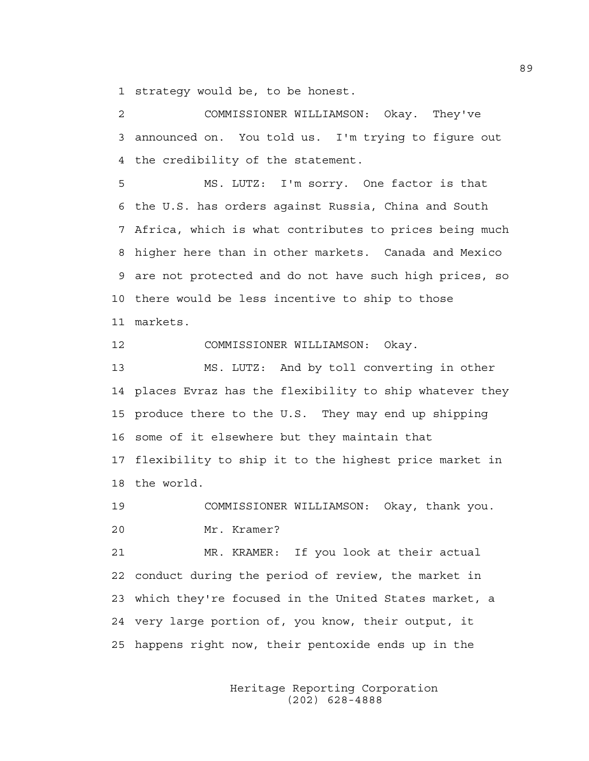1 strategy would be, to be honest.

2 COMMISSIONER WILLIAMSON: Okay. They've 3 announced on. You told us. I'm trying to figure out 4 the credibility of the statement.

5 MS. LUTZ: I'm sorry. One factor is that 6 the U.S. has orders against Russia, China and South 7 Africa, which is what contributes to prices being much 8 higher here than in other markets. Canada and Mexico 9 are not protected and do not have such high prices, so 10 there would be less incentive to ship to those 11 markets.

12 COMMISSIONER WILLIAMSON: Okay.

13 MS. LUTZ: And by toll converting in other 14 places Evraz has the flexibility to ship whatever they 15 produce there to the U.S. They may end up shipping 16 some of it elsewhere but they maintain that 17 flexibility to ship it to the highest price market in 18 the world.

19 COMMISSIONER WILLIAMSON: Okay, thank you. 20 Mr. Kramer?

21 MR. KRAMER: If you look at their actual 22 conduct during the period of review, the market in 23 which they're focused in the United States market, a 24 very large portion of, you know, their output, it 25 happens right now, their pentoxide ends up in the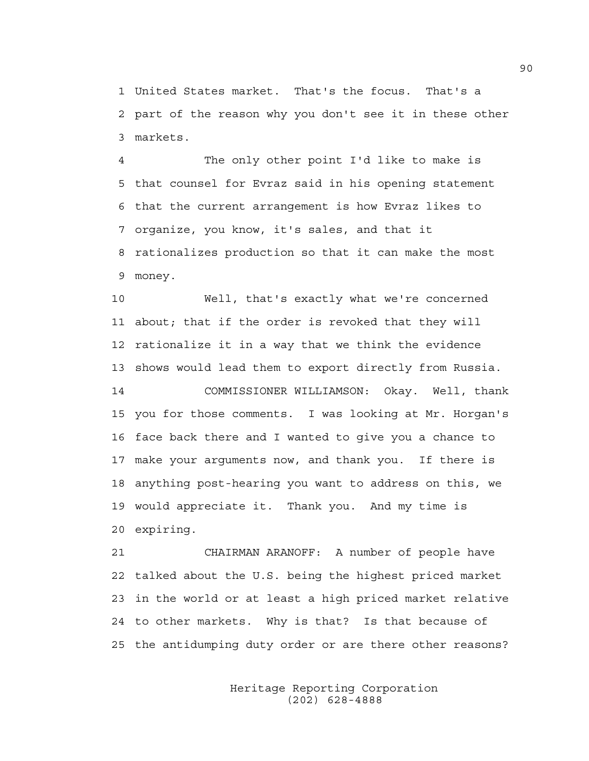1 United States market. That's the focus. That's a 2 part of the reason why you don't see it in these other 3 markets.

4 The only other point I'd like to make is 5 that counsel for Evraz said in his opening statement 6 that the current arrangement is how Evraz likes to 7 organize, you know, it's sales, and that it 8 rationalizes production so that it can make the most 9 money.

10 Well, that's exactly what we're concerned 11 about; that if the order is revoked that they will 12 rationalize it in a way that we think the evidence 13 shows would lead them to export directly from Russia.

14 COMMISSIONER WILLIAMSON: Okay. Well, thank 15 you for those comments. I was looking at Mr. Horgan's 16 face back there and I wanted to give you a chance to 17 make your arguments now, and thank you. If there is 18 anything post-hearing you want to address on this, we 19 would appreciate it. Thank you. And my time is 20 expiring.

21 CHAIRMAN ARANOFF: A number of people have 22 talked about the U.S. being the highest priced market 23 in the world or at least a high priced market relative 24 to other markets. Why is that? Is that because of 25 the antidumping duty order or are there other reasons?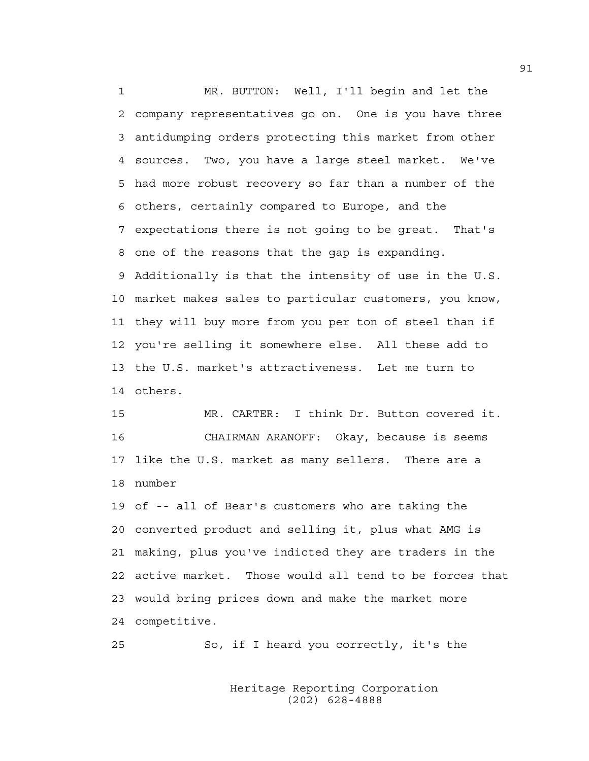1 MR. BUTTON: Well, I'll begin and let the 2 company representatives go on. One is you have three 3 antidumping orders protecting this market from other 4 sources. Two, you have a large steel market. We've 5 had more robust recovery so far than a number of the 6 others, certainly compared to Europe, and the 7 expectations there is not going to be great. That's 8 one of the reasons that the gap is expanding. 9 Additionally is that the intensity of use in the U.S. 10 market makes sales to particular customers, you know, 11 they will buy more from you per ton of steel than if 12 you're selling it somewhere else. All these add to 13 the U.S. market's attractiveness. Let me turn to 14 others.

15 MR. CARTER: I think Dr. Button covered it. 16 CHAIRMAN ARANOFF: Okay, because is seems 17 like the U.S. market as many sellers. There are a 18 number

19 of -- all of Bear's customers who are taking the 20 converted product and selling it, plus what AMG is 21 making, plus you've indicted they are traders in the 22 active market. Those would all tend to be forces that 23 would bring prices down and make the market more 24 competitive.

25 So, if I heard you correctly, it's the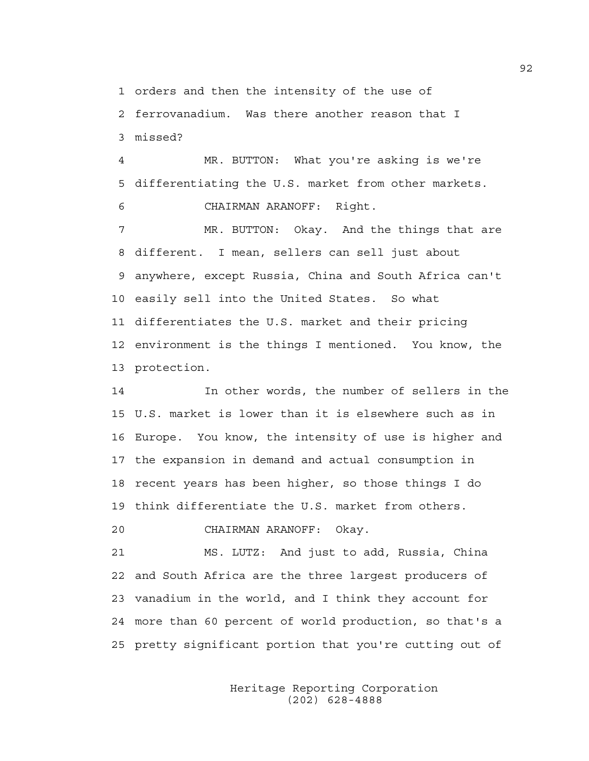1 orders and then the intensity of the use of

2 ferrovanadium. Was there another reason that I 3 missed?

4 MR. BUTTON: What you're asking is we're 5 differentiating the U.S. market from other markets. 6 CHAIRMAN ARANOFF: Right.

7 MR. BUTTON: Okay. And the things that are 8 different. I mean, sellers can sell just about 9 anywhere, except Russia, China and South Africa can't 10 easily sell into the United States. So what 11 differentiates the U.S. market and their pricing 12 environment is the things I mentioned. You know, the 13 protection.

14 In other words, the number of sellers in the 15 U.S. market is lower than it is elsewhere such as in 16 Europe. You know, the intensity of use is higher and 17 the expansion in demand and actual consumption in 18 recent years has been higher, so those things I do 19 think differentiate the U.S. market from others.

20 CHAIRMAN ARANOFF: Okay.

21 MS. LUTZ: And just to add, Russia, China 22 and South Africa are the three largest producers of 23 vanadium in the world, and I think they account for 24 more than 60 percent of world production, so that's a 25 pretty significant portion that you're cutting out of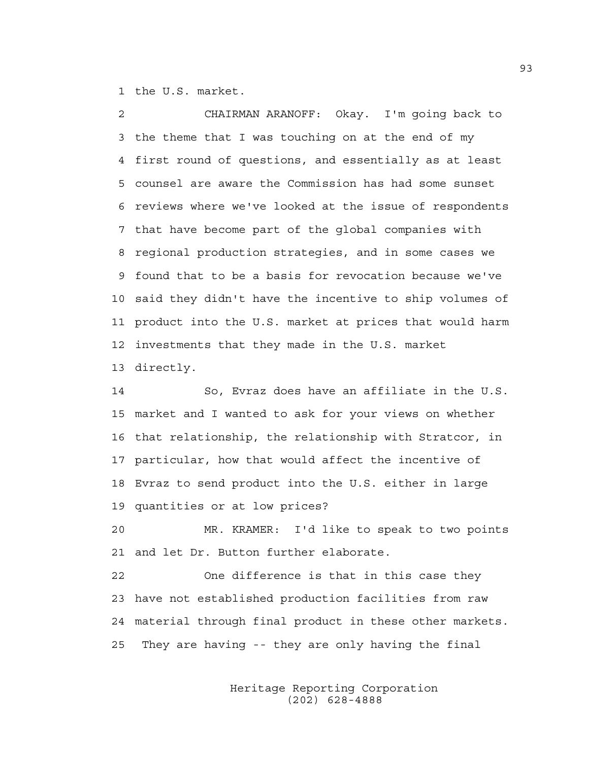1 the U.S. market.

2 CHAIRMAN ARANOFF: Okay. I'm going back to 3 the theme that I was touching on at the end of my 4 first round of questions, and essentially as at least 5 counsel are aware the Commission has had some sunset 6 reviews where we've looked at the issue of respondents 7 that have become part of the global companies with 8 regional production strategies, and in some cases we 9 found that to be a basis for revocation because we've 10 said they didn't have the incentive to ship volumes of 11 product into the U.S. market at prices that would harm 12 investments that they made in the U.S. market 13 directly.

14 So, Evraz does have an affiliate in the U.S. 15 market and I wanted to ask for your views on whether 16 that relationship, the relationship with Stratcor, in 17 particular, how that would affect the incentive of 18 Evraz to send product into the U.S. either in large 19 quantities or at low prices?

20 MR. KRAMER: I'd like to speak to two points 21 and let Dr. Button further elaborate.

22 One difference is that in this case they 23 have not established production facilities from raw 24 material through final product in these other markets. 25 They are having -- they are only having the final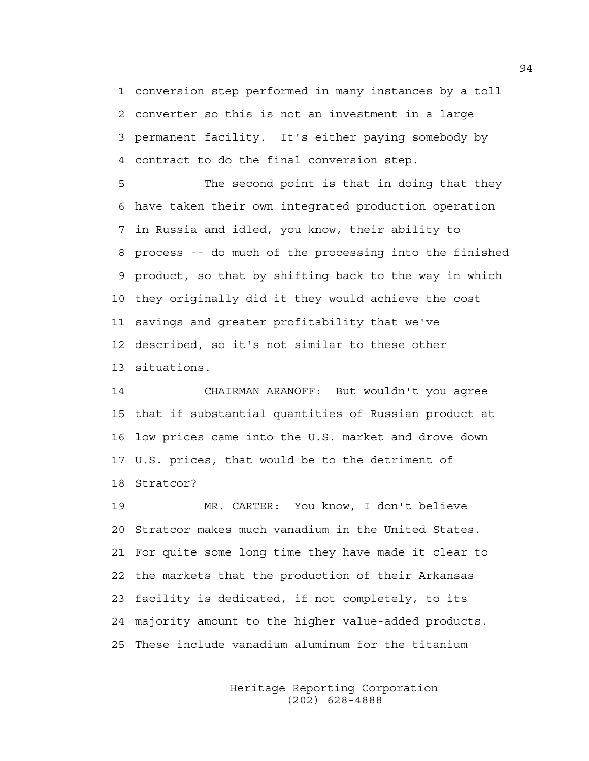1 conversion step performed in many instances by a toll 2 converter so this is not an investment in a large 3 permanent facility. It's either paying somebody by 4 contract to do the final conversion step.

5 The second point is that in doing that they 6 have taken their own integrated production operation 7 in Russia and idled, you know, their ability to 8 process -- do much of the processing into the finished 9 product, so that by shifting back to the way in which 10 they originally did it they would achieve the cost 11 savings and greater profitability that we've 12 described, so it's not similar to these other 13 situations.

14 CHAIRMAN ARANOFF: But wouldn't you agree 15 that if substantial quantities of Russian product at 16 low prices came into the U.S. market and drove down 17 U.S. prices, that would be to the detriment of 18 Stratcor?

19 MR. CARTER: You know, I don't believe 20 Stratcor makes much vanadium in the United States. 21 For quite some long time they have made it clear to 22 the markets that the production of their Arkansas 23 facility is dedicated, if not completely, to its 24 majority amount to the higher value-added products. 25 These include vanadium aluminum for the titanium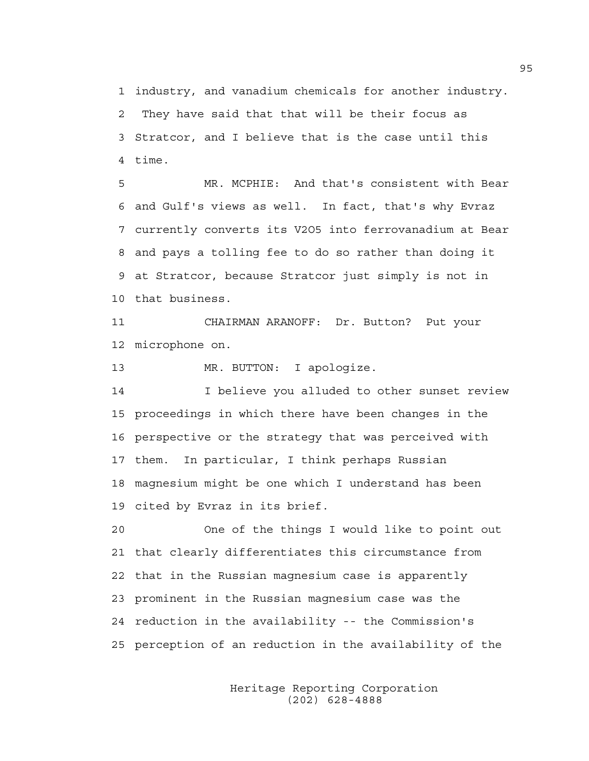1 industry, and vanadium chemicals for another industry. 2 They have said that that will be their focus as 3 Stratcor, and I believe that is the case until this 4 time.

5 MR. MCPHIE: And that's consistent with Bear 6 and Gulf's views as well. In fact, that's why Evraz 7 currently converts its V2O5 into ferrovanadium at Bear 8 and pays a tolling fee to do so rather than doing it 9 at Stratcor, because Stratcor just simply is not in 10 that business.

11 CHAIRMAN ARANOFF: Dr. Button? Put your 12 microphone on.

13 MR. BUTTON: I apologize.

14 I believe you alluded to other sunset review 15 proceedings in which there have been changes in the 16 perspective or the strategy that was perceived with 17 them. In particular, I think perhaps Russian 18 magnesium might be one which I understand has been 19 cited by Evraz in its brief.

20 One of the things I would like to point out 21 that clearly differentiates this circumstance from 22 that in the Russian magnesium case is apparently 23 prominent in the Russian magnesium case was the 24 reduction in the availability -- the Commission's 25 perception of an reduction in the availability of the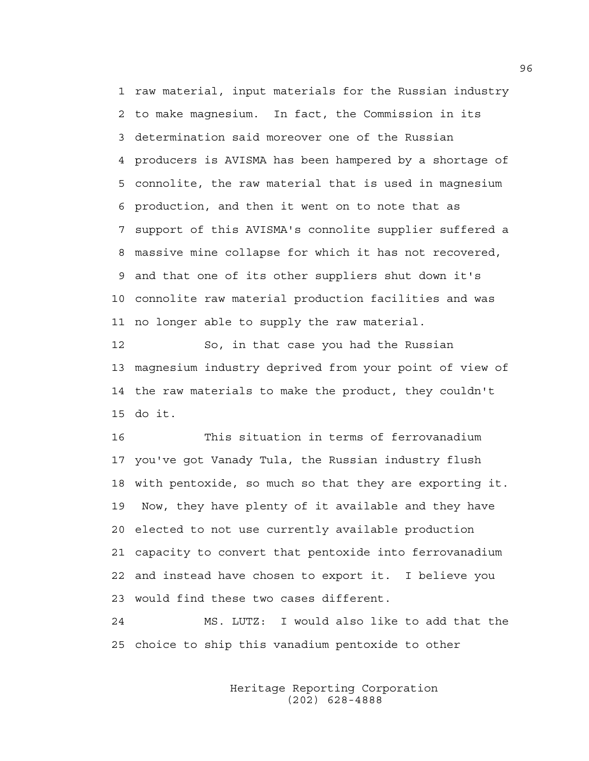1 raw material, input materials for the Russian industry 2 to make magnesium. In fact, the Commission in its 3 determination said moreover one of the Russian 4 producers is AVISMA has been hampered by a shortage of 5 connolite, the raw material that is used in magnesium 6 production, and then it went on to note that as 7 support of this AVISMA's connolite supplier suffered a 8 massive mine collapse for which it has not recovered, 9 and that one of its other suppliers shut down it's 10 connolite raw material production facilities and was 11 no longer able to supply the raw material.

12 So, in that case you had the Russian 13 magnesium industry deprived from your point of view of 14 the raw materials to make the product, they couldn't 15 do it.

16 This situation in terms of ferrovanadium 17 you've got Vanady Tula, the Russian industry flush 18 with pentoxide, so much so that they are exporting it. 19 Now, they have plenty of it available and they have 20 elected to not use currently available production 21 capacity to convert that pentoxide into ferrovanadium 22 and instead have chosen to export it. I believe you 23 would find these two cases different.

24 MS. LUTZ: I would also like to add that the 25 choice to ship this vanadium pentoxide to other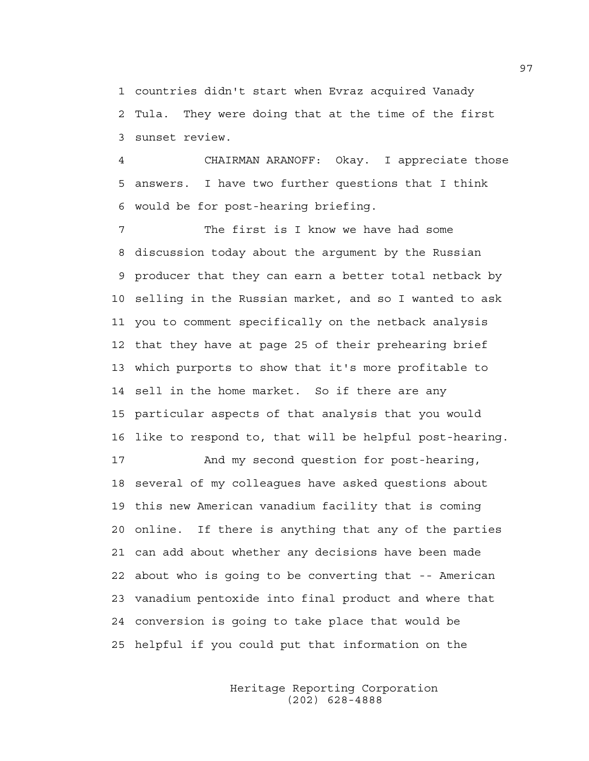1 countries didn't start when Evraz acquired Vanady 2 Tula. They were doing that at the time of the first 3 sunset review.

4 CHAIRMAN ARANOFF: Okay. I appreciate those 5 answers. I have two further questions that I think 6 would be for post-hearing briefing.

7 The first is I know we have had some 8 discussion today about the argument by the Russian 9 producer that they can earn a better total netback by 10 selling in the Russian market, and so I wanted to ask 11 you to comment specifically on the netback analysis 12 that they have at page 25 of their prehearing brief 13 which purports to show that it's more profitable to 14 sell in the home market. So if there are any 15 particular aspects of that analysis that you would 16 like to respond to, that will be helpful post-hearing.

17 And my second question for post-hearing, 18 several of my colleagues have asked questions about 19 this new American vanadium facility that is coming 20 online. If there is anything that any of the parties 21 can add about whether any decisions have been made 22 about who is going to be converting that -- American 23 vanadium pentoxide into final product and where that 24 conversion is going to take place that would be 25 helpful if you could put that information on the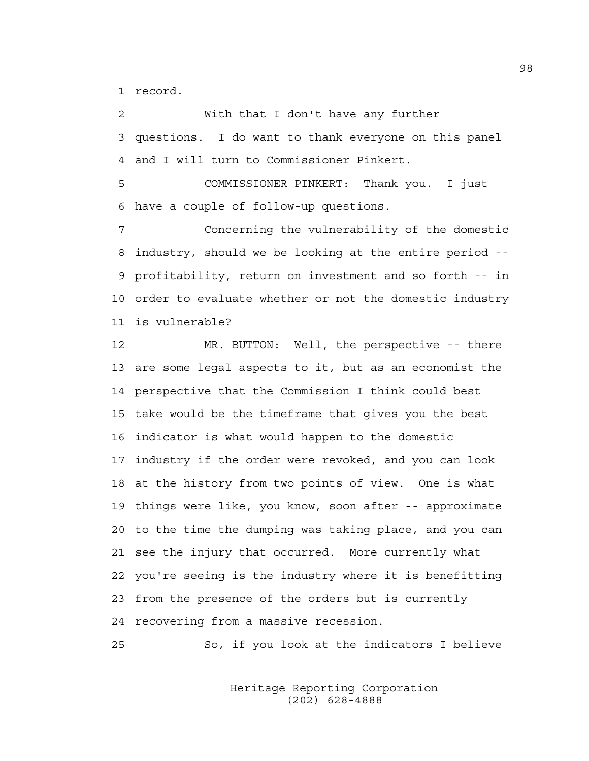1 record.

2 With that I don't have any further 3 questions. I do want to thank everyone on this panel 4 and I will turn to Commissioner Pinkert.

5 COMMISSIONER PINKERT: Thank you. I just 6 have a couple of follow-up questions.

7 Concerning the vulnerability of the domestic 8 industry, should we be looking at the entire period -- 9 profitability, return on investment and so forth -- in 10 order to evaluate whether or not the domestic industry 11 is vulnerable?

12 MR. BUTTON: Well, the perspective -- there 13 are some legal aspects to it, but as an economist the 14 perspective that the Commission I think could best 15 take would be the timeframe that gives you the best 16 indicator is what would happen to the domestic 17 industry if the order were revoked, and you can look 18 at the history from two points of view. One is what 19 things were like, you know, soon after -- approximate 20 to the time the dumping was taking place, and you can 21 see the injury that occurred. More currently what 22 you're seeing is the industry where it is benefitting 23 from the presence of the orders but is currently 24 recovering from a massive recession.

25 So, if you look at the indicators I believe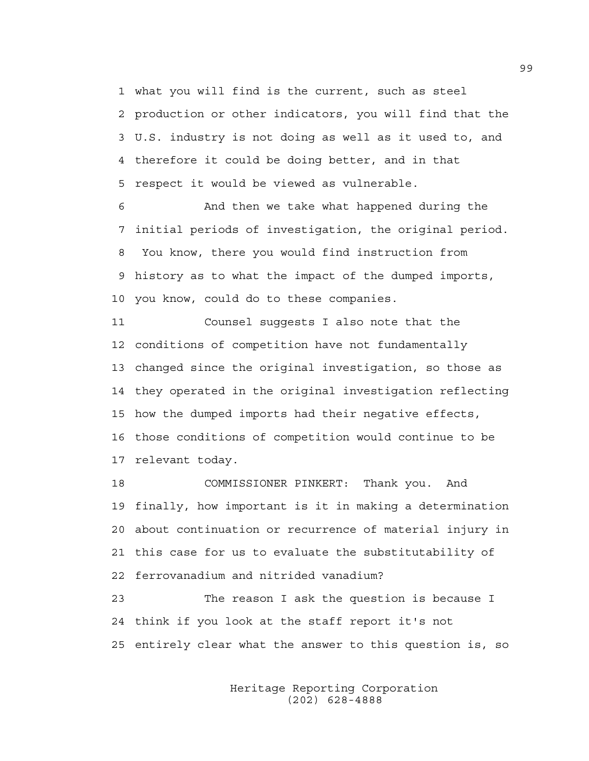1 what you will find is the current, such as steel 2 production or other indicators, you will find that the 3 U.S. industry is not doing as well as it used to, and 4 therefore it could be doing better, and in that 5 respect it would be viewed as vulnerable.

6 And then we take what happened during the 7 initial periods of investigation, the original period. 8 You know, there you would find instruction from 9 history as to what the impact of the dumped imports, 10 you know, could do to these companies.

11 Counsel suggests I also note that the 12 conditions of competition have not fundamentally 13 changed since the original investigation, so those as 14 they operated in the original investigation reflecting 15 how the dumped imports had their negative effects, 16 those conditions of competition would continue to be 17 relevant today.

18 COMMISSIONER PINKERT: Thank you. And 19 finally, how important is it in making a determination 20 about continuation or recurrence of material injury in 21 this case for us to evaluate the substitutability of 22 ferrovanadium and nitrided vanadium?

23 The reason I ask the question is because I 24 think if you look at the staff report it's not 25 entirely clear what the answer to this question is, so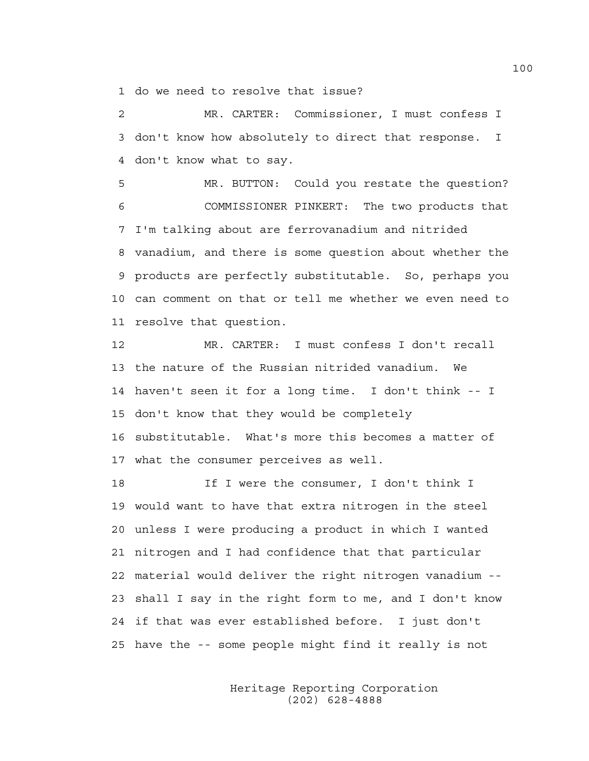1 do we need to resolve that issue?

2 MR. CARTER: Commissioner, I must confess I 3 don't know how absolutely to direct that response. I 4 don't know what to say.

5 MR. BUTTON: Could you restate the question? 6 COMMISSIONER PINKERT: The two products that 7 I'm talking about are ferrovanadium and nitrided 8 vanadium, and there is some question about whether the 9 products are perfectly substitutable. So, perhaps you 10 can comment on that or tell me whether we even need to 11 resolve that question.

12 MR. CARTER: I must confess I don't recall 13 the nature of the Russian nitrided vanadium. We 14 haven't seen it for a long time. I don't think -- I 15 don't know that they would be completely 16 substitutable. What's more this becomes a matter of 17 what the consumer perceives as well.

18 18 If I were the consumer, I don't think I 19 would want to have that extra nitrogen in the steel 20 unless I were producing a product in which I wanted 21 nitrogen and I had confidence that that particular 22 material would deliver the right nitrogen vanadium -- 23 shall I say in the right form to me, and I don't know 24 if that was ever established before. I just don't 25 have the -- some people might find it really is not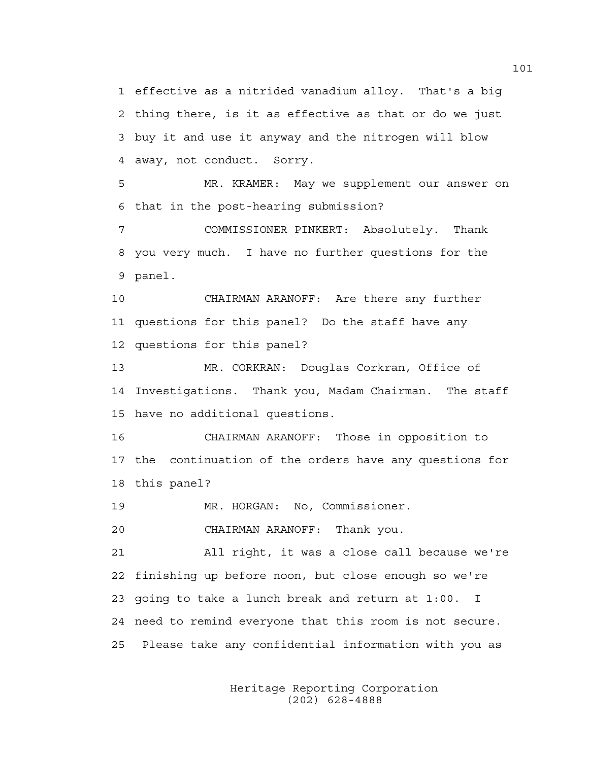1 effective as a nitrided vanadium alloy. That's a big 2 thing there, is it as effective as that or do we just 3 buy it and use it anyway and the nitrogen will blow 4 away, not conduct. Sorry.

5 MR. KRAMER: May we supplement our answer on 6 that in the post-hearing submission?

7 COMMISSIONER PINKERT: Absolutely. Thank 8 you very much. I have no further questions for the 9 panel.

10 CHAIRMAN ARANOFF: Are there any further 11 questions for this panel? Do the staff have any 12 questions for this panel?

13 MR. CORKRAN: Douglas Corkran, Office of 14 Investigations. Thank you, Madam Chairman. The staff 15 have no additional questions.

16 CHAIRMAN ARANOFF: Those in opposition to 17 the continuation of the orders have any questions for 18 this panel?

19 MR. HORGAN: No, Commissioner.

20 CHAIRMAN ARANOFF: Thank you.

21 All right, it was a close call because we're 22 finishing up before noon, but close enough so we're 23 going to take a lunch break and return at 1:00. I 24 need to remind everyone that this room is not secure. 25 Please take any confidential information with you as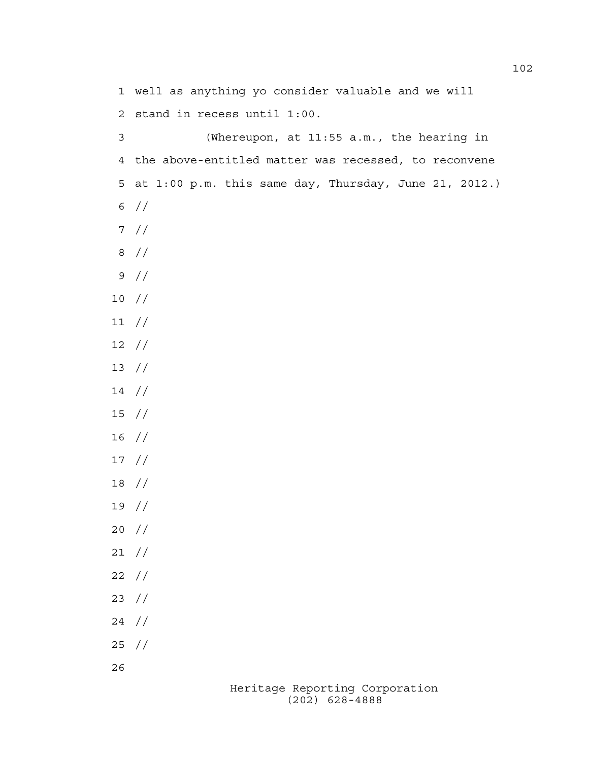Heritage Reporting Corporation 1 well as anything yo consider valuable and we will 2 stand in recess until 1:00. 3 (Whereupon, at 11:55 a.m., the hearing in 4 the above-entitled matter was recessed, to reconvene 5 at 1:00 p.m. this same day, Thursday, June 21, 2012.) 6 // 7 // 8 // 9 // 10 // 11 // 12 // 13 // 14 // 15 // 16 // 17 // 18 // 19 // 20 // 21 // 22 // 23 // 24 // 25 // 26

(202) 628-4888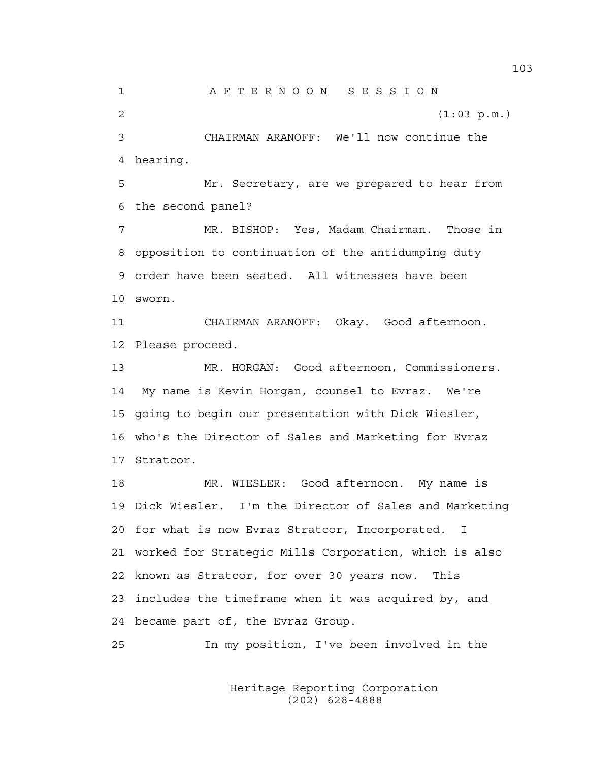1 A F T E R N O O N S E S S I O N 2 (1:03 p.m.) 3 CHAIRMAN ARANOFF: We'll now continue the 4 hearing. 5 Mr. Secretary, are we prepared to hear from 6 the second panel? 7 MR. BISHOP: Yes, Madam Chairman. Those in 8 opposition to continuation of the antidumping duty 9 order have been seated. All witnesses have been 10 sworn. 11 CHAIRMAN ARANOFF: Okay. Good afternoon. 12 Please proceed. 13 MR. HORGAN: Good afternoon, Commissioners. 14 My name is Kevin Horgan, counsel to Evraz. We're 15 going to begin our presentation with Dick Wiesler, 16 who's the Director of Sales and Marketing for Evraz 17 Stratcor. 18 MR. WIESLER: Good afternoon. My name is 19 Dick Wiesler. I'm the Director of Sales and Marketing 20 for what is now Evraz Stratcor, Incorporated. I 21 worked for Strategic Mills Corporation, which is also 22 known as Stratcor, for over 30 years now. This 23 includes the timeframe when it was acquired by, and 24 became part of, the Evraz Group. 25 In my position, I've been involved in the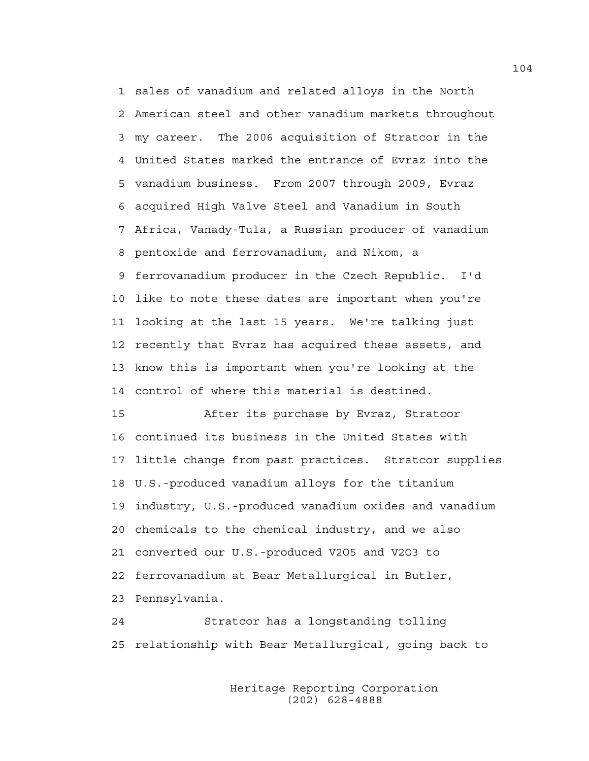1 sales of vanadium and related alloys in the North 2 American steel and other vanadium markets throughout 3 my career. The 2006 acquisition of Stratcor in the 4 United States marked the entrance of Evraz into the 5 vanadium business. From 2007 through 2009, Evraz 6 acquired High Valve Steel and Vanadium in South 7 Africa, Vanady-Tula, a Russian producer of vanadium 8 pentoxide and ferrovanadium, and Nikom, a 9 ferrovanadium producer in the Czech Republic. I'd 10 like to note these dates are important when you're 11 looking at the last 15 years. We're talking just 12 recently that Evraz has acquired these assets, and 13 know this is important when you're looking at the 14 control of where this material is destined.

15 After its purchase by Evraz, Stratcor 16 continued its business in the United States with 17 little change from past practices. Stratcor supplies 18 U.S.-produced vanadium alloys for the titanium 19 industry, U.S.-produced vanadium oxides and vanadium 20 chemicals to the chemical industry, and we also 21 converted our U.S.-produced V2O5 and V2O3 to 22 ferrovanadium at Bear Metallurgical in Butler, 23 Pennsylvania.

24 Stratcor has a longstanding tolling 25 relationship with Bear Metallurgical, going back to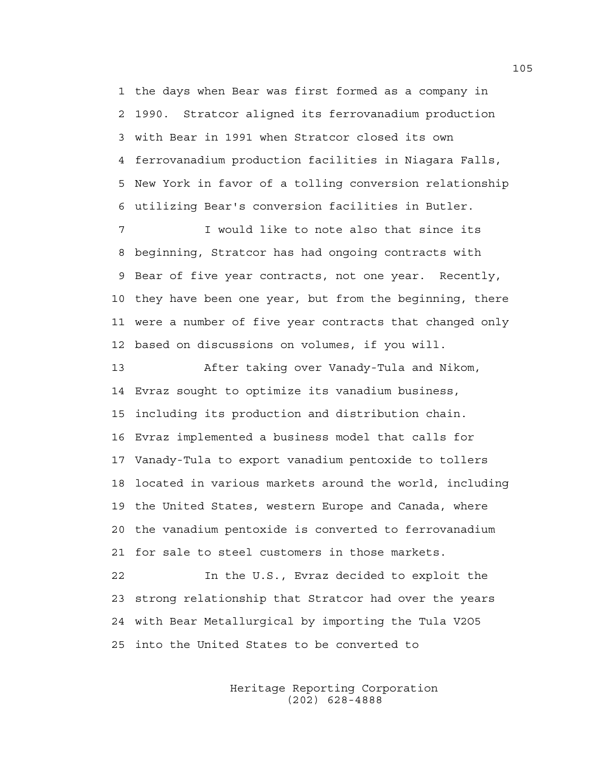1 the days when Bear was first formed as a company in 2 1990. Stratcor aligned its ferrovanadium production 3 with Bear in 1991 when Stratcor closed its own 4 ferrovanadium production facilities in Niagara Falls, 5 New York in favor of a tolling conversion relationship 6 utilizing Bear's conversion facilities in Butler.

7 I would like to note also that since its 8 beginning, Stratcor has had ongoing contracts with 9 Bear of five year contracts, not one year. Recently, 10 they have been one year, but from the beginning, there 11 were a number of five year contracts that changed only 12 based on discussions on volumes, if you will.

13 After taking over Vanady-Tula and Nikom, 14 Evraz sought to optimize its vanadium business, 15 including its production and distribution chain. 16 Evraz implemented a business model that calls for 17 Vanady-Tula to export vanadium pentoxide to tollers 18 located in various markets around the world, including 19 the United States, western Europe and Canada, where 20 the vanadium pentoxide is converted to ferrovanadium 21 for sale to steel customers in those markets.

22 In the U.S., Evraz decided to exploit the 23 strong relationship that Stratcor had over the years 24 with Bear Metallurgical by importing the Tula V2O5 25 into the United States to be converted to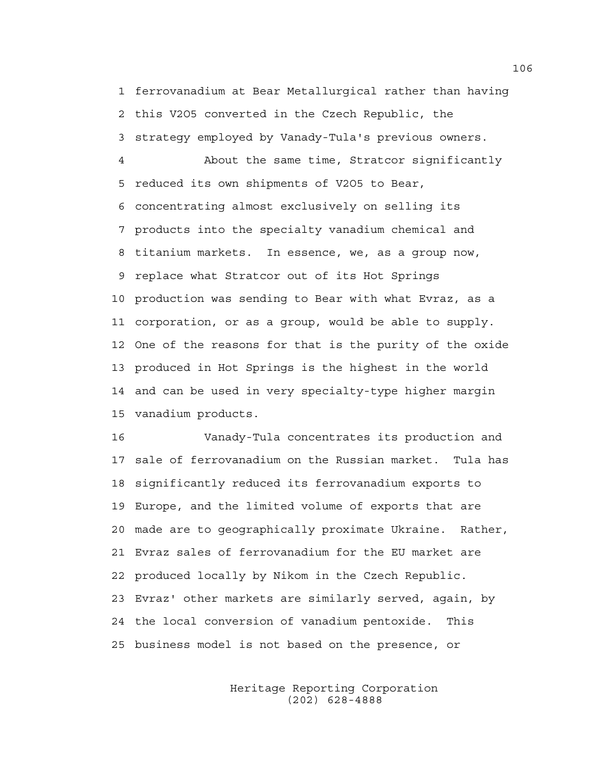1 ferrovanadium at Bear Metallurgical rather than having 2 this V2O5 converted in the Czech Republic, the 3 strategy employed by Vanady-Tula's previous owners.

4 About the same time, Stratcor significantly 5 reduced its own shipments of V2O5 to Bear, 6 concentrating almost exclusively on selling its 7 products into the specialty vanadium chemical and 8 titanium markets. In essence, we, as a group now, 9 replace what Stratcor out of its Hot Springs 10 production was sending to Bear with what Evraz, as a 11 corporation, or as a group, would be able to supply. 12 One of the reasons for that is the purity of the oxide 13 produced in Hot Springs is the highest in the world 14 and can be used in very specialty-type higher margin 15 vanadium products.

16 Vanady-Tula concentrates its production and 17 sale of ferrovanadium on the Russian market. Tula has 18 significantly reduced its ferrovanadium exports to 19 Europe, and the limited volume of exports that are 20 made are to geographically proximate Ukraine. Rather, 21 Evraz sales of ferrovanadium for the EU market are 22 produced locally by Nikom in the Czech Republic. 23 Evraz' other markets are similarly served, again, by 24 the local conversion of vanadium pentoxide. This 25 business model is not based on the presence, or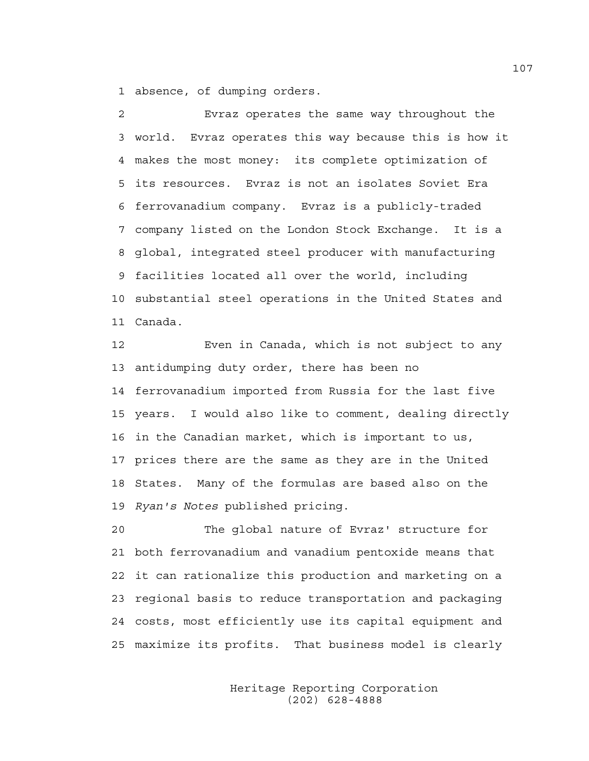1 absence, of dumping orders.

2 Evraz operates the same way throughout the 3 world. Evraz operates this way because this is how it 4 makes the most money: its complete optimization of 5 its resources. Evraz is not an isolates Soviet Era 6 ferrovanadium company. Evraz is a publicly-traded 7 company listed on the London Stock Exchange. It is a 8 global, integrated steel producer with manufacturing 9 facilities located all over the world, including 10 substantial steel operations in the United States and 11 Canada.

12 Even in Canada, which is not subject to any 13 antidumping duty order, there has been no 14 ferrovanadium imported from Russia for the last five 15 years. I would also like to comment, dealing directly 16 in the Canadian market, which is important to us, 17 prices there are the same as they are in the United 18 States. Many of the formulas are based also on the 19 *Ryan's Notes* published pricing.

20 The global nature of Evraz' structure for 21 both ferrovanadium and vanadium pentoxide means that 22 it can rationalize this production and marketing on a 23 regional basis to reduce transportation and packaging 24 costs, most efficiently use its capital equipment and 25 maximize its profits. That business model is clearly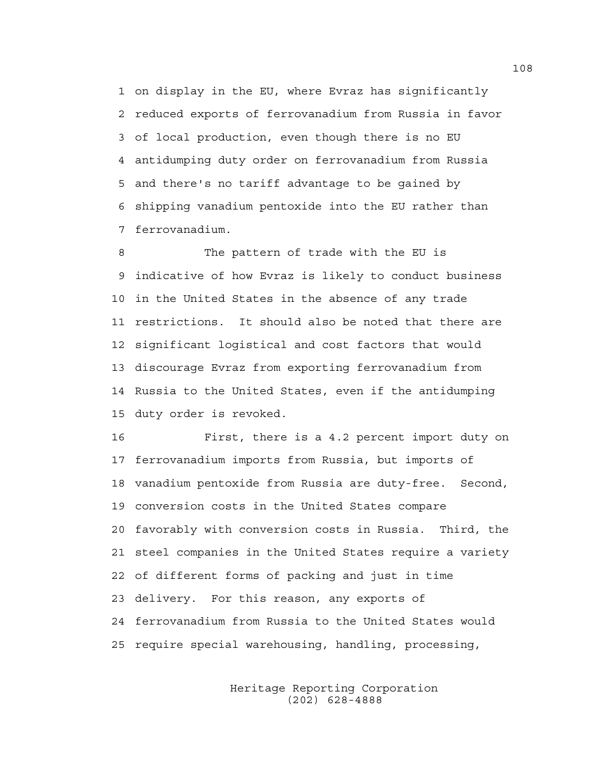1 on display in the EU, where Evraz has significantly 2 reduced exports of ferrovanadium from Russia in favor 3 of local production, even though there is no EU 4 antidumping duty order on ferrovanadium from Russia 5 and there's no tariff advantage to be gained by 6 shipping vanadium pentoxide into the EU rather than 7 ferrovanadium.

8 The pattern of trade with the EU is 9 indicative of how Evraz is likely to conduct business 10 in the United States in the absence of any trade 11 restrictions. It should also be noted that there are 12 significant logistical and cost factors that would 13 discourage Evraz from exporting ferrovanadium from 14 Russia to the United States, even if the antidumping 15 duty order is revoked.

16 First, there is a 4.2 percent import duty on 17 ferrovanadium imports from Russia, but imports of 18 vanadium pentoxide from Russia are duty-free. Second, 19 conversion costs in the United States compare 20 favorably with conversion costs in Russia. Third, the 21 steel companies in the United States require a variety 22 of different forms of packing and just in time 23 delivery. For this reason, any exports of 24 ferrovanadium from Russia to the United States would 25 require special warehousing, handling, processing,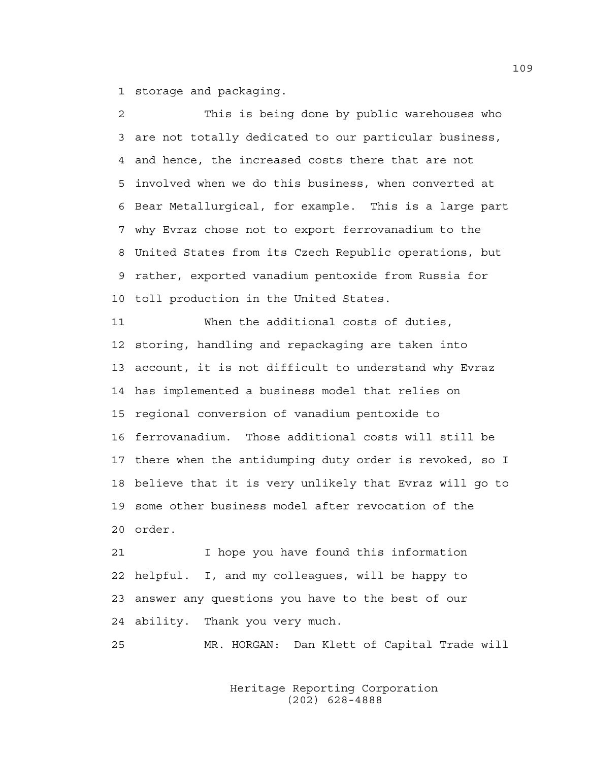1 storage and packaging.

2 This is being done by public warehouses who 3 are not totally dedicated to our particular business, 4 and hence, the increased costs there that are not 5 involved when we do this business, when converted at 6 Bear Metallurgical, for example. This is a large part 7 why Evraz chose not to export ferrovanadium to the 8 United States from its Czech Republic operations, but 9 rather, exported vanadium pentoxide from Russia for 10 toll production in the United States.

11 When the additional costs of duties, 12 storing, handling and repackaging are taken into 13 account, it is not difficult to understand why Evraz 14 has implemented a business model that relies on 15 regional conversion of vanadium pentoxide to 16 ferrovanadium. Those additional costs will still be 17 there when the antidumping duty order is revoked, so I 18 believe that it is very unlikely that Evraz will go to 19 some other business model after revocation of the 20 order.

21 I hope you have found this information 22 helpful. I, and my colleagues, will be happy to 23 answer any questions you have to the best of our 24 ability. Thank you very much.

25 MR. HORGAN: Dan Klett of Capital Trade will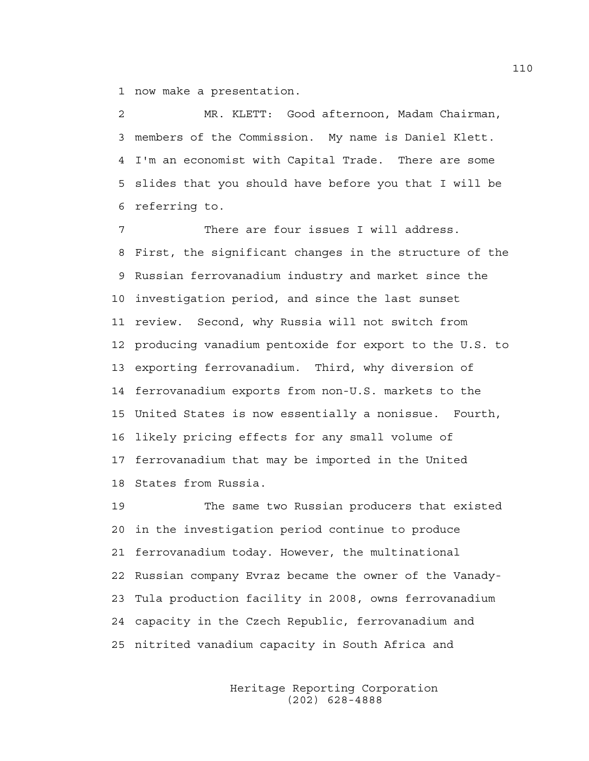1 now make a presentation.

2 MR. KLETT: Good afternoon, Madam Chairman, 3 members of the Commission. My name is Daniel Klett. 4 I'm an economist with Capital Trade. There are some 5 slides that you should have before you that I will be 6 referring to.

7 There are four issues I will address. 8 First, the significant changes in the structure of the 9 Russian ferrovanadium industry and market since the 10 investigation period, and since the last sunset 11 review. Second, why Russia will not switch from 12 producing vanadium pentoxide for export to the U.S. to 13 exporting ferrovanadium. Third, why diversion of 14 ferrovanadium exports from non-U.S. markets to the 15 United States is now essentially a nonissue. Fourth, 16 likely pricing effects for any small volume of 17 ferrovanadium that may be imported in the United 18 States from Russia.

19 The same two Russian producers that existed 20 in the investigation period continue to produce 21 ferrovanadium today. However, the multinational 22 Russian company Evraz became the owner of the Vanady-23 Tula production facility in 2008, owns ferrovanadium 24 capacity in the Czech Republic, ferrovanadium and 25 nitrited vanadium capacity in South Africa and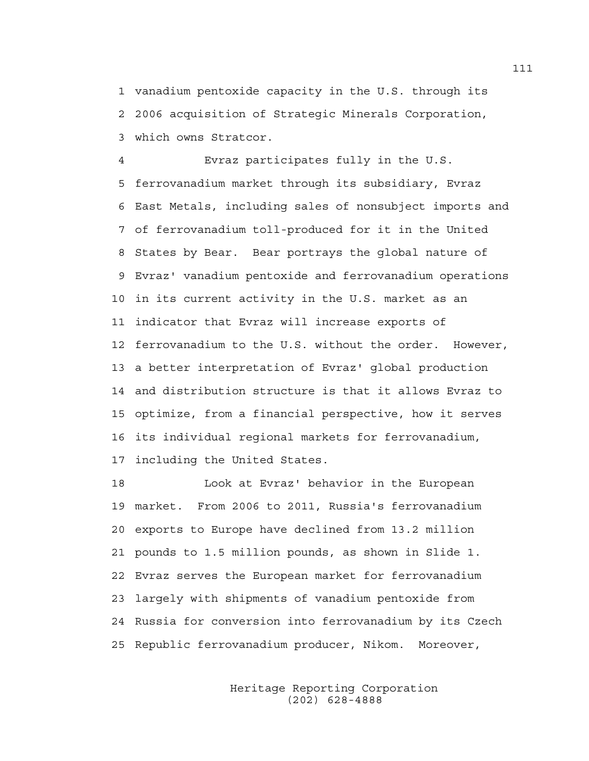1 vanadium pentoxide capacity in the U.S. through its 2 2006 acquisition of Strategic Minerals Corporation, 3 which owns Stratcor.

4 Evraz participates fully in the U.S. 5 ferrovanadium market through its subsidiary, Evraz 6 East Metals, including sales of nonsubject imports and 7 of ferrovanadium toll-produced for it in the United 8 States by Bear. Bear portrays the global nature of 9 Evraz' vanadium pentoxide and ferrovanadium operations 10 in its current activity in the U.S. market as an 11 indicator that Evraz will increase exports of 12 ferrovanadium to the U.S. without the order. However, 13 a better interpretation of Evraz' global production 14 and distribution structure is that it allows Evraz to 15 optimize, from a financial perspective, how it serves 16 its individual regional markets for ferrovanadium, 17 including the United States.

18 Look at Evraz' behavior in the European 19 market. From 2006 to 2011, Russia's ferrovanadium 20 exports to Europe have declined from 13.2 million 21 pounds to 1.5 million pounds, as shown in Slide 1. 22 Evraz serves the European market for ferrovanadium 23 largely with shipments of vanadium pentoxide from 24 Russia for conversion into ferrovanadium by its Czech 25 Republic ferrovanadium producer, Nikom. Moreover,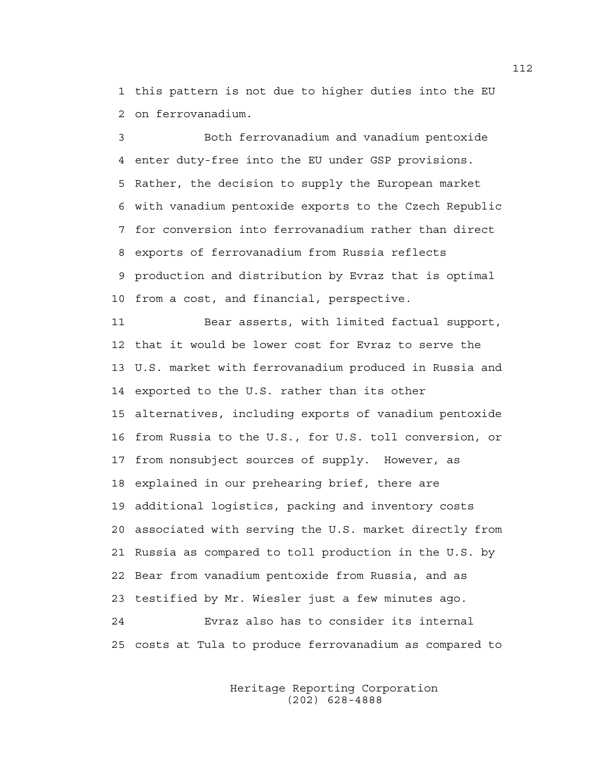1 this pattern is not due to higher duties into the EU 2 on ferrovanadium.

3 Both ferrovanadium and vanadium pentoxide 4 enter duty-free into the EU under GSP provisions. 5 Rather, the decision to supply the European market 6 with vanadium pentoxide exports to the Czech Republic 7 for conversion into ferrovanadium rather than direct 8 exports of ferrovanadium from Russia reflects 9 production and distribution by Evraz that is optimal 10 from a cost, and financial, perspective.

11 Bear asserts, with limited factual support, 12 that it would be lower cost for Evraz to serve the 13 U.S. market with ferrovanadium produced in Russia and 14 exported to the U.S. rather than its other 15 alternatives, including exports of vanadium pentoxide 16 from Russia to the U.S., for U.S. toll conversion, or 17 from nonsubject sources of supply. However, as 18 explained in our prehearing brief, there are 19 additional logistics, packing and inventory costs 20 associated with serving the U.S. market directly from 21 Russia as compared to toll production in the U.S. by 22 Bear from vanadium pentoxide from Russia, and as 23 testified by Mr. Wiesler just a few minutes ago. 24 Evraz also has to consider its internal 25 costs at Tula to produce ferrovanadium as compared to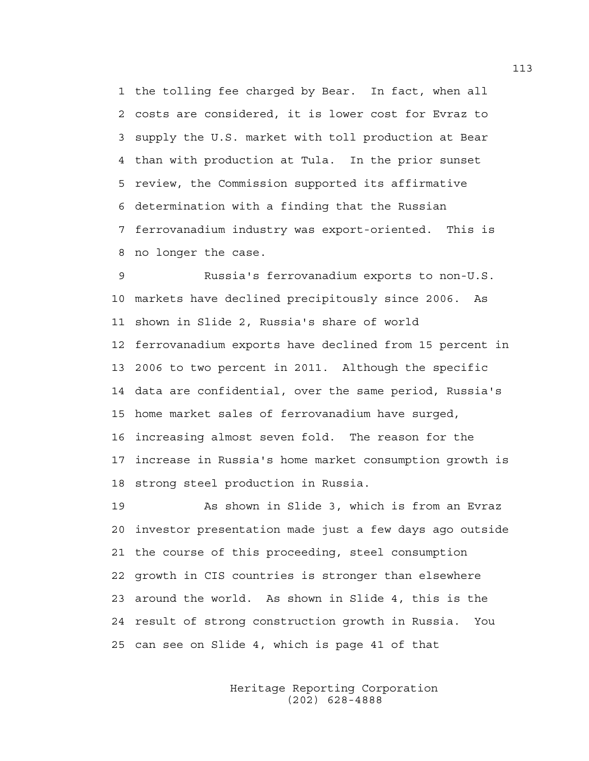1 the tolling fee charged by Bear. In fact, when all 2 costs are considered, it is lower cost for Evraz to 3 supply the U.S. market with toll production at Bear 4 than with production at Tula. In the prior sunset 5 review, the Commission supported its affirmative 6 determination with a finding that the Russian 7 ferrovanadium industry was export-oriented. This is 8 no longer the case.

9 Russia's ferrovanadium exports to non-U.S. 10 markets have declined precipitously since 2006. As 11 shown in Slide 2, Russia's share of world 12 ferrovanadium exports have declined from 15 percent in 13 2006 to two percent in 2011. Although the specific 14 data are confidential, over the same period, Russia's 15 home market sales of ferrovanadium have surged, 16 increasing almost seven fold. The reason for the 17 increase in Russia's home market consumption growth is 18 strong steel production in Russia.

19 As shown in Slide 3, which is from an Evraz 20 investor presentation made just a few days ago outside 21 the course of this proceeding, steel consumption 22 growth in CIS countries is stronger than elsewhere 23 around the world. As shown in Slide 4, this is the 24 result of strong construction growth in Russia. You 25 can see on Slide 4, which is page 41 of that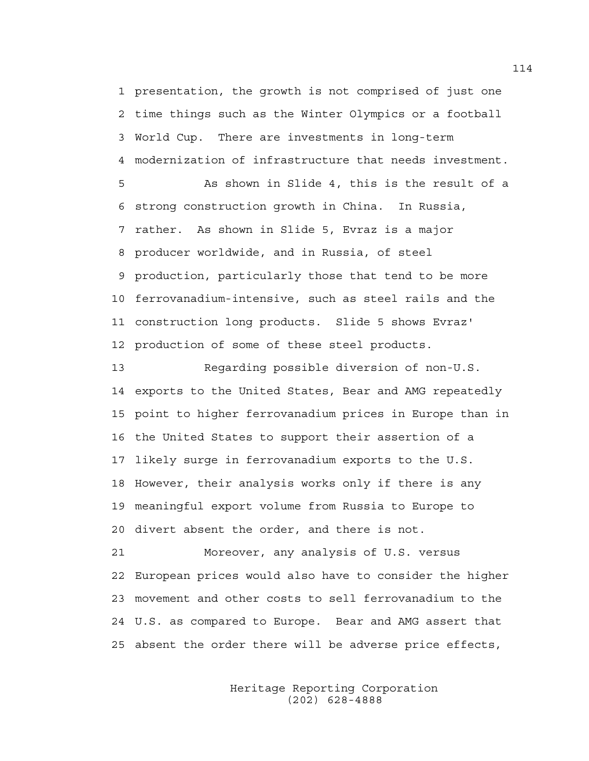1 presentation, the growth is not comprised of just one 2 time things such as the Winter Olympics or a football 3 World Cup. There are investments in long-term 4 modernization of infrastructure that needs investment.

5 As shown in Slide 4, this is the result of a 6 strong construction growth in China. In Russia, 7 rather. As shown in Slide 5, Evraz is a major 8 producer worldwide, and in Russia, of steel 9 production, particularly those that tend to be more 10 ferrovanadium-intensive, such as steel rails and the 11 construction long products. Slide 5 shows Evraz' 12 production of some of these steel products.

13 Regarding possible diversion of non-U.S. 14 exports to the United States, Bear and AMG repeatedly 15 point to higher ferrovanadium prices in Europe than in 16 the United States to support their assertion of a 17 likely surge in ferrovanadium exports to the U.S. 18 However, their analysis works only if there is any 19 meaningful export volume from Russia to Europe to 20 divert absent the order, and there is not.

21 Moreover, any analysis of U.S. versus 22 European prices would also have to consider the higher 23 movement and other costs to sell ferrovanadium to the 24 U.S. as compared to Europe. Bear and AMG assert that 25 absent the order there will be adverse price effects,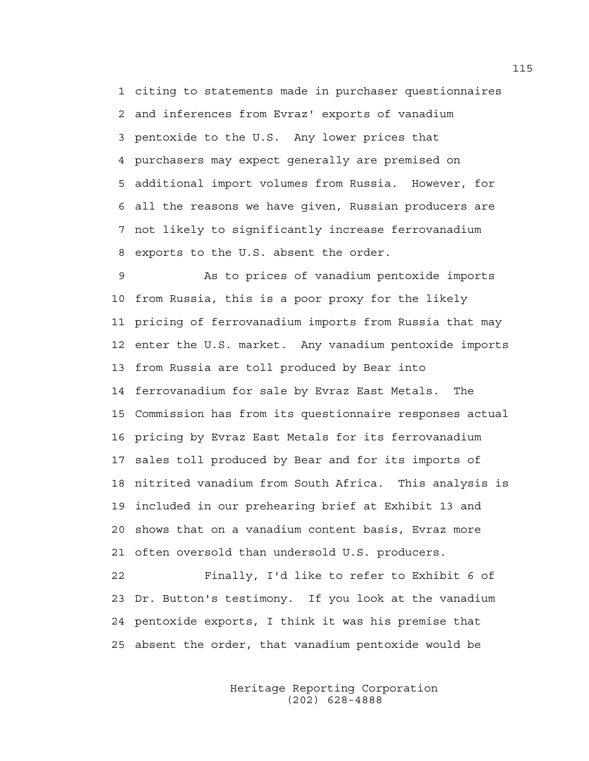1 citing to statements made in purchaser questionnaires 2 and inferences from Evraz' exports of vanadium 3 pentoxide to the U.S. Any lower prices that 4 purchasers may expect generally are premised on 5 additional import volumes from Russia. However, for 6 all the reasons we have given, Russian producers are 7 not likely to significantly increase ferrovanadium 8 exports to the U.S. absent the order.

9 As to prices of vanadium pentoxide imports 10 from Russia, this is a poor proxy for the likely 11 pricing of ferrovanadium imports from Russia that may 12 enter the U.S. market. Any vanadium pentoxide imports 13 from Russia are toll produced by Bear into 14 ferrovanadium for sale by Evraz East Metals. The 15 Commission has from its questionnaire responses actual 16 pricing by Evraz East Metals for its ferrovanadium 17 sales toll produced by Bear and for its imports of 18 nitrited vanadium from South Africa. This analysis is 19 included in our prehearing brief at Exhibit 13 and 20 shows that on a vanadium content basis, Evraz more 21 often oversold than undersold U.S. producers.

22 Finally, I'd like to refer to Exhibit 6 of 23 Dr. Button's testimony. If you look at the vanadium 24 pentoxide exports, I think it was his premise that 25 absent the order, that vanadium pentoxide would be

> Heritage Reporting Corporation (202) 628-4888

115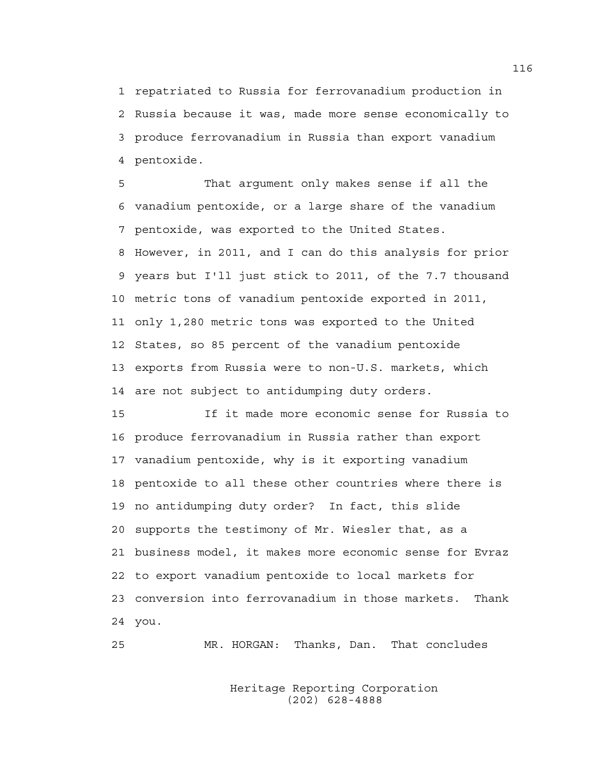1 repatriated to Russia for ferrovanadium production in 2 Russia because it was, made more sense economically to 3 produce ferrovanadium in Russia than export vanadium 4 pentoxide.

5 That argument only makes sense if all the 6 vanadium pentoxide, or a large share of the vanadium 7 pentoxide, was exported to the United States. 8 However, in 2011, and I can do this analysis for prior 9 years but I'll just stick to 2011, of the 7.7 thousand 10 metric tons of vanadium pentoxide exported in 2011, 11 only 1,280 metric tons was exported to the United 12 States, so 85 percent of the vanadium pentoxide 13 exports from Russia were to non-U.S. markets, which 14 are not subject to antidumping duty orders.

15 If it made more economic sense for Russia to 16 produce ferrovanadium in Russia rather than export 17 vanadium pentoxide, why is it exporting vanadium 18 pentoxide to all these other countries where there is 19 no antidumping duty order? In fact, this slide 20 supports the testimony of Mr. Wiesler that, as a 21 business model, it makes more economic sense for Evraz 22 to export vanadium pentoxide to local markets for 23 conversion into ferrovanadium in those markets. Thank 24 you.

25 MR. HORGAN: Thanks, Dan. That concludes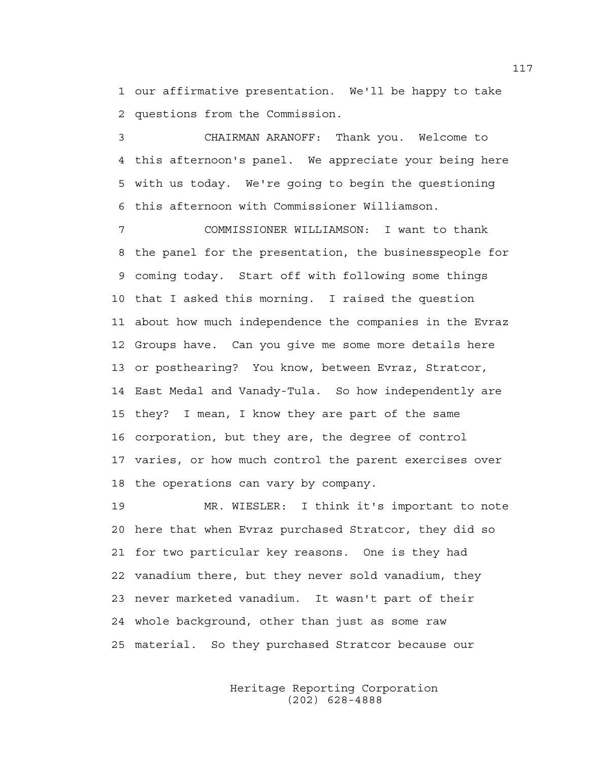1 our affirmative presentation. We'll be happy to take 2 questions from the Commission.

3 CHAIRMAN ARANOFF: Thank you. Welcome to 4 this afternoon's panel. We appreciate your being here 5 with us today. We're going to begin the questioning 6 this afternoon with Commissioner Williamson.

7 COMMISSIONER WILLIAMSON: I want to thank 8 the panel for the presentation, the businesspeople for 9 coming today. Start off with following some things 10 that I asked this morning. I raised the question 11 about how much independence the companies in the Evraz 12 Groups have. Can you give me some more details here 13 or posthearing? You know, between Evraz, Stratcor, 14 East Medal and Vanady-Tula. So how independently are 15 they? I mean, I know they are part of the same 16 corporation, but they are, the degree of control 17 varies, or how much control the parent exercises over 18 the operations can vary by company.

19 MR. WIESLER: I think it's important to note 20 here that when Evraz purchased Stratcor, they did so 21 for two particular key reasons. One is they had 22 vanadium there, but they never sold vanadium, they 23 never marketed vanadium. It wasn't part of their 24 whole background, other than just as some raw 25 material. So they purchased Stratcor because our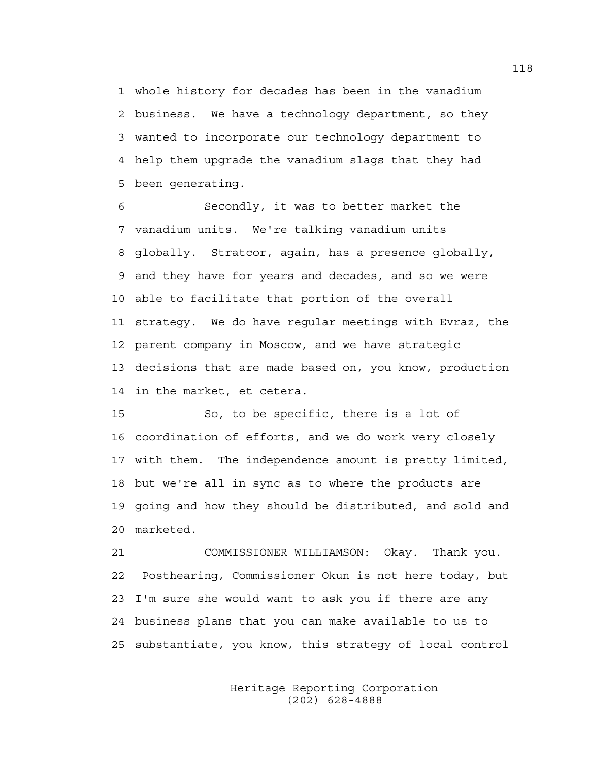1 whole history for decades has been in the vanadium 2 business. We have a technology department, so they 3 wanted to incorporate our technology department to 4 help them upgrade the vanadium slags that they had 5 been generating.

6 Secondly, it was to better market the 7 vanadium units. We're talking vanadium units 8 globally. Stratcor, again, has a presence globally, 9 and they have for years and decades, and so we were 10 able to facilitate that portion of the overall 11 strategy. We do have regular meetings with Evraz, the 12 parent company in Moscow, and we have strategic 13 decisions that are made based on, you know, production 14 in the market, et cetera.

15 So, to be specific, there is a lot of 16 coordination of efforts, and we do work very closely 17 with them. The independence amount is pretty limited, 18 but we're all in sync as to where the products are 19 going and how they should be distributed, and sold and 20 marketed.

21 COMMISSIONER WILLIAMSON: Okay. Thank you. 22 Posthearing, Commissioner Okun is not here today, but 23 I'm sure she would want to ask you if there are any 24 business plans that you can make available to us to 25 substantiate, you know, this strategy of local control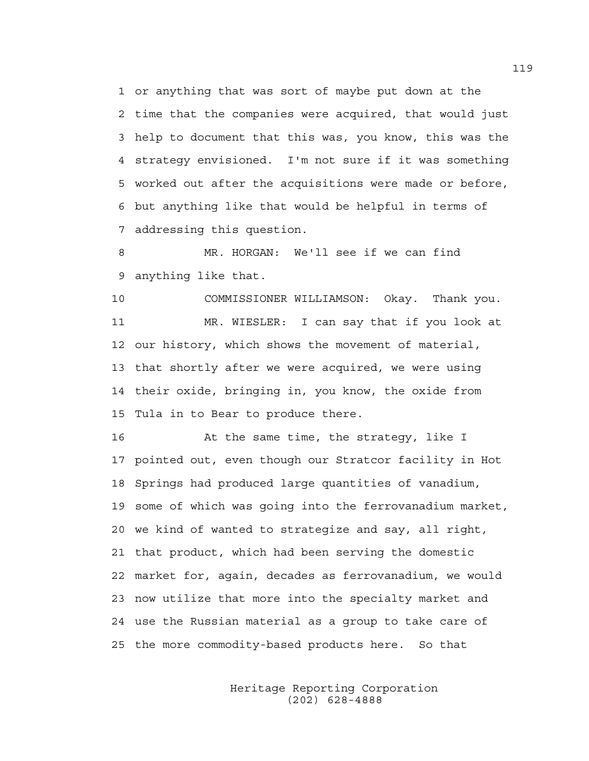1 or anything that was sort of maybe put down at the 2 time that the companies were acquired, that would just 3 help to document that this was, you know, this was the 4 strategy envisioned. I'm not sure if it was something 5 worked out after the acquisitions were made or before, 6 but anything like that would be helpful in terms of 7 addressing this question.

8 MR. HORGAN: We'll see if we can find 9 anything like that.

10 COMMISSIONER WILLIAMSON: Okay. Thank you. 11 MR. WIESLER: I can say that if you look at 12 our history, which shows the movement of material, 13 that shortly after we were acquired, we were using 14 their oxide, bringing in, you know, the oxide from 15 Tula in to Bear to produce there.

16 At the same time, the strategy, like I 17 pointed out, even though our Stratcor facility in Hot 18 Springs had produced large quantities of vanadium, 19 some of which was going into the ferrovanadium market, 20 we kind of wanted to strategize and say, all right, 21 that product, which had been serving the domestic 22 market for, again, decades as ferrovanadium, we would 23 now utilize that more into the specialty market and 24 use the Russian material as a group to take care of 25 the more commodity-based products here. So that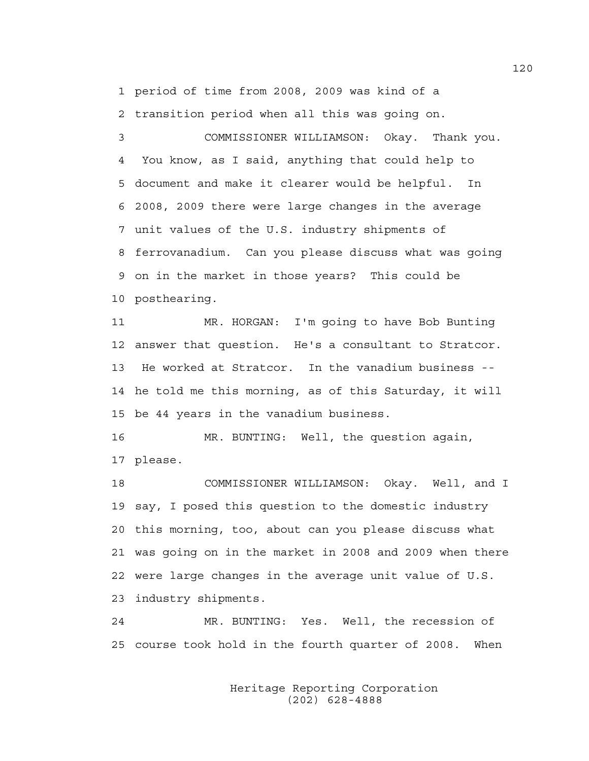1 period of time from 2008, 2009 was kind of a

2 transition period when all this was going on.

3 COMMISSIONER WILLIAMSON: Okay. Thank you. 4 You know, as I said, anything that could help to 5 document and make it clearer would be helpful. In 6 2008, 2009 there were large changes in the average 7 unit values of the U.S. industry shipments of 8 ferrovanadium. Can you please discuss what was going 9 on in the market in those years? This could be 10 posthearing.

11 MR. HORGAN: I'm going to have Bob Bunting 12 answer that question. He's a consultant to Stratcor. 13 He worked at Stratcor. In the vanadium business -- 14 he told me this morning, as of this Saturday, it will 15 be 44 years in the vanadium business.

16 MR. BUNTING: Well, the question again, 17 please.

18 COMMISSIONER WILLIAMSON: Okay. Well, and I 19 say, I posed this question to the domestic industry 20 this morning, too, about can you please discuss what 21 was going on in the market in 2008 and 2009 when there 22 were large changes in the average unit value of U.S. 23 industry shipments.

24 MR. BUNTING: Yes. Well, the recession of 25 course took hold in the fourth quarter of 2008. When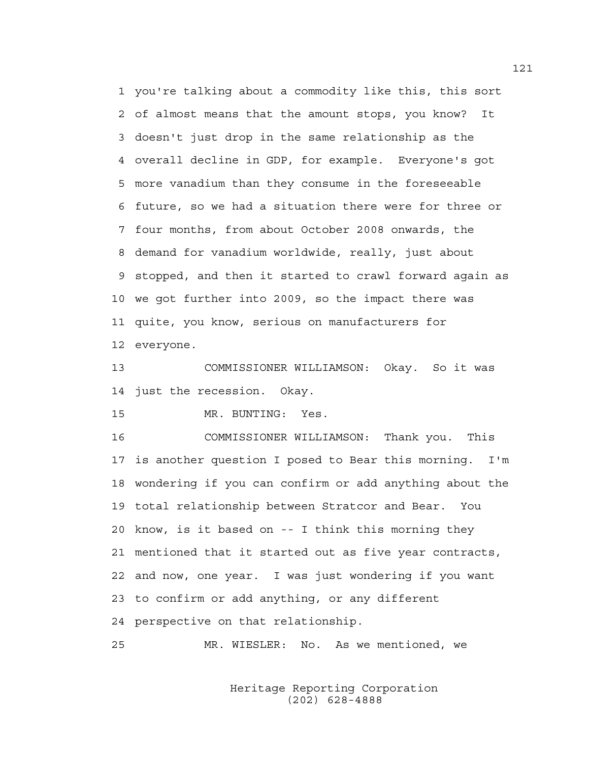1 you're talking about a commodity like this, this sort 2 of almost means that the amount stops, you know? It 3 doesn't just drop in the same relationship as the 4 overall decline in GDP, for example. Everyone's got 5 more vanadium than they consume in the foreseeable 6 future, so we had a situation there were for three or 7 four months, from about October 2008 onwards, the 8 demand for vanadium worldwide, really, just about 9 stopped, and then it started to crawl forward again as 10 we got further into 2009, so the impact there was 11 quite, you know, serious on manufacturers for 12 everyone.

13 COMMISSIONER WILLIAMSON: Okay. So it was 14 just the recession. Okay.

15 MR. BUNTING: Yes.

16 COMMISSIONER WILLIAMSON: Thank you. This 17 is another question I posed to Bear this morning. I'm 18 wondering if you can confirm or add anything about the 19 total relationship between Stratcor and Bear. You 20 know, is it based on -- I think this morning they 21 mentioned that it started out as five year contracts, 22 and now, one year. I was just wondering if you want 23 to confirm or add anything, or any different 24 perspective on that relationship.

25 MR. WIESLER: No. As we mentioned, we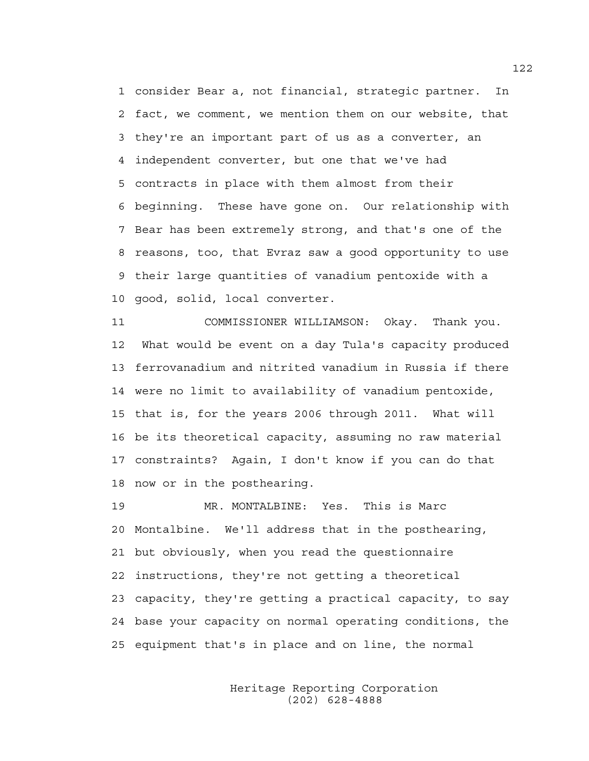1 consider Bear a, not financial, strategic partner. In 2 fact, we comment, we mention them on our website, that 3 they're an important part of us as a converter, an 4 independent converter, but one that we've had 5 contracts in place with them almost from their 6 beginning. These have gone on. Our relationship with 7 Bear has been extremely strong, and that's one of the 8 reasons, too, that Evraz saw a good opportunity to use 9 their large quantities of vanadium pentoxide with a 10 good, solid, local converter.

11 COMMISSIONER WILLIAMSON: Okay. Thank you. 12 What would be event on a day Tula's capacity produced 13 ferrovanadium and nitrited vanadium in Russia if there 14 were no limit to availability of vanadium pentoxide, 15 that is, for the years 2006 through 2011. What will 16 be its theoretical capacity, assuming no raw material 17 constraints? Again, I don't know if you can do that 18 now or in the posthearing.

19 MR. MONTALBINE: Yes. This is Marc 20 Montalbine. We'll address that in the posthearing, 21 but obviously, when you read the questionnaire 22 instructions, they're not getting a theoretical 23 capacity, they're getting a practical capacity, to say 24 base your capacity on normal operating conditions, the 25 equipment that's in place and on line, the normal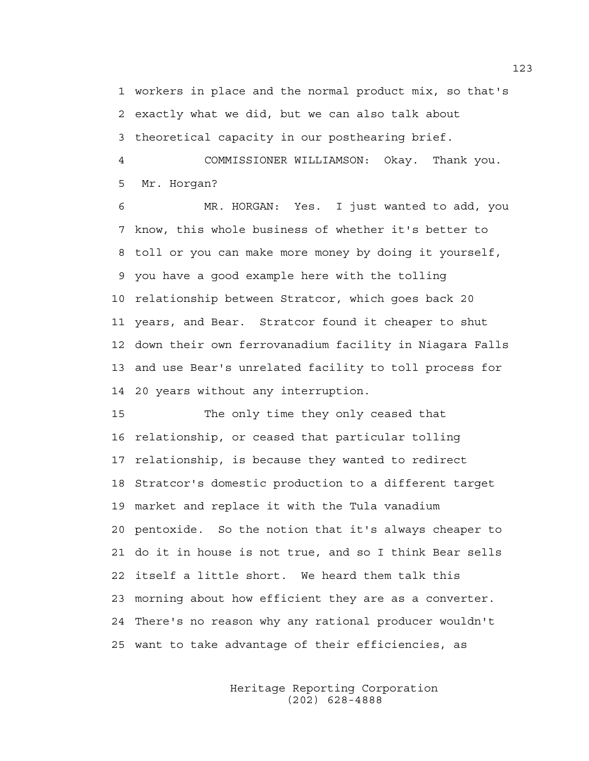1 workers in place and the normal product mix, so that's 2 exactly what we did, but we can also talk about 3 theoretical capacity in our posthearing brief.

4 COMMISSIONER WILLIAMSON: Okay. Thank you. 5 Mr. Horgan?

6 MR. HORGAN: Yes. I just wanted to add, you 7 know, this whole business of whether it's better to 8 toll or you can make more money by doing it yourself, 9 you have a good example here with the tolling 10 relationship between Stratcor, which goes back 20 11 years, and Bear. Stratcor found it cheaper to shut 12 down their own ferrovanadium facility in Niagara Falls 13 and use Bear's unrelated facility to toll process for 14 20 years without any interruption.

15 The only time they only ceased that 16 relationship, or ceased that particular tolling 17 relationship, is because they wanted to redirect 18 Stratcor's domestic production to a different target 19 market and replace it with the Tula vanadium 20 pentoxide. So the notion that it's always cheaper to 21 do it in house is not true, and so I think Bear sells 22 itself a little short. We heard them talk this 23 morning about how efficient they are as a converter. 24 There's no reason why any rational producer wouldn't 25 want to take advantage of their efficiencies, as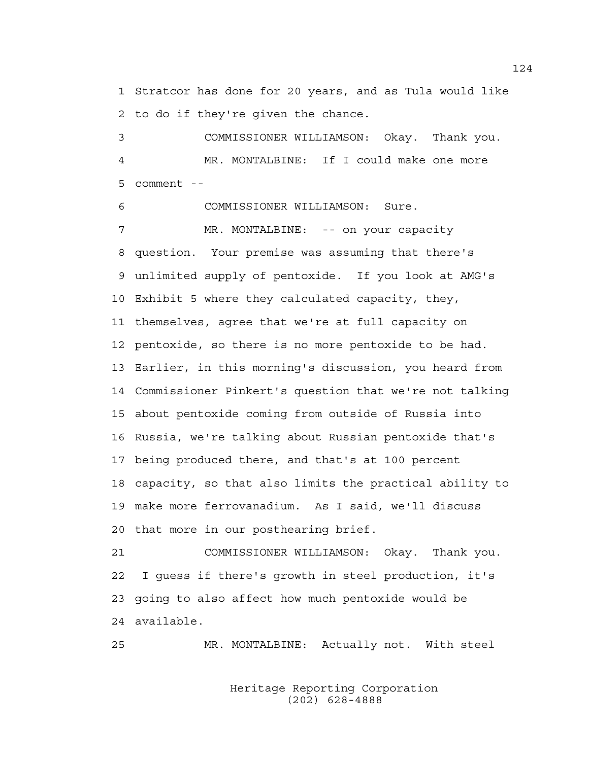1 Stratcor has done for 20 years, and as Tula would like 2 to do if they're given the chance.

3 COMMISSIONER WILLIAMSON: Okay. Thank you. 4 MR. MONTALBINE: If I could make one more 5 comment --

6 COMMISSIONER WILLIAMSON: Sure.

7 MR. MONTALBINE: -- on your capacity 8 question. Your premise was assuming that there's 9 unlimited supply of pentoxide. If you look at AMG's 10 Exhibit 5 where they calculated capacity, they, 11 themselves, agree that we're at full capacity on 12 pentoxide, so there is no more pentoxide to be had. 13 Earlier, in this morning's discussion, you heard from 14 Commissioner Pinkert's question that we're not talking 15 about pentoxide coming from outside of Russia into 16 Russia, we're talking about Russian pentoxide that's 17 being produced there, and that's at 100 percent 18 capacity, so that also limits the practical ability to 19 make more ferrovanadium. As I said, we'll discuss 20 that more in our posthearing brief.

21 COMMISSIONER WILLIAMSON: Okay. Thank you. 22 I guess if there's growth in steel production, it's 23 going to also affect how much pentoxide would be 24 available.

25 MR. MONTALBINE: Actually not. With steel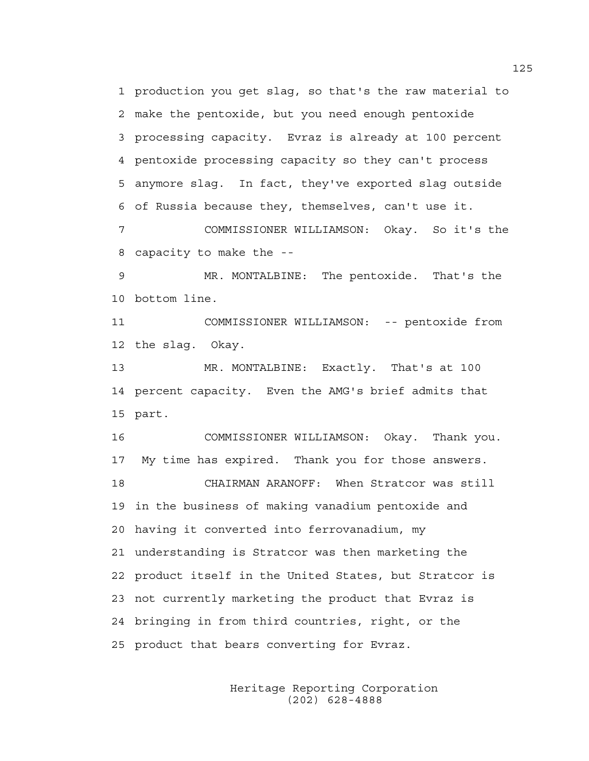1 production you get slag, so that's the raw material to 2 make the pentoxide, but you need enough pentoxide 3 processing capacity. Evraz is already at 100 percent 4 pentoxide processing capacity so they can't process 5 anymore slag. In fact, they've exported slag outside 6 of Russia because they, themselves, can't use it. 7 COMMISSIONER WILLIAMSON: Okay. So it's the

8 capacity to make the --

9 MR. MONTALBINE: The pentoxide. That's the 10 bottom line.

11 COMMISSIONER WILLIAMSON: -- pentoxide from 12 the slag. Okay.

13 MR. MONTALBINE: Exactly. That's at 100 14 percent capacity. Even the AMG's brief admits that 15 part.

16 COMMISSIONER WILLIAMSON: Okay. Thank you. 17 My time has expired. Thank you for those answers. 18 CHAIRMAN ARANOFF: When Stratcor was still 19 in the business of making vanadium pentoxide and 20 having it converted into ferrovanadium, my 21 understanding is Stratcor was then marketing the 22 product itself in the United States, but Stratcor is 23 not currently marketing the product that Evraz is 24 bringing in from third countries, right, or the 25 product that bears converting for Evraz.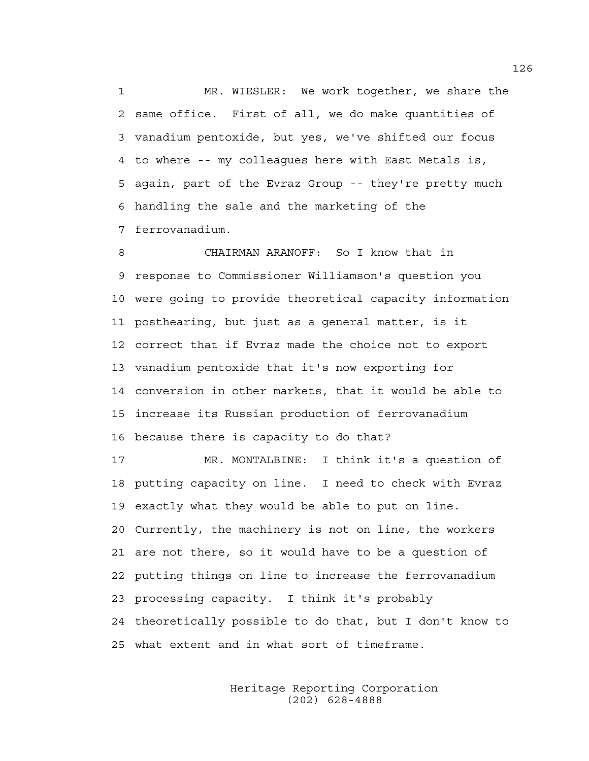1 MR. WIESLER: We work together, we share the 2 same office. First of all, we do make quantities of 3 vanadium pentoxide, but yes, we've shifted our focus 4 to where -- my colleagues here with East Metals is, 5 again, part of the Evraz Group -- they're pretty much 6 handling the sale and the marketing of the 7 ferrovanadium.

8 CHAIRMAN ARANOFF: So I know that in 9 response to Commissioner Williamson's question you 10 were going to provide theoretical capacity information 11 posthearing, but just as a general matter, is it 12 correct that if Evraz made the choice not to export 13 vanadium pentoxide that it's now exporting for 14 conversion in other markets, that it would be able to 15 increase its Russian production of ferrovanadium 16 because there is capacity to do that?

17 MR. MONTALBINE: I think it's a question of 18 putting capacity on line. I need to check with Evraz 19 exactly what they would be able to put on line. 20 Currently, the machinery is not on line, the workers 21 are not there, so it would have to be a question of 22 putting things on line to increase the ferrovanadium 23 processing capacity. I think it's probably 24 theoretically possible to do that, but I don't know to 25 what extent and in what sort of timeframe.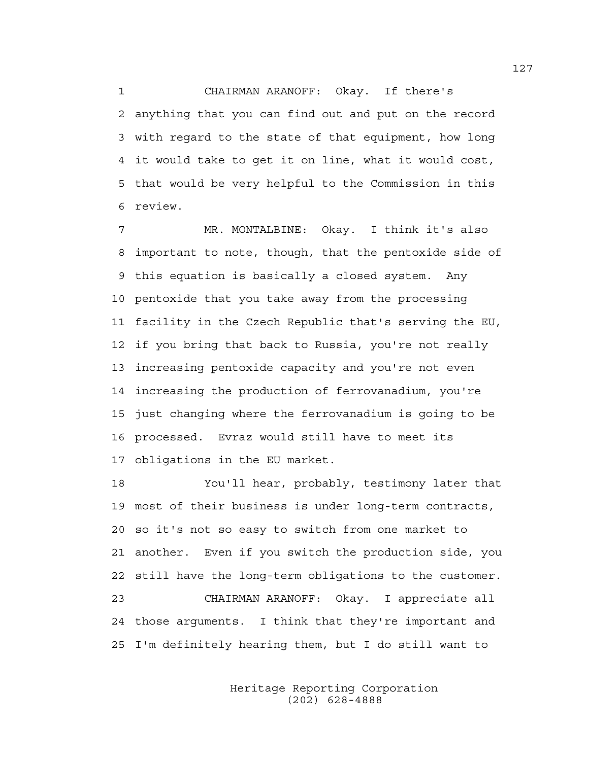1 CHAIRMAN ARANOFF: Okay. If there's 2 anything that you can find out and put on the record 3 with regard to the state of that equipment, how long 4 it would take to get it on line, what it would cost, 5 that would be very helpful to the Commission in this 6 review.

7 MR. MONTALBINE: Okay. I think it's also 8 important to note, though, that the pentoxide side of 9 this equation is basically a closed system. Any 10 pentoxide that you take away from the processing 11 facility in the Czech Republic that's serving the EU, 12 if you bring that back to Russia, you're not really 13 increasing pentoxide capacity and you're not even 14 increasing the production of ferrovanadium, you're 15 just changing where the ferrovanadium is going to be 16 processed. Evraz would still have to meet its 17 obligations in the EU market.

18 You'll hear, probably, testimony later that 19 most of their business is under long-term contracts, 20 so it's not so easy to switch from one market to 21 another. Even if you switch the production side, you 22 still have the long-term obligations to the customer. 23 CHAIRMAN ARANOFF: Okay. I appreciate all 24 those arguments. I think that they're important and 25 I'm definitely hearing them, but I do still want to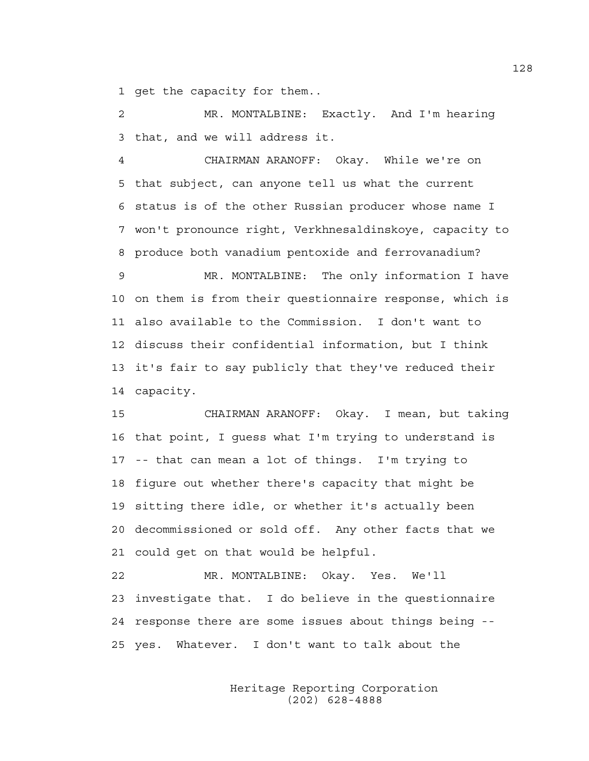1 get the capacity for them..

2 MR. MONTALBINE: Exactly. And I'm hearing 3 that, and we will address it.

4 CHAIRMAN ARANOFF: Okay. While we're on 5 that subject, can anyone tell us what the current 6 status is of the other Russian producer whose name I 7 won't pronounce right, Verkhnesaldinskoye, capacity to 8 produce both vanadium pentoxide and ferrovanadium?

9 MR. MONTALBINE: The only information I have 10 on them is from their questionnaire response, which is 11 also available to the Commission. I don't want to 12 discuss their confidential information, but I think 13 it's fair to say publicly that they've reduced their 14 capacity.

15 CHAIRMAN ARANOFF: Okay. I mean, but taking 16 that point, I guess what I'm trying to understand is 17 -- that can mean a lot of things. I'm trying to 18 figure out whether there's capacity that might be 19 sitting there idle, or whether it's actually been 20 decommissioned or sold off. Any other facts that we 21 could get on that would be helpful.

22 MR. MONTALBINE: Okay. Yes. We'll 23 investigate that. I do believe in the questionnaire 24 response there are some issues about things being -- 25 yes. Whatever. I don't want to talk about the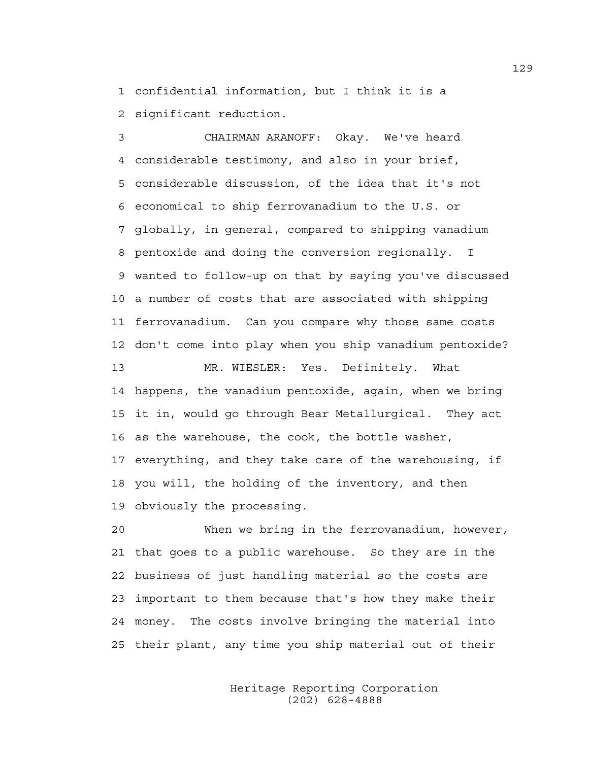1 confidential information, but I think it is a 2 significant reduction.

3 CHAIRMAN ARANOFF: Okay. We've heard 4 considerable testimony, and also in your brief, 5 considerable discussion, of the idea that it's not 6 economical to ship ferrovanadium to the U.S. or 7 globally, in general, compared to shipping vanadium 8 pentoxide and doing the conversion regionally. I 9 wanted to follow-up on that by saying you've discussed 10 a number of costs that are associated with shipping 11 ferrovanadium. Can you compare why those same costs 12 don't come into play when you ship vanadium pentoxide? 13 MR. WIESLER: Yes. Definitely. What 14 happens, the vanadium pentoxide, again, when we bring 15 it in, would go through Bear Metallurgical. They act 16 as the warehouse, the cook, the bottle washer, 17 everything, and they take care of the warehousing, if 18 you will, the holding of the inventory, and then 19 obviously the processing.

20 When we bring in the ferrovanadium, however, 21 that goes to a public warehouse. So they are in the 22 business of just handling material so the costs are 23 important to them because that's how they make their 24 money. The costs involve bringing the material into 25 their plant, any time you ship material out of their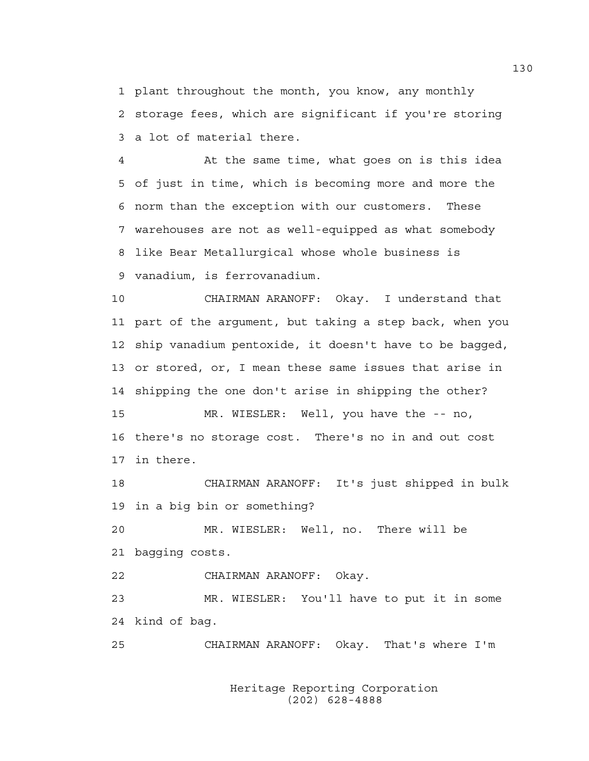1 plant throughout the month, you know, any monthly 2 storage fees, which are significant if you're storing 3 a lot of material there.

4 At the same time, what goes on is this idea 5 of just in time, which is becoming more and more the 6 norm than the exception with our customers. These 7 warehouses are not as well-equipped as what somebody 8 like Bear Metallurgical whose whole business is 9 vanadium, is ferrovanadium.

10 CHAIRMAN ARANOFF: Okay. I understand that 11 part of the argument, but taking a step back, when you 12 ship vanadium pentoxide, it doesn't have to be bagged, 13 or stored, or, I mean these same issues that arise in 14 shipping the one don't arise in shipping the other? 15 MR. WIESLER: Well, you have the -- no, 16 there's no storage cost. There's no in and out cost 17 in there.

18 CHAIRMAN ARANOFF: It's just shipped in bulk 19 in a big bin or something?

20 MR. WIESLER: Well, no. There will be 21 bagging costs.

22 CHAIRMAN ARANOFF: Okay.

23 MR. WIESLER: You'll have to put it in some 24 kind of bag.

25 CHAIRMAN ARANOFF: Okay. That's where I'm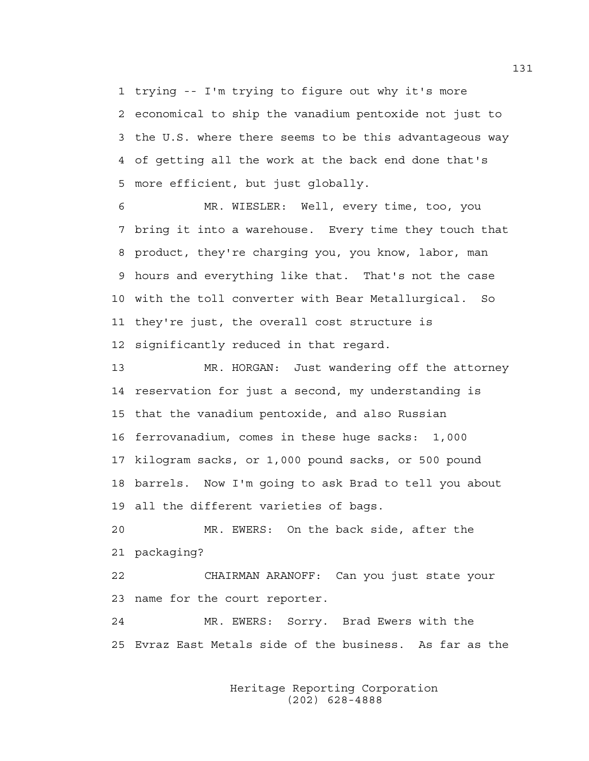1 trying -- I'm trying to figure out why it's more 2 economical to ship the vanadium pentoxide not just to 3 the U.S. where there seems to be this advantageous way 4 of getting all the work at the back end done that's 5 more efficient, but just globally.

6 MR. WIESLER: Well, every time, too, you 7 bring it into a warehouse. Every time they touch that 8 product, they're charging you, you know, labor, man 9 hours and everything like that. That's not the case 10 with the toll converter with Bear Metallurgical. So 11 they're just, the overall cost structure is 12 significantly reduced in that regard.

13 MR. HORGAN: Just wandering off the attorney 14 reservation for just a second, my understanding is 15 that the vanadium pentoxide, and also Russian 16 ferrovanadium, comes in these huge sacks: 1,000 17 kilogram sacks, or 1,000 pound sacks, or 500 pound 18 barrels. Now I'm going to ask Brad to tell you about 19 all the different varieties of bags.

20 MR. EWERS: On the back side, after the 21 packaging?

22 CHAIRMAN ARANOFF: Can you just state your 23 name for the court reporter.

24 MR. EWERS: Sorry. Brad Ewers with the 25 Evraz East Metals side of the business. As far as the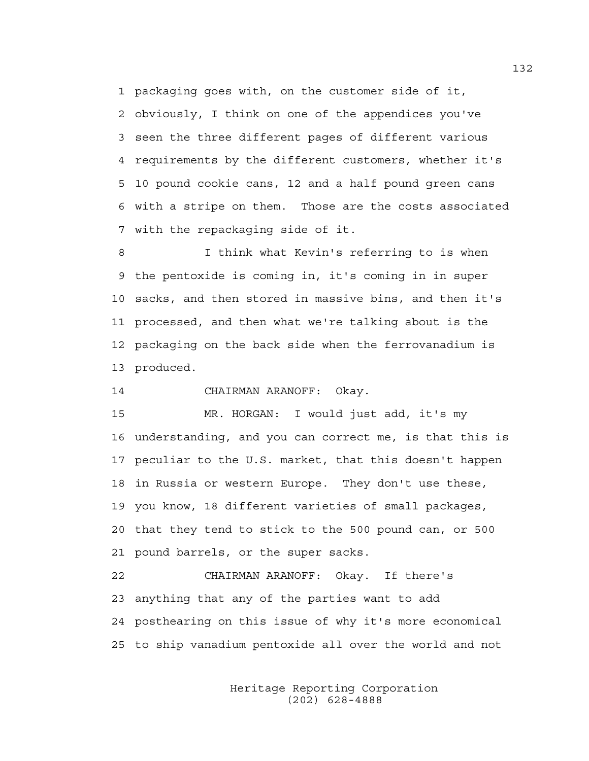1 packaging goes with, on the customer side of it, 2 obviously, I think on one of the appendices you've 3 seen the three different pages of different various 4 requirements by the different customers, whether it's 5 10 pound cookie cans, 12 and a half pound green cans 6 with a stripe on them. Those are the costs associated 7 with the repackaging side of it.

8 I think what Kevin's referring to is when 9 the pentoxide is coming in, it's coming in in super 10 sacks, and then stored in massive bins, and then it's 11 processed, and then what we're talking about is the 12 packaging on the back side when the ferrovanadium is 13 produced.

14 CHAIRMAN ARANOFF: Okay.

15 MR. HORGAN: I would just add, it's my 16 understanding, and you can correct me, is that this is 17 peculiar to the U.S. market, that this doesn't happen 18 in Russia or western Europe. They don't use these, 19 you know, 18 different varieties of small packages, 20 that they tend to stick to the 500 pound can, or 500 21 pound barrels, or the super sacks.

22 CHAIRMAN ARANOFF: Okay. If there's 23 anything that any of the parties want to add 24 posthearing on this issue of why it's more economical 25 to ship vanadium pentoxide all over the world and not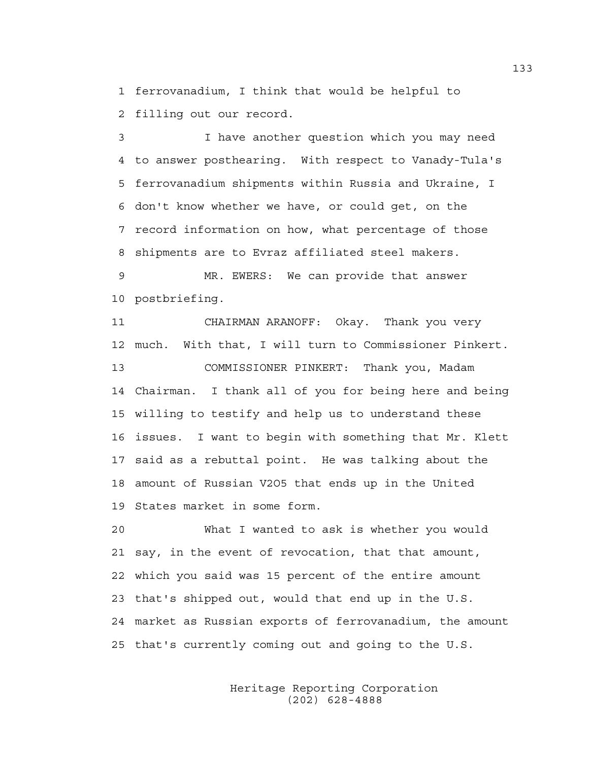1 ferrovanadium, I think that would be helpful to 2 filling out our record.

3 I have another question which you may need 4 to answer posthearing. With respect to Vanady-Tula's 5 ferrovanadium shipments within Russia and Ukraine, I 6 don't know whether we have, or could get, on the 7 record information on how, what percentage of those 8 shipments are to Evraz affiliated steel makers.

9 MR. EWERS: We can provide that answer 10 postbriefing.

11 CHAIRMAN ARANOFF: Okay. Thank you very 12 much. With that, I will turn to Commissioner Pinkert. 13 COMMISSIONER PINKERT: Thank you, Madam 14 Chairman. I thank all of you for being here and being 15 willing to testify and help us to understand these 16 issues. I want to begin with something that Mr. Klett 17 said as a rebuttal point. He was talking about the 18 amount of Russian V2O5 that ends up in the United 19 States market in some form.

20 What I wanted to ask is whether you would 21 say, in the event of revocation, that that amount, 22 which you said was 15 percent of the entire amount 23 that's shipped out, would that end up in the U.S. 24 market as Russian exports of ferrovanadium, the amount 25 that's currently coming out and going to the U.S.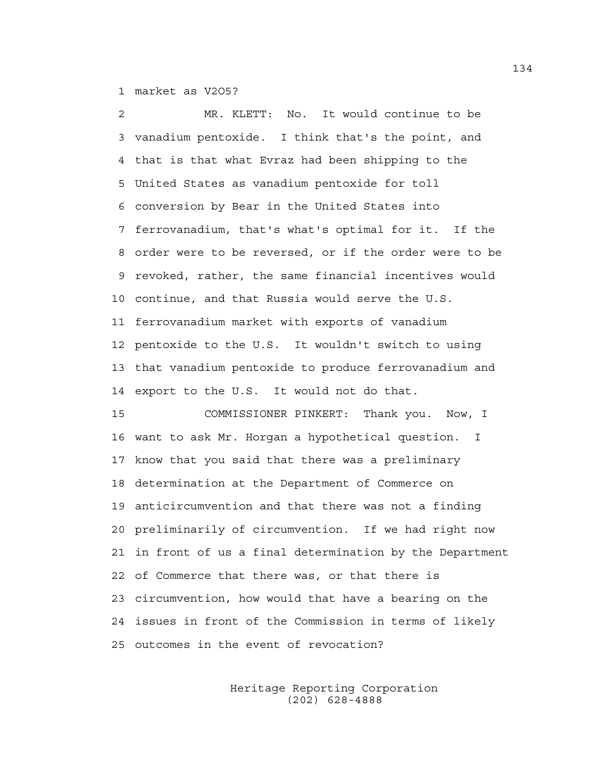1 market as V2O5?

2 MR. KLETT: No. It would continue to be 3 vanadium pentoxide. I think that's the point, and 4 that is that what Evraz had been shipping to the 5 United States as vanadium pentoxide for toll 6 conversion by Bear in the United States into 7 ferrovanadium, that's what's optimal for it. If the 8 order were to be reversed, or if the order were to be 9 revoked, rather, the same financial incentives would 10 continue, and that Russia would serve the U.S. 11 ferrovanadium market with exports of vanadium 12 pentoxide to the U.S. It wouldn't switch to using 13 that vanadium pentoxide to produce ferrovanadium and 14 export to the U.S. It would not do that.

15 COMMISSIONER PINKERT: Thank you. Now, I 16 want to ask Mr. Horgan a hypothetical question. I 17 know that you said that there was a preliminary 18 determination at the Department of Commerce on 19 anticircumvention and that there was not a finding 20 preliminarily of circumvention. If we had right now 21 in front of us a final determination by the Department 22 of Commerce that there was, or that there is 23 circumvention, how would that have a bearing on the 24 issues in front of the Commission in terms of likely 25 outcomes in the event of revocation?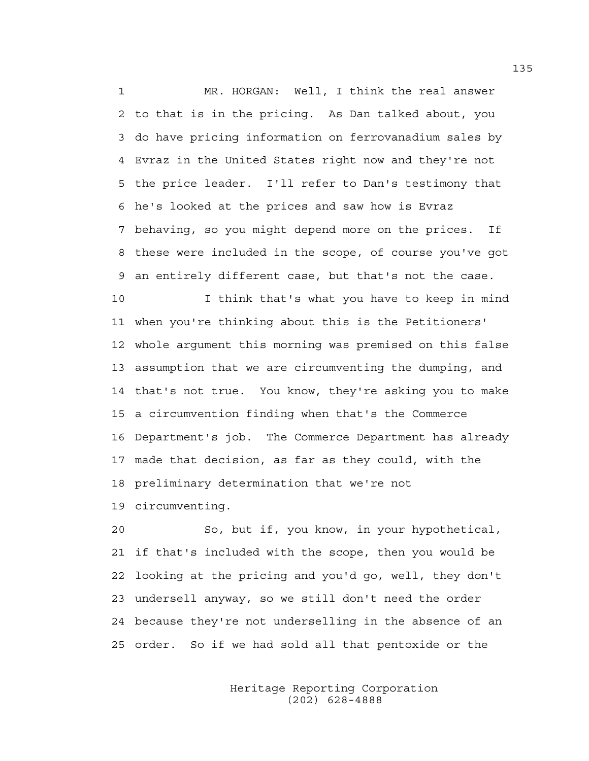1 MR. HORGAN: Well, I think the real answer 2 to that is in the pricing. As Dan talked about, you 3 do have pricing information on ferrovanadium sales by 4 Evraz in the United States right now and they're not 5 the price leader. I'll refer to Dan's testimony that 6 he's looked at the prices and saw how is Evraz 7 behaving, so you might depend more on the prices. If 8 these were included in the scope, of course you've got 9 an entirely different case, but that's not the case.

10 I think that's what you have to keep in mind 11 when you're thinking about this is the Petitioners' 12 whole argument this morning was premised on this false 13 assumption that we are circumventing the dumping, and 14 that's not true. You know, they're asking you to make 15 a circumvention finding when that's the Commerce 16 Department's job. The Commerce Department has already 17 made that decision, as far as they could, with the 18 preliminary determination that we're not 19 circumventing.

20 So, but if, you know, in your hypothetical, 21 if that's included with the scope, then you would be 22 looking at the pricing and you'd go, well, they don't 23 undersell anyway, so we still don't need the order 24 because they're not underselling in the absence of an 25 order. So if we had sold all that pentoxide or the

> Heritage Reporting Corporation (202) 628-4888

135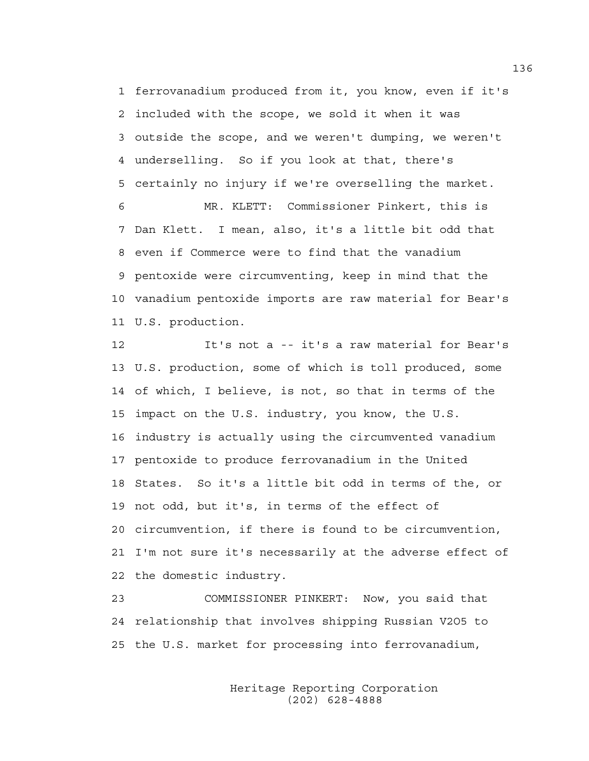1 ferrovanadium produced from it, you know, even if it's 2 included with the scope, we sold it when it was 3 outside the scope, and we weren't dumping, we weren't 4 underselling. So if you look at that, there's 5 certainly no injury if we're overselling the market. 6 MR. KLETT: Commissioner Pinkert, this is 7 Dan Klett. I mean, also, it's a little bit odd that 8 even if Commerce were to find that the vanadium 9 pentoxide were circumventing, keep in mind that the

10 vanadium pentoxide imports are raw material for Bear's 11 U.S. production.

12 It's not a -- it's a raw material for Bear's 13 U.S. production, some of which is toll produced, some 14 of which, I believe, is not, so that in terms of the 15 impact on the U.S. industry, you know, the U.S. 16 industry is actually using the circumvented vanadium 17 pentoxide to produce ferrovanadium in the United 18 States. So it's a little bit odd in terms of the, or 19 not odd, but it's, in terms of the effect of 20 circumvention, if there is found to be circumvention, 21 I'm not sure it's necessarily at the adverse effect of 22 the domestic industry.

23 COMMISSIONER PINKERT: Now, you said that 24 relationship that involves shipping Russian V2O5 to 25 the U.S. market for processing into ferrovanadium,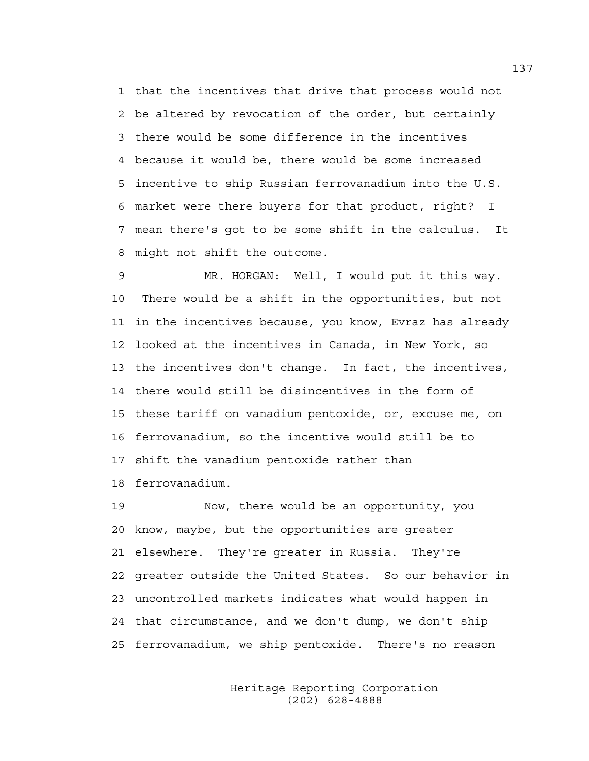1 that the incentives that drive that process would not 2 be altered by revocation of the order, but certainly 3 there would be some difference in the incentives 4 because it would be, there would be some increased 5 incentive to ship Russian ferrovanadium into the U.S. 6 market were there buyers for that product, right? I 7 mean there's got to be some shift in the calculus. It 8 might not shift the outcome.

9 MR. HORGAN: Well, I would put it this way. 10 There would be a shift in the opportunities, but not 11 in the incentives because, you know, Evraz has already 12 looked at the incentives in Canada, in New York, so 13 the incentives don't change. In fact, the incentives, 14 there would still be disincentives in the form of 15 these tariff on vanadium pentoxide, or, excuse me, on 16 ferrovanadium, so the incentive would still be to 17 shift the vanadium pentoxide rather than 18 ferrovanadium.

19 Now, there would be an opportunity, you 20 know, maybe, but the opportunities are greater 21 elsewhere. They're greater in Russia. They're 22 greater outside the United States. So our behavior in 23 uncontrolled markets indicates what would happen in 24 that circumstance, and we don't dump, we don't ship 25 ferrovanadium, we ship pentoxide. There's no reason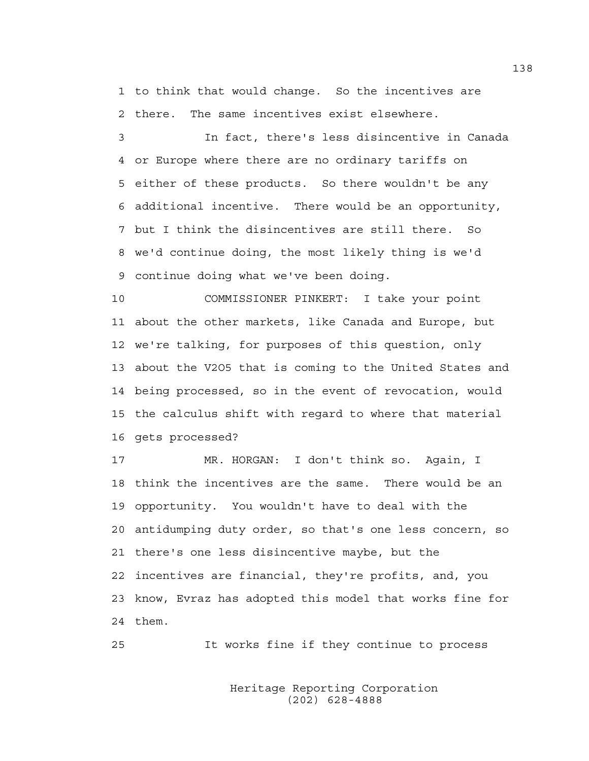1 to think that would change. So the incentives are 2 there. The same incentives exist elsewhere.

3 In fact, there's less disincentive in Canada 4 or Europe where there are no ordinary tariffs on 5 either of these products. So there wouldn't be any 6 additional incentive. There would be an opportunity, 7 but I think the disincentives are still there. So 8 we'd continue doing, the most likely thing is we'd 9 continue doing what we've been doing.

10 COMMISSIONER PINKERT: I take your point 11 about the other markets, like Canada and Europe, but 12 we're talking, for purposes of this question, only 13 about the V2O5 that is coming to the United States and 14 being processed, so in the event of revocation, would 15 the calculus shift with regard to where that material 16 gets processed?

17 MR. HORGAN: I don't think so. Again, I 18 think the incentives are the same. There would be an 19 opportunity. You wouldn't have to deal with the 20 antidumping duty order, so that's one less concern, so 21 there's one less disincentive maybe, but the 22 incentives are financial, they're profits, and, you 23 know, Evraz has adopted this model that works fine for 24 them.

25 It works fine if they continue to process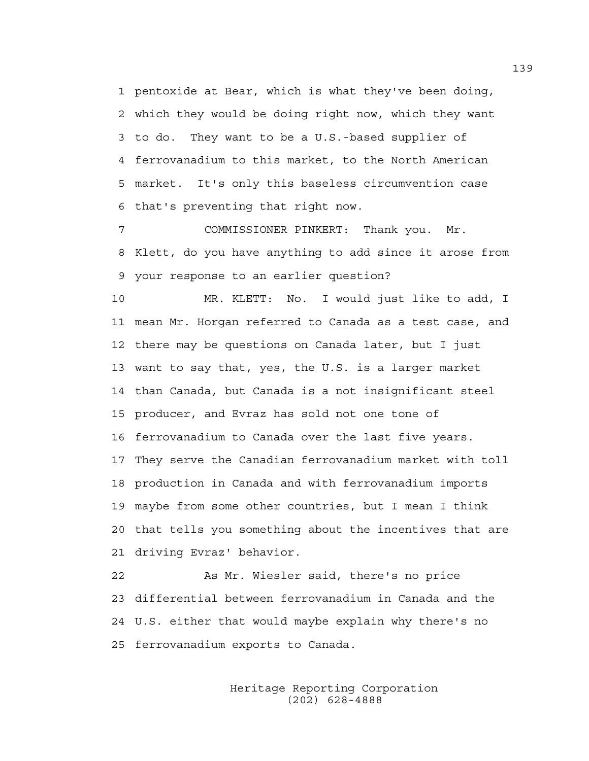1 pentoxide at Bear, which is what they've been doing, 2 which they would be doing right now, which they want 3 to do. They want to be a U.S.-based supplier of 4 ferrovanadium to this market, to the North American 5 market. It's only this baseless circumvention case 6 that's preventing that right now.

7 COMMISSIONER PINKERT: Thank you. Mr. 8 Klett, do you have anything to add since it arose from 9 your response to an earlier question?

10 MR. KLETT: No. I would just like to add, I 11 mean Mr. Horgan referred to Canada as a test case, and 12 there may be questions on Canada later, but I just 13 want to say that, yes, the U.S. is a larger market 14 than Canada, but Canada is a not insignificant steel 15 producer, and Evraz has sold not one tone of 16 ferrovanadium to Canada over the last five years. 17 They serve the Canadian ferrovanadium market with toll 18 production in Canada and with ferrovanadium imports 19 maybe from some other countries, but I mean I think 20 that tells you something about the incentives that are 21 driving Evraz' behavior.

22 As Mr. Wiesler said, there's no price 23 differential between ferrovanadium in Canada and the 24 U.S. either that would maybe explain why there's no 25 ferrovanadium exports to Canada.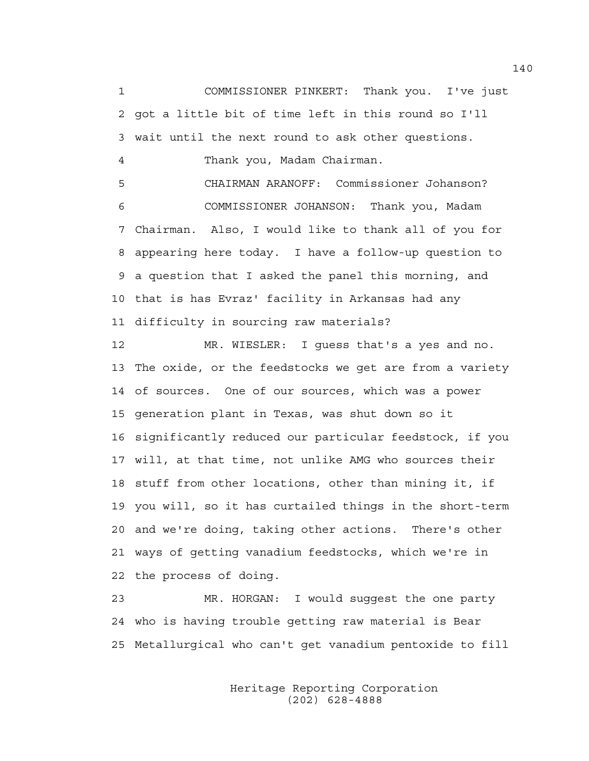1 COMMISSIONER PINKERT: Thank you. I've just 2 got a little bit of time left in this round so I'll 3 wait until the next round to ask other questions. 4 Thank you, Madam Chairman. 5 CHAIRMAN ARANOFF: Commissioner Johanson? 6 COMMISSIONER JOHANSON: Thank you, Madam 7 Chairman. Also, I would like to thank all of you for 8 appearing here today. I have a follow-up question to

9 a question that I asked the panel this morning, and 10 that is has Evraz' facility in Arkansas had any 11 difficulty in sourcing raw materials?

12 MR. WIESLER: I guess that's a yes and no. 13 The oxide, or the feedstocks we get are from a variety 14 of sources. One of our sources, which was a power 15 generation plant in Texas, was shut down so it 16 significantly reduced our particular feedstock, if you 17 will, at that time, not unlike AMG who sources their 18 stuff from other locations, other than mining it, if 19 you will, so it has curtailed things in the short-term 20 and we're doing, taking other actions. There's other 21 ways of getting vanadium feedstocks, which we're in 22 the process of doing.

23 MR. HORGAN: I would suggest the one party 24 who is having trouble getting raw material is Bear 25 Metallurgical who can't get vanadium pentoxide to fill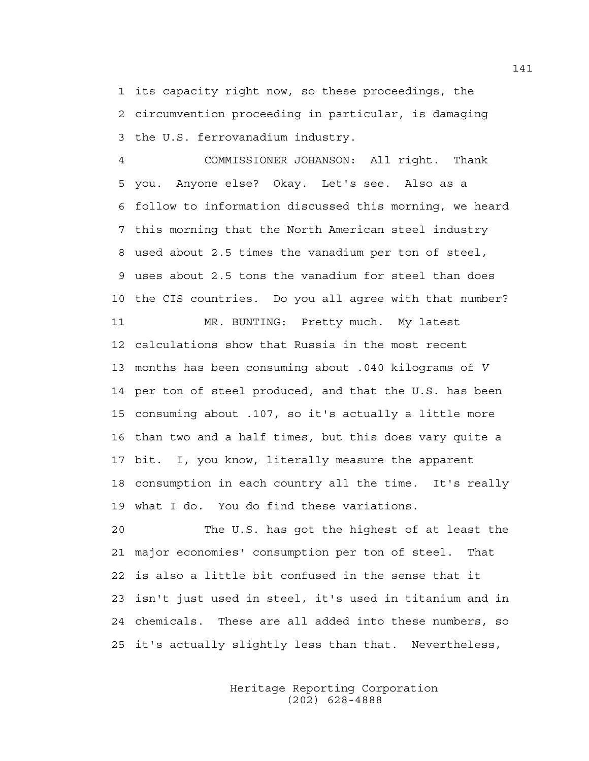1 its capacity right now, so these proceedings, the 2 circumvention proceeding in particular, is damaging 3 the U.S. ferrovanadium industry.

4 COMMISSIONER JOHANSON: All right. Thank 5 you. Anyone else? Okay. Let's see. Also as a 6 follow to information discussed this morning, we heard 7 this morning that the North American steel industry 8 used about 2.5 times the vanadium per ton of steel, 9 uses about 2.5 tons the vanadium for steel than does 10 the CIS countries. Do you all agree with that number?

11 MR. BUNTING: Pretty much. My latest 12 calculations show that Russia in the most recent 13 months has been consuming about .040 kilograms of *V* 14 per ton of steel produced, and that the U.S. has been 15 consuming about .107, so it's actually a little more 16 than two and a half times, but this does vary quite a 17 bit. I, you know, literally measure the apparent 18 consumption in each country all the time. It's really 19 what I do. You do find these variations.

20 The U.S. has got the highest of at least the 21 major economies' consumption per ton of steel. That 22 is also a little bit confused in the sense that it 23 isn't just used in steel, it's used in titanium and in 24 chemicals. These are all added into these numbers, so 25 it's actually slightly less than that. Nevertheless,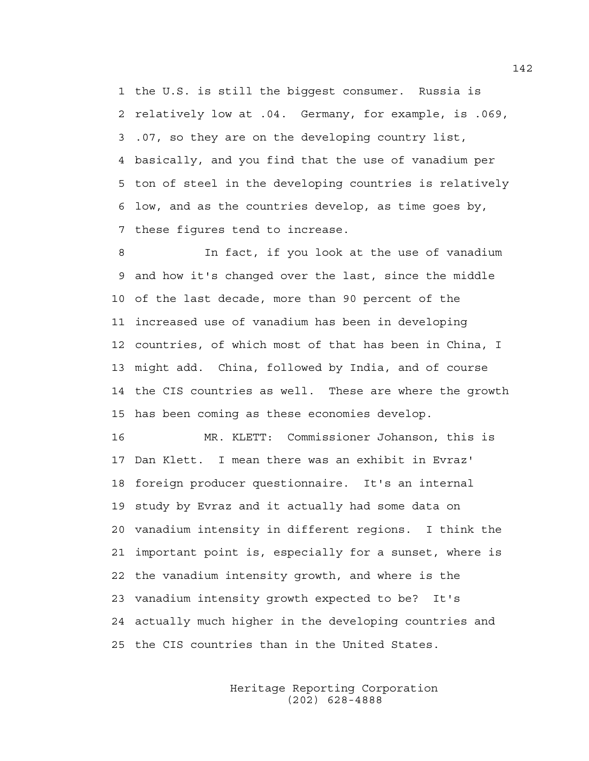1 the U.S. is still the biggest consumer. Russia is 2 relatively low at .04. Germany, for example, is .069, 3 .07, so they are on the developing country list, 4 basically, and you find that the use of vanadium per 5 ton of steel in the developing countries is relatively 6 low, and as the countries develop, as time goes by, 7 these figures tend to increase.

8 In fact, if you look at the use of vanadium 9 and how it's changed over the last, since the middle 10 of the last decade, more than 90 percent of the 11 increased use of vanadium has been in developing 12 countries, of which most of that has been in China, I 13 might add. China, followed by India, and of course 14 the CIS countries as well. These are where the growth 15 has been coming as these economies develop.

16 MR. KLETT: Commissioner Johanson, this is 17 Dan Klett. I mean there was an exhibit in Evraz' 18 foreign producer questionnaire. It's an internal 19 study by Evraz and it actually had some data on 20 vanadium intensity in different regions. I think the 21 important point is, especially for a sunset, where is 22 the vanadium intensity growth, and where is the 23 vanadium intensity growth expected to be? It's 24 actually much higher in the developing countries and 25 the CIS countries than in the United States.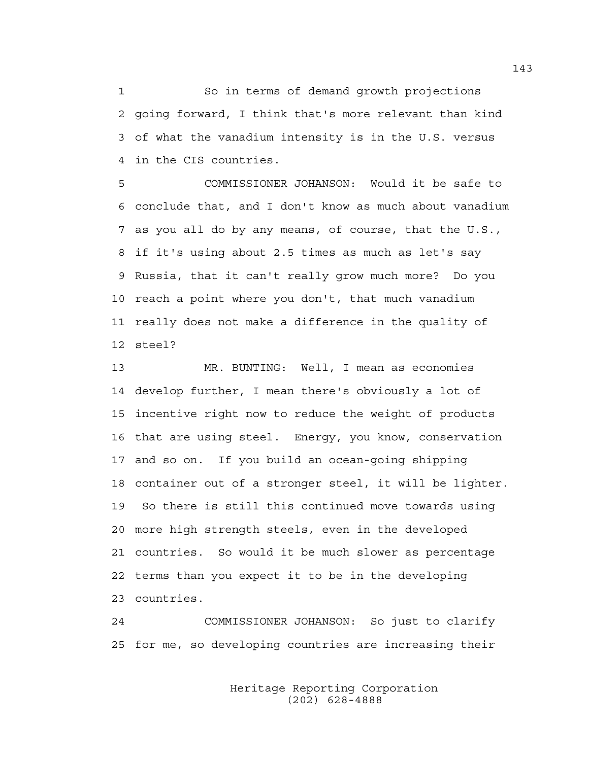1 So in terms of demand growth projections 2 going forward, I think that's more relevant than kind 3 of what the vanadium intensity is in the U.S. versus 4 in the CIS countries.

5 COMMISSIONER JOHANSON: Would it be safe to 6 conclude that, and I don't know as much about vanadium 7 as you all do by any means, of course, that the U.S., 8 if it's using about 2.5 times as much as let's say 9 Russia, that it can't really grow much more? Do you 10 reach a point where you don't, that much vanadium 11 really does not make a difference in the quality of 12 steel?

13 MR. BUNTING: Well, I mean as economies 14 develop further, I mean there's obviously a lot of 15 incentive right now to reduce the weight of products 16 that are using steel. Energy, you know, conservation 17 and so on. If you build an ocean-going shipping 18 container out of a stronger steel, it will be lighter. 19 So there is still this continued move towards using 20 more high strength steels, even in the developed 21 countries. So would it be much slower as percentage 22 terms than you expect it to be in the developing 23 countries.

24 COMMISSIONER JOHANSON: So just to clarify 25 for me, so developing countries are increasing their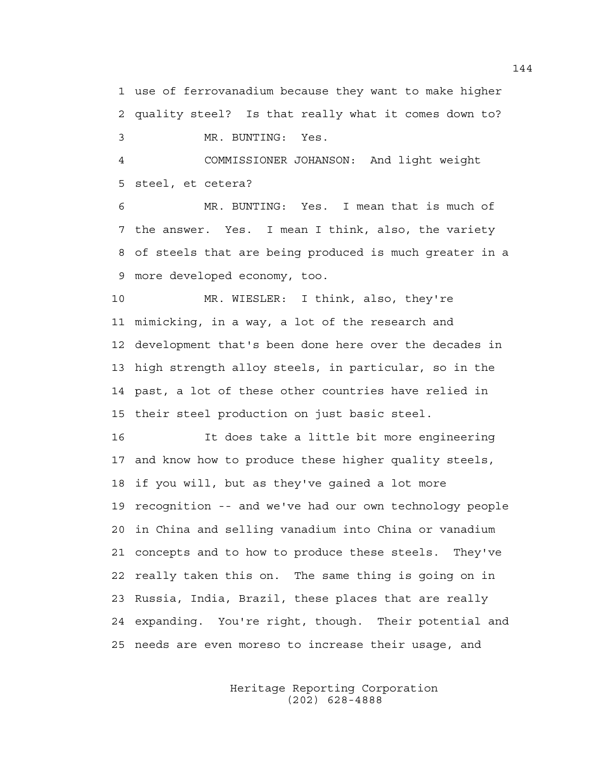1 use of ferrovanadium because they want to make higher 2 quality steel? Is that really what it comes down to? 3 MR. BUNTING: Yes.

4 COMMISSIONER JOHANSON: And light weight 5 steel, et cetera?

6 MR. BUNTING: Yes. I mean that is much of 7 the answer. Yes. I mean I think, also, the variety 8 of steels that are being produced is much greater in a 9 more developed economy, too.

10 MR. WIESLER: I think, also, they're 11 mimicking, in a way, a lot of the research and 12 development that's been done here over the decades in 13 high strength alloy steels, in particular, so in the 14 past, a lot of these other countries have relied in 15 their steel production on just basic steel.

16 It does take a little bit more engineering 17 and know how to produce these higher quality steels, 18 if you will, but as they've gained a lot more 19 recognition -- and we've had our own technology people 20 in China and selling vanadium into China or vanadium 21 concepts and to how to produce these steels. They've 22 really taken this on. The same thing is going on in 23 Russia, India, Brazil, these places that are really 24 expanding. You're right, though. Their potential and 25 needs are even moreso to increase their usage, and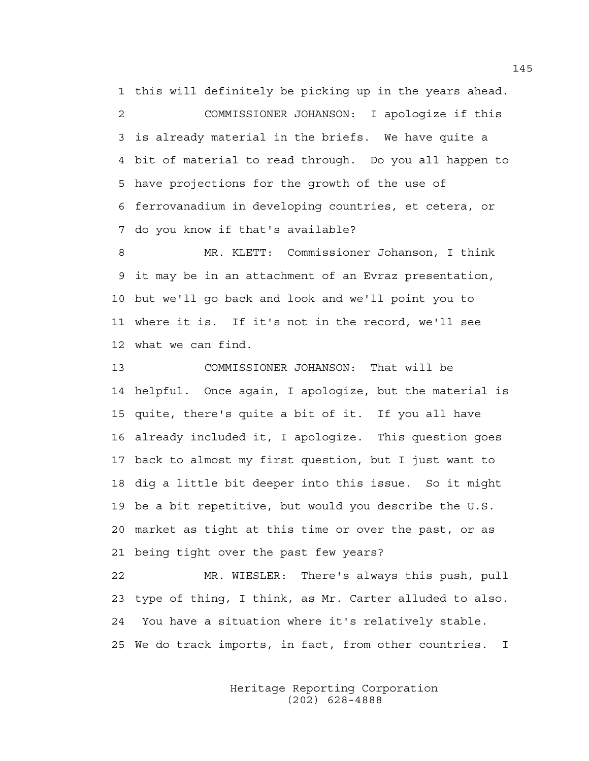1 this will definitely be picking up in the years ahead.

2 COMMISSIONER JOHANSON: I apologize if this 3 is already material in the briefs. We have quite a 4 bit of material to read through. Do you all happen to 5 have projections for the growth of the use of 6 ferrovanadium in developing countries, et cetera, or 7 do you know if that's available?

8 MR. KLETT: Commissioner Johanson, I think 9 it may be in an attachment of an Evraz presentation, 10 but we'll go back and look and we'll point you to 11 where it is. If it's not in the record, we'll see 12 what we can find.

13 COMMISSIONER JOHANSON: That will be 14 helpful. Once again, I apologize, but the material is 15 quite, there's quite a bit of it. If you all have 16 already included it, I apologize. This question goes 17 back to almost my first question, but I just want to 18 dig a little bit deeper into this issue. So it might 19 be a bit repetitive, but would you describe the U.S. 20 market as tight at this time or over the past, or as 21 being tight over the past few years?

22 MR. WIESLER: There's always this push, pull 23 type of thing, I think, as Mr. Carter alluded to also. 24 You have a situation where it's relatively stable. 25 We do track imports, in fact, from other countries. I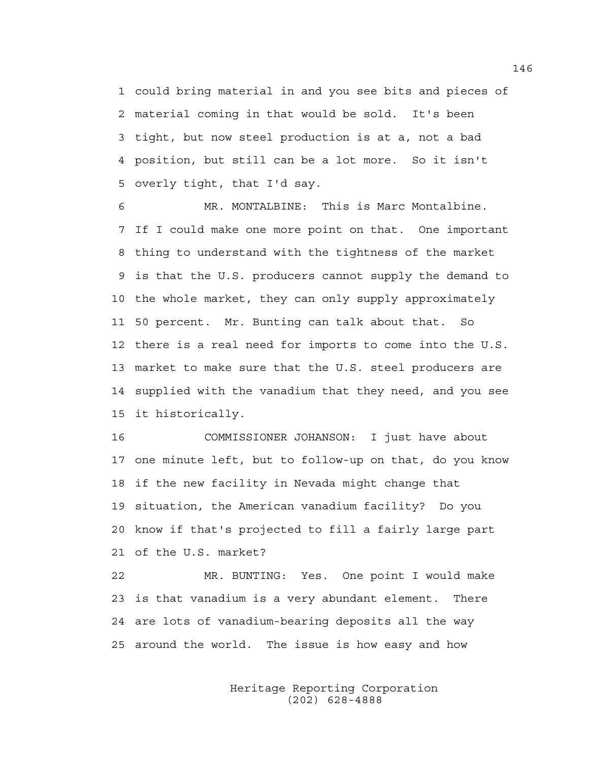1 could bring material in and you see bits and pieces of 2 material coming in that would be sold. It's been 3 tight, but now steel production is at a, not a bad 4 position, but still can be a lot more. So it isn't 5 overly tight, that I'd say.

6 MR. MONTALBINE: This is Marc Montalbine. 7 If I could make one more point on that. One important 8 thing to understand with the tightness of the market 9 is that the U.S. producers cannot supply the demand to 10 the whole market, they can only supply approximately 11 50 percent. Mr. Bunting can talk about that. So 12 there is a real need for imports to come into the U.S. 13 market to make sure that the U.S. steel producers are 14 supplied with the vanadium that they need, and you see 15 it historically.

16 COMMISSIONER JOHANSON: I just have about 17 one minute left, but to follow-up on that, do you know 18 if the new facility in Nevada might change that 19 situation, the American vanadium facility? Do you 20 know if that's projected to fill a fairly large part 21 of the U.S. market?

22 MR. BUNTING: Yes. One point I would make 23 is that vanadium is a very abundant element. There 24 are lots of vanadium-bearing deposits all the way 25 around the world. The issue is how easy and how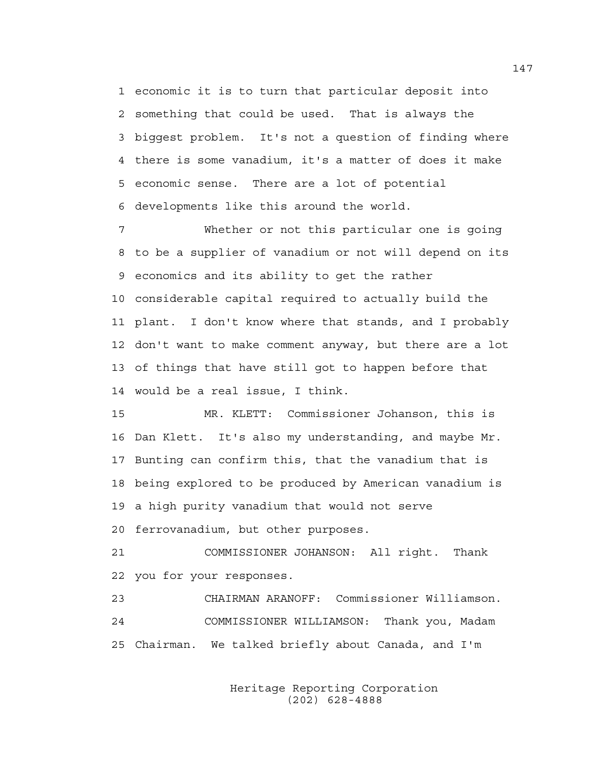1 economic it is to turn that particular deposit into 2 something that could be used. That is always the 3 biggest problem. It's not a question of finding where 4 there is some vanadium, it's a matter of does it make 5 economic sense. There are a lot of potential 6 developments like this around the world.

7 Whether or not this particular one is going 8 to be a supplier of vanadium or not will depend on its 9 economics and its ability to get the rather 10 considerable capital required to actually build the 11 plant. I don't know where that stands, and I probably 12 don't want to make comment anyway, but there are a lot 13 of things that have still got to happen before that 14 would be a real issue, I think.

15 MR. KLETT: Commissioner Johanson, this is 16 Dan Klett. It's also my understanding, and maybe Mr. 17 Bunting can confirm this, that the vanadium that is 18 being explored to be produced by American vanadium is 19 a high purity vanadium that would not serve 20 ferrovanadium, but other purposes.

21 COMMISSIONER JOHANSON: All right. Thank 22 you for your responses.

23 CHAIRMAN ARANOFF: Commissioner Williamson. 24 COMMISSIONER WILLIAMSON: Thank you, Madam 25 Chairman. We talked briefly about Canada, and I'm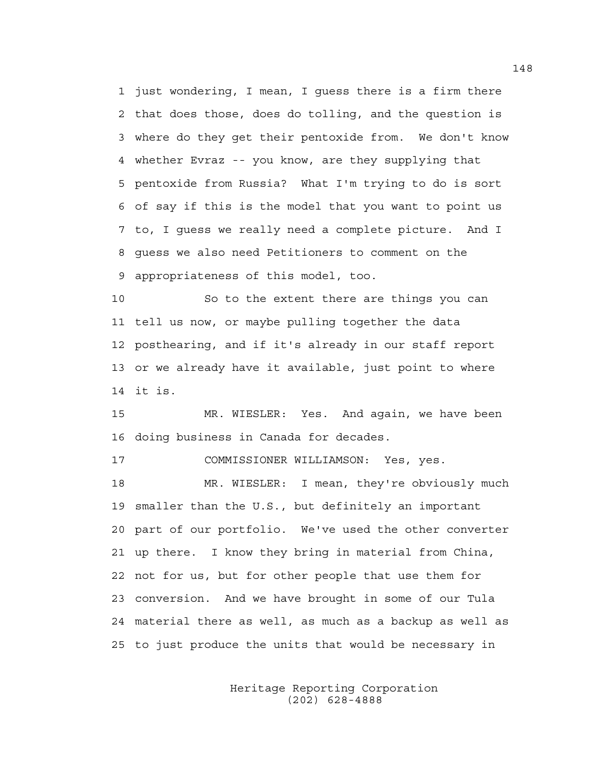1 just wondering, I mean, I guess there is a firm there 2 that does those, does do tolling, and the question is 3 where do they get their pentoxide from. We don't know 4 whether Evraz -- you know, are they supplying that 5 pentoxide from Russia? What I'm trying to do is sort 6 of say if this is the model that you want to point us 7 to, I guess we really need a complete picture. And I 8 guess we also need Petitioners to comment on the 9 appropriateness of this model, too.

10 So to the extent there are things you can 11 tell us now, or maybe pulling together the data 12 posthearing, and if it's already in our staff report 13 or we already have it available, just point to where 14 it is.

15 MR. WIESLER: Yes. And again, we have been 16 doing business in Canada for decades.

17 COMMISSIONER WILLIAMSON: Yes, yes.

18 MR. WIESLER: I mean, they're obviously much 19 smaller than the U.S., but definitely an important 20 part of our portfolio. We've used the other converter 21 up there. I know they bring in material from China, 22 not for us, but for other people that use them for 23 conversion. And we have brought in some of our Tula 24 material there as well, as much as a backup as well as 25 to just produce the units that would be necessary in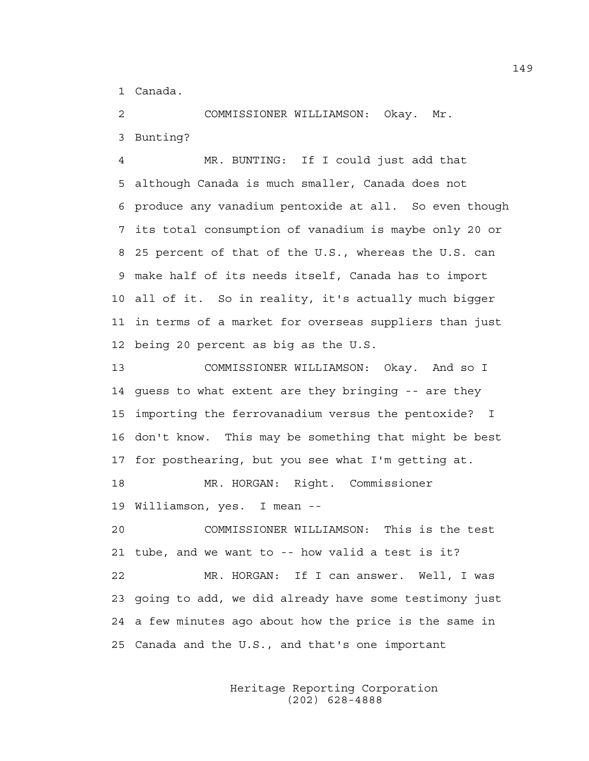1 Canada.

2 COMMISSIONER WILLIAMSON: Okay. Mr. 3 Bunting?

4 MR. BUNTING: If I could just add that 5 although Canada is much smaller, Canada does not 6 produce any vanadium pentoxide at all. So even though 7 its total consumption of vanadium is maybe only 20 or 8 25 percent of that of the U.S., whereas the U.S. can 9 make half of its needs itself, Canada has to import 10 all of it. So in reality, it's actually much bigger 11 in terms of a market for overseas suppliers than just 12 being 20 percent as big as the U.S.

13 COMMISSIONER WILLIAMSON: Okay. And so I 14 guess to what extent are they bringing -- are they 15 importing the ferrovanadium versus the pentoxide? I 16 don't know. This may be something that might be best 17 for posthearing, but you see what I'm getting at.

18 MR. HORGAN: Right. Commissioner 19 Williamson, yes. I mean --

20 COMMISSIONER WILLIAMSON: This is the test 21 tube, and we want to -- how valid a test is it?

22 MR. HORGAN: If I can answer. Well, I was 23 going to add, we did already have some testimony just 24 a few minutes ago about how the price is the same in 25 Canada and the U.S., and that's one important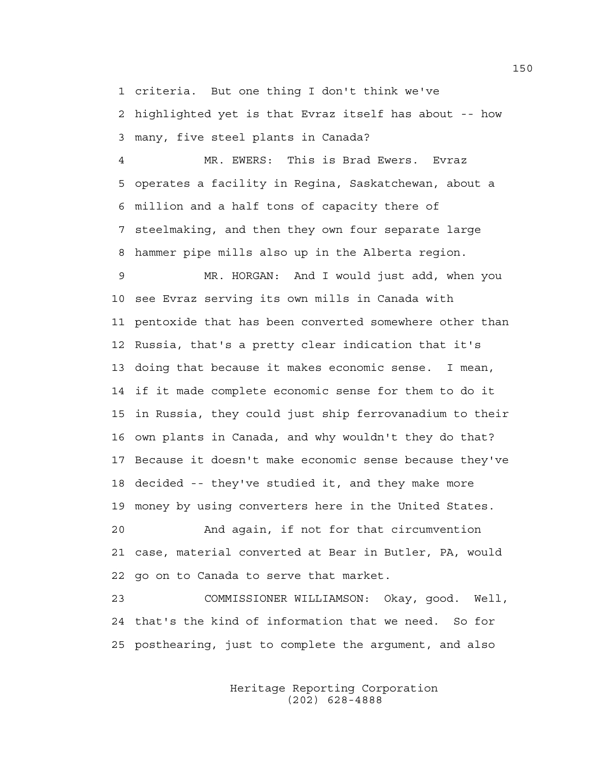1 criteria. But one thing I don't think we've

2 highlighted yet is that Evraz itself has about -- how 3 many, five steel plants in Canada?

4 MR. EWERS: This is Brad Ewers. Evraz 5 operates a facility in Regina, Saskatchewan, about a 6 million and a half tons of capacity there of 7 steelmaking, and then they own four separate large 8 hammer pipe mills also up in the Alberta region.

9 MR. HORGAN: And I would just add, when you 10 see Evraz serving its own mills in Canada with 11 pentoxide that has been converted somewhere other than 12 Russia, that's a pretty clear indication that it's 13 doing that because it makes economic sense. I mean, 14 if it made complete economic sense for them to do it 15 in Russia, they could just ship ferrovanadium to their 16 own plants in Canada, and why wouldn't they do that? 17 Because it doesn't make economic sense because they've 18 decided -- they've studied it, and they make more 19 money by using converters here in the United States. 20 And again, if not for that circumvention

21 case, material converted at Bear in Butler, PA, would 22 go on to Canada to serve that market.

23 COMMISSIONER WILLIAMSON: Okay, good. Well, 24 that's the kind of information that we need. So for 25 posthearing, just to complete the argument, and also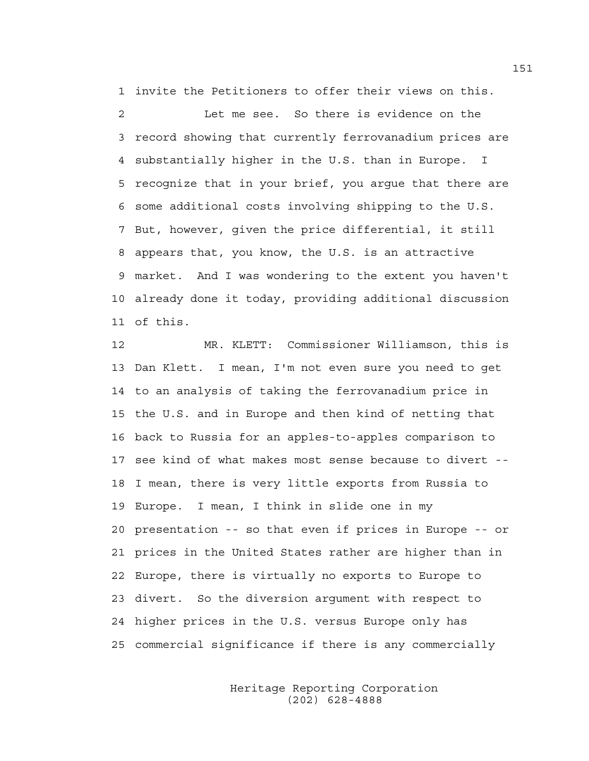1 invite the Petitioners to offer their views on this. 2 Let me see. So there is evidence on the 3 record showing that currently ferrovanadium prices are 4 substantially higher in the U.S. than in Europe. I 5 recognize that in your brief, you argue that there are 6 some additional costs involving shipping to the U.S. 7 But, however, given the price differential, it still 8 appears that, you know, the U.S. is an attractive 9 market. And I was wondering to the extent you haven't 10 already done it today, providing additional discussion 11 of this.

12 MR. KLETT: Commissioner Williamson, this is 13 Dan Klett. I mean, I'm not even sure you need to get 14 to an analysis of taking the ferrovanadium price in 15 the U.S. and in Europe and then kind of netting that 16 back to Russia for an apples-to-apples comparison to 17 see kind of what makes most sense because to divert -- 18 I mean, there is very little exports from Russia to 19 Europe. I mean, I think in slide one in my 20 presentation -- so that even if prices in Europe -- or 21 prices in the United States rather are higher than in 22 Europe, there is virtually no exports to Europe to 23 divert. So the diversion argument with respect to 24 higher prices in the U.S. versus Europe only has 25 commercial significance if there is any commercially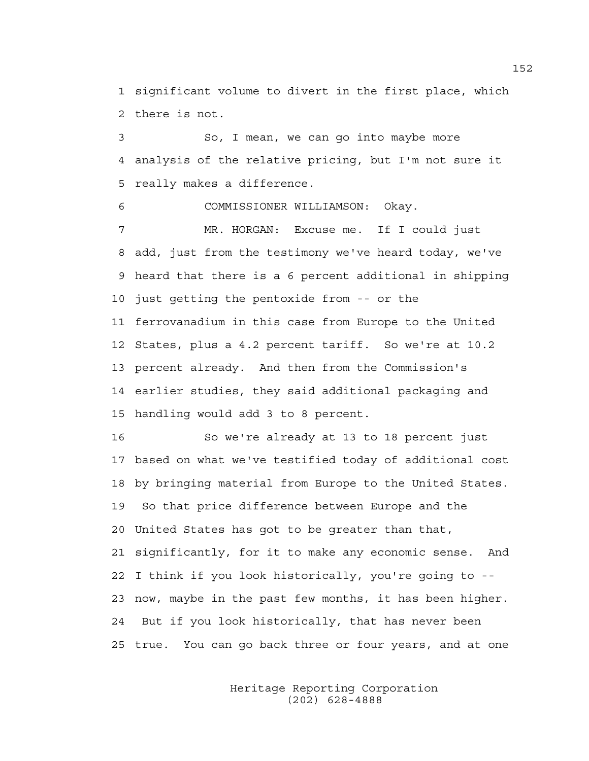1 significant volume to divert in the first place, which 2 there is not.

3 So, I mean, we can go into maybe more 4 analysis of the relative pricing, but I'm not sure it 5 really makes a difference.

6 COMMISSIONER WILLIAMSON: Okay.

7 MR. HORGAN: Excuse me. If I could just 8 add, just from the testimony we've heard today, we've 9 heard that there is a 6 percent additional in shipping 10 just getting the pentoxide from -- or the 11 ferrovanadium in this case from Europe to the United 12 States, plus a 4.2 percent tariff. So we're at 10.2 13 percent already. And then from the Commission's 14 earlier studies, they said additional packaging and 15 handling would add 3 to 8 percent.

16 So we're already at 13 to 18 percent just 17 based on what we've testified today of additional cost 18 by bringing material from Europe to the United States. 19 So that price difference between Europe and the 20 United States has got to be greater than that, 21 significantly, for it to make any economic sense. And 22 I think if you look historically, you're going to -- 23 now, maybe in the past few months, it has been higher. 24 But if you look historically, that has never been 25 true. You can go back three or four years, and at one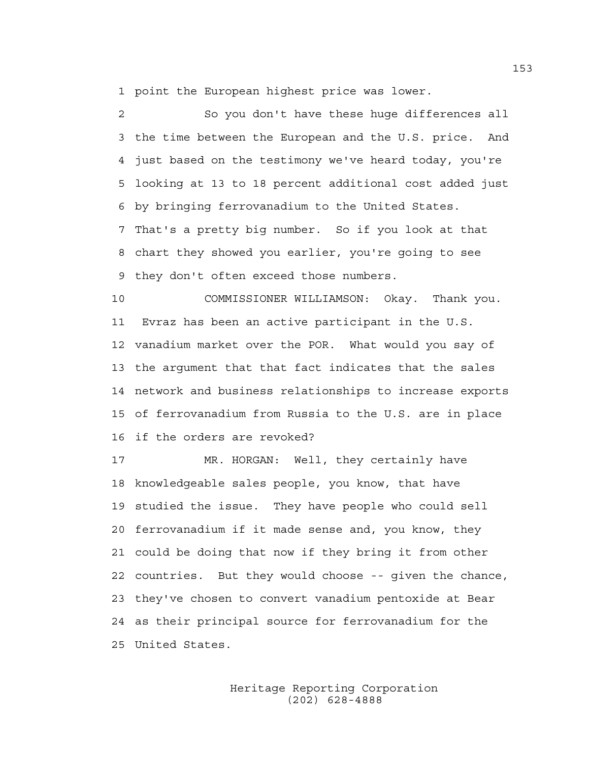1 point the European highest price was lower.

2 So you don't have these huge differences all 3 the time between the European and the U.S. price. And 4 just based on the testimony we've heard today, you're 5 looking at 13 to 18 percent additional cost added just 6 by bringing ferrovanadium to the United States. 7 That's a pretty big number. So if you look at that 8 chart they showed you earlier, you're going to see 9 they don't often exceed those numbers.

10 COMMISSIONER WILLIAMSON: Okay. Thank you. 11 Evraz has been an active participant in the U.S. 12 vanadium market over the POR. What would you say of 13 the argument that that fact indicates that the sales 14 network and business relationships to increase exports 15 of ferrovanadium from Russia to the U.S. are in place 16 if the orders are revoked?

17 MR. HORGAN: Well, they certainly have 18 knowledgeable sales people, you know, that have 19 studied the issue. They have people who could sell 20 ferrovanadium if it made sense and, you know, they 21 could be doing that now if they bring it from other 22 countries. But they would choose -- given the chance, 23 they've chosen to convert vanadium pentoxide at Bear 24 as their principal source for ferrovanadium for the 25 United States.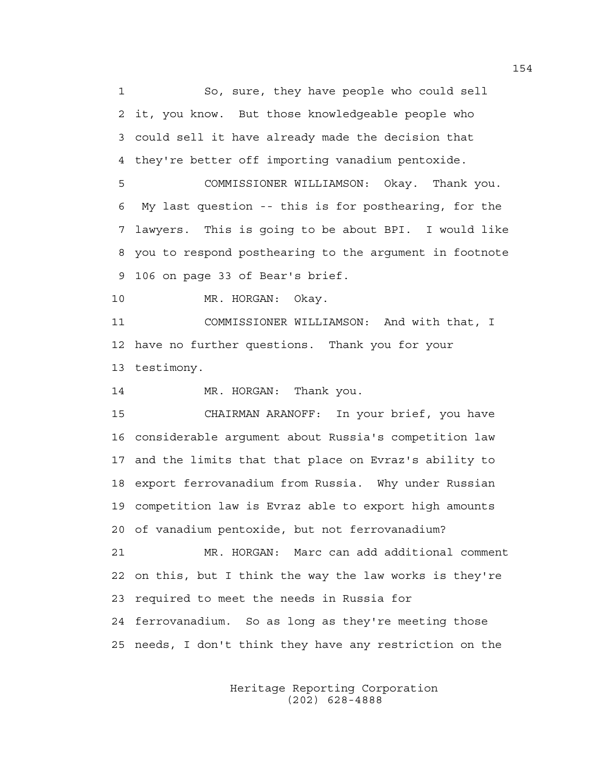1 So, sure, they have people who could sell 2 it, you know. But those knowledgeable people who 3 could sell it have already made the decision that 4 they're better off importing vanadium pentoxide.

5 COMMISSIONER WILLIAMSON: Okay. Thank you. 6 My last question -- this is for posthearing, for the 7 lawyers. This is going to be about BPI. I would like 8 you to respond posthearing to the argument in footnote 9 106 on page 33 of Bear's brief.

10 MR. HORGAN: Okay.

11 COMMISSIONER WILLIAMSON: And with that, I 12 have no further questions. Thank you for your 13 testimony.

14 MR. HORGAN: Thank you.

15 CHAIRMAN ARANOFF: In your brief, you have 16 considerable argument about Russia's competition law 17 and the limits that that place on Evraz's ability to 18 export ferrovanadium from Russia. Why under Russian 19 competition law is Evraz able to export high amounts 20 of vanadium pentoxide, but not ferrovanadium?

21 MR. HORGAN: Marc can add additional comment 22 on this, but I think the way the law works is they're 23 required to meet the needs in Russia for 24 ferrovanadium. So as long as they're meeting those 25 needs, I don't think they have any restriction on the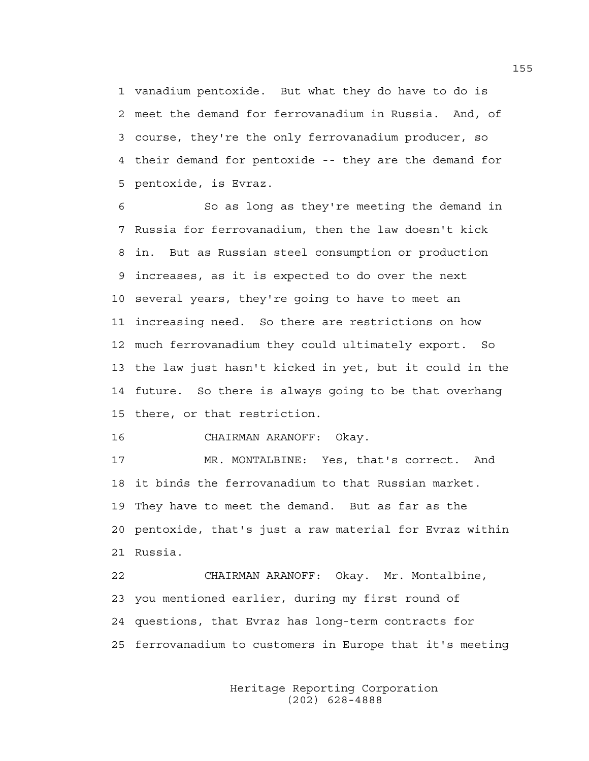1 vanadium pentoxide. But what they do have to do is 2 meet the demand for ferrovanadium in Russia. And, of 3 course, they're the only ferrovanadium producer, so 4 their demand for pentoxide -- they are the demand for 5 pentoxide, is Evraz.

6 So as long as they're meeting the demand in 7 Russia for ferrovanadium, then the law doesn't kick 8 in. But as Russian steel consumption or production 9 increases, as it is expected to do over the next 10 several years, they're going to have to meet an 11 increasing need. So there are restrictions on how 12 much ferrovanadium they could ultimately export. So 13 the law just hasn't kicked in yet, but it could in the 14 future. So there is always going to be that overhang 15 there, or that restriction.

16 CHAIRMAN ARANOFF: Okay.

17 MR. MONTALBINE: Yes, that's correct. And 18 it binds the ferrovanadium to that Russian market. 19 They have to meet the demand. But as far as the 20 pentoxide, that's just a raw material for Evraz within 21 Russia.

22 CHAIRMAN ARANOFF: Okay. Mr. Montalbine, 23 you mentioned earlier, during my first round of 24 questions, that Evraz has long-term contracts for 25 ferrovanadium to customers in Europe that it's meeting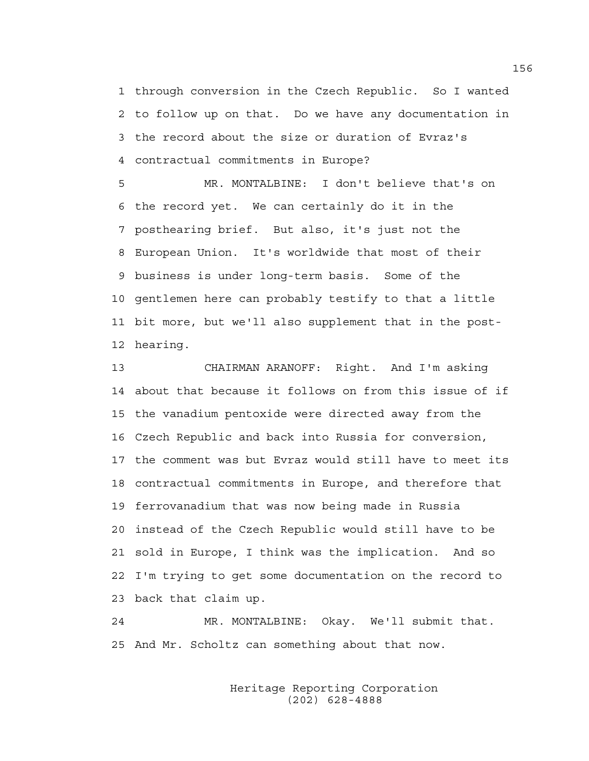1 through conversion in the Czech Republic. So I wanted 2 to follow up on that. Do we have any documentation in 3 the record about the size or duration of Evraz's 4 contractual commitments in Europe?

5 MR. MONTALBINE: I don't believe that's on 6 the record yet. We can certainly do it in the 7 posthearing brief. But also, it's just not the 8 European Union. It's worldwide that most of their 9 business is under long-term basis. Some of the 10 gentlemen here can probably testify to that a little 11 bit more, but we'll also supplement that in the post-12 hearing.

13 CHAIRMAN ARANOFF: Right. And I'm asking 14 about that because it follows on from this issue of if 15 the vanadium pentoxide were directed away from the 16 Czech Republic and back into Russia for conversion, 17 the comment was but Evraz would still have to meet its 18 contractual commitments in Europe, and therefore that 19 ferrovanadium that was now being made in Russia 20 instead of the Czech Republic would still have to be 21 sold in Europe, I think was the implication. And so 22 I'm trying to get some documentation on the record to 23 back that claim up.

24 MR. MONTALBINE: Okay. We'll submit that. 25 And Mr. Scholtz can something about that now.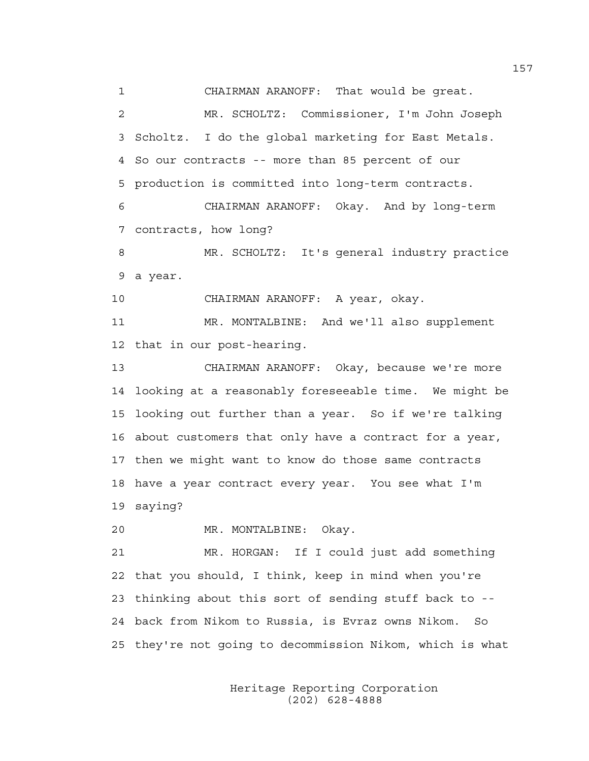1 CHAIRMAN ARANOFF: That would be great. 2 MR. SCHOLTZ: Commissioner, I'm John Joseph 3 Scholtz. I do the global marketing for East Metals. 4 So our contracts -- more than 85 percent of our 5 production is committed into long-term contracts. 6 CHAIRMAN ARANOFF: Okay. And by long-term

7 contracts, how long?

8 MR. SCHOLTZ: It's general industry practice 9 a year.

10 CHAIRMAN ARANOFF: A year, okay.

11 MR. MONTALBINE: And we'll also supplement 12 that in our post-hearing.

13 CHAIRMAN ARANOFF: Okay, because we're more 14 looking at a reasonably foreseeable time. We might be 15 looking out further than a year. So if we're talking 16 about customers that only have a contract for a year, 17 then we might want to know do those same contracts 18 have a year contract every year. You see what I'm 19 saying?

20 MR. MONTALBINE: Okay.

21 MR. HORGAN: If I could just add something 22 that you should, I think, keep in mind when you're 23 thinking about this sort of sending stuff back to -- 24 back from Nikom to Russia, is Evraz owns Nikom. So 25 they're not going to decommission Nikom, which is what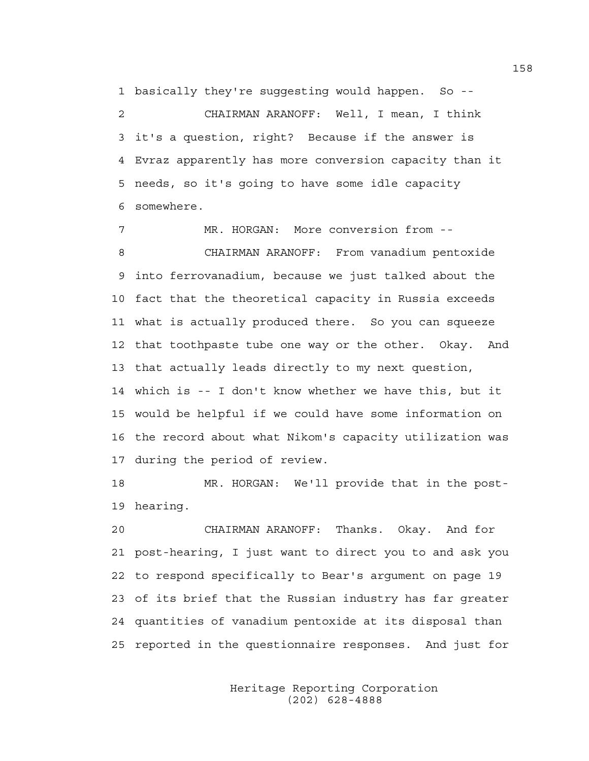1 basically they're suggesting would happen. So --

2 CHAIRMAN ARANOFF: Well, I mean, I think 3 it's a question, right? Because if the answer is 4 Evraz apparently has more conversion capacity than it 5 needs, so it's going to have some idle capacity 6 somewhere.

7 MR. HORGAN: More conversion from -- 8 CHAIRMAN ARANOFF: From vanadium pentoxide 9 into ferrovanadium, because we just talked about the 10 fact that the theoretical capacity in Russia exceeds 11 what is actually produced there. So you can squeeze 12 that toothpaste tube one way or the other. Okay. And 13 that actually leads directly to my next question, 14 which is -- I don't know whether we have this, but it 15 would be helpful if we could have some information on 16 the record about what Nikom's capacity utilization was 17 during the period of review.

18 MR. HORGAN: We'll provide that in the post-19 hearing.

20 CHAIRMAN ARANOFF: Thanks. Okay. And for 21 post-hearing, I just want to direct you to and ask you 22 to respond specifically to Bear's argument on page 19 23 of its brief that the Russian industry has far greater 24 quantities of vanadium pentoxide at its disposal than 25 reported in the questionnaire responses. And just for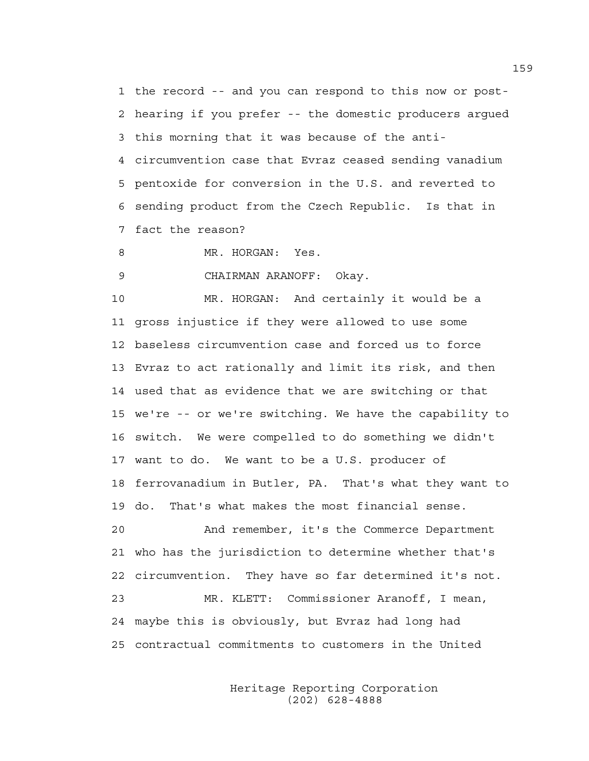1 the record -- and you can respond to this now or post-2 hearing if you prefer -- the domestic producers argued 3 this morning that it was because of the anti-4 circumvention case that Evraz ceased sending vanadium 5 pentoxide for conversion in the U.S. and reverted to 6 sending product from the Czech Republic. Is that in 7 fact the reason?

8 MR. HORGAN: Yes.

9 CHAIRMAN ARANOFF: Okay.

10 MR. HORGAN: And certainly it would be a 11 gross injustice if they were allowed to use some 12 baseless circumvention case and forced us to force 13 Evraz to act rationally and limit its risk, and then 14 used that as evidence that we are switching or that 15 we're -- or we're switching. We have the capability to 16 switch. We were compelled to do something we didn't 17 want to do. We want to be a U.S. producer of 18 ferrovanadium in Butler, PA. That's what they want to 19 do. That's what makes the most financial sense. 20 And remember, it's the Commerce Department 21 who has the jurisdiction to determine whether that's 22 circumvention. They have so far determined it's not. 23 MR. KLETT: Commissioner Aranoff, I mean, 24 maybe this is obviously, but Evraz had long had

> Heritage Reporting Corporation (202) 628-4888

25 contractual commitments to customers in the United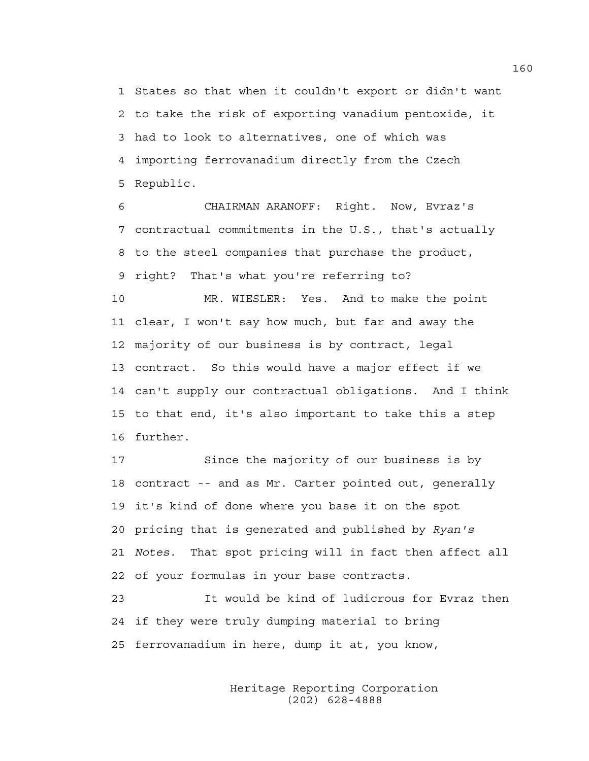1 States so that when it couldn't export or didn't want 2 to take the risk of exporting vanadium pentoxide, it 3 had to look to alternatives, one of which was 4 importing ferrovanadium directly from the Czech 5 Republic.

6 CHAIRMAN ARANOFF: Right. Now, Evraz's 7 contractual commitments in the U.S., that's actually 8 to the steel companies that purchase the product, 9 right? That's what you're referring to?

10 MR. WIESLER: Yes. And to make the point 11 clear, I won't say how much, but far and away the 12 majority of our business is by contract, legal 13 contract. So this would have a major effect if we 14 can't supply our contractual obligations. And I think 15 to that end, it's also important to take this a step 16 further.

17 Since the majority of our business is by 18 contract -- and as Mr. Carter pointed out, generally 19 it's kind of done where you base it on the spot 20 pricing that is generated and published by *Ryan's*  21 *Notes*. That spot pricing will in fact then affect all 22 of your formulas in your base contracts.

23 It would be kind of ludicrous for Evraz then 24 if they were truly dumping material to bring 25 ferrovanadium in here, dump it at, you know,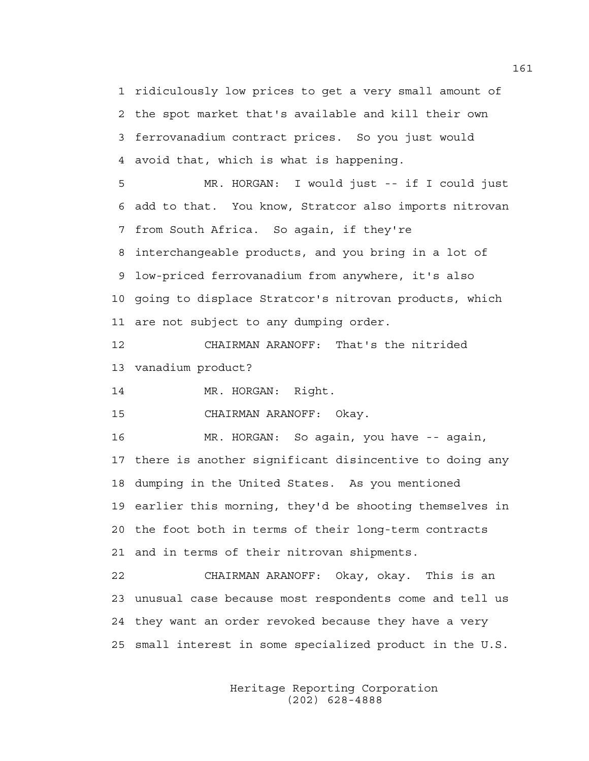1 ridiculously low prices to get a very small amount of 2 the spot market that's available and kill their own 3 ferrovanadium contract prices. So you just would 4 avoid that, which is what is happening.

5 MR. HORGAN: I would just -- if I could just 6 add to that. You know, Stratcor also imports nitrovan 7 from South Africa. So again, if they're 8 interchangeable products, and you bring in a lot of 9 low-priced ferrovanadium from anywhere, it's also 10 going to displace Stratcor's nitrovan products, which 11 are not subject to any dumping order.

12 CHAIRMAN ARANOFF: That's the nitrided 13 vanadium product?

14 MR. HORGAN: Right.

15 CHAIRMAN ARANOFF: Okay.

16 MR. HORGAN: So again, you have -- again, 17 there is another significant disincentive to doing any 18 dumping in the United States. As you mentioned 19 earlier this morning, they'd be shooting themselves in 20 the foot both in terms of their long-term contracts 21 and in terms of their nitrovan shipments.

22 CHAIRMAN ARANOFF: Okay, okay. This is an 23 unusual case because most respondents come and tell us 24 they want an order revoked because they have a very 25 small interest in some specialized product in the U.S.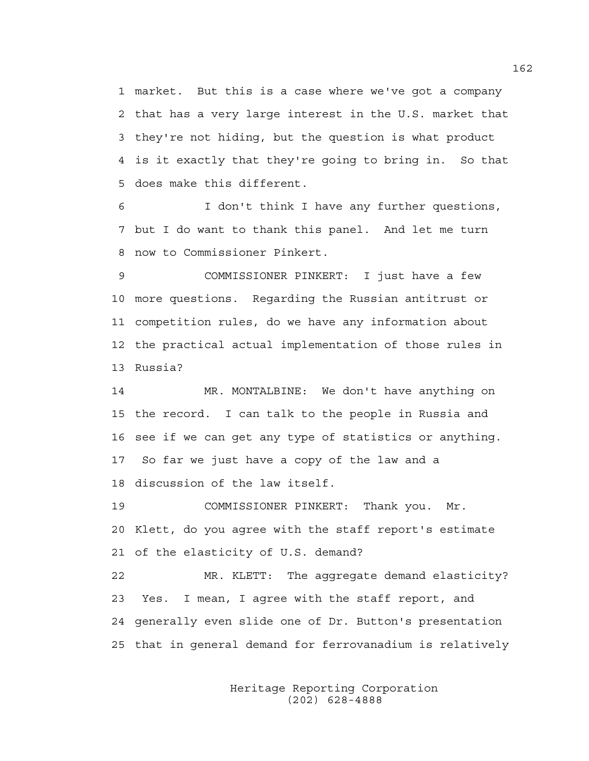1 market. But this is a case where we've got a company 2 that has a very large interest in the U.S. market that 3 they're not hiding, but the question is what product 4 is it exactly that they're going to bring in. So that 5 does make this different.

6 I don't think I have any further questions, 7 but I do want to thank this panel. And let me turn 8 now to Commissioner Pinkert.

9 COMMISSIONER PINKERT: I just have a few 10 more questions. Regarding the Russian antitrust or 11 competition rules, do we have any information about 12 the practical actual implementation of those rules in 13 Russia?

14 MR. MONTALBINE: We don't have anything on 15 the record. I can talk to the people in Russia and 16 see if we can get any type of statistics or anything. 17 So far we just have a copy of the law and a 18 discussion of the law itself.

19 COMMISSIONER PINKERT: Thank you. Mr. 20 Klett, do you agree with the staff report's estimate 21 of the elasticity of U.S. demand?

22 MR. KLETT: The aggregate demand elasticity? 23 Yes. I mean, I agree with the staff report, and 24 generally even slide one of Dr. Button's presentation 25 that in general demand for ferrovanadium is relatively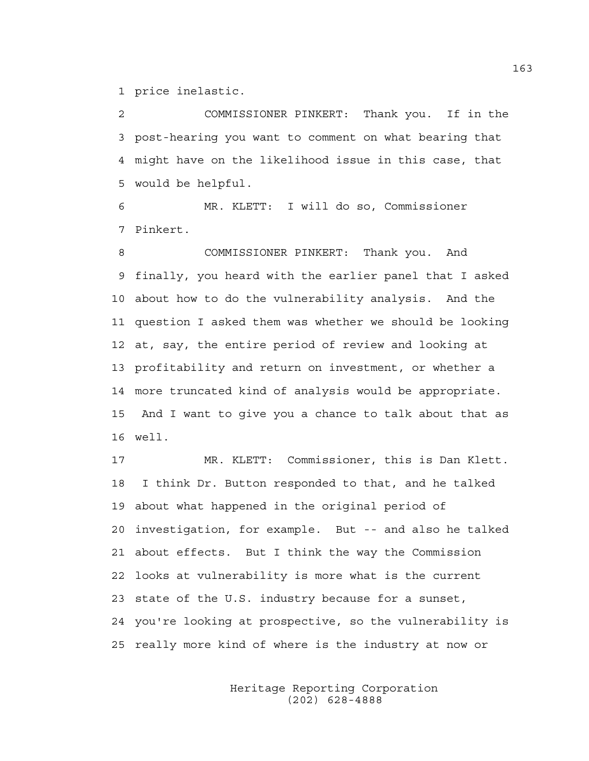1 price inelastic.

2 COMMISSIONER PINKERT: Thank you. If in the 3 post-hearing you want to comment on what bearing that 4 might have on the likelihood issue in this case, that 5 would be helpful.

6 MR. KLETT: I will do so, Commissioner 7 Pinkert.

8 COMMISSIONER PINKERT: Thank you. And 9 finally, you heard with the earlier panel that I asked 10 about how to do the vulnerability analysis. And the 11 question I asked them was whether we should be looking 12 at, say, the entire period of review and looking at 13 profitability and return on investment, or whether a 14 more truncated kind of analysis would be appropriate. 15 And I want to give you a chance to talk about that as 16 well.

17 MR. KLETT: Commissioner, this is Dan Klett. 18 I think Dr. Button responded to that, and he talked 19 about what happened in the original period of 20 investigation, for example. But -- and also he talked 21 about effects. But I think the way the Commission 22 looks at vulnerability is more what is the current 23 state of the U.S. industry because for a sunset, 24 you're looking at prospective, so the vulnerability is 25 really more kind of where is the industry at now or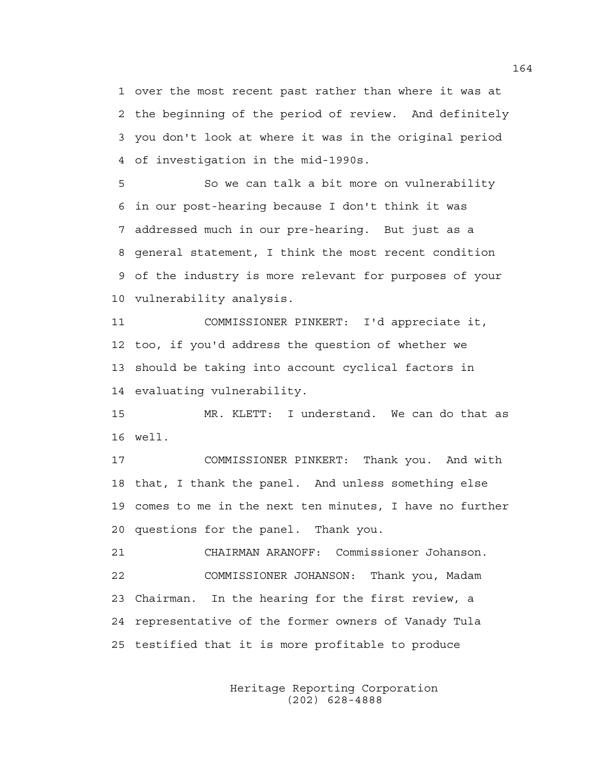1 over the most recent past rather than where it was at 2 the beginning of the period of review. And definitely 3 you don't look at where it was in the original period 4 of investigation in the mid-1990s.

5 So we can talk a bit more on vulnerability 6 in our post-hearing because I don't think it was 7 addressed much in our pre-hearing. But just as a 8 general statement, I think the most recent condition 9 of the industry is more relevant for purposes of your 10 vulnerability analysis.

11 COMMISSIONER PINKERT: I'd appreciate it, 12 too, if you'd address the question of whether we 13 should be taking into account cyclical factors in 14 evaluating vulnerability.

15 MR. KLETT: I understand. We can do that as 16 well.

17 COMMISSIONER PINKERT: Thank you. And with 18 that, I thank the panel. And unless something else 19 comes to me in the next ten minutes, I have no further 20 questions for the panel. Thank you.

21 CHAIRMAN ARANOFF: Commissioner Johanson. 22 COMMISSIONER JOHANSON: Thank you, Madam 23 Chairman. In the hearing for the first review, a 24 representative of the former owners of Vanady Tula 25 testified that it is more profitable to produce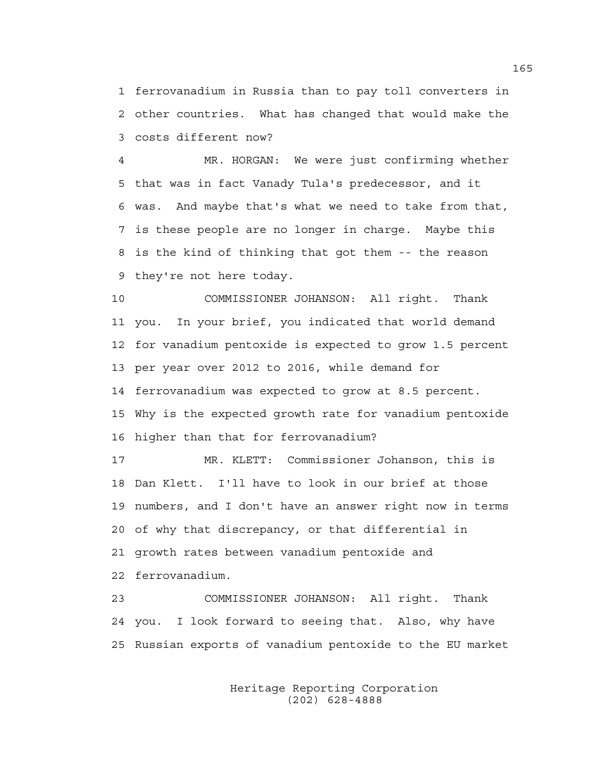1 ferrovanadium in Russia than to pay toll converters in 2 other countries. What has changed that would make the 3 costs different now?

4 MR. HORGAN: We were just confirming whether 5 that was in fact Vanady Tula's predecessor, and it 6 was. And maybe that's what we need to take from that, 7 is these people are no longer in charge. Maybe this 8 is the kind of thinking that got them -- the reason 9 they're not here today.

10 COMMISSIONER JOHANSON: All right. Thank 11 you. In your brief, you indicated that world demand 12 for vanadium pentoxide is expected to grow 1.5 percent 13 per year over 2012 to 2016, while demand for 14 ferrovanadium was expected to grow at 8.5 percent. 15 Why is the expected growth rate for vanadium pentoxide 16 higher than that for ferrovanadium?

17 MR. KLETT: Commissioner Johanson, this is 18 Dan Klett. I'll have to look in our brief at those 19 numbers, and I don't have an answer right now in terms 20 of why that discrepancy, or that differential in 21 growth rates between vanadium pentoxide and 22 ferrovanadium.

23 COMMISSIONER JOHANSON: All right. Thank 24 you. I look forward to seeing that. Also, why have 25 Russian exports of vanadium pentoxide to the EU market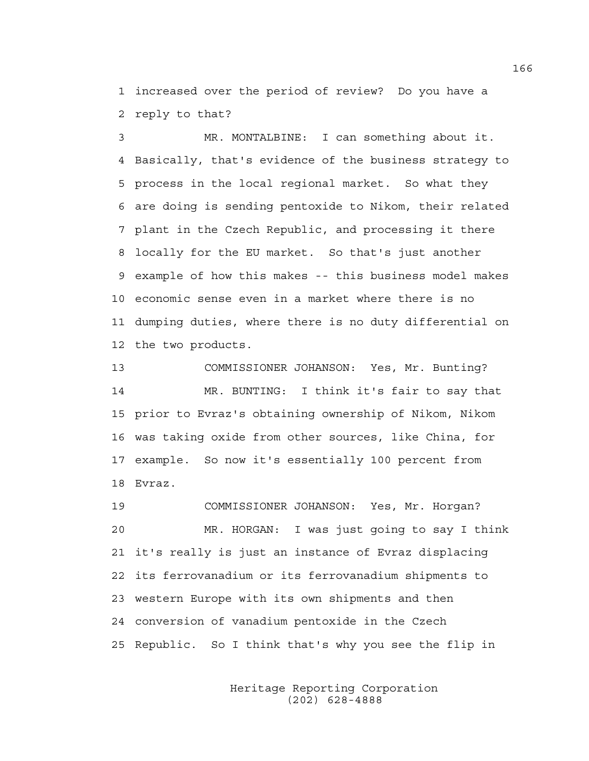1 increased over the period of review? Do you have a 2 reply to that?

3 MR. MONTALBINE: I can something about it. 4 Basically, that's evidence of the business strategy to 5 process in the local regional market. So what they 6 are doing is sending pentoxide to Nikom, their related 7 plant in the Czech Republic, and processing it there 8 locally for the EU market. So that's just another 9 example of how this makes -- this business model makes 10 economic sense even in a market where there is no 11 dumping duties, where there is no duty differential on 12 the two products.

13 COMMISSIONER JOHANSON: Yes, Mr. Bunting? 14 MR. BUNTING: I think it's fair to say that 15 prior to Evraz's obtaining ownership of Nikom, Nikom 16 was taking oxide from other sources, like China, for 17 example. So now it's essentially 100 percent from 18 Evraz.

19 COMMISSIONER JOHANSON: Yes, Mr. Horgan? 20 MR. HORGAN: I was just going to say I think 21 it's really is just an instance of Evraz displacing 22 its ferrovanadium or its ferrovanadium shipments to 23 western Europe with its own shipments and then 24 conversion of vanadium pentoxide in the Czech 25 Republic. So I think that's why you see the flip in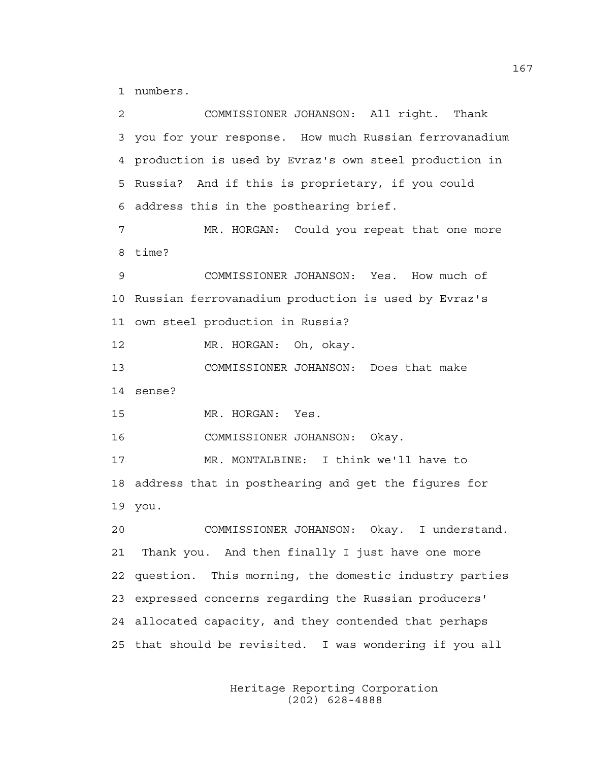1 numbers.

2 COMMISSIONER JOHANSON: All right. Thank 3 you for your response. How much Russian ferrovanadium 4 production is used by Evraz's own steel production in 5 Russia? And if this is proprietary, if you could 6 address this in the posthearing brief. 7 MR. HORGAN: Could you repeat that one more 8 time? 9 COMMISSIONER JOHANSON: Yes. How much of 10 Russian ferrovanadium production is used by Evraz's 11 own steel production in Russia? 12 MR. HORGAN: Oh, okay. 13 COMMISSIONER JOHANSON: Does that make 14 sense? 15 MR. HORGAN: Yes. 16 COMMISSIONER JOHANSON: Okay. 17 MR. MONTALBINE: I think we'll have to 18 address that in posthearing and get the figures for 19 you. 20 COMMISSIONER JOHANSON: Okay. I understand. 21 Thank you. And then finally I just have one more 22 question. This morning, the domestic industry parties 23 expressed concerns regarding the Russian producers' 24 allocated capacity, and they contended that perhaps 25 that should be revisited. I was wondering if you all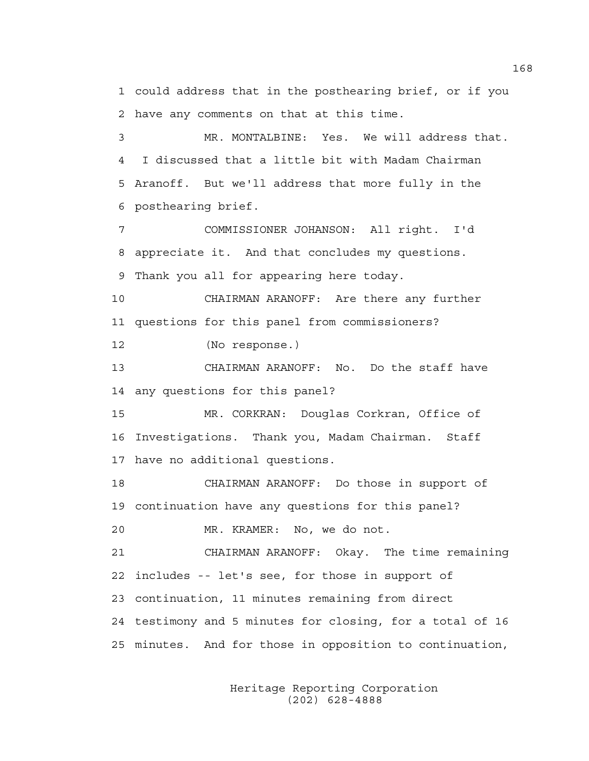1 could address that in the posthearing brief, or if you 2 have any comments on that at this time.

3 MR. MONTALBINE: Yes. We will address that. 4 I discussed that a little bit with Madam Chairman 5 Aranoff. But we'll address that more fully in the 6 posthearing brief.

7 COMMISSIONER JOHANSON: All right. I'd 8 appreciate it. And that concludes my questions. 9 Thank you all for appearing here today.

10 CHAIRMAN ARANOFF: Are there any further 11 questions for this panel from commissioners?

12 (No response.)

13 CHAIRMAN ARANOFF: No. Do the staff have 14 any questions for this panel?

15 MR. CORKRAN: Douglas Corkran, Office of 16 Investigations. Thank you, Madam Chairman. Staff 17 have no additional questions.

18 CHAIRMAN ARANOFF: Do those in support of 19 continuation have any questions for this panel?

20 MR. KRAMER: No, we do not.

21 CHAIRMAN ARANOFF: Okay. The time remaining 22 includes -- let's see, for those in support of 23 continuation, 11 minutes remaining from direct 24 testimony and 5 minutes for closing, for a total of 16 25 minutes. And for those in opposition to continuation,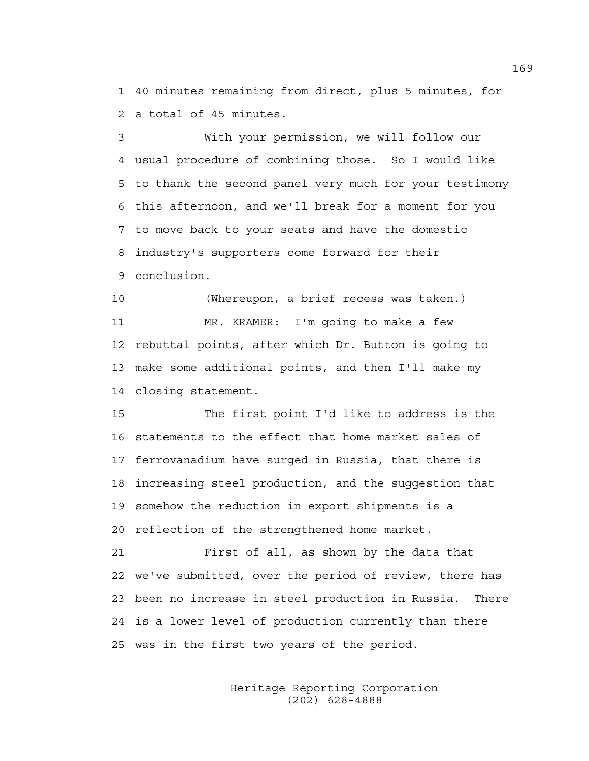1 40 minutes remaining from direct, plus 5 minutes, for 2 a total of 45 minutes.

3 With your permission, we will follow our 4 usual procedure of combining those. So I would like 5 to thank the second panel very much for your testimony 6 this afternoon, and we'll break for a moment for you 7 to move back to your seats and have the domestic 8 industry's supporters come forward for their 9 conclusion.

10 (Whereupon, a brief recess was taken.) 11 MR. KRAMER: I'm going to make a few 12 rebuttal points, after which Dr. Button is going to 13 make some additional points, and then I'll make my 14 closing statement.

15 The first point I'd like to address is the 16 statements to the effect that home market sales of 17 ferrovanadium have surged in Russia, that there is 18 increasing steel production, and the suggestion that 19 somehow the reduction in export shipments is a 20 reflection of the strengthened home market.

21 First of all, as shown by the data that 22 we've submitted, over the period of review, there has 23 been no increase in steel production in Russia. There 24 is a lower level of production currently than there 25 was in the first two years of the period.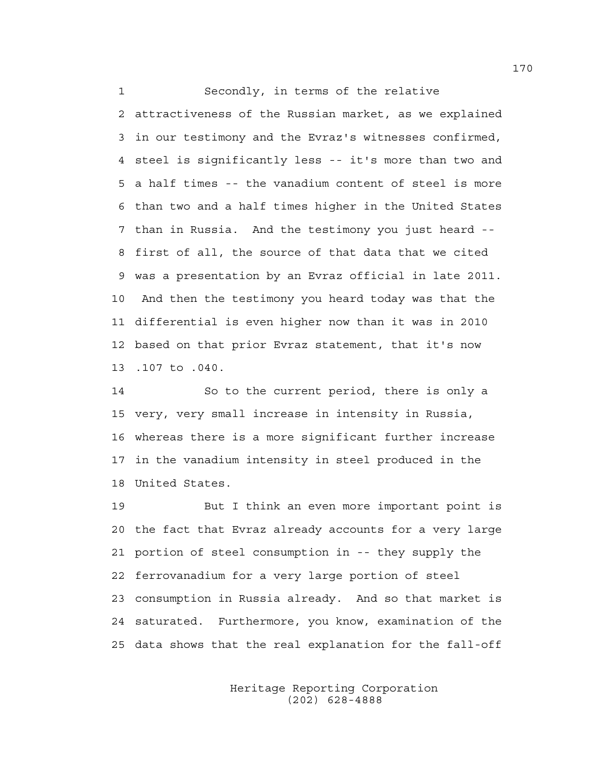1 Secondly, in terms of the relative

2 attractiveness of the Russian market, as we explained 3 in our testimony and the Evraz's witnesses confirmed, 4 steel is significantly less -- it's more than two and 5 a half times -- the vanadium content of steel is more 6 than two and a half times higher in the United States 7 than in Russia. And the testimony you just heard -- 8 first of all, the source of that data that we cited 9 was a presentation by an Evraz official in late 2011. 10 And then the testimony you heard today was that the 11 differential is even higher now than it was in 2010 12 based on that prior Evraz statement, that it's now 13 .107 to .040.

14 So to the current period, there is only a 15 very, very small increase in intensity in Russia, 16 whereas there is a more significant further increase 17 in the vanadium intensity in steel produced in the 18 United States.

19 But I think an even more important point is 20 the fact that Evraz already accounts for a very large 21 portion of steel consumption in -- they supply the 22 ferrovanadium for a very large portion of steel 23 consumption in Russia already. And so that market is 24 saturated. Furthermore, you know, examination of the 25 data shows that the real explanation for the fall-off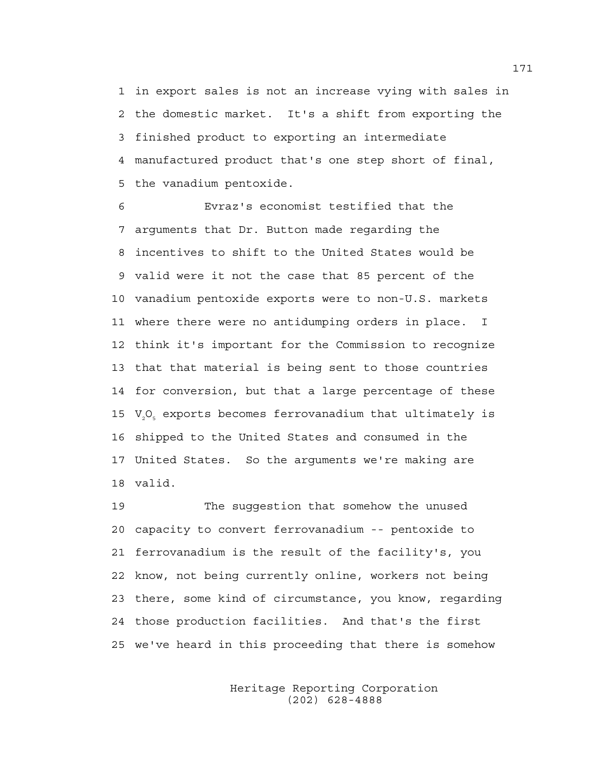1 in export sales is not an increase vying with sales in 2 the domestic market. It's a shift from exporting the 3 finished product to exporting an intermediate 4 manufactured product that's one step short of final, 5 the vanadium pentoxide.

6 Evraz's economist testified that the 7 arguments that Dr. Button made regarding the 8 incentives to shift to the United States would be 9 valid were it not the case that 85 percent of the 10 vanadium pentoxide exports were to non-U.S. markets 11 where there were no antidumping orders in place. I 12 think it's important for the Commission to recognize 13 that that material is being sent to those countries 14 for conversion, but that a large percentage of these 15 V<sub>2</sub>O<sub>s</sub> exports becomes ferrovanadium that ultimately is 16 shipped to the United States and consumed in the 17 United States. So the arguments we're making are 18 valid.

19 The suggestion that somehow the unused 20 capacity to convert ferrovanadium -- pentoxide to 21 ferrovanadium is the result of the facility's, you 22 know, not being currently online, workers not being 23 there, some kind of circumstance, you know, regarding 24 those production facilities. And that's the first 25 we've heard in this proceeding that there is somehow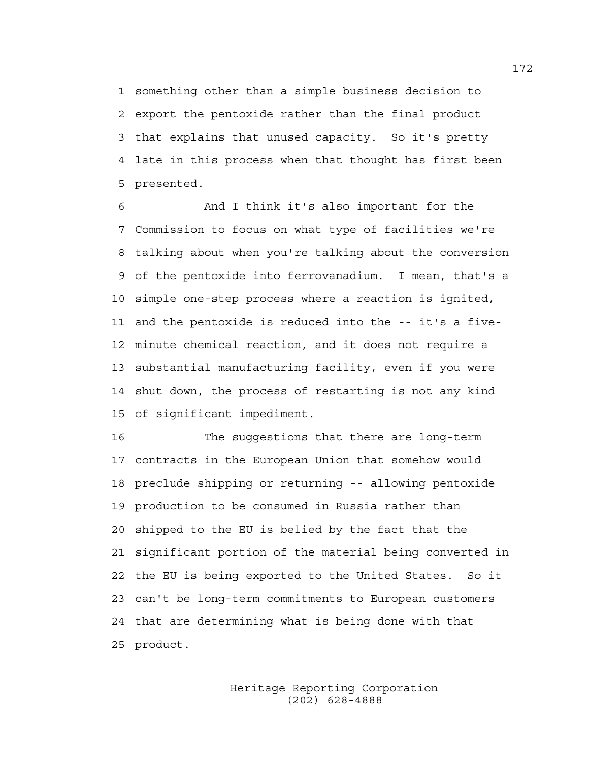1 something other than a simple business decision to 2 export the pentoxide rather than the final product 3 that explains that unused capacity. So it's pretty 4 late in this process when that thought has first been 5 presented.

6 And I think it's also important for the 7 Commission to focus on what type of facilities we're 8 talking about when you're talking about the conversion 9 of the pentoxide into ferrovanadium. I mean, that's a 10 simple one-step process where a reaction is ignited, 11 and the pentoxide is reduced into the -- it's a five-12 minute chemical reaction, and it does not require a 13 substantial manufacturing facility, even if you were 14 shut down, the process of restarting is not any kind 15 of significant impediment.

16 The suggestions that there are long-term 17 contracts in the European Union that somehow would 18 preclude shipping or returning -- allowing pentoxide 19 production to be consumed in Russia rather than 20 shipped to the EU is belied by the fact that the 21 significant portion of the material being converted in 22 the EU is being exported to the United States. So it 23 can't be long-term commitments to European customers 24 that are determining what is being done with that 25 product.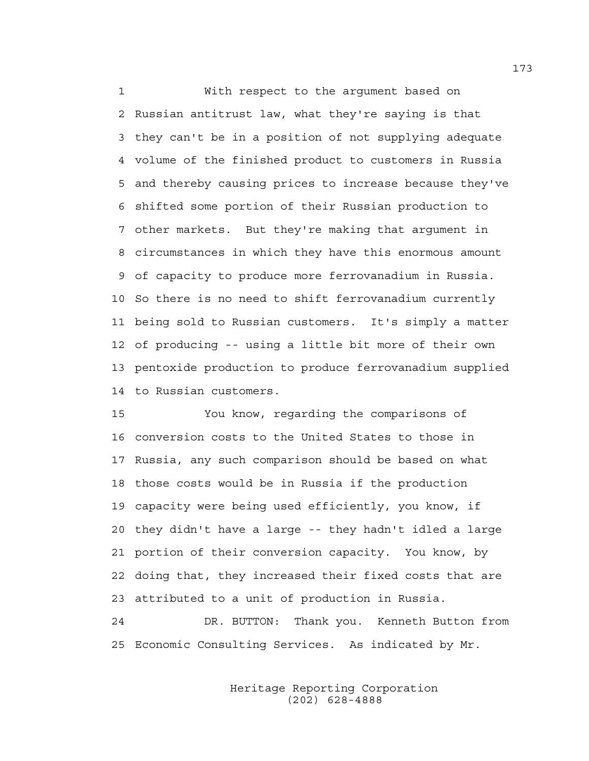1 With respect to the argument based on 2 Russian antitrust law, what they're saying is that 3 they can't be in a position of not supplying adequate 4 volume of the finished product to customers in Russia 5 and thereby causing prices to increase because they've 6 shifted some portion of their Russian production to 7 other markets. But they're making that argument in 8 circumstances in which they have this enormous amount 9 of capacity to produce more ferrovanadium in Russia. 10 So there is no need to shift ferrovanadium currently 11 being sold to Russian customers. It's simply a matter 12 of producing -- using a little bit more of their own 13 pentoxide production to produce ferrovanadium supplied 14 to Russian customers.

15 You know, regarding the comparisons of 16 conversion costs to the United States to those in 17 Russia, any such comparison should be based on what 18 those costs would be in Russia if the production 19 capacity were being used efficiently, you know, if 20 they didn't have a large -- they hadn't idled a large 21 portion of their conversion capacity. You know, by 22 doing that, they increased their fixed costs that are 23 attributed to a unit of production in Russia. 24 DR. BUTTON: Thank you. Kenneth Button from

25 Economic Consulting Services. As indicated by Mr.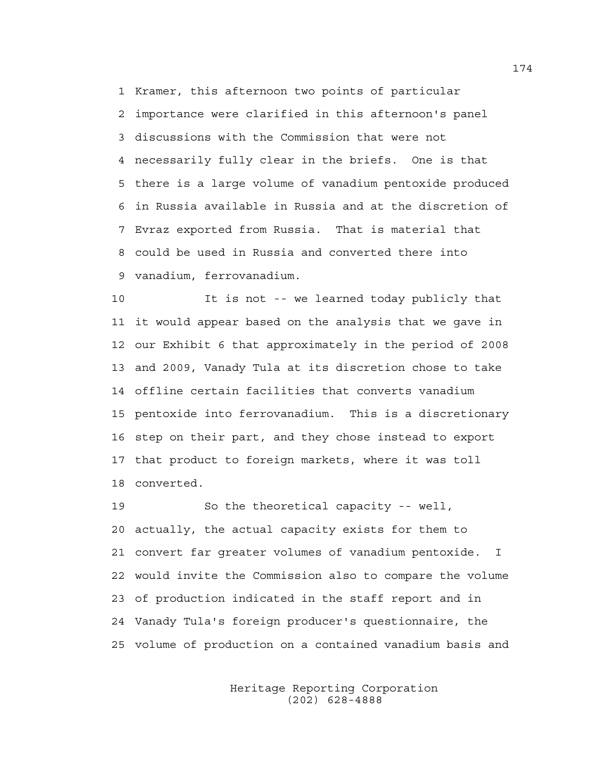1 Kramer, this afternoon two points of particular 2 importance were clarified in this afternoon's panel 3 discussions with the Commission that were not 4 necessarily fully clear in the briefs. One is that 5 there is a large volume of vanadium pentoxide produced 6 in Russia available in Russia and at the discretion of 7 Evraz exported from Russia. That is material that 8 could be used in Russia and converted there into 9 vanadium, ferrovanadium.

10 It is not -- we learned today publicly that 11 it would appear based on the analysis that we gave in 12 our Exhibit 6 that approximately in the period of 2008 13 and 2009, Vanady Tula at its discretion chose to take 14 offline certain facilities that converts vanadium 15 pentoxide into ferrovanadium. This is a discretionary 16 step on their part, and they chose instead to export 17 that product to foreign markets, where it was toll 18 converted.

19 So the theoretical capacity -- well, 20 actually, the actual capacity exists for them to 21 convert far greater volumes of vanadium pentoxide. I 22 would invite the Commission also to compare the volume 23 of production indicated in the staff report and in 24 Vanady Tula's foreign producer's questionnaire, the 25 volume of production on a contained vanadium basis and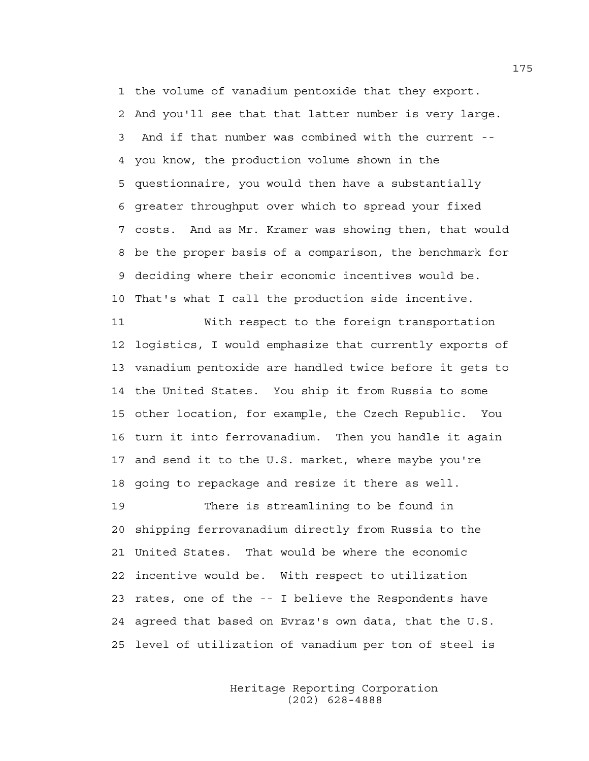1 the volume of vanadium pentoxide that they export. 2 And you'll see that that latter number is very large. 3 And if that number was combined with the current -- 4 you know, the production volume shown in the 5 questionnaire, you would then have a substantially 6 greater throughput over which to spread your fixed 7 costs. And as Mr. Kramer was showing then, that would 8 be the proper basis of a comparison, the benchmark for 9 deciding where their economic incentives would be. 10 That's what I call the production side incentive.

11 With respect to the foreign transportation 12 logistics, I would emphasize that currently exports of 13 vanadium pentoxide are handled twice before it gets to 14 the United States. You ship it from Russia to some 15 other location, for example, the Czech Republic. You 16 turn it into ferrovanadium. Then you handle it again 17 and send it to the U.S. market, where maybe you're 18 going to repackage and resize it there as well.

19 There is streamlining to be found in 20 shipping ferrovanadium directly from Russia to the 21 United States. That would be where the economic 22 incentive would be. With respect to utilization 23 rates, one of the -- I believe the Respondents have 24 agreed that based on Evraz's own data, that the U.S. 25 level of utilization of vanadium per ton of steel is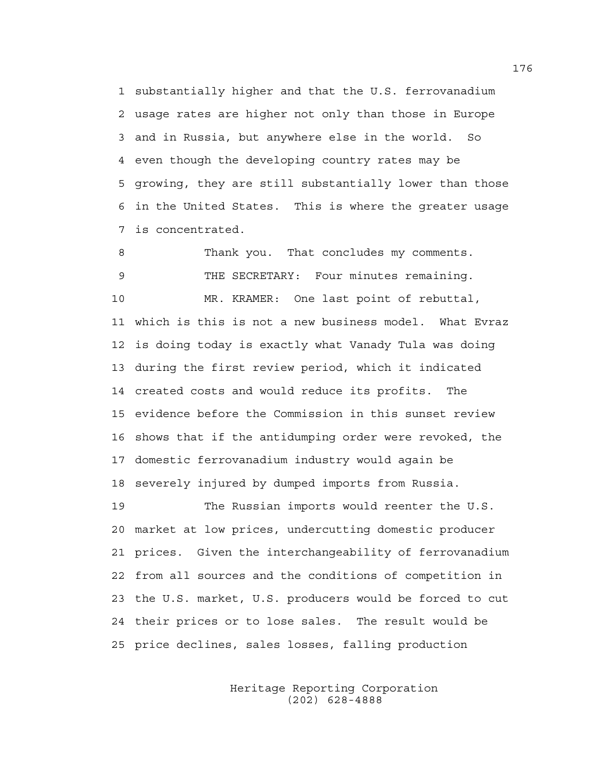1 substantially higher and that the U.S. ferrovanadium 2 usage rates are higher not only than those in Europe 3 and in Russia, but anywhere else in the world. So 4 even though the developing country rates may be 5 growing, they are still substantially lower than those 6 in the United States. This is where the greater usage 7 is concentrated.

8 Thank you. That concludes my comments. 9 THE SECRETARY: Four minutes remaining. 10 MR. KRAMER: One last point of rebuttal, 11 which is this is not a new business model. What Evraz 12 is doing today is exactly what Vanady Tula was doing 13 during the first review period, which it indicated 14 created costs and would reduce its profits. The 15 evidence before the Commission in this sunset review 16 shows that if the antidumping order were revoked, the 17 domestic ferrovanadium industry would again be 18 severely injured by dumped imports from Russia.

19 The Russian imports would reenter the U.S. 20 market at low prices, undercutting domestic producer 21 prices. Given the interchangeability of ferrovanadium 22 from all sources and the conditions of competition in 23 the U.S. market, U.S. producers would be forced to cut 24 their prices or to lose sales. The result would be 25 price declines, sales losses, falling production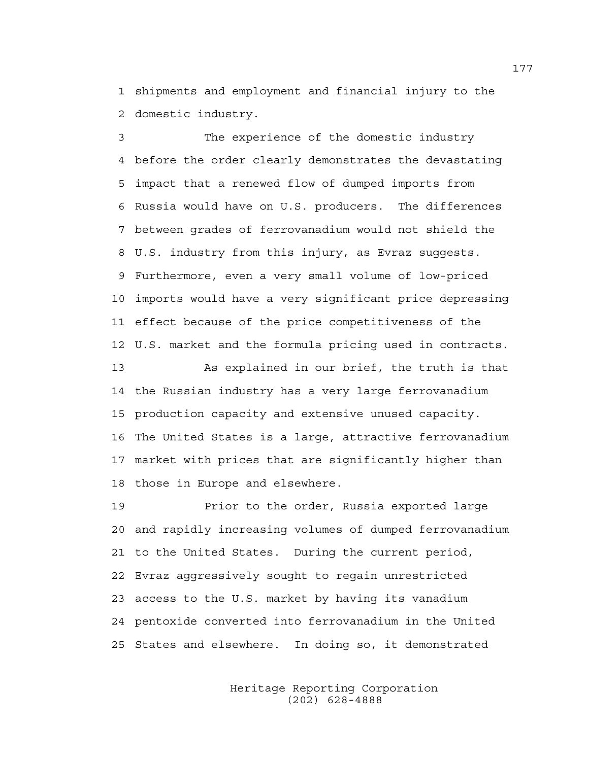1 shipments and employment and financial injury to the 2 domestic industry.

3 The experience of the domestic industry 4 before the order clearly demonstrates the devastating 5 impact that a renewed flow of dumped imports from 6 Russia would have on U.S. producers. The differences 7 between grades of ferrovanadium would not shield the 8 U.S. industry from this injury, as Evraz suggests. 9 Furthermore, even a very small volume of low-priced 10 imports would have a very significant price depressing 11 effect because of the price competitiveness of the 12 U.S. market and the formula pricing used in contracts.

13 As explained in our brief, the truth is that 14 the Russian industry has a very large ferrovanadium 15 production capacity and extensive unused capacity. 16 The United States is a large, attractive ferrovanadium 17 market with prices that are significantly higher than 18 those in Europe and elsewhere.

19 Prior to the order, Russia exported large 20 and rapidly increasing volumes of dumped ferrovanadium 21 to the United States. During the current period, 22 Evraz aggressively sought to regain unrestricted 23 access to the U.S. market by having its vanadium 24 pentoxide converted into ferrovanadium in the United 25 States and elsewhere. In doing so, it demonstrated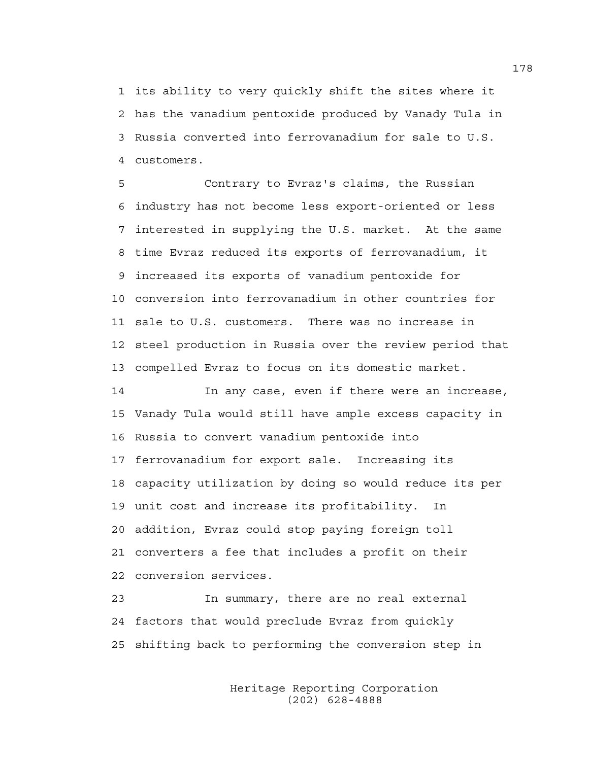1 its ability to very quickly shift the sites where it 2 has the vanadium pentoxide produced by Vanady Tula in 3 Russia converted into ferrovanadium for sale to U.S. 4 customers.

5 Contrary to Evraz's claims, the Russian 6 industry has not become less export-oriented or less 7 interested in supplying the U.S. market. At the same 8 time Evraz reduced its exports of ferrovanadium, it 9 increased its exports of vanadium pentoxide for 10 conversion into ferrovanadium in other countries for 11 sale to U.S. customers. There was no increase in 12 steel production in Russia over the review period that 13 compelled Evraz to focus on its domestic market.

14 In any case, even if there were an increase, 15 Vanady Tula would still have ample excess capacity in 16 Russia to convert vanadium pentoxide into 17 ferrovanadium for export sale. Increasing its 18 capacity utilization by doing so would reduce its per 19 unit cost and increase its profitability. In 20 addition, Evraz could stop paying foreign toll 21 converters a fee that includes a profit on their 22 conversion services.

23 In summary, there are no real external 24 factors that would preclude Evraz from quickly 25 shifting back to performing the conversion step in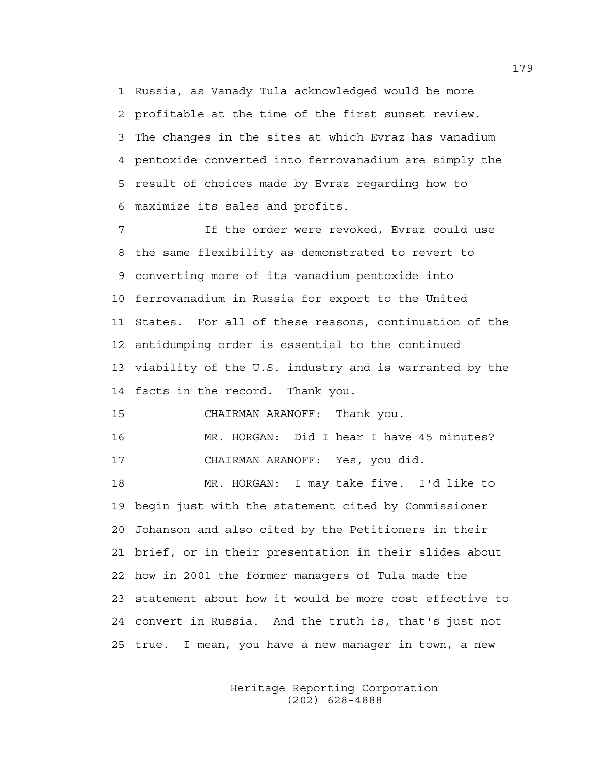1 Russia, as Vanady Tula acknowledged would be more 2 profitable at the time of the first sunset review. 3 The changes in the sites at which Evraz has vanadium 4 pentoxide converted into ferrovanadium are simply the 5 result of choices made by Evraz regarding how to 6 maximize its sales and profits.

7 If the order were revoked, Evraz could use 8 the same flexibility as demonstrated to revert to 9 converting more of its vanadium pentoxide into 10 ferrovanadium in Russia for export to the United 11 States. For all of these reasons, continuation of the 12 antidumping order is essential to the continued 13 viability of the U.S. industry and is warranted by the 14 facts in the record. Thank you.

15 CHAIRMAN ARANOFF: Thank you.

16 MR. HORGAN: Did I hear I have 45 minutes? 17 CHAIRMAN ARANOFF: Yes, you did.

18 MR. HORGAN: I may take five. I'd like to 19 begin just with the statement cited by Commissioner 20 Johanson and also cited by the Petitioners in their 21 brief, or in their presentation in their slides about 22 how in 2001 the former managers of Tula made the 23 statement about how it would be more cost effective to 24 convert in Russia. And the truth is, that's just not 25 true. I mean, you have a new manager in town, a new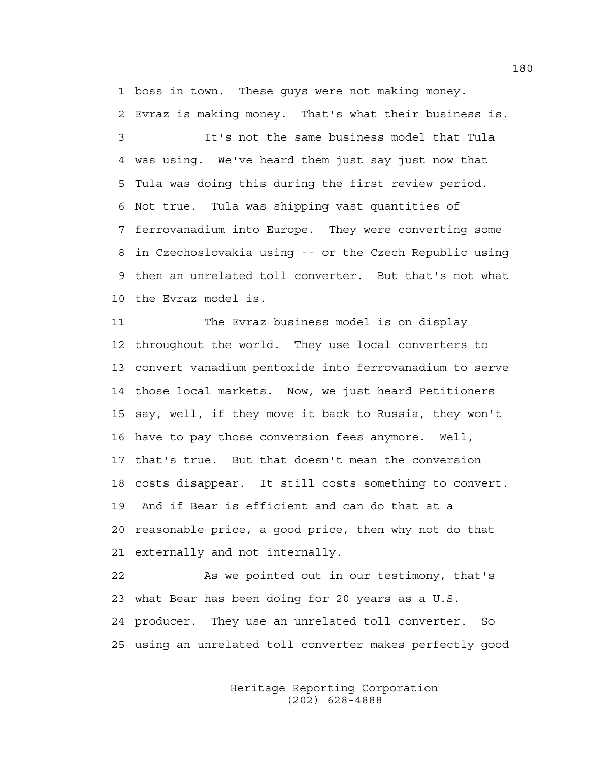1 boss in town. These guys were not making money.

2 Evraz is making money. That's what their business is.

3 It's not the same business model that Tula 4 was using. We've heard them just say just now that 5 Tula was doing this during the first review period. 6 Not true. Tula was shipping vast quantities of 7 ferrovanadium into Europe. They were converting some 8 in Czechoslovakia using -- or the Czech Republic using 9 then an unrelated toll converter. But that's not what 10 the Evraz model is.

11 The Evraz business model is on display 12 throughout the world. They use local converters to 13 convert vanadium pentoxide into ferrovanadium to serve 14 those local markets. Now, we just heard Petitioners 15 say, well, if they move it back to Russia, they won't 16 have to pay those conversion fees anymore. Well, 17 that's true. But that doesn't mean the conversion 18 costs disappear. It still costs something to convert. 19 And if Bear is efficient and can do that at a 20 reasonable price, a good price, then why not do that 21 externally and not internally.

22 As we pointed out in our testimony, that's 23 what Bear has been doing for 20 years as a U.S. 24 producer. They use an unrelated toll converter. So 25 using an unrelated toll converter makes perfectly good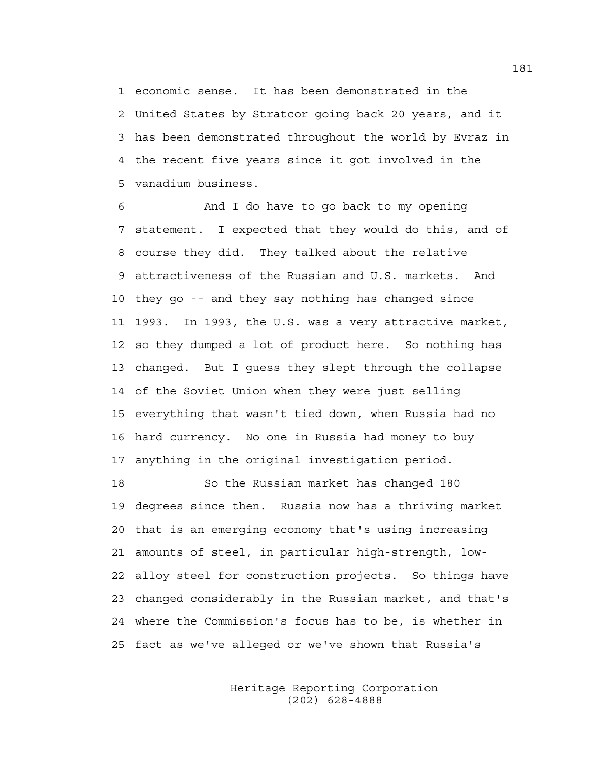1 economic sense. It has been demonstrated in the 2 United States by Stratcor going back 20 years, and it 3 has been demonstrated throughout the world by Evraz in 4 the recent five years since it got involved in the 5 vanadium business.

6 And I do have to go back to my opening 7 statement. I expected that they would do this, and of 8 course they did. They talked about the relative 9 attractiveness of the Russian and U.S. markets. And 10 they go -- and they say nothing has changed since 11 1993. In 1993, the U.S. was a very attractive market, 12 so they dumped a lot of product here. So nothing has 13 changed. But I guess they slept through the collapse 14 of the Soviet Union when they were just selling 15 everything that wasn't tied down, when Russia had no 16 hard currency. No one in Russia had money to buy 17 anything in the original investigation period.

18 So the Russian market has changed 180 19 degrees since then. Russia now has a thriving market 20 that is an emerging economy that's using increasing 21 amounts of steel, in particular high-strength, low-22 alloy steel for construction projects. So things have 23 changed considerably in the Russian market, and that's 24 where the Commission's focus has to be, is whether in 25 fact as we've alleged or we've shown that Russia's

> Heritage Reporting Corporation (202) 628-4888

181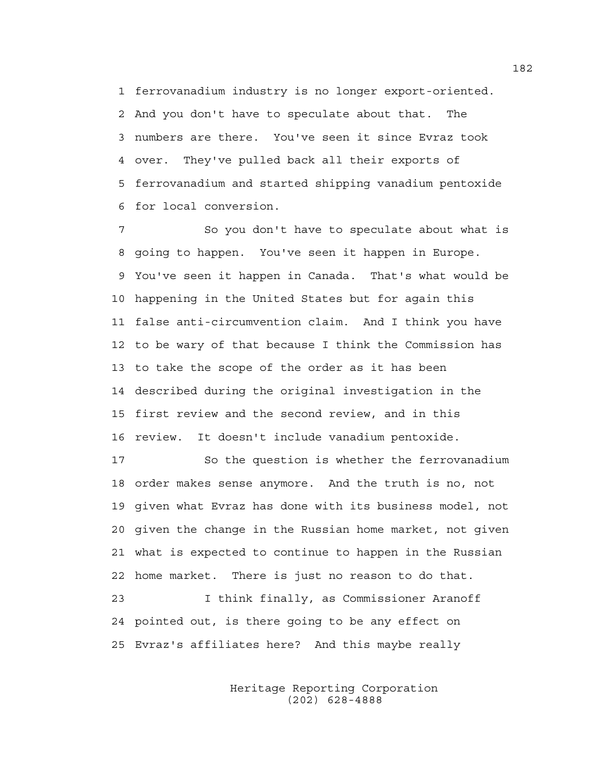1 ferrovanadium industry is no longer export-oriented. 2 And you don't have to speculate about that. The 3 numbers are there. You've seen it since Evraz took 4 over. They've pulled back all their exports of 5 ferrovanadium and started shipping vanadium pentoxide 6 for local conversion.

7 So you don't have to speculate about what is 8 going to happen. You've seen it happen in Europe. 9 You've seen it happen in Canada. That's what would be 10 happening in the United States but for again this 11 false anti-circumvention claim. And I think you have 12 to be wary of that because I think the Commission has 13 to take the scope of the order as it has been 14 described during the original investigation in the 15 first review and the second review, and in this 16 review. It doesn't include vanadium pentoxide.

17 So the question is whether the ferrovanadium 18 order makes sense anymore. And the truth is no, not 19 given what Evraz has done with its business model, not 20 given the change in the Russian home market, not given 21 what is expected to continue to happen in the Russian 22 home market. There is just no reason to do that. 23 I think finally, as Commissioner Aranoff

24 pointed out, is there going to be any effect on 25 Evraz's affiliates here? And this maybe really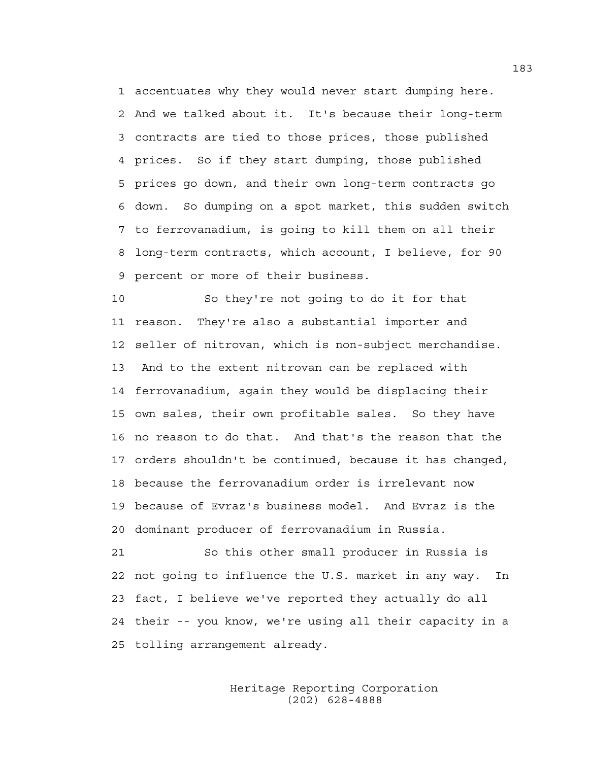1 accentuates why they would never start dumping here. 2 And we talked about it. It's because their long-term 3 contracts are tied to those prices, those published 4 prices. So if they start dumping, those published 5 prices go down, and their own long-term contracts go 6 down. So dumping on a spot market, this sudden switch 7 to ferrovanadium, is going to kill them on all their 8 long-term contracts, which account, I believe, for 90 9 percent or more of their business.

10 So they're not going to do it for that 11 reason. They're also a substantial importer and 12 seller of nitrovan, which is non-subject merchandise. 13 And to the extent nitrovan can be replaced with 14 ferrovanadium, again they would be displacing their 15 own sales, their own profitable sales. So they have 16 no reason to do that. And that's the reason that the 17 orders shouldn't be continued, because it has changed, 18 because the ferrovanadium order is irrelevant now 19 because of Evraz's business model. And Evraz is the 20 dominant producer of ferrovanadium in Russia.

21 So this other small producer in Russia is 22 not going to influence the U.S. market in any way. In 23 fact, I believe we've reported they actually do all 24 their -- you know, we're using all their capacity in a 25 tolling arrangement already.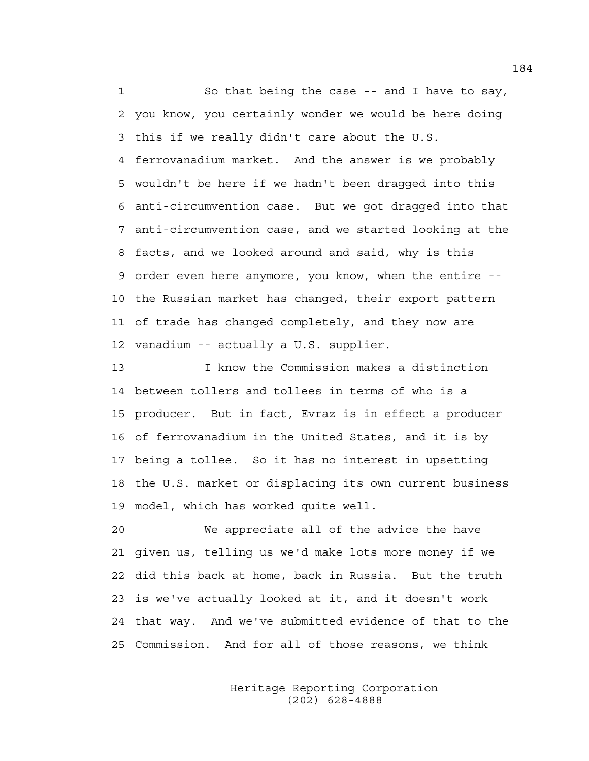1 So that being the case -- and I have to say, 2 you know, you certainly wonder we would be here doing 3 this if we really didn't care about the U.S. 4 ferrovanadium market. And the answer is we probably 5 wouldn't be here if we hadn't been dragged into this 6 anti-circumvention case. But we got dragged into that 7 anti-circumvention case, and we started looking at the 8 facts, and we looked around and said, why is this 9 order even here anymore, you know, when the entire -- 10 the Russian market has changed, their export pattern 11 of trade has changed completely, and they now are 12 vanadium -- actually a U.S. supplier.

13 I know the Commission makes a distinction 14 between tollers and tollees in terms of who is a 15 producer. But in fact, Evraz is in effect a producer 16 of ferrovanadium in the United States, and it is by 17 being a tollee. So it has no interest in upsetting 18 the U.S. market or displacing its own current business 19 model, which has worked quite well.

20 We appreciate all of the advice the have 21 given us, telling us we'd make lots more money if we 22 did this back at home, back in Russia. But the truth 23 is we've actually looked at it, and it doesn't work 24 that way. And we've submitted evidence of that to the 25 Commission. And for all of those reasons, we think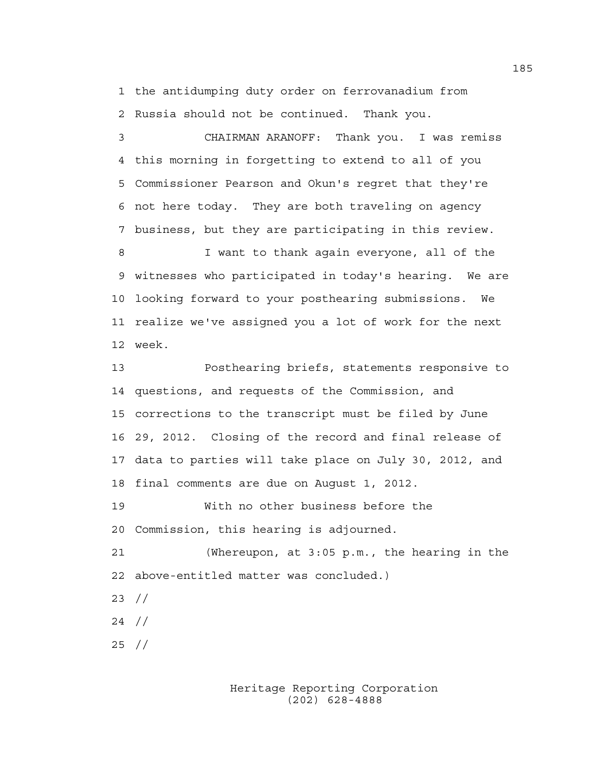1 the antidumping duty order on ferrovanadium from 2 Russia should not be continued. Thank you.

3 CHAIRMAN ARANOFF: Thank you. I was remiss 4 this morning in forgetting to extend to all of you 5 Commissioner Pearson and Okun's regret that they're 6 not here today. They are both traveling on agency 7 business, but they are participating in this review.

8 I want to thank again everyone, all of the 9 witnesses who participated in today's hearing. We are 10 looking forward to your posthearing submissions. We 11 realize we've assigned you a lot of work for the next 12 week.

13 Posthearing briefs, statements responsive to 14 questions, and requests of the Commission, and 15 corrections to the transcript must be filed by June 16 29, 2012. Closing of the record and final release of 17 data to parties will take place on July 30, 2012, and 18 final comments are due on August 1, 2012.

19 With no other business before the 20 Commission, this hearing is adjourned.

21 (Whereupon, at 3:05 p.m., the hearing in the 22 above-entitled matter was concluded.)

23 //

24 //

25 //